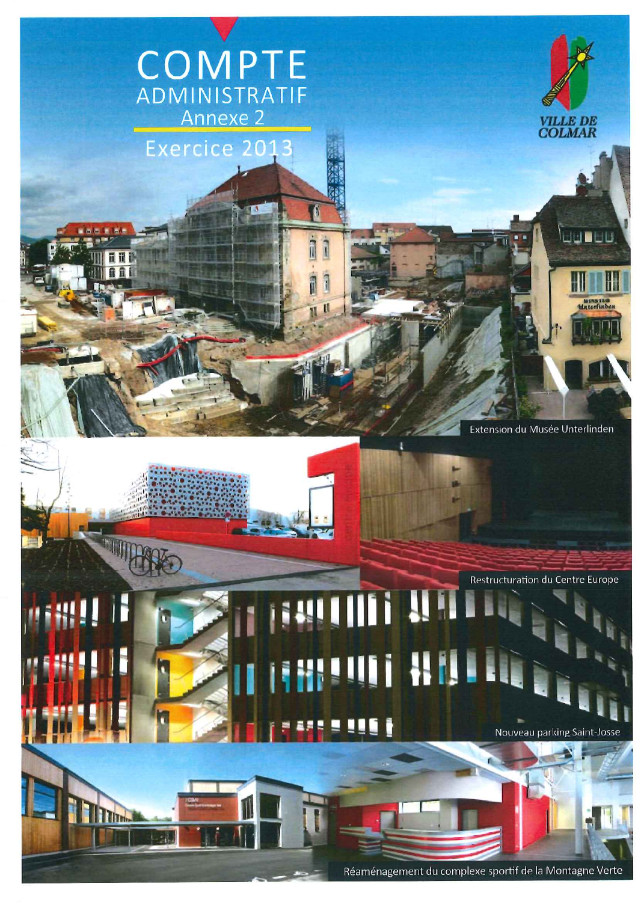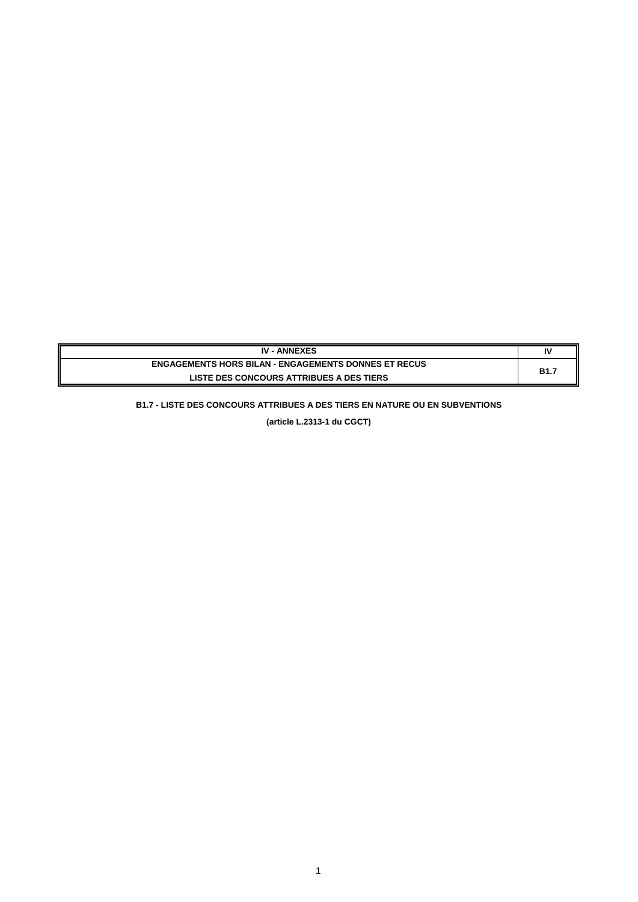| <b>IV - ANNEXES</b>                                         | Ι٧         |
|-------------------------------------------------------------|------------|
| <b>ENGAGEMENTS HORS BILAN - ENGAGEMENTS DONNES ET RECUS</b> | <b>B1.</b> |
| <b>LISTE DES CONCOURS ATTRIBUES A DES TIERS</b>             |            |

# **B1.7 - LISTE DES CONCOURS ATTRIBUES A DES TIERS EN NATURE OU EN SUBVENTIONS**

**(article L.2313-1 du CGCT)**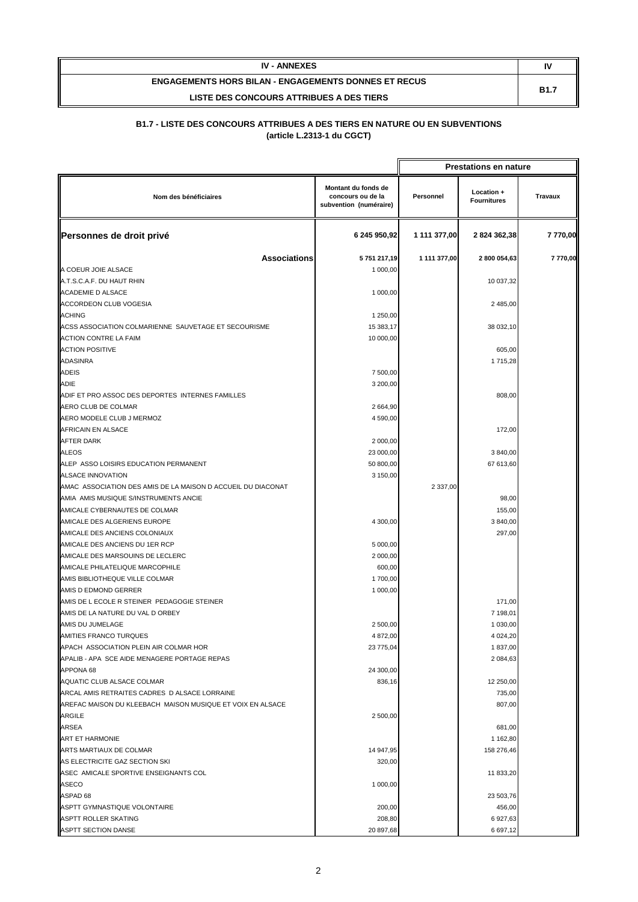| <b>IV - ANNEXES</b>                                         | N           |  |
|-------------------------------------------------------------|-------------|--|
| <b>ENGAGEMENTS HORS BILAN - ENGAGEMENTS DONNES ET RECUS</b> |             |  |
| LISTE DES CONCOURS ATTRIBUES A DES TIERS                    | <b>B1.7</b> |  |

|                                                                     |                                                                    |              | <b>Prestations en nature</b>     |                |
|---------------------------------------------------------------------|--------------------------------------------------------------------|--------------|----------------------------------|----------------|
| Nom des bénéficiaires                                               | Montant du fonds de<br>concours ou de la<br>subvention (numéraire) | Personnel    | Location +<br><b>Fournitures</b> | <b>Travaux</b> |
| Personnes de droit privé                                            | 6 245 950,92                                                       | 1 111 377,00 | 2824 362,38                      | 7770,00        |
| <b>Associations</b>                                                 | 5751217,19                                                         | 1 111 377,00 | 2800 054,63                      | 7770,00        |
| A COEUR JOIE ALSACE                                                 | 1 000,00                                                           |              |                                  |                |
| A.T.S.C.A.F. DU HAUT RHIN                                           |                                                                    |              | 10 037,32                        |                |
| ACADEMIE D ALSACE                                                   | 1 000,00                                                           |              |                                  |                |
| ACCORDEON CLUB VOGESIA                                              |                                                                    |              | 2 485,00                         |                |
| <b>ACHING</b>                                                       | 1 250,00                                                           |              |                                  |                |
| ACSS ASSOCIATION COLMARIENNE SAUVETAGE ET SECOURISME                | 15 383,17                                                          |              | 38 032,10                        |                |
| <b>ACTION CONTRE LA FAIM</b>                                        | 10 000,00                                                          |              |                                  |                |
| <b>ACTION POSITIVE</b>                                              |                                                                    |              | 605,00                           |                |
| <b>ADASINRA</b>                                                     |                                                                    |              | 1 715,28                         |                |
| <b>ADEIS</b>                                                        | 7 500,00                                                           |              |                                  |                |
| <b>ADIE</b>                                                         | 3 200,00                                                           |              |                                  |                |
| ADIF ET PRO ASSOC DES DEPORTES INTERNES FAMILLES                    |                                                                    |              | 808,00                           |                |
| AERO CLUB DE COLMAR                                                 | 2 664,90                                                           |              |                                  |                |
| AERO MODELE CLUB J MERMOZ                                           | 4 590,00                                                           |              |                                  |                |
| AFRICAIN EN ALSACE                                                  |                                                                    |              | 172,00                           |                |
| <b>AFTER DARK</b>                                                   | 2 000,00                                                           |              |                                  |                |
| <b>ALEOS</b>                                                        | 23 000,00                                                          |              | 3 840,00                         |                |
| ALEP ASSO LOISIRS EDUCATION PERMANENT                               | 50 800,00                                                          |              | 67 613,60                        |                |
| <b>ALSACE INNOVATION</b>                                            | 3 150,00                                                           |              |                                  |                |
| AMAC ASSOCIATION DES AMIS DE LA MAISON D ACCUEIL DU DIACONAT        |                                                                    | 2 3 3 7,00   |                                  |                |
| AMIA AMIS MUSIQUE S/INSTRUMENTS ANCIE                               |                                                                    |              | 98,00                            |                |
| AMICALE CYBERNAUTES DE COLMAR                                       |                                                                    |              | 155,00                           |                |
| AMICALE DES ALGERIENS EUROPE                                        | 4 300,00                                                           |              | 3 840,00                         |                |
| AMICALE DES ANCIENS COLONIAUX                                       |                                                                    |              | 297,00                           |                |
| AMICALE DES ANCIENS DU 1ER RCP                                      | 5 000,00                                                           |              |                                  |                |
| AMICALE DES MARSOUINS DE LECLERC                                    | 2 000,00                                                           |              |                                  |                |
| AMICALE PHILATELIQUE MARCOPHILE                                     | 600,00<br>1700,00                                                  |              |                                  |                |
| AMIS BIBLIOTHEQUE VILLE COLMAR                                      |                                                                    |              |                                  |                |
| AMIS D EDMOND GERRER<br>AMIS DE L ECOLE R STEINER PEDAGOGIE STEINER | 1 000,00                                                           |              | 171,00                           |                |
| AMIS DE LA NATURE DU VAL D ORBEY                                    |                                                                    |              | 7 198,01                         |                |
| AMIS DU JUMELAGE                                                    | 2 500,00                                                           |              | 1 030,00                         |                |
| AMITIES FRANCO TURQUES                                              | 4 872,00                                                           |              | 4 0 24, 20                       |                |
| APACH ASSOCIATION PLEIN AIR COLMAR HOR                              | 23 775,04                                                          |              | 1837,00                          |                |
| APALIB - APA SCE AIDE MENAGERE PORTAGE REPAS                        |                                                                    |              | 2 084,63                         |                |
| APPONA 68                                                           | 24 300,00                                                          |              |                                  |                |
| AQUATIC CLUB ALSACE COLMAR                                          | 836,16                                                             |              | 12 250,00                        |                |
| ARCAL AMIS RETRAITES CADRES D ALSACE LORRAINE                       |                                                                    |              | 735,00                           |                |
| AREFAC MAISON DU KLEEBACH MAISON MUSIQUE ET VOIX EN ALSACE          |                                                                    |              | 807,00                           |                |
| <b>ARGILE</b>                                                       | 2 500,00                                                           |              |                                  |                |
| <b>ARSEA</b>                                                        |                                                                    |              | 681,00                           |                |
| <b>ART ET HARMONIE</b>                                              |                                                                    |              | 1 162,80                         |                |
| ARTS MARTIAUX DE COLMAR                                             | 14 947,95                                                          |              | 158 276,46                       |                |
| AS ELECTRICITE GAZ SECTION SKI                                      | 320,00                                                             |              |                                  |                |
| ASEC AMICALE SPORTIVE ENSEIGNANTS COL                               |                                                                    |              | 11 833,20                        |                |
| <b>ASECO</b>                                                        | 1 000,00                                                           |              |                                  |                |
| ASPAD 68                                                            |                                                                    |              | 23 503,76                        |                |
| ASPTT GYMNASTIQUE VOLONTAIRE                                        | 200,00                                                             |              | 456,00                           |                |
| ASPTT ROLLER SKATING                                                | 208,80                                                             |              | 6 927,63                         |                |
| ASPTT SECTION DANSE                                                 | 20 897,68                                                          |              | 6 697,12                         |                |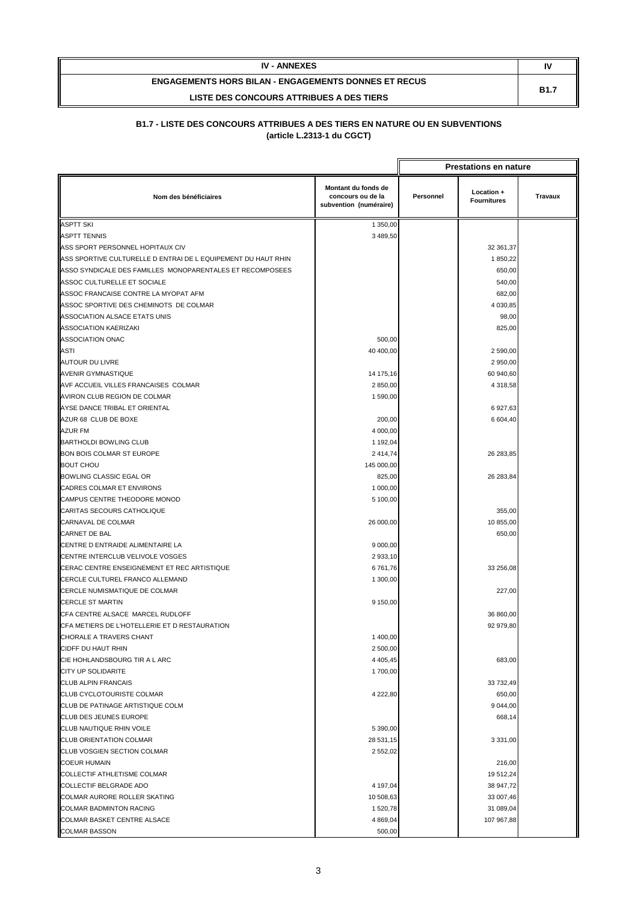| <b>IV - ANNEXES</b>                                         |             |
|-------------------------------------------------------------|-------------|
| <b>ENGAGEMENTS HORS BILAN - ENGAGEMENTS DONNES ET RECUS</b> | <b>B1.7</b> |
| LISTE DES CONCOURS ATTRIBUES A DES TIERS                    |             |

|                                                               |                                                                    |           | <b>Prestations en nature</b>     |         |
|---------------------------------------------------------------|--------------------------------------------------------------------|-----------|----------------------------------|---------|
| Nom des bénéficiaires                                         | Montant du fonds de<br>concours ou de la<br>subvention (numéraire) | Personnel | Location +<br><b>Fournitures</b> | Travaux |
| <b>ASPTT SKI</b>                                              | 1 350,00                                                           |           |                                  |         |
| <b>ASPTT TENNIS</b>                                           | 3 489,50                                                           |           |                                  |         |
| ASS SPORT PERSONNEL HOPITAUX CIV                              |                                                                    |           | 32 361,37                        |         |
| ASS SPORTIVE CULTURELLE D ENTRAI DE L EQUIPEMENT DU HAUT RHIN |                                                                    |           | 1 850,22                         |         |
| ASSO SYNDICALE DES FAMILLES MONOPARENTALES ET RECOMPOSEES     |                                                                    |           | 650,00                           |         |
| ASSOC CULTURELLE ET SOCIALE                                   |                                                                    |           | 540,00                           |         |
| ASSOC FRANCAISE CONTRE LA MYOPAT AFM                          |                                                                    |           | 682,00                           |         |
| ASSOC SPORTIVE DES CHEMINOTS DE COLMAR                        |                                                                    |           | 4 030,85                         |         |
| ASSOCIATION ALSACE ETATS UNIS                                 |                                                                    |           | 98,00                            |         |
| ASSOCIATION KAERIZAKI                                         |                                                                    |           | 825,00                           |         |
| ASSOCIATION ONAC                                              | 500,00                                                             |           |                                  |         |
| <b>ASTI</b>                                                   | 40 400,00                                                          |           | 2 590,00                         |         |
| <b>AUTOUR DU LIVRE</b>                                        |                                                                    |           | 2 950,00                         |         |
| AVENIR GYMNASTIQUE                                            | 14 175,16                                                          |           | 60 940,60                        |         |
| AVF ACCUEIL VILLES FRANCAISES COLMAR                          | 2 850,00                                                           |           | 4 318,58                         |         |
| AVIRON CLUB REGION DE COLMAR                                  | 1590,00                                                            |           |                                  |         |
| AYSE DANCE TRIBAL ET ORIENTAL                                 |                                                                    |           | 6 927,63                         |         |
| AZUR 68 CLUB DE BOXE                                          | 200,00                                                             |           | 6 604,40                         |         |
| <b>AZUR FM</b>                                                | 4 000,00                                                           |           |                                  |         |
| <b>BARTHOLDI BOWLING CLUB</b>                                 | 1 192,04                                                           |           |                                  |         |
| BON BOIS COLMAR ST EUROPE                                     | 2 4 1 4 , 7 4                                                      |           | 26 283,85                        |         |
| <b>BOUT CHOU</b>                                              | 145 000,00                                                         |           |                                  |         |
| BOWLING CLASSIC EGAL OR                                       | 825,00                                                             |           | 26 283,84                        |         |
| CADRES COLMAR ET ENVIRONS                                     | 1 000,00                                                           |           |                                  |         |
| CAMPUS CENTRE THEODORE MONOD                                  | 5 100,00                                                           |           |                                  |         |
| CARITAS SECOURS CATHOLIQUE                                    |                                                                    |           | 355,00                           |         |
| CARNAVAL DE COLMAR                                            | 26 000,00                                                          |           | 10 855,00                        |         |
| <b>CARNET DE BAL</b>                                          |                                                                    |           | 650,00                           |         |
| CENTRE D ENTRAIDE ALIMENTAIRE LA                              | 9 000,00                                                           |           |                                  |         |
| CENTRE INTERCLUB VELIVOLE VOSGES                              | 2 933,10                                                           |           |                                  |         |
| CERAC CENTRE ENSEIGNEMENT ET REC ARTISTIQUE                   | 6761,76                                                            |           | 33 256,08                        |         |
| CERCLE CULTUREL FRANCO ALLEMAND                               | 1 300,00                                                           |           |                                  |         |
| CERCLE NUMISMATIQUE DE COLMAR                                 |                                                                    |           | 227,00                           |         |
| <b>CERCLE ST MARTIN</b>                                       | 9 150,00                                                           |           |                                  |         |
| CFA CENTRE ALSACE MARCEL RUDLOFF                              |                                                                    |           | 36 860,00                        |         |
| CFA METIERS DE L'HOTELLERIE ET D RESTAURATION                 |                                                                    |           | 92 979,80                        |         |
| CHORALE A TRAVERS CHANT                                       | 1 400,00                                                           |           |                                  |         |
| CIDFF DU HAUT RHIN                                            | 2 500,00                                                           |           |                                  |         |
| CIE HOHLANDSBOURG TIR A L ARC                                 | 4 4 0 5, 4 5                                                       |           | 683,00                           |         |
| <b>CITY UP SOLIDARITE</b>                                     | 1700,00                                                            |           |                                  |         |
| <b>CLUB ALPIN FRANCAIS</b>                                    |                                                                    |           | 33 732,49                        |         |
| <b>CLUB CYCLOTOURISTE COLMAR</b>                              |                                                                    |           |                                  |         |
| CLUB DE PATINAGE ARTISTIQUE COLM                              | 4 222,80                                                           |           | 650,00                           |         |
|                                                               |                                                                    |           | 9 044,00                         |         |
| CLUB DES JEUNES EUROPE                                        |                                                                    |           | 668,14                           |         |
| CLUB NAUTIQUE RHIN VOILE                                      | 5 390,00                                                           |           |                                  |         |
| <b>CLUB ORIENTATION COLMAR</b>                                | 28 531,15                                                          |           | 3 3 3 1 , 0 0                    |         |
| CLUB VOSGIEN SECTION COLMAR                                   | 2 552,02                                                           |           |                                  |         |
| <b>COEUR HUMAIN</b>                                           |                                                                    |           | 216,00                           |         |
| <b>COLLECTIF ATHLETISME COLMAR</b>                            |                                                                    |           | 19 512,24                        |         |
| COLLECTIF BELGRADE ADO                                        | 4 197,04                                                           |           | 38 947,72                        |         |
| COLMAR AURORE ROLLER SKATING                                  | 10 508,63                                                          |           | 33 007,46                        |         |
| <b>COLMAR BADMINTON RACING</b>                                | 1520,78                                                            |           | 31 089,04                        |         |
| COLMAR BASKET CENTRE ALSACE                                   | 4 8 69,04                                                          |           | 107 967,88                       |         |
| <b>COLMAR BASSON</b>                                          | 500,00                                                             |           |                                  |         |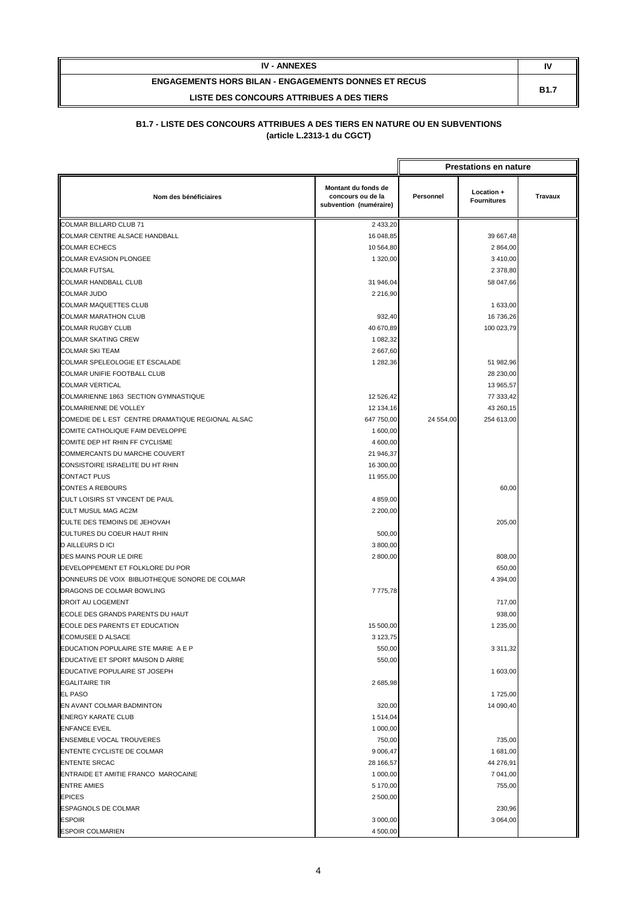| <b>IV - ANNEXES</b>                                         |             |
|-------------------------------------------------------------|-------------|
| <b>ENGAGEMENTS HORS BILAN - ENGAGEMENTS DONNES ET RECUS</b> | <b>B1.7</b> |
| LISTE DES CONCOURS ATTRIBUES A DES TIERS                    |             |

|                                                   |                                                                    |           | <b>Prestations en nature</b>     |                |
|---------------------------------------------------|--------------------------------------------------------------------|-----------|----------------------------------|----------------|
| Nom des bénéficiaires                             | Montant du fonds de<br>concours ou de la<br>subvention (numéraire) | Personnel | Location +<br><b>Fournitures</b> | <b>Travaux</b> |
| COLMAR BILLARD CLUB 71                            | 2 433,20                                                           |           |                                  |                |
| COLMAR CENTRE ALSACE HANDBALL                     | 16 048,85                                                          |           | 39 667,48                        |                |
| <b>COLMAR ECHECS</b>                              | 10 564,80                                                          |           | 2 864,00                         |                |
| <b>COLMAR EVASION PLONGEE</b>                     | 1 320,00                                                           |           | 3 410,00                         |                |
| <b>COLMAR FUTSAL</b>                              |                                                                    |           | 2 378,80                         |                |
| <b>COLMAR HANDBALL CLUB</b>                       | 31 946,04                                                          |           | 58 047,66                        |                |
| <b>COLMAR JUDO</b>                                | 2 2 1 6,90                                                         |           |                                  |                |
| <b>COLMAR MAQUETTES CLUB</b>                      |                                                                    |           | 1 633,00                         |                |
| <b>COLMAR MARATHON CLUB</b>                       | 932,40                                                             |           | 16 736,26                        |                |
| <b>COLMAR RUGBY CLUB</b>                          | 40 670,89                                                          |           | 100 023,79                       |                |
| <b>COLMAR SKATING CREW</b>                        | 1 082,32                                                           |           |                                  |                |
| <b>COLMAR SKI TEAM</b>                            | 2 667,60                                                           |           |                                  |                |
| COLMAR SPELEOLOGIE ET ESCALADE                    | 1 282,36                                                           |           | 51 982,96                        |                |
| COLMAR UNIFIE FOOTBALL CLUB                       |                                                                    |           | 28 230,00                        |                |
| <b>COLMAR VERTICAL</b>                            |                                                                    |           | 13 965,57                        |                |
| COLMARIENNE 1863 SECTION GYMNASTIQUE              | 12 526,42                                                          |           | 77 333,42                        |                |
| <b>COLMARIENNE DE VOLLEY</b>                      | 12 134,16                                                          |           | 43 260,15                        |                |
| COMEDIE DE L EST CENTRE DRAMATIQUE REGIONAL ALSAC | 647 750,00                                                         | 24 554,00 | 254 613,00                       |                |
| COMITE CATHOLIQUE FAIM DEVELOPPE                  | 1 600,00                                                           |           |                                  |                |
| COMITE DEP HT RHIN FF CYCLISME                    | 4 600,00                                                           |           |                                  |                |
| COMMERCANTS DU MARCHE COUVERT                     | 21 946,37                                                          |           |                                  |                |
| CONSISTOIRE ISRAELITE DU HT RHIN                  | 16 300,00                                                          |           |                                  |                |
| <b>CONTACT PLUS</b>                               | 11 955,00                                                          |           |                                  |                |
| <b>CONTES A REBOURS</b>                           |                                                                    |           | 60,00                            |                |
| CULT LOISIRS ST VINCENT DE PAUL                   | 4 859,00                                                           |           |                                  |                |
| CULT MUSUL MAG AC2M                               | 2 200,00                                                           |           |                                  |                |
| CULTE DES TEMOINS DE JEHOVAH                      |                                                                    |           | 205,00                           |                |
| CULTURES DU COEUR HAUT RHIN                       | 500,00                                                             |           |                                  |                |
| <b>D AILLEURS D ICI</b>                           | 3 800,00                                                           |           |                                  |                |
| DES MAINS POUR LE DIRE                            | 2 800,00                                                           |           | 808,00                           |                |
| DEVELOPPEMENT ET FOLKLORE DU POR                  |                                                                    |           | 650,00                           |                |
| DONNEURS DE VOIX BIBLIOTHEQUE SONORE DE COLMAR    |                                                                    |           | 4 394,00                         |                |
| DRAGONS DE COLMAR BOWLING                         | 7 775,78                                                           |           |                                  |                |
| <b>DROIT AU LOGEMENT</b>                          |                                                                    |           | 717,00                           |                |
| ECOLE DES GRANDS PARENTS DU HAUT                  |                                                                    |           | 938,00                           |                |
| ECOLE DES PARENTS ET EDUCATION                    | 15 500,00                                                          |           | 1 235,00                         |                |
| <b>ECOMUSEE D ALSACE</b>                          | 3 123,75                                                           |           |                                  |                |
| EDUCATION POPULAIRE STE MARIE A E P               | 550,00                                                             |           | 3 3 1 1 , 3 2                    |                |
| EDUCATIVE ET SPORT MAISON D ARRE                  | 550,00                                                             |           |                                  |                |
| EDUCATIVE POPULAIRE ST JOSEPH                     |                                                                    |           | 1 603,00                         |                |
| <b>EGALITAIRE TIR</b>                             | 2 685,98                                                           |           |                                  |                |
| <b>EL PASO</b>                                    |                                                                    |           | 1725,00                          |                |
| EN AVANT COLMAR BADMINTON                         | 320,00                                                             |           | 14 090,40                        |                |
| <b>ENERGY KARATE CLUB</b>                         | 1 514,04                                                           |           |                                  |                |
| <b>ENFANCE EVEIL</b>                              | 1 000,00                                                           |           |                                  |                |
| <b>ENSEMBLE VOCAL TROUVERES</b>                   | 750,00                                                             |           | 735,00                           |                |
| ENTENTE CYCLISTE DE COLMAR                        | 9 006,47                                                           |           | 1 681,00                         |                |
| <b>ENTENTE SRCAC</b>                              | 28 166,57                                                          |           | 44 276,91                        |                |
| ENTRAIDE ET AMITIE FRANCO MAROCAINE               |                                                                    |           |                                  |                |
| <b>ENTRE AMIES</b>                                | 1 000,00                                                           |           | 7 041,00<br>755,00               |                |
|                                                   | 5 170,00                                                           |           |                                  |                |
| <b>EPICES</b>                                     | 2 500,00                                                           |           |                                  |                |
| <b>ESPAGNOLS DE COLMAR</b>                        |                                                                    |           | 230,96                           |                |
| <b>ESPOIR</b>                                     | 3 000,00                                                           |           | 3 064,00                         |                |
| <b>ESPOIR COLMARIEN</b>                           | 4 500,00                                                           |           |                                  |                |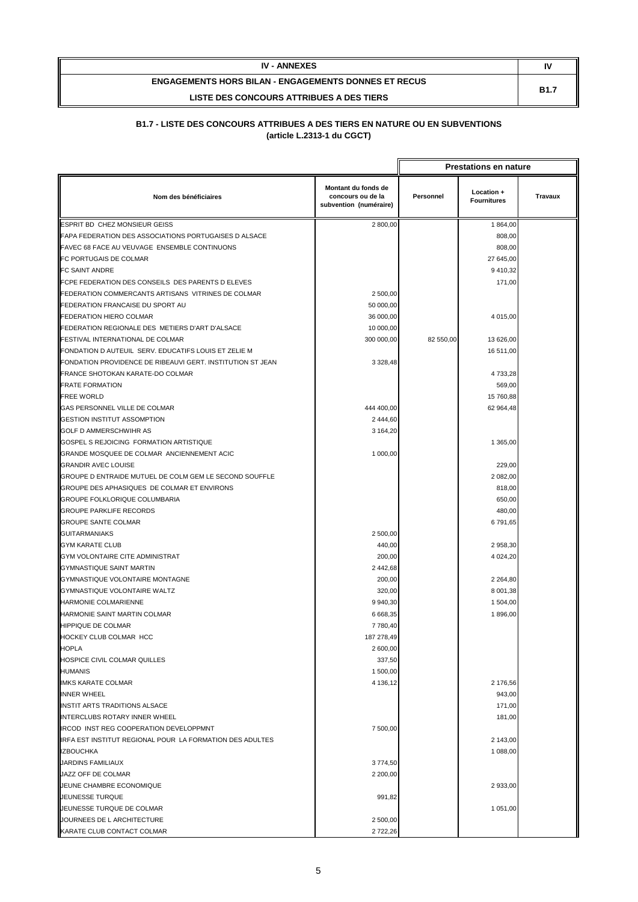| <b>IV - ANNEXES</b>                                         | ľV          |
|-------------------------------------------------------------|-------------|
| <b>ENGAGEMENTS HORS BILAN - ENGAGEMENTS DONNES ET RECUS</b> | <b>B1.7</b> |
| LISTE DES CONCOURS ATTRIBUES A DES TIERS                    |             |

|                                                            |                                                                    |           | <b>Prestations en nature</b>     |                |
|------------------------------------------------------------|--------------------------------------------------------------------|-----------|----------------------------------|----------------|
| Nom des bénéficiaires                                      | Montant du fonds de<br>concours ou de la<br>subvention (numéraire) | Personnel | Location +<br><b>Fournitures</b> | <b>Travaux</b> |
| ESPRIT BD CHEZ MONSIEUR GEISS                              | 2 800,00                                                           |           | 1 864,00                         |                |
| FAPA FEDERATION DES ASSOCIATIONS PORTUGAISES D ALSACE      |                                                                    |           | 808,00                           |                |
| FAVEC 68 FACE AU VEUVAGE ENSEMBLE CONTINUONS               |                                                                    |           | 808,00                           |                |
| FC PORTUGAIS DE COLMAR                                     |                                                                    |           | 27 645,00                        |                |
| <b>FC SAINT ANDRE</b>                                      |                                                                    |           | 9 410,32                         |                |
| FCPE FEDERATION DES CONSEILS DES PARENTS D ELEVES          |                                                                    |           | 171,00                           |                |
| FEDERATION COMMERCANTS ARTISANS VITRINES DE COLMAR         | 2 500,00                                                           |           |                                  |                |
| FEDERATION FRANCAISE DU SPORT AU                           | 50 000,00                                                          |           |                                  |                |
| <b>FEDERATION HIERO COLMAR</b>                             | 36 000,00                                                          |           | 4 015,00                         |                |
| FEDERATION REGIONALE DES METIERS D'ART D'ALSACE            | 10 000,00                                                          |           |                                  |                |
| FESTIVAL INTERNATIONAL DE COLMAR                           | 300 000,00                                                         | 82 550,00 | 13 626,00                        |                |
| FONDATION D AUTEUIL SERV. EDUCATIFS LOUIS ET ZELIE M       |                                                                    |           | 16 511,00                        |                |
| FONDATION PROVIDENCE DE RIBEAUVI GERT. INSTITUTION ST JEAN | 3 3 28,48                                                          |           |                                  |                |
| FRANCE SHOTOKAN KARATE-DO COLMAR                           |                                                                    |           | 4733,28                          |                |
| <b>FRATE FORMATION</b>                                     |                                                                    |           | 569,00                           |                |
| <b>FREE WORLD</b>                                          |                                                                    |           | 15 760,88                        |                |
| GAS PERSONNEL VILLE DE COLMAR                              | 444 400,00                                                         |           | 62 964,48                        |                |
| <b>GESTION INSTITUT ASSOMPTION</b>                         | 2 444,60                                                           |           |                                  |                |
| <b>GOLF D AMMERSCHWIHR AS</b>                              | 3 164,20                                                           |           |                                  |                |
| GOSPEL S REJOICING FORMATION ARTISTIQUE                    |                                                                    |           | 1 365,00                         |                |
| GRANDE MOSQUEE DE COLMAR ANCIENNEMENT ACIC                 | 1 000,00                                                           |           |                                  |                |
| <b>GRANDIR AVEC LOUISE</b>                                 |                                                                    |           | 229,00                           |                |
| GROUPE D ENTRAIDE MUTUEL DE COLM GEM LE SECOND SOUFFLE     |                                                                    |           | 2 082,00                         |                |
| GROUPE DES APHASIQUES DE COLMAR ET ENVIRONS                |                                                                    |           | 818,00                           |                |
| <b>GROUPE FOLKLORIQUE COLUMBARIA</b>                       |                                                                    |           | 650,00                           |                |
| <b>GROUPE PARKLIFE RECORDS</b>                             |                                                                    |           | 480,00                           |                |
| <b>GROUPE SANTE COLMAR</b>                                 |                                                                    |           | 6 791,65                         |                |
| <b>GUITARMANIAKS</b>                                       | 2 500,00                                                           |           |                                  |                |
| <b>GYM KARATE CLUB</b>                                     | 440,00                                                             |           | 2 958,30                         |                |
| GYM VOLONTAIRE CITE ADMINISTRAT                            | 200,00                                                             |           | 4 024,20                         |                |
| <b>GYMNASTIQUE SAINT MARTIN</b>                            | 2 442,68                                                           |           |                                  |                |
| <b>GYMNASTIQUE VOLONTAIRE MONTAGNE</b>                     | 200,00                                                             |           | 2 2 64,80                        |                |
| GYMNASTIQUE VOLONTAIRE WALTZ                               | 320,00                                                             |           | 8 001,38                         |                |
| HARMONIE COLMARIENNE                                       | 9 940,30                                                           |           | 1 504,00                         |                |
| HARMONIE SAINT MARTIN COLMAR                               | 6 6 68, 35                                                         |           | 1896,00                          |                |
| <b>HIPPIQUE DE COLMAR</b>                                  | 7780,40                                                            |           |                                  |                |
| HOCKEY CLUB COLMAR HCC                                     | 187 278,49                                                         |           |                                  |                |
| <b>HOPLA</b>                                               | 2 600,00                                                           |           |                                  |                |
| HOSPICE CIVIL COLMAR QUILLES                               | 337,50                                                             |           |                                  |                |
| <b>HUMANIS</b>                                             | 1 500,00                                                           |           |                                  |                |
| <b>IMKS KARATE COLMAR</b>                                  | 4 136,12                                                           |           | 2 176,56                         |                |
| <b>INNER WHEEL</b>                                         |                                                                    |           | 943,00                           |                |
| <b>INSTIT ARTS TRADITIONS ALSACE</b>                       |                                                                    |           | 171,00                           |                |
| INTERCLUBS ROTARY INNER WHEEL                              |                                                                    |           | 181,00                           |                |
| IRCOD INST REG COOPERATION DEVELOPPMNT                     | 7 500,00                                                           |           |                                  |                |
| IRFA EST INSTITUT REGIONAL POUR LA FORMATION DES ADULTES   |                                                                    |           | 2 143,00                         |                |
| <b>IZBOUCHKA</b>                                           |                                                                    |           | 1 088,00                         |                |
| <b>JARDINS FAMILIAUX</b>                                   | 3774,50                                                            |           |                                  |                |
| JAZZ OFF DE COLMAR                                         | 2 200,00                                                           |           |                                  |                |
| JEUNE CHAMBRE ECONOMIQUE                                   |                                                                    |           | 2 933,00                         |                |
| JEUNESSE TURQUE                                            | 991,82                                                             |           |                                  |                |
| JEUNESSE TURQUE DE COLMAR                                  |                                                                    |           | 1 051,00                         |                |
| JOURNEES DE L ARCHITECTURE                                 | 2 500,00                                                           |           |                                  |                |
| KARATE CLUB CONTACT COLMAR                                 | 2722,26                                                            |           |                                  |                |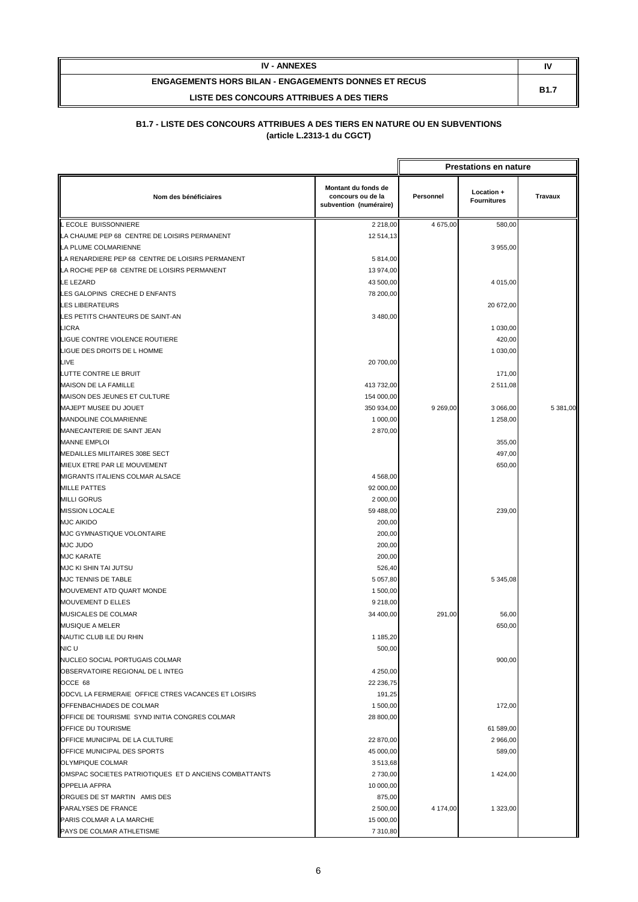| <b>IV - ANNEXES</b>                                         | ľ           |
|-------------------------------------------------------------|-------------|
| <b>ENGAGEMENTS HORS BILAN - ENGAGEMENTS DONNES ET RECUS</b> | <b>B1.7</b> |
| LISTE DES CONCOURS ATTRIBUES A DES TIERS                    |             |

|                                                       |                                                                    |           | <b>Prestations en nature</b>     |                |
|-------------------------------------------------------|--------------------------------------------------------------------|-----------|----------------------------------|----------------|
| Nom des bénéficiaires                                 | Montant du fonds de<br>concours ou de la<br>subvention (numéraire) | Personnel | Location +<br><b>Fournitures</b> | <b>Travaux</b> |
| L ECOLE BUISSONNIERE                                  | 2 2 1 8 , 0 0                                                      | 4 675,00  | 580,00                           |                |
| LA CHAUME PEP 68 CENTRE DE LOISIRS PERMANENT          | 12 514,13                                                          |           |                                  |                |
| LA PLUME COLMARIENNE                                  |                                                                    |           | 3 955,00                         |                |
| LA RENARDIERE PEP 68 CENTRE DE LOISIRS PERMANENT      | 5 814,00                                                           |           |                                  |                |
| LA ROCHE PEP 68 CENTRE DE LOISIRS PERMANENT           | 13 974,00                                                          |           |                                  |                |
| LE LEZARD                                             | 43 500,00                                                          |           | 4 015,00                         |                |
| LES GALOPINS CRECHE D ENFANTS                         | 78 200,00                                                          |           |                                  |                |
| <b>LES LIBERATEURS</b>                                |                                                                    |           | 20 672,00                        |                |
| LES PETITS CHANTEURS DE SAINT-AN                      | 3 480,00                                                           |           |                                  |                |
| LICRA                                                 |                                                                    |           | 1 030,00                         |                |
| LIGUE CONTRE VIOLENCE ROUTIERE                        |                                                                    |           | 420,00                           |                |
| LIGUE DES DROITS DE L HOMME                           |                                                                    |           | 1 030,00                         |                |
| LIVE                                                  | 20 700,00                                                          |           |                                  |                |
| LUTTE CONTRE LE BRUIT                                 |                                                                    |           | 171,00                           |                |
| MAISON DE LA FAMILLE                                  | 413 732,00                                                         |           | 2 511,08                         |                |
| MAISON DES JEUNES ET CULTURE                          | 154 000,00                                                         |           |                                  |                |
| MAJEPT MUSEE DU JOUET                                 | 350 934,00                                                         | 9 269,00  | 3 066,00                         | 5 381,00       |
| MANDOLINE COLMARIENNE                                 | 1 000,00                                                           |           | 1 258,00                         |                |
| MANECANTERIE DE SAINT JEAN                            | 2870,00                                                            |           |                                  |                |
| <b>MANNE EMPLOI</b>                                   |                                                                    |           | 355,00                           |                |
| MEDAILLES MILITAIRES 308E SECT                        |                                                                    |           | 497,00                           |                |
| MIEUX ETRE PAR LE MOUVEMENT                           |                                                                    |           | 650,00                           |                |
| MIGRANTS ITALIENS COLMAR ALSACE                       | 4 5 68,00                                                          |           |                                  |                |
| <b>MILLE PATTES</b>                                   | 92 000,00                                                          |           |                                  |                |
| <b>MILLI GORUS</b>                                    | 2 000,00                                                           |           |                                  |                |
| <b>MISSION LOCALE</b>                                 | 59 488,00                                                          |           | 239,00                           |                |
| <b>MJC AIKIDO</b>                                     | 200,00                                                             |           |                                  |                |
| MJC GYMNASTIQUE VOLONTAIRE                            | 200,00                                                             |           |                                  |                |
| MJC JUDO                                              | 200,00                                                             |           |                                  |                |
| <b>MJC KARATE</b>                                     | 200,00                                                             |           |                                  |                |
| MJC KI SHIN TAI JUTSU                                 | 526,40                                                             |           |                                  |                |
| MJC TENNIS DE TABLE                                   | 5 0 5 7,80                                                         |           | 5 345,08                         |                |
| MOUVEMENT ATD QUART MONDE                             | 1 500,00                                                           |           |                                  |                |
| <b>MOUVEMENT D ELLES</b>                              | 9 218,00                                                           |           |                                  |                |
| MUSICALES DE COLMAR                                   | 34 400,00                                                          | 291,00    | 56,00                            |                |
| MUSIQUE A MELER                                       |                                                                    |           | 650,00                           |                |
| NAUTIC CLUB ILE DU RHIN                               | 1 185,20                                                           |           |                                  |                |
| NIC U                                                 | 500,00                                                             |           |                                  |                |
| NUCLEO SOCIAL PORTUGAIS COLMAR                        |                                                                    |           | 900,00                           |                |
| OBSERVATOIRE REGIONAL DE L INTEG                      | 4 250,00                                                           |           |                                  |                |
| OCCE 68                                               | 22 236,75                                                          |           |                                  |                |
| ODCVL LA FERMERAIE OFFICE CTRES VACANCES ET LOISIRS   | 191,25                                                             |           |                                  |                |
| OFFENBACHIADES DE COLMAR                              | 1 500,00                                                           |           | 172,00                           |                |
| OFFICE DE TOURISME SYND INITIA CONGRES COLMAR         | 28 800,00                                                          |           |                                  |                |
| OFFICE DU TOURISME                                    |                                                                    |           | 61 589,00                        |                |
| OFFICE MUNICIPAL DE LA CULTURE                        | 22 870,00                                                          |           | 2 966,00                         |                |
| OFFICE MUNICIPAL DES SPORTS                           | 45 000,00                                                          |           | 589,00                           |                |
| OLYMPIQUE COLMAR                                      | 3513,68                                                            |           |                                  |                |
| OMSPAC SOCIETES PATRIOTIQUES ET D ANCIENS COMBATTANTS | 2 730,00                                                           |           | 1 424,00                         |                |
| <b>OPPELIA AFPRA</b>                                  | 10 000,00                                                          |           |                                  |                |
| ORGUES DE ST MARTIN AMIS DES                          | 875,00                                                             |           |                                  |                |
| PARALYSES DE FRANCE                                   | 2 500,00                                                           | 4 174,00  | 1 323,00                         |                |
| PARIS COLMAR A LA MARCHE                              | 15 000,00                                                          |           |                                  |                |
| PAYS DE COLMAR ATHLETISME                             | 7 310,80                                                           |           |                                  |                |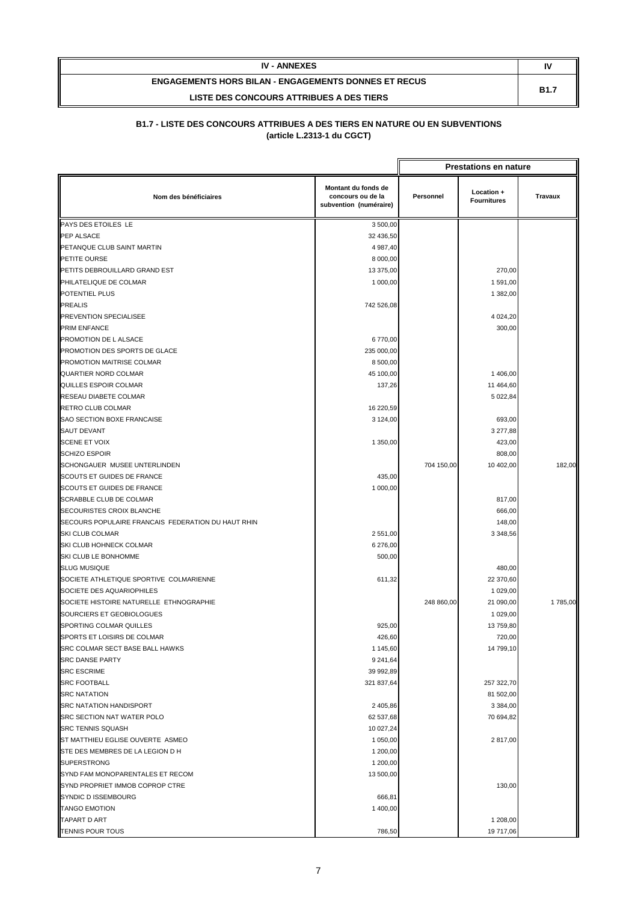| <b>IV - ANNEXES</b>                                         | I١          |
|-------------------------------------------------------------|-------------|
| <b>ENGAGEMENTS HORS BILAN - ENGAGEMENTS DONNES ET RECUS</b> | <b>B1.7</b> |
| LISTE DES CONCOURS ATTRIBUES A DES TIERS                    |             |

|                                                    |                                                                    |            | <b>Prestations en nature</b>     |                |
|----------------------------------------------------|--------------------------------------------------------------------|------------|----------------------------------|----------------|
| Nom des bénéficiaires                              | Montant du fonds de<br>concours ou de la<br>subvention (numéraire) | Personnel  | Location +<br><b>Fournitures</b> | <b>Travaux</b> |
| PAYS DES ETOILES LE                                | 3 500,00                                                           |            |                                  |                |
| PEP ALSACE                                         | 32 436,50                                                          |            |                                  |                |
| PETANQUE CLUB SAINT MARTIN                         | 4 987,40                                                           |            |                                  |                |
| PETITE OURSE                                       | 8 000,00                                                           |            |                                  |                |
| PETITS DEBROUILLARD GRAND EST                      | 13 375,00                                                          |            | 270,00                           |                |
| PHILATELIQUE DE COLMAR                             | 1 000,00                                                           |            | 1 591,00                         |                |
| POTENTIEL PLUS                                     |                                                                    |            | 1 382,00                         |                |
| <b>PREALIS</b>                                     | 742 526,08                                                         |            |                                  |                |
| <b>PREVENTION SPECIALISEE</b>                      |                                                                    |            | 4 0 24, 20                       |                |
| <b>PRIM ENFANCE</b>                                |                                                                    |            | 300,00                           |                |
| PROMOTION DE L ALSACE                              | 6770,00                                                            |            |                                  |                |
| PROMOTION DES SPORTS DE GLACE                      | 235 000,00                                                         |            |                                  |                |
| PROMOTION MAITRISE COLMAR                          | 8 500,00                                                           |            |                                  |                |
| QUARTIER NORD COLMAR                               | 45 100,00                                                          |            | 1 406,00                         |                |
| QUILLES ESPOIR COLMAR                              | 137,26                                                             |            | 11 464,60                        |                |
| RESEAU DIABETE COLMAR                              |                                                                    |            | 5 022,84                         |                |
| <b>RETRO CLUB COLMAR</b>                           | 16 220,59                                                          |            |                                  |                |
| SAO SECTION BOXE FRANCAISE                         | 3 124,00                                                           |            | 693,00                           |                |
| <b>SAUT DEVANT</b>                                 |                                                                    |            | 3 277,88                         |                |
| <b>SCENE ET VOIX</b>                               | 1 350,00                                                           |            | 423,00                           |                |
| <b>SCHIZO ESPOIR</b>                               |                                                                    |            | 808,00                           |                |
| SCHONGAUER MUSEE UNTERLINDEN                       |                                                                    | 704 150,00 | 10 402,00                        | 182,00         |
| SCOUTS ET GUIDES DE FRANCE                         | 435,00                                                             |            |                                  |                |
| SCOUTS ET GUIDES DE FRANCE                         | 1 000,00                                                           |            |                                  |                |
| <b>SCRABBLE CLUB DE COLMAR</b>                     |                                                                    |            | 817,00                           |                |
| <b>SECOURISTES CROIX BLANCHE</b>                   |                                                                    |            | 666,00                           |                |
| SECOURS POPULAIRE FRANCAIS FEDERATION DU HAUT RHIN |                                                                    |            | 148,00                           |                |
| SKI CLUB COLMAR                                    | 2 551,00                                                           |            | 3 348,56                         |                |
| SKI CLUB HOHNECK COLMAR                            | 6 276,00                                                           |            |                                  |                |
| SKI CLUB LE BONHOMME                               | 500,00                                                             |            |                                  |                |
| <b>SLUG MUSIQUE</b>                                |                                                                    |            | 480,00                           |                |
| SOCIETE ATHLETIQUE SPORTIVE COLMARIENNE            | 611,32                                                             |            | 22 370,60                        |                |
| SOCIETE DES AQUARIOPHILES                          |                                                                    |            | 1 029,00                         |                |
| SOCIETE HISTOIRE NATURELLE ETHNOGRAPHIE            |                                                                    | 248 860,00 | 21 090,00                        | 1785,00        |
| SOURCIERS ET GEOBIOLOGUES                          |                                                                    |            | 1 029,00                         |                |
| SPORTING COLMAR QUILLES                            | 925,00                                                             |            | 13 759,80                        |                |
| SPORTS ET LOISIRS DE COLMAR                        | 426,60                                                             |            | 720,00                           |                |
| SRC COLMAR SECT BASE BALL HAWKS                    | 1 145,60                                                           |            | 14 799,10                        |                |
| <b>SRC DANSE PARTY</b>                             | 9 241,64                                                           |            |                                  |                |
| <b>SRC ESCRIME</b>                                 | 39 992,89                                                          |            |                                  |                |
| <b>SRC FOOTBALL</b>                                | 321 837,64                                                         |            | 257 322,70                       |                |
| <b>SRC NATATION</b>                                |                                                                    |            | 81 502,00                        |                |
| <b>SRC NATATION HANDISPORT</b>                     | 2 405,86                                                           |            | 3 384,00                         |                |
| SRC SECTION NAT WATER POLO                         | 62 537,68                                                          |            | 70 694,82                        |                |
| <b>SRC TENNIS SQUASH</b>                           | 10 027,24                                                          |            |                                  |                |
| ST MATTHIEU EGLISE OUVERTE ASMEO                   | 1 050,00                                                           |            | 2 817,00                         |                |
| STE DES MEMBRES DE LA LEGION D H                   | 1 200,00                                                           |            |                                  |                |
| <b>SUPERSTRONG</b>                                 | 1 200,00                                                           |            |                                  |                |
| SYND FAM MONOPARENTALES ET RECOM                   | 13 500,00                                                          |            |                                  |                |
| SYND PROPRIET IMMOB COPROP CTRE                    |                                                                    |            | 130,00                           |                |
| SYNDIC D ISSEMBOURG                                | 666,81                                                             |            |                                  |                |
| <b>TANGO EMOTION</b>                               | 1 400,00                                                           |            |                                  |                |
| TAPART D ART                                       |                                                                    |            | 1 208,00                         |                |
| <b>TENNIS POUR TOUS</b>                            | 786,50                                                             |            | 19 717,06                        |                |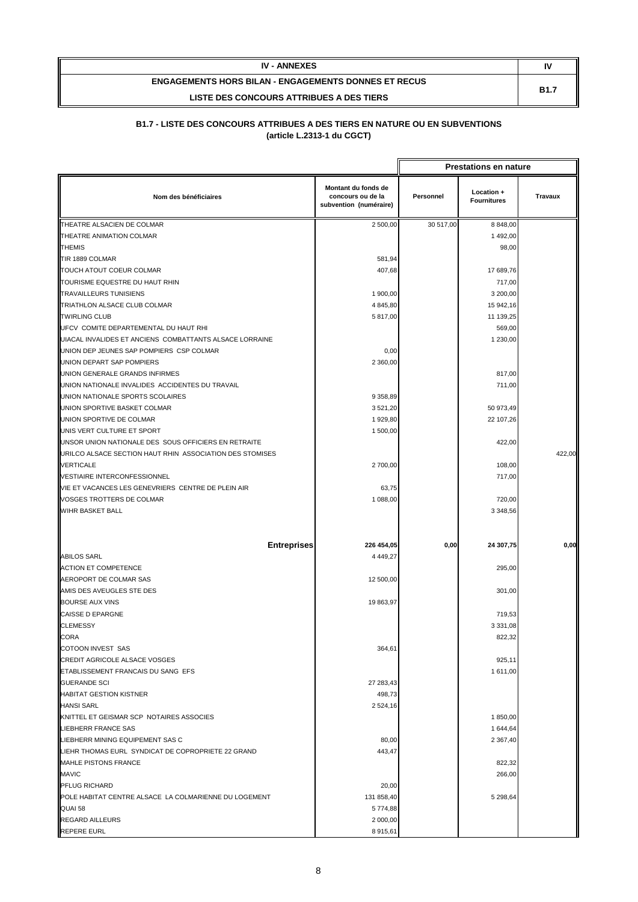| <b>IV - ANNEXES</b>                                         | N           |
|-------------------------------------------------------------|-------------|
| <b>ENGAGEMENTS HORS BILAN - ENGAGEMENTS DONNES ET RECUS</b> | <b>B1.7</b> |
| LISTE DES CONCOURS ATTRIBUES A DES TIERS                    |             |

|                                                          |                                                                    |           | <b>Prestations en nature</b>     |                |
|----------------------------------------------------------|--------------------------------------------------------------------|-----------|----------------------------------|----------------|
| Nom des bénéficiaires                                    | Montant du fonds de<br>concours ou de la<br>subvention (numéraire) | Personnel | Location +<br><b>Fournitures</b> | <b>Travaux</b> |
| THEATRE ALSACIEN DE COLMAR                               | 2 500,00                                                           | 30 517,00 | 8 848,00                         |                |
| THEATRE ANIMATION COLMAR                                 |                                                                    |           | 1 492,00                         |                |
| <b>THEMIS</b>                                            |                                                                    |           | 98,00                            |                |
| TIR 1889 COLMAR                                          | 581,94                                                             |           |                                  |                |
| TOUCH ATOUT COEUR COLMAR                                 | 407,68                                                             |           | 17 689,76                        |                |
| TOURISME EQUESTRE DU HAUT RHIN                           |                                                                    |           | 717,00                           |                |
| <b>TRAVAILLEURS TUNISIENS</b>                            | 1 900,00                                                           |           | 3 200,00                         |                |
| TRIATHLON ALSACE CLUB COLMAR                             | 4 8 4 5,80                                                         |           | 15 942,16                        |                |
| <b>TWIRLING CLUB</b>                                     | 5 817,00                                                           |           | 11 139,25                        |                |
| UFCV COMITE DEPARTEMENTAL DU HAUT RHI                    |                                                                    |           | 569,00                           |                |
| UIACAL INVALIDES ET ANCIENS COMBATTANTS ALSACE LORRAINE  |                                                                    |           | 1 230,00                         |                |
| UNION DEP JEUNES SAP POMPIERS CSP COLMAR                 | 0,00                                                               |           |                                  |                |
| UNION DEPART SAP POMPIERS                                | 2 360,00                                                           |           |                                  |                |
| UNION GENERALE GRANDS INFIRMES                           |                                                                    |           | 817,00                           |                |
| UNION NATIONALE INVALIDES ACCIDENTES DU TRAVAIL          |                                                                    |           | 711,00                           |                |
| UNION NATIONALE SPORTS SCOLAIRES                         | 9 358,89                                                           |           |                                  |                |
| UNION SPORTIVE BASKET COLMAR                             | 3 5 21, 20                                                         |           | 50 973,49                        |                |
| UNION SPORTIVE DE COLMAR                                 | 1929,80                                                            |           | 22 107,26                        |                |
| UNIS VERT CULTURE ET SPORT                               | 1 500,00                                                           |           |                                  |                |
| UNSOR UNION NATIONALE DES SOUS OFFICIERS EN RETRAITE     |                                                                    |           | 422,00                           |                |
| URILCO ALSACE SECTION HAUT RHIN ASSOCIATION DES STOMISES |                                                                    |           |                                  | 422,00         |
| <b>VERTICALE</b>                                         | 2700,00                                                            |           | 108,00                           |                |
| <b>VESTIAIRE INTERCONFESSIONNEL</b>                      |                                                                    |           | 717,00                           |                |
| VIE ET VACANCES LES GENEVRIERS CENTRE DE PLEIN AIR       | 63,75                                                              |           |                                  |                |
| VOSGES TROTTERS DE COLMAR                                | 1 088,00                                                           |           | 720,00                           |                |
| WIHR BASKET BALL                                         |                                                                    |           | 3 348,56                         |                |
|                                                          |                                                                    |           |                                  |                |
| <b>Entreprises</b>                                       | 226 454,05                                                         | 0,00      | 24 307,75                        | 0,00           |
| <b>ABILOS SARL</b>                                       | 4 4 4 9, 27                                                        |           |                                  |                |
| <b>ACTION ET COMPETENCE</b>                              |                                                                    |           | 295,00                           |                |
| AEROPORT DE COLMAR SAS                                   | 12 500,00                                                          |           |                                  |                |
| AMIS DES AVEUGLES STE DES                                |                                                                    |           | 301,00                           |                |
| <b>BOURSE AUX VINS</b>                                   | 19 863,97                                                          |           |                                  |                |
| <b>CAISSE D EPARGNE</b>                                  |                                                                    |           | 719,53                           |                |
| <b>CLEMESSY</b>                                          |                                                                    |           | 3 3 3 1 , 0 8                    |                |
| CORA                                                     |                                                                    |           | 822,32                           |                |
| COTOON INVEST SAS                                        | 364,61                                                             |           |                                  |                |
| CREDIT AGRICOLE ALSACE VOSGES                            |                                                                    |           | 925,11                           |                |
| ETABLISSEMENT FRANCAIS DU SANG EFS                       |                                                                    |           | 1 611,00                         |                |
| <b>GUERANDE SCI</b>                                      | 27 283,43                                                          |           |                                  |                |
| <b>HABITAT GESTION KISTNER</b>                           | 498,73                                                             |           |                                  |                |
| <b>HANSI SARL</b>                                        | 2 5 2 4 , 16                                                       |           |                                  |                |
| KNITTEL ET GEISMAR SCP NOTAIRES ASSOCIES                 |                                                                    |           | 1850,00                          |                |
| <b>LIEBHERR FRANCE SAS</b>                               |                                                                    |           | 1 644,64                         |                |
| LIEBHERR MINING EQUIPEMENT SAS C                         | 80,00                                                              |           | 2 367,40                         |                |
| LIEHR THOMAS EURL SYNDICAT DE COPROPRIETE 22 GRAND       | 443,47                                                             |           |                                  |                |
| <b>MAHLE PISTONS FRANCE</b>                              |                                                                    |           | 822,32                           |                |
| <b>MAVIC</b>                                             |                                                                    |           | 266,00                           |                |
| PFLUG RICHARD                                            | 20,00                                                              |           |                                  |                |
| POLE HABITAT CENTRE ALSACE LA COLMARIENNE DU LOGEMENT    | 131 858,40                                                         |           | 5 298,64                         |                |
| QUAI 58                                                  | 5774,88                                                            |           |                                  |                |
| <b>REGARD AILLEURS</b>                                   | 2 000,00                                                           |           |                                  |                |
| <b>REPERE EURL</b>                                       | 8915,61                                                            |           |                                  |                |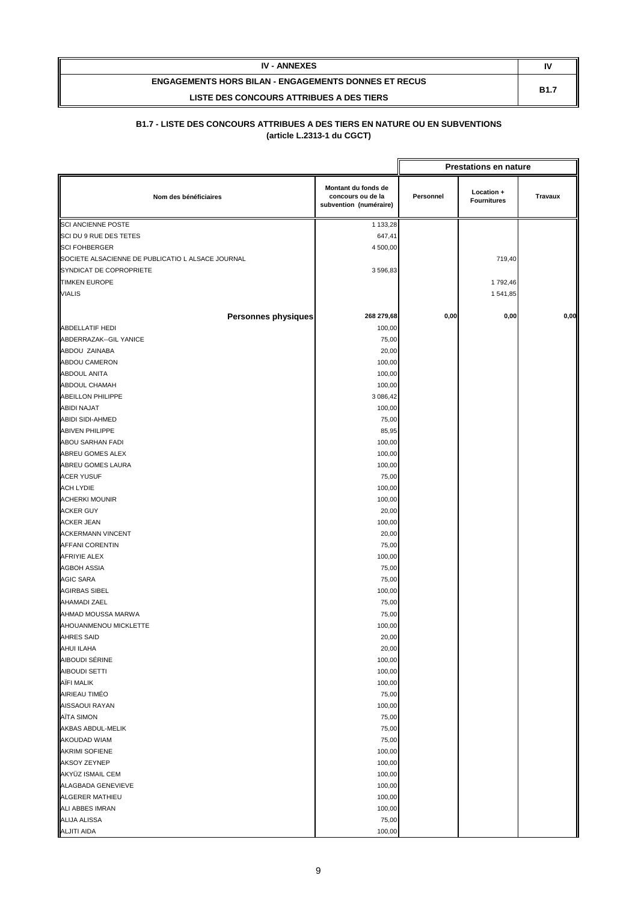| <b>IV - ANNEXES</b>                                         | ĸ           |
|-------------------------------------------------------------|-------------|
| <b>ENGAGEMENTS HORS BILAN - ENGAGEMENTS DONNES ET RECUS</b> |             |
| LISTE DES CONCOURS ATTRIBUES A DES TIERS                    | <b>B1.7</b> |

| <b>Prestations en nature</b>                      |                                                                    |           |                                  |         |
|---------------------------------------------------|--------------------------------------------------------------------|-----------|----------------------------------|---------|
| Nom des bénéficiaires                             | Montant du fonds de<br>concours ou de la<br>subvention (numéraire) | Personnel | Location +<br><b>Fournitures</b> | Travaux |
| <b>SCI ANCIENNE POSTE</b>                         | 1 133,28                                                           |           |                                  |         |
| SCI DU 9 RUE DES TETES                            | 647,41                                                             |           |                                  |         |
| <b>SCI FOHBERGER</b>                              | 4 500,00                                                           |           |                                  |         |
| SOCIETE ALSACIENNE DE PUBLICATIO L ALSACE JOURNAL |                                                                    |           | 719,40                           |         |
| SYNDICAT DE COPROPRIETE                           | 3 596,83                                                           |           |                                  |         |
| <b>TIMKEN EUROPE</b>                              |                                                                    |           | 1 792,46                         |         |
| <b>VIALIS</b>                                     |                                                                    |           | 1 541,85                         |         |
|                                                   |                                                                    |           |                                  |         |
| <b>Personnes physiques</b>                        | 268 279,68                                                         | 0,00      | 0,00                             | 0,00    |
| <b>ABDELLATIF HEDI</b>                            | 100,00                                                             |           |                                  |         |
| ABDERRAZAK--GIL YANICE                            | 75,00                                                              |           |                                  |         |
| ABDOU ZAINABA                                     | 20,00                                                              |           |                                  |         |
| <b>ABDOU CAMERON</b>                              | 100,00                                                             |           |                                  |         |
| <b>ABDOUL ANITA</b>                               | 100,00                                                             |           |                                  |         |
| ABDOUL CHAMAH                                     | 100,00                                                             |           |                                  |         |
| <b>ABEILLON PHILIPPE</b>                          | 3 086,42                                                           |           |                                  |         |
| <b>ABIDI NAJAT</b>                                | 100,00                                                             |           |                                  |         |
| <b>ABIDI SIDI-AHMED</b>                           | 75,00                                                              |           |                                  |         |
| ABIVEN PHILIPPE                                   | 85,95                                                              |           |                                  |         |
| ABOU SARHAN FADI                                  | 100,00                                                             |           |                                  |         |
| ABREU GOMES ALEX                                  | 100,00                                                             |           |                                  |         |
| ABREU GOMES LAURA                                 | 100,00                                                             |           |                                  |         |
| <b>ACER YUSUF</b>                                 | 75,00                                                              |           |                                  |         |
| <b>ACH LYDIE</b>                                  | 100,00                                                             |           |                                  |         |
| <b>ACHERKI MOUNIR</b>                             | 100,00                                                             |           |                                  |         |
| <b>ACKER GUY</b>                                  | 20,00                                                              |           |                                  |         |
| <b>ACKER JEAN</b>                                 | 100,00                                                             |           |                                  |         |
| <b>ACKERMANN VINCENT</b>                          | 20,00                                                              |           |                                  |         |
| <b>AFFANI CORENTIN</b>                            | 75,00                                                              |           |                                  |         |
| <b>AFRIYIE ALEX</b>                               | 100,00                                                             |           |                                  |         |
| <b>AGBOH ASSIA</b>                                | 75,00                                                              |           |                                  |         |
| <b>AGIC SARA</b>                                  | 75,00                                                              |           |                                  |         |
| <b>AGIRBAS SIBEL</b>                              | 100,00                                                             |           |                                  |         |
| <b>AHAMADI ZAEL</b>                               | 75,00                                                              |           |                                  |         |
| AHMAD MOUSSA MARWA                                | 75,00                                                              |           |                                  |         |
| AHOUANMENOU MICKLETTE                             | 100,00                                                             |           |                                  |         |
| <b>AHRES SAID</b>                                 | 20,00                                                              |           |                                  |         |
| AHUI ILAHA                                        | 20,00                                                              |           |                                  |         |
| AIBOUDI SÉRINE                                    | 100,00                                                             |           |                                  |         |
| <b>AIBOUDI SETTI</b>                              | 100,00                                                             |           |                                  |         |
| AÏFI MALIK                                        | 100,00                                                             |           |                                  |         |
| AIRIEAU TIMÉO                                     | 75,00                                                              |           |                                  |         |
| AISSAOUI RAYAN                                    | 100,00                                                             |           |                                  |         |
| AÏTA SIMON                                        | 75,00                                                              |           |                                  |         |
| AKBAS ABDUL-MELIK                                 | 75,00                                                              |           |                                  |         |
| AKOUDAD WIAM                                      | 75,00                                                              |           |                                  |         |
| <b>AKRIMI SOFIENE</b>                             | 100,00                                                             |           |                                  |         |
| <b>AKSOY ZEYNEP</b>                               | 100,00                                                             |           |                                  |         |
| AKYÜZ ISMAIL CEM                                  | 100,00                                                             |           |                                  |         |
| ALAGBADA GENEVIEVE                                | 100,00                                                             |           |                                  |         |
| ALGERER MATHIEU                                   | 100,00                                                             |           |                                  |         |
| ALI ABBES IMRAN                                   | 100,00                                                             |           |                                  |         |
| <b>ALIJA ALISSA</b>                               | 75,00                                                              |           |                                  |         |
| <b>ALJITI AIDA</b>                                | 100,00                                                             |           |                                  |         |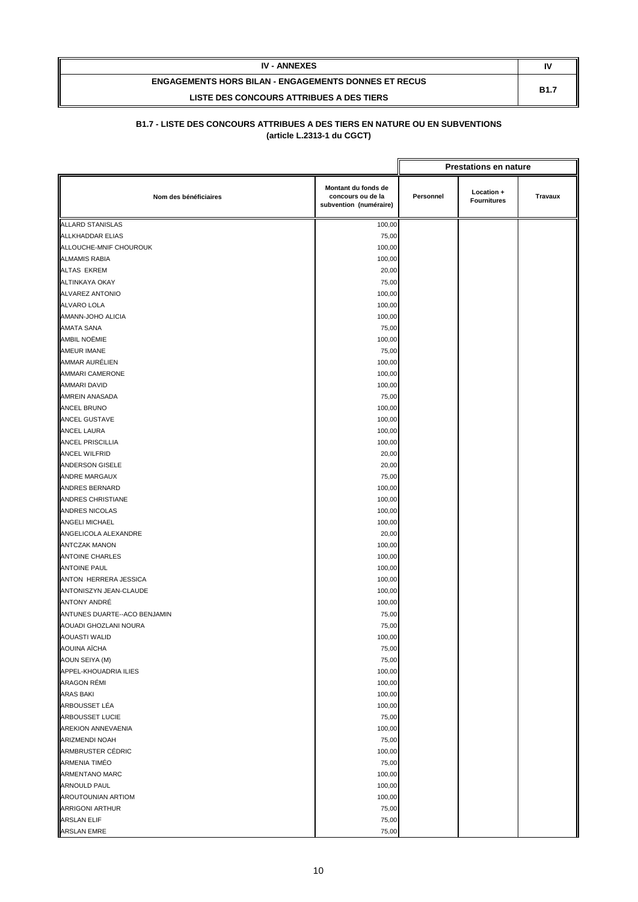| <b>IV - ANNEXES</b>                                         | N           |
|-------------------------------------------------------------|-------------|
| <b>ENGAGEMENTS HORS BILAN - ENGAGEMENTS DONNES ET RECUS</b> | <b>B1.7</b> |
| LISTE DES CONCOURS ATTRIBUES A DES TIERS                    |             |

|                               |                                                                    |           | <b>Prestations en nature</b>     |                |
|-------------------------------|--------------------------------------------------------------------|-----------|----------------------------------|----------------|
| Nom des bénéficiaires         | Montant du fonds de<br>concours ou de la<br>subvention (numéraire) | Personnel | Location +<br><b>Fournitures</b> | <b>Travaux</b> |
| <b>ALLARD STANISLAS</b>       | 100,00                                                             |           |                                  |                |
| <b>ALLKHADDAR ELIAS</b>       | 75,00                                                              |           |                                  |                |
| ALLOUCHE-MNIF CHOUROUK        | 100,00                                                             |           |                                  |                |
| <b>ALMAMIS RABIA</b>          | 100,00                                                             |           |                                  |                |
| <b>ALTAS EKREM</b>            | 20,00                                                              |           |                                  |                |
| <b>ALTINKAYA OKAY</b>         | 75,00                                                              |           |                                  |                |
| ALVAREZ ANTONIO               | 100,00                                                             |           |                                  |                |
| <b>ALVARO LOLA</b>            | 100,00                                                             |           |                                  |                |
| AMANN-JOHO ALICIA             | 100,00                                                             |           |                                  |                |
| AMATA SANA                    | 75,00                                                              |           |                                  |                |
| AMBIL NOËMIE                  | 100,00                                                             |           |                                  |                |
| <b>AMEUR IMANE</b>            | 75,00                                                              |           |                                  |                |
| AMMAR AURÉLIEN                | 100,00                                                             |           |                                  |                |
| AMMARI CAMERONE               | 100,00                                                             |           |                                  |                |
| <b>AMMARI DAVID</b>           | 100,00                                                             |           |                                  |                |
| AMREIN ANASADA                | 75,00                                                              |           |                                  |                |
| ANCEL BRUNO                   | 100,00                                                             |           |                                  |                |
| ANCEL GUSTAVE                 | 100,00                                                             |           |                                  |                |
| <b>ANCEL LAURA</b>            | 100,00                                                             |           |                                  |                |
| <b>ANCEL PRISCILLIA</b>       | 100,00                                                             |           |                                  |                |
| <b>ANCEL WILFRID</b>          | 20,00                                                              |           |                                  |                |
| <b>ANDERSON GISELE</b>        | 20,00                                                              |           |                                  |                |
| <b>ANDRE MARGAUX</b>          | 75,00                                                              |           |                                  |                |
| ANDRES BERNARD                | 100,00                                                             |           |                                  |                |
| ANDRES CHRISTIANE             | 100,00                                                             |           |                                  |                |
| <b>ANDRES NICOLAS</b>         | 100,00                                                             |           |                                  |                |
| ANGELI MICHAEL                | 100,00                                                             |           |                                  |                |
| ANGELICOLA ALEXANDRE          | 20,00                                                              |           |                                  |                |
| <b>ANTCZAK MANON</b>          | 100,00                                                             |           |                                  |                |
| <b>ANTOINE CHARLES</b>        | 100,00                                                             |           |                                  |                |
| <b>ANTOINE PAUL</b>           | 100,00                                                             |           |                                  |                |
| ANTON HERRERA JESSICA         | 100,00                                                             |           |                                  |                |
| ANTONISZYN JEAN-CLAUDE        | 100,00                                                             |           |                                  |                |
| ANTONY ANDRÉ                  | 100,00                                                             |           |                                  |                |
| ANTUNES DUARTE--ACO BENJAMIN  | 75,00                                                              |           |                                  |                |
| AOUADI GHOZLANI NOURA         | 75,00                                                              |           |                                  |                |
| AOUASTI WALID<br>AOUINA AÏCHA | 100,00                                                             |           |                                  |                |
| AOUN SEIYA (M)                | 75,00                                                              |           |                                  |                |
| APPEL-KHOUADRIA ILIES         | 75,00                                                              |           |                                  |                |
| ARAGON RÉMI                   | 100,00<br>100,00                                                   |           |                                  |                |
| <b>ARAS BAKI</b>              | 100,00                                                             |           |                                  |                |
| ARBOUSSET LÉA                 | 100,00                                                             |           |                                  |                |
| ARBOUSSET LUCIE               | 75,00                                                              |           |                                  |                |
| <b>AREKION ANNEVAENIA</b>     | 100,00                                                             |           |                                  |                |
| ARIZMENDI NOAH                | 75,00                                                              |           |                                  |                |
| ARMBRUSTER CÉDRIC             | 100,00                                                             |           |                                  |                |
| ARMENIA TIMÉO                 | 75,00                                                              |           |                                  |                |
| <b>ARMENTANO MARC</b>         | 100,00                                                             |           |                                  |                |
| ARNOULD PAUL                  | 100,00                                                             |           |                                  |                |
| AROUTOUNIAN ARTIOM            | 100,00                                                             |           |                                  |                |
| <b>ARRIGONI ARTHUR</b>        | 75,00                                                              |           |                                  |                |
| <b>ARSLAN ELIF</b>            | 75,00                                                              |           |                                  |                |
| ARSLAN EMRE                   | 75,00                                                              |           |                                  |                |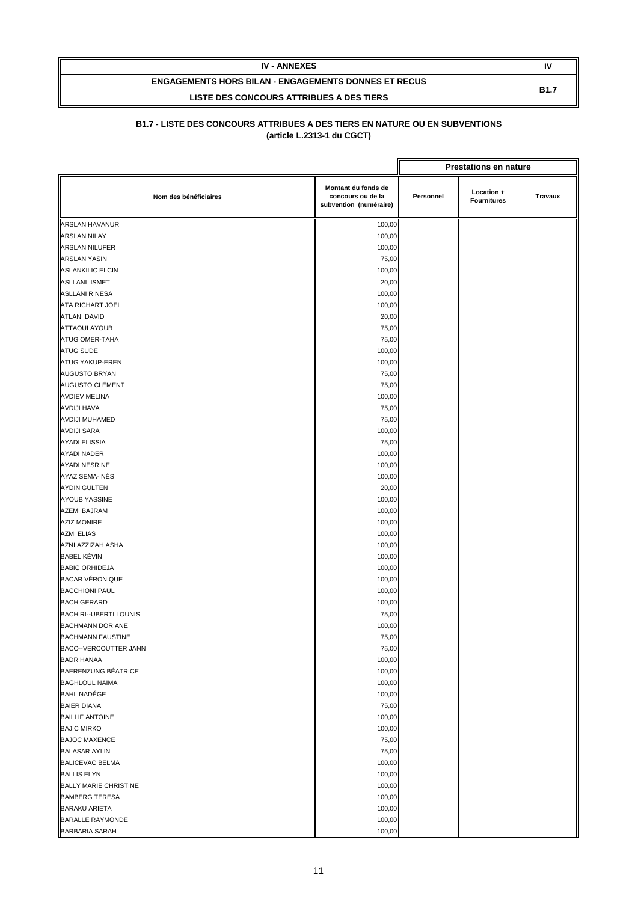| <b>IV - ANNEXES</b>                                         | IV          |
|-------------------------------------------------------------|-------------|
| <b>ENGAGEMENTS HORS BILAN - ENGAGEMENTS DONNES ET RECUS</b> | <b>B1.7</b> |
| LISTE DES CONCOURS ATTRIBUES A DES TIERS                    |             |

|                               |                                                                    |                                                                 | <b>Prestations en nature</b> |  |
|-------------------------------|--------------------------------------------------------------------|-----------------------------------------------------------------|------------------------------|--|
| Nom des bénéficiaires         | Montant du fonds de<br>concours ou de la<br>subvention (numéraire) | Location +<br>Personnel<br><b>Travaux</b><br><b>Fournitures</b> |                              |  |
| <b>ARSLAN HAVANUR</b>         | 100,00                                                             |                                                                 |                              |  |
| <b>ARSLAN NILAY</b>           | 100,00                                                             |                                                                 |                              |  |
| ARSLAN NILUFER                | 100,00                                                             |                                                                 |                              |  |
| ARSLAN YASIN                  | 75,00                                                              |                                                                 |                              |  |
| <b>ASLANKILIC ELCIN</b>       | 100,00                                                             |                                                                 |                              |  |
| ASLLANI ISMET                 | 20,00                                                              |                                                                 |                              |  |
| <b>ASLLANI RINESA</b>         | 100,00                                                             |                                                                 |                              |  |
| ATA RICHART JOËL              | 100,00                                                             |                                                                 |                              |  |
| ATLANI DAVID                  | 20,00                                                              |                                                                 |                              |  |
| <b>ATTAOUI AYOUB</b>          | 75,00                                                              |                                                                 |                              |  |
| ATUG OMER-TAHA                | 75,00                                                              |                                                                 |                              |  |
| ATUG SUDE                     | 100,00                                                             |                                                                 |                              |  |
| ATUG YAKUP-EREN               | 100,00                                                             |                                                                 |                              |  |
| AUGUSTO BRYAN                 | 75,00                                                              |                                                                 |                              |  |
| AUGUSTO CLÉMENT               | 75,00                                                              |                                                                 |                              |  |
| <b>AVDIEV MELINA</b>          | 100,00                                                             |                                                                 |                              |  |
| AVDIJI HAVA                   | 75,00                                                              |                                                                 |                              |  |
| AVDIJI MUHAMED                | 75,00                                                              |                                                                 |                              |  |
| <b>AVDIJI SARA</b>            | 100,00                                                             |                                                                 |                              |  |
| AYADI ELISSIA                 | 75,00                                                              |                                                                 |                              |  |
| <b>AYADI NADER</b>            | 100,00                                                             |                                                                 |                              |  |
| AYADI NESRINE                 | 100,00                                                             |                                                                 |                              |  |
| AYAZ SEMA-INÈS                | 100,00                                                             |                                                                 |                              |  |
| <b>AYDIN GULTEN</b>           | 20,00                                                              |                                                                 |                              |  |
| <b>AYOUB YASSINE</b>          | 100,00                                                             |                                                                 |                              |  |
| AZEMI BAJRAM                  | 100,00                                                             |                                                                 |                              |  |
| <b>AZIZ MONIRE</b>            | 100,00                                                             |                                                                 |                              |  |
| <b>AZMI ELIAS</b>             | 100,00                                                             |                                                                 |                              |  |
| AZNI AZZIZAH ASHA             | 100,00                                                             |                                                                 |                              |  |
| <b>BABEL KÉVIN</b>            | 100,00                                                             |                                                                 |                              |  |
| <b>BABIC ORHIDEJA</b>         | 100,00                                                             |                                                                 |                              |  |
| <b>BACAR VÉRONIQUE</b>        | 100,00                                                             |                                                                 |                              |  |
| <b>BACCHIONI PAUL</b>         | 100,00                                                             |                                                                 |                              |  |
| <b>BACH GERARD</b>            | 100,00                                                             |                                                                 |                              |  |
| <b>BACHIRI--UBERTI LOUNIS</b> | 75,00                                                              |                                                                 |                              |  |
| <b>BACHMANN DORIANE</b>       | 100,00                                                             |                                                                 |                              |  |
| <b>BACHMANN FAUSTINE</b>      | 75,00                                                              |                                                                 |                              |  |
| BACO--VERCOUTTER JANN         | 75,00                                                              |                                                                 |                              |  |
| <b>BADR HANAA</b>             | 100,00                                                             |                                                                 |                              |  |
| BAERENZUNG BÉATRICE           | 100,00                                                             |                                                                 |                              |  |
| <b>BAGHLOUL NAIMA</b>         | 100,00                                                             |                                                                 |                              |  |
| <b>BAHL NADÉGE</b>            | 100,00                                                             |                                                                 |                              |  |
| <b>BAIER DIANA</b>            | 75,00                                                              |                                                                 |                              |  |
| <b>BAILLIF ANTOINE</b>        | 100,00                                                             |                                                                 |                              |  |
| <b>BAJIC MIRKO</b>            | 100,00                                                             |                                                                 |                              |  |
| <b>BAJOC MAXENCE</b>          | 75,00                                                              |                                                                 |                              |  |
| <b>BALASAR AYLIN</b>          | 75,00                                                              |                                                                 |                              |  |
| <b>BALICEVAC BELMA</b>        | 100,00                                                             |                                                                 |                              |  |
| <b>BALLIS ELYN</b>            | 100,00                                                             |                                                                 |                              |  |
| <b>BALLY MARIE CHRISTINE</b>  | 100,00                                                             |                                                                 |                              |  |
| <b>BAMBERG TERESA</b>         | 100,00                                                             |                                                                 |                              |  |
| <b>BARAKU ARIETA</b>          | 100,00                                                             |                                                                 |                              |  |
| <b>BARALLE RAYMONDE</b>       | 100,00                                                             |                                                                 |                              |  |
| <b>BARBARIA SARAH</b>         | 100,00                                                             |                                                                 |                              |  |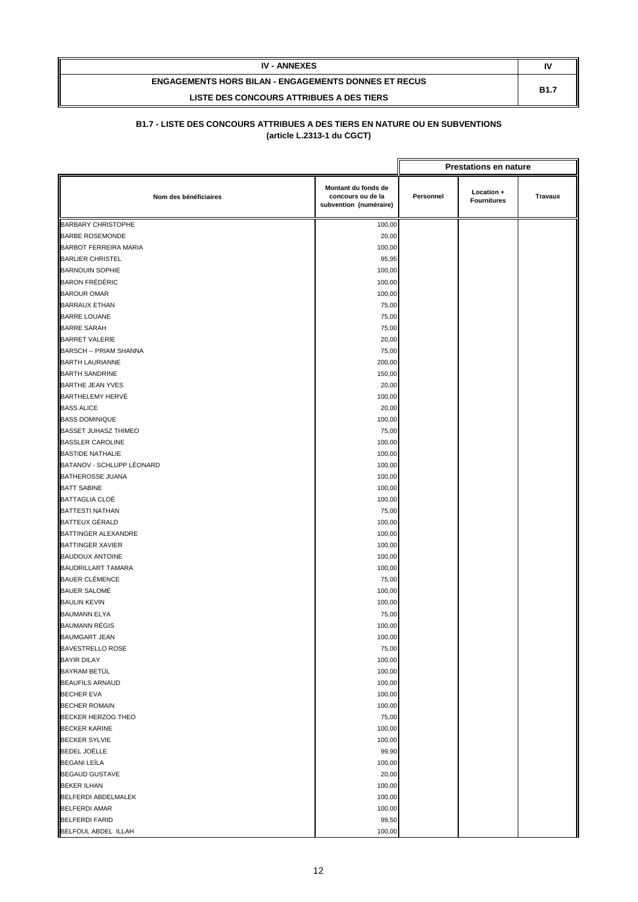| <b>IV - ANNEXES</b>                                         | IV          |
|-------------------------------------------------------------|-------------|
| <b>ENGAGEMENTS HORS BILAN - ENGAGEMENTS DONNES ET RECUS</b> | <b>B1.7</b> |
| LISTE DES CONCOURS ATTRIBUES A DES TIERS                    |             |

|                               |                                                                    |           | <b>Prestations en nature</b>     |         |
|-------------------------------|--------------------------------------------------------------------|-----------|----------------------------------|---------|
| Nom des bénéficiaires         | Montant du fonds de<br>concours ou de la<br>subvention (numéraire) | Personnel | Location +<br><b>Fournitures</b> | Travaux |
| <b>BARBARY CHRISTOPHE</b>     | 100,00                                                             |           |                                  |         |
| <b>BARBE ROSEMONDE</b>        | 20,00                                                              |           |                                  |         |
| <b>BARBOT FERREIRA MARIA</b>  | 100,00                                                             |           |                                  |         |
| <b>BARLIER CHRISTEL</b>       | 95,95                                                              |           |                                  |         |
| <b>BARNOUIN SOPHIE</b>        | 100,00                                                             |           |                                  |         |
| <b>BARON FRÉDÉRIC</b>         | 100,00                                                             |           |                                  |         |
| <b>BAROUR OMAR</b>            | 100,00                                                             |           |                                  |         |
| <b>BARRAUX ETHAN</b>          | 75,00                                                              |           |                                  |         |
| <b>BARRE LOUANE</b>           | 75,00                                                              |           |                                  |         |
| <b>BARRE SARAH</b>            | 75,00                                                              |           |                                  |         |
| <b>BARRET VALERIE</b>         | 20,00                                                              |           |                                  |         |
| <b>BARSCH -- PRIAM SHANNA</b> | 75,00                                                              |           |                                  |         |
| <b>BARTH LAURIANNE</b>        | 200,00                                                             |           |                                  |         |
| <b>BARTH SANDRINE</b>         | 150,00                                                             |           |                                  |         |
| <b>BARTHE JEAN YVES</b>       | 20,00                                                              |           |                                  |         |
| <b>BARTHELEMY HERVÉ</b>       | 100,00                                                             |           |                                  |         |
| <b>BASS ALICE</b>             | 20,00                                                              |           |                                  |         |
| <b>BASS DOMINIQUE</b>         | 100,00                                                             |           |                                  |         |
| <b>BASSET JUHASZ THIMEO</b>   | 75,00                                                              |           |                                  |         |
| <b>BASSLER CAROLINE</b>       | 100,00                                                             |           |                                  |         |
| <b>BASTIDE NATHALIE</b>       | 100,00                                                             |           |                                  |         |
| BATANOV - SCHLUPP LÉONARD     | 100,00                                                             |           |                                  |         |
| <b>BATHEROSSE JUANA</b>       | 100,00                                                             |           |                                  |         |
| <b>BATT SABINE</b>            | 100,00                                                             |           |                                  |         |
| <b>BATTAGLIA CLOÉ</b>         | 100,00                                                             |           |                                  |         |
| <b>BATTESTI NATHAN</b>        | 75,00                                                              |           |                                  |         |
| <b>BATTEUX GÉRALD</b>         | 100,00                                                             |           |                                  |         |
| BATTINGER ALEXANDRE           | 100,00                                                             |           |                                  |         |
| <b>BATTINGER XAVIER</b>       | 100,00                                                             |           |                                  |         |
| <b>BAUDOUX ANTOINE</b>        | 100,00                                                             |           |                                  |         |
| <b>BAUDRILLART TAMARA</b>     | 100,00                                                             |           |                                  |         |
| <b>BAUER CLÉMENCE</b>         | 75,00                                                              |           |                                  |         |
| <b>BAUER SALOMÉ</b>           | 100,00                                                             |           |                                  |         |
| <b>BAULIN KEVIN</b>           | 100,00                                                             |           |                                  |         |
| <b>BAUMANN ELYA</b>           | 75,00                                                              |           |                                  |         |
| <b>BAUMANN RÉGIS</b>          | 100,00                                                             |           |                                  |         |
| <b>BAUMGART JEAN</b>          | 100,00                                                             |           |                                  |         |
| <b>BAVESTRELLO ROSE</b>       | 75,00                                                              |           |                                  |         |
| <b>BAYIR DILAY</b>            | 100,00                                                             |           |                                  |         |
| BAYRAM BETÜL                  | 100,00                                                             |           |                                  |         |
| <b>BEAUFILS ARNAUD</b>        | 100,00                                                             |           |                                  |         |
| <b>BECHER EVA</b>             | 100,00                                                             |           |                                  |         |
| <b>BECHER ROMAIN</b>          | 100,00                                                             |           |                                  |         |
| <b>BECKER HERZOG THEO</b>     | 75,00                                                              |           |                                  |         |
| <b>BECKER KARINE</b>          | 100,00                                                             |           |                                  |         |
| <b>BECKER SYLVIE</b>          | 100,00                                                             |           |                                  |         |
| <b>BEDEL JOËLLE</b>           | 99,90                                                              |           |                                  |         |
| <b>BEGANI LEÏLA</b>           | 100,00                                                             |           |                                  |         |
| <b>BEGAUD GUSTAVE</b>         | 20,00                                                              |           |                                  |         |
| <b>BEKER ILHAN</b>            | 100,00                                                             |           |                                  |         |
| <b>BELFERDI ABDELMALEK</b>    | 100,00                                                             |           |                                  |         |
| <b>BELFERDI AMAR</b>          | 100,00                                                             |           |                                  |         |
| <b>BELFERDI FARID</b>         | 99,50                                                              |           |                                  |         |
| BELFOUL ABDEL ILLAH           | 100,00                                                             |           |                                  |         |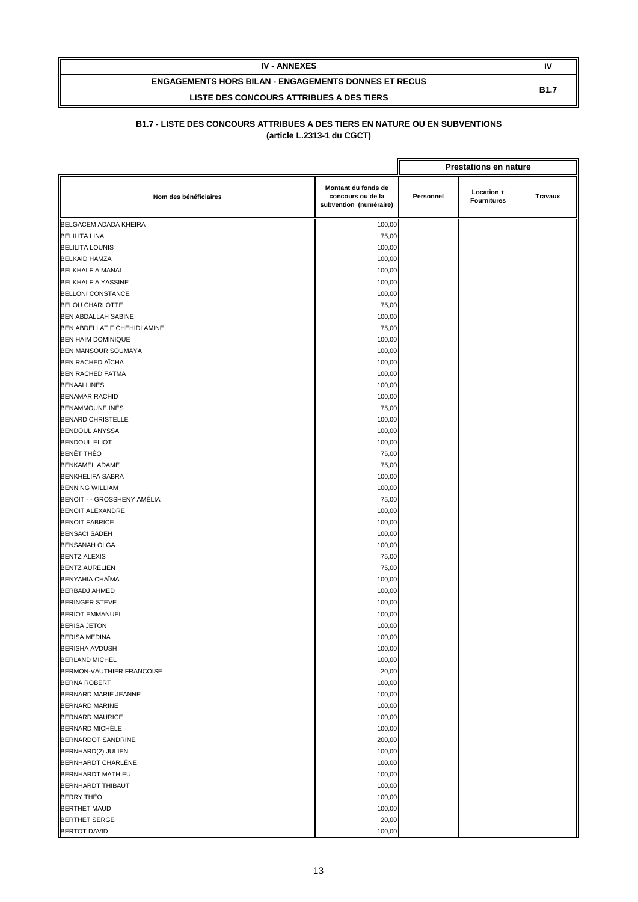| <b>IV - ANNEXES</b>                                         | N           |
|-------------------------------------------------------------|-------------|
| <b>ENGAGEMENTS HORS BILAN - ENGAGEMENTS DONNES ET RECUS</b> | <b>B1.7</b> |
| LISTE DES CONCOURS ATTRIBUES A DES TIERS                    |             |

|                              |                                                                    |           | <b>Prestations en nature</b>     |         |
|------------------------------|--------------------------------------------------------------------|-----------|----------------------------------|---------|
| Nom des bénéficiaires        | Montant du fonds de<br>concours ou de la<br>subvention (numéraire) | Personnel | Location +<br><b>Fournitures</b> | Travaux |
| BELGACEM ADADA KHEIRA        | 100,00                                                             |           |                                  |         |
| <b>BELILITA LINA</b>         | 75,00                                                              |           |                                  |         |
| <b>BELILITA LOUNIS</b>       | 100,00                                                             |           |                                  |         |
| <b>BELKAID HAMZA</b>         | 100,00                                                             |           |                                  |         |
| <b>BELKHALFIA MANAL</b>      | 100,00                                                             |           |                                  |         |
| <b>BELKHALFIA YASSINE</b>    | 100,00                                                             |           |                                  |         |
| <b>BELLONI CONSTANCE</b>     | 100,00                                                             |           |                                  |         |
| <b>BELOU CHARLOTTE</b>       | 75,00                                                              |           |                                  |         |
| <b>BEN ABDALLAH SABINE</b>   | 100,00                                                             |           |                                  |         |
| BEN ABDELLATIF CHEHIDI AMINE | 75,00                                                              |           |                                  |         |
| <b>BEN HAIM DOMINIQUE</b>    | 100,00                                                             |           |                                  |         |
| BEN MANSOUR SOUMAYA          | 100,00                                                             |           |                                  |         |
| <b>BEN RACHED AÏCHA</b>      | 100,00                                                             |           |                                  |         |
| <b>BEN RACHED FATMA</b>      | 100,00                                                             |           |                                  |         |
| <b>BENAALI INES</b>          | 100,00                                                             |           |                                  |         |
| <b>BENAMAR RACHID</b>        | 100,00                                                             |           |                                  |         |
| <b>BENAMMOUNE INÉS</b>       | 75,00                                                              |           |                                  |         |
| <b>BENARD CHRISTELLE</b>     | 100,00                                                             |           |                                  |         |
| <b>BENDOUL ANYSSA</b>        | 100,00                                                             |           |                                  |         |
| <b>BENDOUL ELIOT</b>         | 100,00                                                             |           |                                  |         |
| <b>BENÊT THÉO</b>            | 75,00                                                              |           |                                  |         |
| <b>BENKAMEL ADAME</b>        | 75,00                                                              |           |                                  |         |
| <b>BENKHELIFA SABRA</b>      | 100,00                                                             |           |                                  |         |
| <b>BENNING WILLIAM</b>       | 100,00                                                             |           |                                  |         |
| BENOIT - - GROSSHENY AMÉLIA  | 75,00                                                              |           |                                  |         |
| <b>BENOIT ALEXANDRE</b>      | 100,00                                                             |           |                                  |         |
| <b>BENOIT FABRICE</b>        | 100,00                                                             |           |                                  |         |
| <b>BENSACI SADEH</b>         | 100,00                                                             |           |                                  |         |
| <b>BENSANAH OLGA</b>         | 100,00                                                             |           |                                  |         |
| <b>BENTZ ALEXIS</b>          | 75,00                                                              |           |                                  |         |
| <b>BENTZ AURELIEN</b>        | 75,00                                                              |           |                                  |         |
| <b>BENYAHIA CHAÏMA</b>       | 100,00                                                             |           |                                  |         |
| <b>BERBADJ AHMED</b>         | 100,00                                                             |           |                                  |         |
| <b>BERINGER STEVE</b>        | 100,00                                                             |           |                                  |         |
| <b>BERIOT EMMANUEL</b>       | 100,00                                                             |           |                                  |         |
| <b>BERISA JETON</b>          | 100,00                                                             |           |                                  |         |
| <b>BERISA MEDINA</b>         | 100,00                                                             |           |                                  |         |
| <b>BERISHA AVDUSH</b>        | 100,00                                                             |           |                                  |         |
| <b>BERLAND MICHEL</b>        | 100,00                                                             |           |                                  |         |
| BERMON-VAUTHIER FRANCOISE    | 20,00                                                              |           |                                  |         |
| <b>BERNA ROBERT</b>          | 100,00                                                             |           |                                  |         |
| BERNARD MARIE JEANNE         | 100,00                                                             |           |                                  |         |
| <b>BERNARD MARINE</b>        | 100,00                                                             |           |                                  |         |
| <b>BERNARD MAURICE</b>       | 100,00                                                             |           |                                  |         |
| BERNARD MICHÈLE              | 100,00                                                             |           |                                  |         |
| BERNARDOT SANDRINE           | 200,00                                                             |           |                                  |         |
| BERNHARD(2) JULIEN           | 100,00                                                             |           |                                  |         |
| <b>BERNHARDT CHARLÈNE</b>    | 100,00                                                             |           |                                  |         |
| <b>BERNHARDT MATHIEU</b>     | 100,00                                                             |           |                                  |         |
| <b>BERNHARDT THIBAUT</b>     | 100,00                                                             |           |                                  |         |
| <b>BERRY THEO</b>            | 100,00                                                             |           |                                  |         |
| <b>BERTHET MAUD</b>          | 100,00                                                             |           |                                  |         |
| <b>BERTHET SERGE</b>         | 20,00                                                              |           |                                  |         |
| <b>BERTOT DAVID</b>          | 100,00                                                             |           |                                  |         |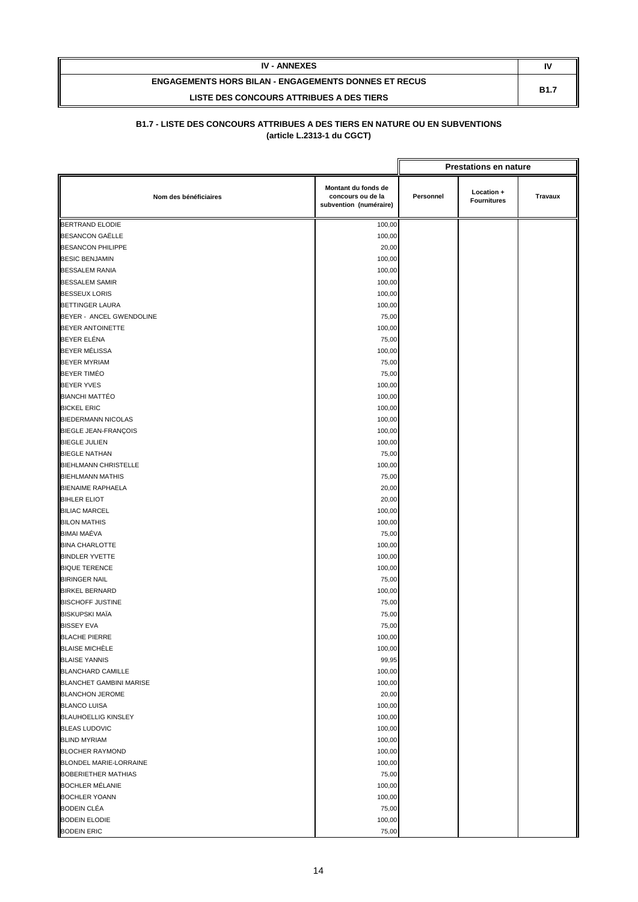| <b>IV - ANNEXES</b>                                         | I١          |
|-------------------------------------------------------------|-------------|
| <b>ENGAGEMENTS HORS BILAN - ENGAGEMENTS DONNES ET RECUS</b> | <b>B1.7</b> |
| LISTE DES CONCOURS ATTRIBUES A DES TIERS                    |             |

|                                | <b>Prestations en nature</b>                                       |           |                                  |                |
|--------------------------------|--------------------------------------------------------------------|-----------|----------------------------------|----------------|
| Nom des bénéficiaires          | Montant du fonds de<br>concours ou de la<br>subvention (numéraire) | Personnel | Location +<br><b>Fournitures</b> | <b>Travaux</b> |
| <b>BERTRAND ELODIE</b>         | 100,00                                                             |           |                                  |                |
| <b>BESANCON GAËLLE</b>         | 100,00                                                             |           |                                  |                |
| <b>BESANCON PHILIPPE</b>       | 20,00                                                              |           |                                  |                |
| <b>BESIC BENJAMIN</b>          | 100,00                                                             |           |                                  |                |
| <b>BESSALEM RANIA</b>          | 100,00                                                             |           |                                  |                |
| <b>BESSALEM SAMIR</b>          | 100,00                                                             |           |                                  |                |
| <b>BESSEUX LORIS</b>           | 100,00                                                             |           |                                  |                |
| <b>BETTINGER LAURA</b>         | 100,00                                                             |           |                                  |                |
| BEYER - ANCEL GWENDOLINE       | 75,00                                                              |           |                                  |                |
| BEYER ANTOINETTE               | 100,00                                                             |           |                                  |                |
| BEYER ELÉNA                    | 75,00                                                              |           |                                  |                |
| BEYER MÉLISSA                  | 100,00                                                             |           |                                  |                |
| <b>BEYER MYRIAM</b>            | 75,00                                                              |           |                                  |                |
| <b>BEYER TIMÉO</b>             | 75,00                                                              |           |                                  |                |
| <b>BEYER YVES</b>              | 100,00                                                             |           |                                  |                |
| <b>BIANCHI MATTÉO</b>          | 100,00                                                             |           |                                  |                |
| <b>BICKEL ERIC</b>             | 100,00                                                             |           |                                  |                |
| <b>BIEDERMANN NICOLAS</b>      | 100,00                                                             |           |                                  |                |
| <b>BIEGLE JEAN-FRANÇOIS</b>    | 100,00                                                             |           |                                  |                |
| <b>BIEGLE JULIEN</b>           | 100,00                                                             |           |                                  |                |
| <b>BIEGLE NATHAN</b>           | 75,00                                                              |           |                                  |                |
| <b>BIEHLMANN CHRISTELLE</b>    | 100,00                                                             |           |                                  |                |
| <b>BIEHLMANN MATHIS</b>        | 75,00                                                              |           |                                  |                |
| <b>BIENAIME RAPHAELA</b>       | 20,00                                                              |           |                                  |                |
| <b>BIHLER ELIOT</b>            | 20,00                                                              |           |                                  |                |
| <b>BILIAC MARCEL</b>           | 100,00                                                             |           |                                  |                |
| <b>BILON MATHIS</b>            | 100,00                                                             |           |                                  |                |
| BIMAI MAÉVA                    | 75,00                                                              |           |                                  |                |
| <b>BINA CHARLOTTE</b>          | 100,00                                                             |           |                                  |                |
| <b>BINDLER YVETTE</b>          | 100,00                                                             |           |                                  |                |
| <b>BIQUE TERENCE</b>           | 100,00                                                             |           |                                  |                |
| <b>BIRINGER NAIL</b>           | 75,00                                                              |           |                                  |                |
| <b>BIRKEL BERNARD</b>          | 100,00                                                             |           |                                  |                |
| <b>BISCHOFF JUSTINE</b>        | 75,00                                                              |           |                                  |                |
| <b>BISKUPSKI MAÏA</b>          | 75,00                                                              |           |                                  |                |
| <b>BISSEY EVA</b>              | 75,00                                                              |           |                                  |                |
| <b>BLACHE PIERRE</b>           | 100,00                                                             |           |                                  |                |
| <b>BLAISE MICHÈLE</b>          | 100,00                                                             |           |                                  |                |
| <b>BLAISE YANNIS</b>           | 99,95                                                              |           |                                  |                |
| <b>BLANCHARD CAMILLE</b>       | 100,00                                                             |           |                                  |                |
| <b>BLANCHET GAMBINI MARISE</b> | 100,00                                                             |           |                                  |                |
| <b>BLANCHON JEROME</b>         | 20,00                                                              |           |                                  |                |
| <b>BLANCO LUISA</b>            | 100,00                                                             |           |                                  |                |
| <b>BLAUHOELLIG KINSLEY</b>     | 100,00                                                             |           |                                  |                |
| <b>BLEAS LUDOVIC</b>           | 100,00                                                             |           |                                  |                |
| <b>BLIND MYRIAM</b>            | 100,00                                                             |           |                                  |                |
| <b>BLOCHER RAYMOND</b>         | 100,00                                                             |           |                                  |                |
| BLONDEL MARIE-LORRAINE         | 100,00                                                             |           |                                  |                |
| <b>BOBERIETHER MATHIAS</b>     | 75,00                                                              |           |                                  |                |
| <b>BOCHLER MÉLANIE</b>         | 100,00                                                             |           |                                  |                |
| <b>BOCHLER YOANN</b>           | 100,00                                                             |           |                                  |                |
| <b>BODEIN CLÉA</b>             | 75,00                                                              |           |                                  |                |
| <b>BODEIN ELODIE</b>           | 100,00                                                             |           |                                  |                |
| <b>BODEIN ERIC</b>             | 75,00                                                              |           |                                  |                |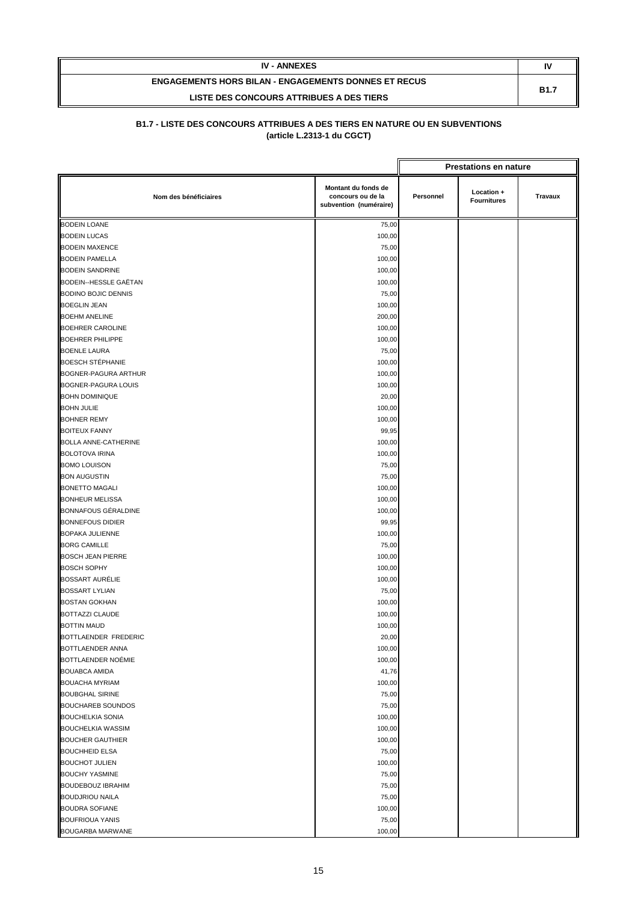| <b>IV - ANNEXES</b>                                         | IV          |
|-------------------------------------------------------------|-------------|
| <b>ENGAGEMENTS HORS BILAN - ENGAGEMENTS DONNES ET RECUS</b> | <b>B1.7</b> |
| LISTE DES CONCOURS ATTRIBUES A DES TIERS                    |             |

|                             |                                                                    |           | <b>Prestations en nature</b>     |         |
|-----------------------------|--------------------------------------------------------------------|-----------|----------------------------------|---------|
| Nom des bénéficiaires       | Montant du fonds de<br>concours ou de la<br>subvention (numéraire) | Personnel | Location +<br><b>Fournitures</b> | Travaux |
| <b>BODEIN LOANE</b>         | 75,00                                                              |           |                                  |         |
| <b>BODEIN LUCAS</b>         | 100,00                                                             |           |                                  |         |
| <b>BODEIN MAXENCE</b>       | 75,00                                                              |           |                                  |         |
| <b>BODEIN PAMELLA</b>       | 100,00                                                             |           |                                  |         |
| <b>BODEIN SANDRINE</b>      | 100,00                                                             |           |                                  |         |
| BODEIN--HESSLE GAËTAN       | 100,00                                                             |           |                                  |         |
| <b>BODINO BOJIC DENNIS</b>  | 75,00                                                              |           |                                  |         |
| <b>BOEGLIN JEAN</b>         | 100,00                                                             |           |                                  |         |
| <b>BOEHM ANELINE</b>        | 200,00                                                             |           |                                  |         |
| <b>BOEHRER CAROLINE</b>     | 100,00                                                             |           |                                  |         |
| <b>BOEHRER PHILIPPE</b>     | 100,00                                                             |           |                                  |         |
| <b>BOENLE LAURA</b>         | 75,00                                                              |           |                                  |         |
| <b>BOESCH STÉPHANIE</b>     | 100,00                                                             |           |                                  |         |
| BOGNER-PAGURA ARTHUR        | 100,00                                                             |           |                                  |         |
| BOGNER-PAGURA LOUIS         | 100,00                                                             |           |                                  |         |
| <b>BOHN DOMINIQUE</b>       | 20,00                                                              |           |                                  |         |
| <b>BOHN JULIE</b>           | 100,00                                                             |           |                                  |         |
| <b>BOHNER REMY</b>          | 100,00                                                             |           |                                  |         |
| <b>BOITEUX FANNY</b>        | 99,95                                                              |           |                                  |         |
| <b>BOLLA ANNE-CATHERINE</b> | 100,00                                                             |           |                                  |         |
| <b>BOLOTOVA IRINA</b>       | 100,00                                                             |           |                                  |         |
| <b>BOMO LOUISON</b>         | 75,00                                                              |           |                                  |         |
| <b>BON AUGUSTIN</b>         | 75,00                                                              |           |                                  |         |
| <b>BONETTO MAGALI</b>       | 100,00                                                             |           |                                  |         |
| <b>BONHEUR MELISSA</b>      | 100,00                                                             |           |                                  |         |
| BONNAFOUS GÉRALDINE         | 100,00                                                             |           |                                  |         |
| <b>BONNEFOUS DIDIER</b>     | 99,95                                                              |           |                                  |         |
| <b>BOPAKA JULIENNE</b>      | 100,00                                                             |           |                                  |         |
| <b>BORG CAMILLE</b>         | 75,00                                                              |           |                                  |         |
| <b>BOSCH JEAN PIERRE</b>    | 100,00                                                             |           |                                  |         |
| <b>BOSCH SOPHY</b>          | 100,00                                                             |           |                                  |         |
| <b>BOSSART AURÉLIE</b>      | 100,00                                                             |           |                                  |         |
| <b>BOSSART LYLIAN</b>       | 75,00                                                              |           |                                  |         |
| <b>BOSTAN GOKHAN</b>        | 100,00                                                             |           |                                  |         |
| <b>BOTTAZZI CLAUDE</b>      | 100,00                                                             |           |                                  |         |
| <b>BOTTIN MAUD</b>          | 100,00                                                             |           |                                  |         |
| BOTTLAENDER FREDERIC        | 20,00                                                              |           |                                  |         |
| BOTTLAENDER ANNA            | 100,00                                                             |           |                                  |         |
| BOTTLAENDER NOÉMIE          | 100,00                                                             |           |                                  |         |
| <b>BOUABCA AMIDA</b>        | 41,76                                                              |           |                                  |         |
| <b>BOUACHA MYRIAM</b>       | 100,00                                                             |           |                                  |         |
| <b>BOUBGHAL SIRINE</b>      | 75,00                                                              |           |                                  |         |
| <b>BOUCHAREB SOUNDOS</b>    | 75,00                                                              |           |                                  |         |
| <b>BOUCHELKIA SONIA</b>     | 100,00                                                             |           |                                  |         |
| <b>BOUCHELKIA WASSIM</b>    | 100,00                                                             |           |                                  |         |
| <b>BOUCHER GAUTHIER</b>     | 100,00                                                             |           |                                  |         |
| <b>BOUCHHEID ELSA</b>       | 75,00                                                              |           |                                  |         |
| <b>BOUCHOT JULIEN</b>       | 100,00                                                             |           |                                  |         |
| <b>BOUCHY YASMINE</b>       | 75,00                                                              |           |                                  |         |
| <b>BOUDEBOUZ IBRAHIM</b>    | 75,00                                                              |           |                                  |         |
| <b>BOUDJRIOU NAILA</b>      | 75,00                                                              |           |                                  |         |
| <b>BOUDRA SOFIANE</b>       | 100,00                                                             |           |                                  |         |
| <b>BOUFRIOUA YANIS</b>      | 75,00                                                              |           |                                  |         |
| BOUGARBA MARWANE            | 100,00                                                             |           |                                  |         |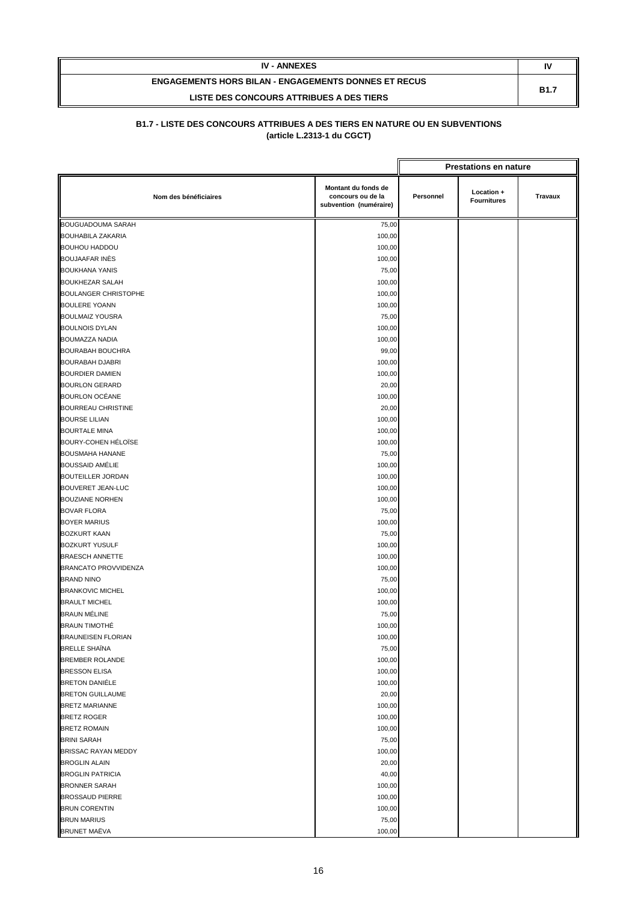| <b>IV - ANNEXES</b>                                         | N           |
|-------------------------------------------------------------|-------------|
| <b>ENGAGEMENTS HORS BILAN - ENGAGEMENTS DONNES ET RECUS</b> | <b>B1.7</b> |
| LISTE DES CONCOURS ATTRIBUES A DES TIERS                    |             |

|                             |                                                                    |           | <b>Prestations en nature</b>     |         |
|-----------------------------|--------------------------------------------------------------------|-----------|----------------------------------|---------|
| Nom des bénéficiaires       | Montant du fonds de<br>concours ou de la<br>subvention (numéraire) | Personnel | Location +<br><b>Fournitures</b> | Travaux |
| <b>BOUGUADOUMA SARAH</b>    | 75,00                                                              |           |                                  |         |
| <b>BOUHABILA ZAKARIA</b>    | 100,00                                                             |           |                                  |         |
| <b>BOUHOU HADDOU</b>        | 100,00                                                             |           |                                  |         |
| <b>BOUJAAFAR INĖS</b>       | 100,00                                                             |           |                                  |         |
| <b>BOUKHANA YANIS</b>       | 75,00                                                              |           |                                  |         |
| <b>BOUKHEZAR SALAH</b>      | 100,00                                                             |           |                                  |         |
| <b>BOULANGER CHRISTOPHE</b> | 100,00                                                             |           |                                  |         |
| <b>BOULERE YOANN</b>        | 100,00                                                             |           |                                  |         |
| <b>BOULMAIZ YOUSRA</b>      | 75,00                                                              |           |                                  |         |
| <b>BOULNOIS DYLAN</b>       | 100,00                                                             |           |                                  |         |
| <b>BOUMAZZA NADIA</b>       | 100,00                                                             |           |                                  |         |
| <b>BOURABAH BOUCHRA</b>     | 99,00                                                              |           |                                  |         |
| <b>BOURABAH DJABRI</b>      | 100,00                                                             |           |                                  |         |
| <b>BOURDIER DAMIEN</b>      | 100,00                                                             |           |                                  |         |
| <b>BOURLON GERARD</b>       | 20,00                                                              |           |                                  |         |
| <b>BOURLON OCÉANE</b>       | 100,00                                                             |           |                                  |         |
| <b>BOURREAU CHRISTINE</b>   | 20,00                                                              |           |                                  |         |
| <b>BOURSE LILIAN</b>        | 100,00                                                             |           |                                  |         |
| <b>BOURTALE MINA</b>        | 100,00                                                             |           |                                  |         |
| BOURY-COHEN HÉLOÏSE         | 100,00                                                             |           |                                  |         |
| <b>BOUSMAHA HANANE</b>      | 75,00                                                              |           |                                  |         |
| <b>BOUSSAID AMÉLIE</b>      | 100,00                                                             |           |                                  |         |
| <b>BOUTEILLER JORDAN</b>    | 100,00                                                             |           |                                  |         |
| <b>BOUVERET JEAN-LUC</b>    | 100,00                                                             |           |                                  |         |
| <b>BOUZIANE NORHEN</b>      | 100,00                                                             |           |                                  |         |
| <b>BOVAR FLORA</b>          | 75,00                                                              |           |                                  |         |
| <b>BOYER MARIUS</b>         | 100,00                                                             |           |                                  |         |
| <b>BOZKURT KAAN</b>         | 75,00                                                              |           |                                  |         |
| <b>BOZKURT YUSULF</b>       | 100,00                                                             |           |                                  |         |
| <b>BRAESCH ANNETTE</b>      | 100,00                                                             |           |                                  |         |
| BRANCATO PROVVIDENZA        | 100,00                                                             |           |                                  |         |
| <b>BRAND NINO</b>           | 75,00                                                              |           |                                  |         |
| <b>BRANKOVIC MICHEL</b>     | 100,00                                                             |           |                                  |         |
| <b>BRAULT MICHEL</b>        | 100,00                                                             |           |                                  |         |
| <b>BRAUN MÉLINE</b>         | 75,00                                                              |           |                                  |         |
| <b>BRAUN TIMOTHÉ</b>        | 100,00                                                             |           |                                  |         |
| <b>BRAUNEISEN FLORIAN</b>   | 100,00                                                             |           |                                  |         |
| <b>BRELLE SHAINA</b>        | 75,00                                                              |           |                                  |         |
| <b>BREMBER ROLANDE</b>      | 100,00                                                             |           |                                  |         |
| <b>BRESSON ELISA</b>        | 100,00                                                             |           |                                  |         |
| <b>BRETON DANIÉLE</b>       | 100,00                                                             |           |                                  |         |
| <b>BRETON GUILLAUME</b>     | 20,00                                                              |           |                                  |         |
| <b>BRETZ MARIANNE</b>       | 100,00                                                             |           |                                  |         |
| <b>BRETZ ROGER</b>          | 100,00                                                             |           |                                  |         |
| <b>BRETZ ROMAIN</b>         | 100,00                                                             |           |                                  |         |
| <b>BRINI SARAH</b>          | 75,00                                                              |           |                                  |         |
| <b>BRISSAC RAYAN MEDDY</b>  | 100,00                                                             |           |                                  |         |
| <b>BROGLIN ALAIN</b>        | 20,00                                                              |           |                                  |         |
| <b>BROGLIN PATRICIA</b>     | 40,00                                                              |           |                                  |         |
| <b>BRONNER SARAH</b>        | 100,00                                                             |           |                                  |         |
| <b>BROSSAUD PIERRE</b>      | 100,00                                                             |           |                                  |         |
| <b>BRUN CORENTIN</b>        | 100,00                                                             |           |                                  |         |
| <b>BRUN MARIUS</b>          | 75,00                                                              |           |                                  |         |
| <b>BRUNET MAËVA</b>         | 100,00                                                             |           |                                  |         |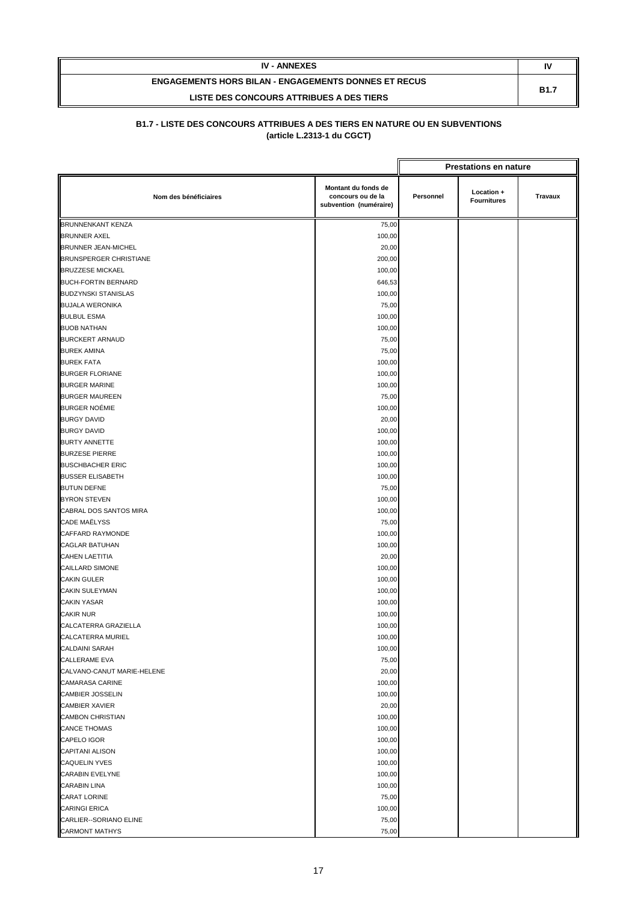| <b>IV - ANNEXES</b>                                         | I١          |
|-------------------------------------------------------------|-------------|
| <b>ENGAGEMENTS HORS BILAN - ENGAGEMENTS DONNES ET RECUS</b> | <b>B1.7</b> |
| LISTE DES CONCOURS ATTRIBUES A DES TIERS                    |             |

|                               | <b>Prestations en nature</b>                                       |           |                                  |         |
|-------------------------------|--------------------------------------------------------------------|-----------|----------------------------------|---------|
| Nom des bénéficiaires         | Montant du fonds de<br>concours ou de la<br>subvention (numéraire) | Personnel | Location +<br><b>Fournitures</b> | Travaux |
| <b>BRUNNENKANT KENZA</b>      | 75,00                                                              |           |                                  |         |
| <b>BRUNNER AXEL</b>           | 100,00                                                             |           |                                  |         |
| BRUNNER JEAN-MICHEL           | 20,00                                                              |           |                                  |         |
| <b>BRUNSPERGER CHRISTIANE</b> | 200,00                                                             |           |                                  |         |
| <b>BRUZZESE MICKAEL</b>       | 100,00                                                             |           |                                  |         |
| <b>BUCH-FORTIN BERNARD</b>    | 646,53                                                             |           |                                  |         |
| <b>BUDZYNSKI STANISLAS</b>    | 100,00                                                             |           |                                  |         |
| <b>BUJALA WERONIKA</b>        | 75,00                                                              |           |                                  |         |
| <b>BULBUL ESMA</b>            | 100,00                                                             |           |                                  |         |
| <b>BUOB NATHAN</b>            | 100,00                                                             |           |                                  |         |
| <b>BURCKERT ARNAUD</b>        | 75,00                                                              |           |                                  |         |
| <b>BUREK AMINA</b>            | 75,00                                                              |           |                                  |         |
| <b>BUREK FATA</b>             | 100,00                                                             |           |                                  |         |
| <b>BURGER FLORIANE</b>        | 100,00                                                             |           |                                  |         |
| <b>BURGER MARINE</b>          | 100,00                                                             |           |                                  |         |
| <b>BURGER MAUREEN</b>         | 75,00                                                              |           |                                  |         |
| <b>BURGER NOÉMIE</b>          | 100,00                                                             |           |                                  |         |
| <b>BURGY DAVID</b>            | 20,00                                                              |           |                                  |         |
| <b>BURGY DAVID</b>            | 100,00                                                             |           |                                  |         |
| <b>BURTY ANNETTE</b>          | 100,00                                                             |           |                                  |         |
| <b>BURZESE PIERRE</b>         | 100,00                                                             |           |                                  |         |
| <b>BUSCHBACHER ERIC</b>       | 100,00                                                             |           |                                  |         |
| <b>BUSSER ELISABETH</b>       | 100,00                                                             |           |                                  |         |
| <b>BUTUN DEFNE</b>            | 75,00                                                              |           |                                  |         |
| <b>BYRON STEVEN</b>           | 100,00                                                             |           |                                  |         |
| CABRAL DOS SANTOS MIRA        | 100,00                                                             |           |                                  |         |
| <b>CADE MAËLYSS</b>           | 75,00                                                              |           |                                  |         |
| CAFFARD RAYMONDE              | 100,00                                                             |           |                                  |         |
| <b>CAGLAR BATUHAN</b>         | 100,00                                                             |           |                                  |         |
| <b>CAHEN LAETITIA</b>         | 20,00                                                              |           |                                  |         |
| <b>CAILLARD SIMONE</b>        | 100,00                                                             |           |                                  |         |
| <b>CAKIN GULER</b>            | 100,00                                                             |           |                                  |         |
| <b>CAKIN SULEYMAN</b>         | 100,00                                                             |           |                                  |         |
| <b>CAKIN YASAR</b>            | 100,00                                                             |           |                                  |         |
| <b>CAKIR NUR</b>              | 100,00                                                             |           |                                  |         |
| CALCATERRA GRAZIELLA          | 100,00                                                             |           |                                  |         |
| CALCATERRA MURIEL             | 100,00                                                             |           |                                  |         |
| CALDAINI SARAH                | 100,00                                                             |           |                                  |         |
| CALLERAME EVA                 | 75,00                                                              |           |                                  |         |
| CALVANO-CANUT MARIE-HELENE    | 20,00                                                              |           |                                  |         |
| <b>CAMARASA CARINE</b>        | 100,00                                                             |           |                                  |         |
| <b>CAMBIER JOSSELIN</b>       | 100,00                                                             |           |                                  |         |
| <b>CAMBIER XAVIER</b>         | 20,00                                                              |           |                                  |         |
| <b>CAMBON CHRISTIAN</b>       | 100,00                                                             |           |                                  |         |
| <b>CANCE THOMAS</b>           | 100,00                                                             |           |                                  |         |
| CAPELO IGOR                   | 100,00                                                             |           |                                  |         |
| <b>CAPITANI ALISON</b>        | 100,00                                                             |           |                                  |         |
| <b>CAQUELIN YVES</b>          | 100,00                                                             |           |                                  |         |
| <b>CARABIN EVELYNE</b>        | 100,00                                                             |           |                                  |         |
| <b>CARABIN LINA</b>           | 100,00                                                             |           |                                  |         |
| <b>CARAT LORINE</b>           | 75,00                                                              |           |                                  |         |
| <b>CARINGI ERICA</b>          | 100,00                                                             |           |                                  |         |
| CARLIER--SORIANO ELINE        | 75,00                                                              |           |                                  |         |
| <b>CARMONT MATHYS</b>         | 75,00                                                              |           |                                  |         |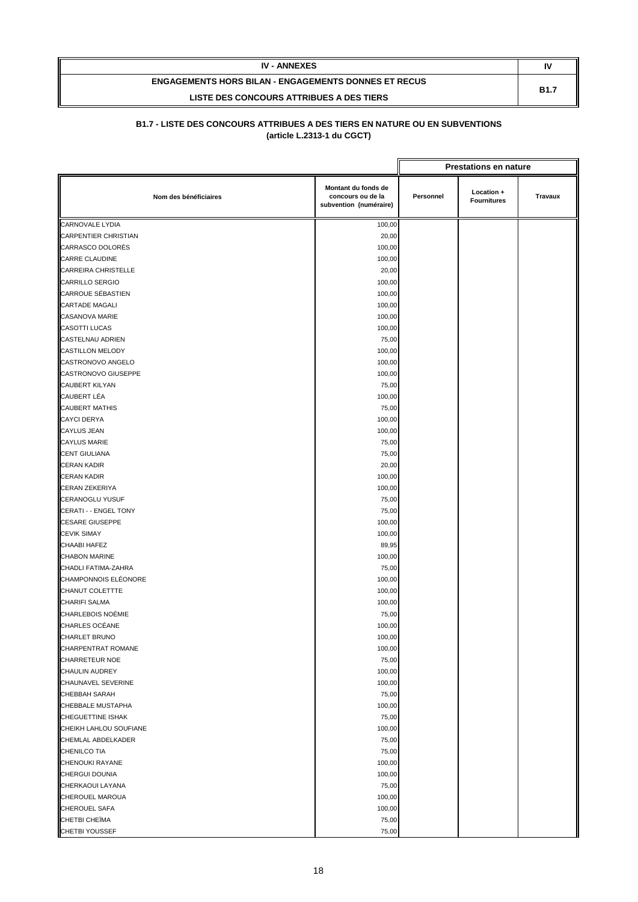| <b>IV - ANNEXES</b>                                         | N           |
|-------------------------------------------------------------|-------------|
| <b>ENGAGEMENTS HORS BILAN - ENGAGEMENTS DONNES ET RECUS</b> | <b>B1.7</b> |
| LISTE DES CONCOURS ATTRIBUES A DES TIERS                    |             |

|                                      |                                                                    |                                                                 | <b>Prestations en nature</b> |  |
|--------------------------------------|--------------------------------------------------------------------|-----------------------------------------------------------------|------------------------------|--|
| Nom des bénéficiaires                | Montant du fonds de<br>concours ou de la<br>subvention (numéraire) | Location +<br>Personnel<br><b>Travaux</b><br><b>Fournitures</b> |                              |  |
| <b>CARNOVALE LYDIA</b>               | 100,00                                                             |                                                                 |                              |  |
| <b>CARPENTIER CHRISTIAN</b>          | 20,00                                                              |                                                                 |                              |  |
| CARRASCO DOLORÈS                     | 100,00                                                             |                                                                 |                              |  |
| <b>CARRE CLAUDINE</b>                | 100,00                                                             |                                                                 |                              |  |
| <b>CARREIRA CHRISTELLE</b>           | 20,00                                                              |                                                                 |                              |  |
| <b>CARRILLO SERGIO</b>               | 100,00                                                             |                                                                 |                              |  |
| <b>CARROUE SÉBASTIEN</b>             | 100,00                                                             |                                                                 |                              |  |
| <b>CARTADE MAGALI</b>                | 100,00                                                             |                                                                 |                              |  |
| CASANOVA MARIE                       | 100,00                                                             |                                                                 |                              |  |
| <b>CASOTTI LUCAS</b>                 | 100,00                                                             |                                                                 |                              |  |
| <b>CASTELNAU ADRIEN</b>              | 75,00                                                              |                                                                 |                              |  |
| <b>CASTILLON MELODY</b>              | 100,00                                                             |                                                                 |                              |  |
| CASTRONOVO ANGELO                    | 100,00                                                             |                                                                 |                              |  |
| CASTRONOVO GIUSEPPE                  | 100,00                                                             |                                                                 |                              |  |
| <b>CAUBERT KILYAN</b>                | 75,00                                                              |                                                                 |                              |  |
| CAUBERT LÉA                          | 100,00                                                             |                                                                 |                              |  |
| <b>CAUBERT MATHIS</b>                | 75,00                                                              |                                                                 |                              |  |
| <b>CAYCI DERYA</b>                   | 100,00                                                             |                                                                 |                              |  |
| <b>CAYLUS JEAN</b>                   | 100,00                                                             |                                                                 |                              |  |
| <b>CAYLUS MARIE</b>                  | 75,00                                                              |                                                                 |                              |  |
| <b>CENT GIULIANA</b>                 | 75,00                                                              |                                                                 |                              |  |
| <b>CERAN KADIR</b>                   | 20,00                                                              |                                                                 |                              |  |
| <b>CERAN KADIR</b>                   | 100,00                                                             |                                                                 |                              |  |
| <b>CERAN ZEKERIYA</b>                | 100,00                                                             |                                                                 |                              |  |
| <b>CERANOGLU YUSUF</b>               | 75,00                                                              |                                                                 |                              |  |
| CERATI - - ENGEL TONY                | 75,00                                                              |                                                                 |                              |  |
| <b>CESARE GIUSEPPE</b>               | 100,00                                                             |                                                                 |                              |  |
| <b>CEVIK SIMAY</b>                   | 100,00                                                             |                                                                 |                              |  |
| CHAABI HAFEZ                         | 89,95                                                              |                                                                 |                              |  |
| <b>CHABON MARINE</b>                 | 100,00                                                             |                                                                 |                              |  |
| CHADLI FATIMA-ZAHRA                  | 75,00                                                              |                                                                 |                              |  |
| CHAMPONNOIS ELÉONORE                 | 100,00                                                             |                                                                 |                              |  |
| CHANUT COLETTTE                      | 100,00                                                             |                                                                 |                              |  |
| <b>CHARIFI SALMA</b>                 | 100,00                                                             |                                                                 |                              |  |
| CHARLEBOIS NOÉMIE<br>CHARLES OCÉANE  | 75,00                                                              |                                                                 |                              |  |
| CHARLET BRUNO                        | 100,00                                                             |                                                                 |                              |  |
| CHARPENTRAT ROMANE                   | 100,00                                                             |                                                                 |                              |  |
| <b>CHARRETEUR NOE</b>                | 100,00                                                             |                                                                 |                              |  |
|                                      | 75,00                                                              |                                                                 |                              |  |
| CHAULIN AUDREY<br>CHAUNAVEL SEVERINE | 100,00<br>100,00                                                   |                                                                 |                              |  |
| <b>CHEBBAH SARAH</b>                 | 75,00                                                              |                                                                 |                              |  |
| CHEBBALE MUSTAPHA                    | 100,00                                                             |                                                                 |                              |  |
| <b>CHEGUETTINE ISHAK</b>             | 75,00                                                              |                                                                 |                              |  |
| CHEIKH LAHLOU SOUFIANE               | 100,00                                                             |                                                                 |                              |  |
| CHEMLAL ABDELKADER                   | 75,00                                                              |                                                                 |                              |  |
| <b>CHENILCO TIA</b>                  | 75,00                                                              |                                                                 |                              |  |
| CHENOUKI RAYANE                      | 100,00                                                             |                                                                 |                              |  |
| CHERGUI DOUNIA                       | 100,00                                                             |                                                                 |                              |  |
| CHERKAOUI LAYANA                     | 75,00                                                              |                                                                 |                              |  |
| CHEROUEL MAROUA                      | 100,00                                                             |                                                                 |                              |  |
| <b>CHEROUEL SAFA</b>                 | 100,00                                                             |                                                                 |                              |  |
| CHETBI CHEÏMA                        | 75,00                                                              |                                                                 |                              |  |
| <b>CHETBI YOUSSEF</b>                | 75,00                                                              |                                                                 |                              |  |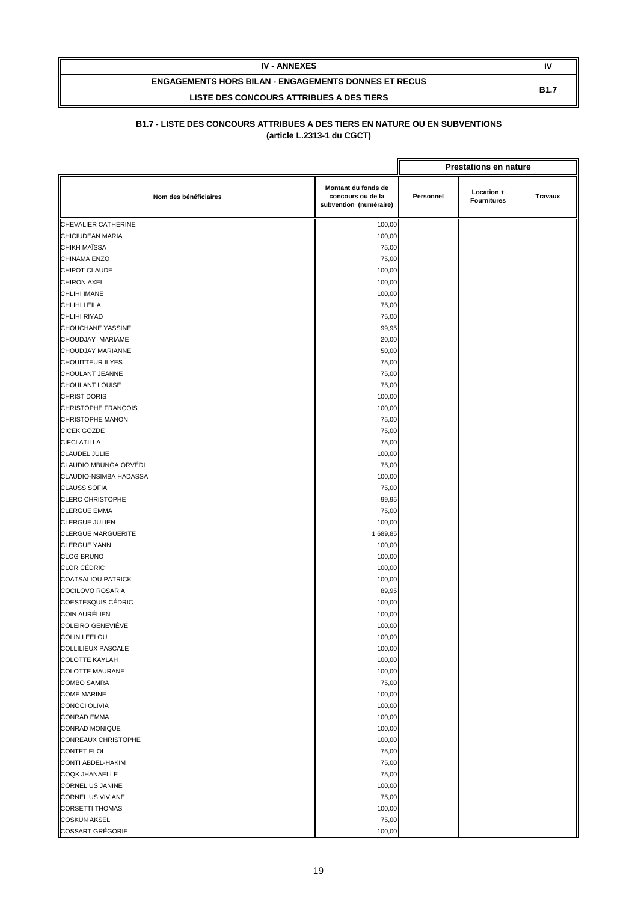| <b>IV - ANNEXES</b>                                         | N           |
|-------------------------------------------------------------|-------------|
| <b>ENGAGEMENTS HORS BILAN - ENGAGEMENTS DONNES ET RECUS</b> | <b>B1.7</b> |
| LISTE DES CONCOURS ATTRIBUES A DES TIERS                    |             |

|                           |                                                                    |           | <b>Prestations en nature</b>     |                |
|---------------------------|--------------------------------------------------------------------|-----------|----------------------------------|----------------|
| Nom des bénéficiaires     | Montant du fonds de<br>concours ou de la<br>subvention (numéraire) | Personnel | Location +<br><b>Fournitures</b> | <b>Travaux</b> |
| CHEVALIER CATHERINE       | 100,00                                                             |           |                                  |                |
| CHICIUDEAN MARIA          | 100,00                                                             |           |                                  |                |
| CHIKH MAÏSSA              | 75,00                                                              |           |                                  |                |
| CHINAMA ENZO              | 75,00                                                              |           |                                  |                |
| CHIPOT CLAUDE             | 100,00                                                             |           |                                  |                |
| <b>CHIRON AXEL</b>        | 100,00                                                             |           |                                  |                |
| <b>CHLIHI IMANE</b>       | 100,00                                                             |           |                                  |                |
| CHLIHI LEÏLA              | 75,00                                                              |           |                                  |                |
| <b>CHLIHI RIYAD</b>       | 75,00                                                              |           |                                  |                |
| <b>CHOUCHANE YASSINE</b>  | 99,95                                                              |           |                                  |                |
| CHOUDJAY MARIAME          | 20,00                                                              |           |                                  |                |
| CHOUDJAY MARIANNE         | 50,00                                                              |           |                                  |                |
| <b>CHOUITTEUR ILYES</b>   | 75,00                                                              |           |                                  |                |
| CHOULANT JEANNE           | 75,00                                                              |           |                                  |                |
| <b>CHOULANT LOUISE</b>    | 75,00                                                              |           |                                  |                |
| <b>CHRIST DORIS</b>       | 100,00                                                             |           |                                  |                |
| CHRISTOPHE FRANÇOIS       | 100,00                                                             |           |                                  |                |
| CHRISTOPHE MANON          | 75,00                                                              |           |                                  |                |
| CICEK GÖZDE               | 75,00                                                              |           |                                  |                |
| <b>CIFCI ATILLA</b>       | 75,00                                                              |           |                                  |                |
| <b>CLAUDEL JULIE</b>      | 100,00                                                             |           |                                  |                |
| CLAUDIO MBUNGA ORVÉDI     | 75,00                                                              |           |                                  |                |
| CLAUDIO-NSIMBA HADASSA    | 100,00                                                             |           |                                  |                |
| <b>CLAUSS SOFIA</b>       | 75,00                                                              |           |                                  |                |
| <b>CLERC CHRISTOPHE</b>   | 99,95                                                              |           |                                  |                |
| <b>CLERGUE EMMA</b>       | 75,00                                                              |           |                                  |                |
| <b>CLERGUE JULIEN</b>     | 100,00                                                             |           |                                  |                |
| <b>CLERGUE MARGUERITE</b> | 1 689,85                                                           |           |                                  |                |
| <b>CLERGUE YANN</b>       | 100,00                                                             |           |                                  |                |
| <b>CLOG BRUNO</b>         | 100,00                                                             |           |                                  |                |
| <b>CLOR CÉDRIC</b>        | 100,00                                                             |           |                                  |                |
| <b>COATSALIOU PATRICK</b> | 100,00                                                             |           |                                  |                |
| <b>COCILOVO ROSARIA</b>   | 89,95                                                              |           |                                  |                |
| <b>COESTESQUIS CÉDRIC</b> | 100,00                                                             |           |                                  |                |
| COIN AURÉLIEN             | 100,00                                                             |           |                                  |                |
| COLEIRO GENEVIÉVE         | 100,00                                                             |           |                                  |                |
| <b>COLIN LEELOU</b>       | 100,00                                                             |           |                                  |                |
| COLLILIEUX PASCALE        | 100,00                                                             |           |                                  |                |
| <b>COLOTTE KAYLAH</b>     | 100,00                                                             |           |                                  |                |
| <b>COLOTTE MAURANE</b>    | 100,00                                                             |           |                                  |                |
| <b>COMBO SAMRA</b>        | 75,00                                                              |           |                                  |                |
| <b>COME MARINE</b>        | 100,00                                                             |           |                                  |                |
| <b>CONOCI OLIVIA</b>      | 100,00                                                             |           |                                  |                |
| <b>CONRAD EMMA</b>        | 100,00                                                             |           |                                  |                |
| <b>CONRAD MONIQUE</b>     | 100,00                                                             |           |                                  |                |
| CONREAUX CHRISTOPHE       | 100,00                                                             |           |                                  |                |
| <b>CONTET ELOI</b>        | 75,00                                                              |           |                                  |                |
| CONTI ABDEL-HAKIM         | 75,00                                                              |           |                                  |                |
| <b>COQK JHANAELLE</b>     | 75,00                                                              |           |                                  |                |
| <b>CORNELIUS JANINE</b>   | 100,00                                                             |           |                                  |                |
| <b>CORNELIUS VIVIANE</b>  | 75,00                                                              |           |                                  |                |
| <b>CORSETTI THOMAS</b>    | 100,00                                                             |           |                                  |                |
| <b>COSKUN AKSEL</b>       | 75,00                                                              |           |                                  |                |
| <b>COSSART GRÉGORIE</b>   | 100,00                                                             |           |                                  |                |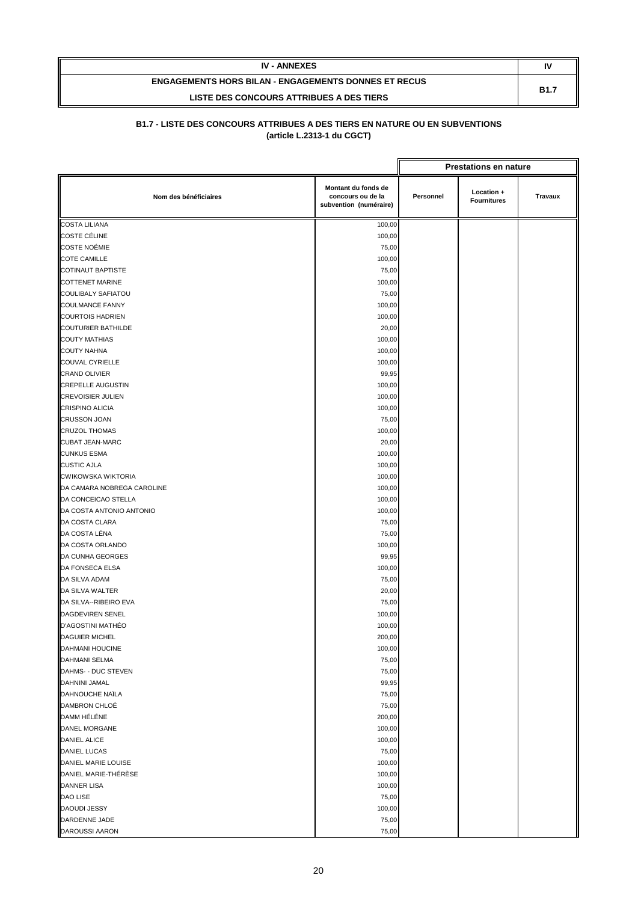| <b>IV - ANNEXES</b>                                         | N           |
|-------------------------------------------------------------|-------------|
| <b>ENGAGEMENTS HORS BILAN - ENGAGEMENTS DONNES ET RECUS</b> | <b>B1.7</b> |
| LISTE DES CONCOURS ATTRIBUES A DES TIERS                    |             |

|                            |                                                                    | <b>Prestations en nature</b> |                                  |         |
|----------------------------|--------------------------------------------------------------------|------------------------------|----------------------------------|---------|
| Nom des bénéficiaires      | Montant du fonds de<br>concours ou de la<br>subvention (numéraire) | Personnel                    | Location +<br><b>Fournitures</b> | Travaux |
| <b>COSTA LILIANA</b>       | 100,00                                                             |                              |                                  |         |
| <b>COSTE CÉLINE</b>        | 100,00                                                             |                              |                                  |         |
| <b>COSTE NOÉMIE</b>        | 75,00                                                              |                              |                                  |         |
| <b>COTE CAMILLE</b>        | 100,00                                                             |                              |                                  |         |
| <b>COTINAUT BAPTISTE</b>   | 75,00                                                              |                              |                                  |         |
| <b>COTTENET MARINE</b>     | 100,00                                                             |                              |                                  |         |
| COULIBALY SAFIATOU         | 75,00                                                              |                              |                                  |         |
| <b>COULMANCE FANNY</b>     | 100,00                                                             |                              |                                  |         |
| <b>COURTOIS HADRIEN</b>    | 100,00                                                             |                              |                                  |         |
| <b>COUTURIER BATHILDE</b>  | 20,00                                                              |                              |                                  |         |
| <b>COUTY MATHIAS</b>       | 100,00                                                             |                              |                                  |         |
| <b>COUTY NAHNA</b>         | 100,00                                                             |                              |                                  |         |
| <b>COUVAL CYRIELLE</b>     | 100,00                                                             |                              |                                  |         |
| <b>CRAND OLIVIER</b>       | 99,95                                                              |                              |                                  |         |
| <b>CREPELLE AUGUSTIN</b>   | 100,00                                                             |                              |                                  |         |
| <b>CREVOISIER JULIEN</b>   | 100,00                                                             |                              |                                  |         |
| <b>CRISPINO ALICIA</b>     | 100,00                                                             |                              |                                  |         |
| <b>CRUSSON JOAN</b>        | 75,00                                                              |                              |                                  |         |
| <b>CRUZOL THOMAS</b>       | 100,00                                                             |                              |                                  |         |
| <b>CUBAT JEAN-MARC</b>     | 20,00                                                              |                              |                                  |         |
| <b>CUNKUS ESMA</b>         | 100,00                                                             |                              |                                  |         |
| <b>CUSTIC AJLA</b>         | 100,00                                                             |                              |                                  |         |
| <b>CWIKOWSKA WIKTORIA</b>  | 100,00                                                             |                              |                                  |         |
| DA CAMARA NOBREGA CAROLINE | 100,00                                                             |                              |                                  |         |
| DA CONCEICAO STELLA        | 100,00                                                             |                              |                                  |         |
| DA COSTA ANTONIO ANTONIO   | 100,00                                                             |                              |                                  |         |
| DA COSTA CLARA             | 75,00                                                              |                              |                                  |         |
| DA COSTA LÉNA              | 75,00                                                              |                              |                                  |         |
| DA COSTA ORLANDO           | 100,00                                                             |                              |                                  |         |
| DA CUNHA GEORGES           | 99,95                                                              |                              |                                  |         |
| DA FONSECA ELSA            | 100,00                                                             |                              |                                  |         |
| DA SILVA ADAM              | 75,00                                                              |                              |                                  |         |
| DA SILVA WALTER            | 20,00                                                              |                              |                                  |         |
| DA SILVA--RIBEIRO EVA      | 75,00                                                              |                              |                                  |         |
| DAGDEVIREN SENEL           | 100,00                                                             |                              |                                  |         |
| D'AGOSTINI MATHÉO          | 100,00                                                             |                              |                                  |         |
| <b>DAGUIER MICHEL</b>      | 200,00                                                             |                              |                                  |         |
| DAHMANI HOUCINE            | 100,00                                                             |                              |                                  |         |
| <b>DAHMANI SELMA</b>       | 75,00                                                              |                              |                                  |         |
| DAHMS- - DUC STEVEN        | 75,00                                                              |                              |                                  |         |
| DAHNINI JAMAL              | 99,95                                                              |                              |                                  |         |
| DAHNOUCHE NAÏLA            | 75,00                                                              |                              |                                  |         |
| DAMBRON CHLOÉ              | 75,00                                                              |                              |                                  |         |
| DAMM HÉLÉNE                | 200,00                                                             |                              |                                  |         |
| DANEL MORGANE              | 100,00                                                             |                              |                                  |         |
| <b>DANIEL ALICE</b>        | 100,00                                                             |                              |                                  |         |
| DANIEL LUCAS               | 75,00                                                              |                              |                                  |         |
| DANIEL MARIE LOUISE        | 100,00                                                             |                              |                                  |         |
| DANIEL MARIE-THÉRÈSE       | 100,00                                                             |                              |                                  |         |
| <b>DANNER LISA</b>         | 100,00                                                             |                              |                                  |         |
| <b>DAO LISE</b>            | 75,00                                                              |                              |                                  |         |
| <b>DAOUDI JESSY</b>        | 100,00                                                             |                              |                                  |         |
| DARDENNE JADE              | 75,00                                                              |                              |                                  |         |
| <b>DAROUSSI AARON</b>      | 75,00                                                              |                              |                                  |         |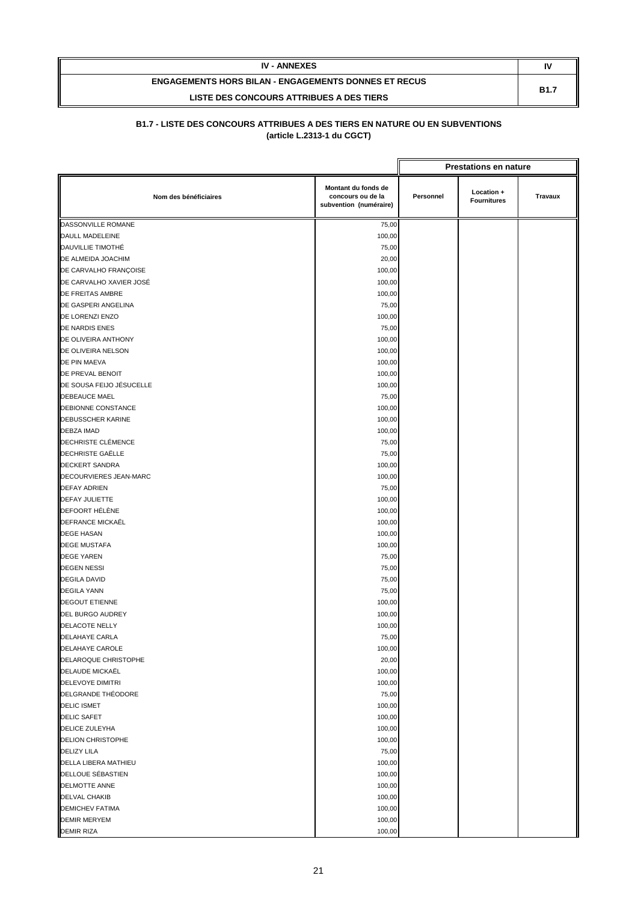| <b>IV - ANNEXES</b>                                         | I١          |
|-------------------------------------------------------------|-------------|
| <b>ENGAGEMENTS HORS BILAN - ENGAGEMENTS DONNES ET RECUS</b> | <b>B1.7</b> |
| LISTE DES CONCOURS ATTRIBUES A DES TIERS                    |             |

|                          |                                                                    |           | <b>Prestations en nature</b>     |         |
|--------------------------|--------------------------------------------------------------------|-----------|----------------------------------|---------|
| Nom des bénéficiaires    | Montant du fonds de<br>concours ou de la<br>subvention (numéraire) | Personnel | Location +<br><b>Fournitures</b> | Travaux |
| DASSONVILLE ROMANE       | 75,00                                                              |           |                                  |         |
| DAULL MADELEINE          | 100,00                                                             |           |                                  |         |
| DAUVILLIE TIMOTHÉ        | 75,00                                                              |           |                                  |         |
| DE ALMEIDA JOACHIM       | 20,00                                                              |           |                                  |         |
| DE CARVALHO FRANÇOISE    | 100,00                                                             |           |                                  |         |
| DE CARVALHO XAVIER JOSÉ  | 100,00                                                             |           |                                  |         |
| <b>DE FREITAS AMBRE</b>  | 100,00                                                             |           |                                  |         |
| DE GASPERI ANGELINA      | 75,00                                                              |           |                                  |         |
| DE LORENZI ENZO          | 100,00                                                             |           |                                  |         |
| DE NARDIS ENES           | 75,00                                                              |           |                                  |         |
| DE OLIVEIRA ANTHONY      | 100,00                                                             |           |                                  |         |
| DE OLIVEIRA NELSON       | 100,00                                                             |           |                                  |         |
| DE PIN MAEVA             | 100,00                                                             |           |                                  |         |
| DE PREVAL BENOIT         | 100,00                                                             |           |                                  |         |
| DE SOUSA FEIJO JÉSUCELLE | 100,00                                                             |           |                                  |         |
| DEBEAUCE MAEL            | 75,00                                                              |           |                                  |         |
| DEBIONNE CONSTANCE       | 100,00                                                             |           |                                  |         |
| <b>DEBUSSCHER KARINE</b> | 100,00                                                             |           |                                  |         |
| <b>DEBZA IMAD</b>        | 100,00                                                             |           |                                  |         |
| DECHRISTE CLÉMENCE       | 75,00                                                              |           |                                  |         |
| <b>DECHRISTE GAËLLE</b>  | 75,00                                                              |           |                                  |         |
| <b>DECKERT SANDRA</b>    | 100,00                                                             |           |                                  |         |
| DECOURVIERES JEAN-MARC   | 100,00                                                             |           |                                  |         |
| <b>DEFAY ADRIEN</b>      | 75,00                                                              |           |                                  |         |
| <b>DEFAY JULIETTE</b>    | 100,00                                                             |           |                                  |         |
| DEFOORT HÉLÈNE           | 100,00                                                             |           |                                  |         |
| DEFRANCE MICKAËL         | 100,00                                                             |           |                                  |         |
| <b>DEGE HASAN</b>        | 100,00                                                             |           |                                  |         |
| <b>DEGE MUSTAFA</b>      | 100,00                                                             |           |                                  |         |
| <b>DEGE YAREN</b>        | 75,00                                                              |           |                                  |         |
| <b>DEGEN NESSI</b>       | 75,00                                                              |           |                                  |         |
| <b>DEGILA DAVID</b>      | 75,00                                                              |           |                                  |         |
| <b>DEGILA YANN</b>       | 75,00                                                              |           |                                  |         |
| <b>DEGOUT ETIENNE</b>    | 100,00                                                             |           |                                  |         |
| DEL BURGO AUDREY         | 100,00                                                             |           |                                  |         |
| DELACOTE NELLY           | 100,00                                                             |           |                                  |         |
| DELAHAYE CARLA           | 75,00                                                              |           |                                  |         |
| DELAHAYE CAROLE          | 100,00                                                             |           |                                  |         |
| DELAROQUE CHRISTOPHE     | 20,00                                                              |           |                                  |         |
| DELAUDE MICKAËL          | 100,00                                                             |           |                                  |         |
| DELEVOYE DIMITRI         | 100,00                                                             |           |                                  |         |
| DELGRANDE THÉODORE       | 75,00                                                              |           |                                  |         |
| <b>DELIC ISMET</b>       | 100,00                                                             |           |                                  |         |
| <b>DELIC SAFET</b>       | 100,00                                                             |           |                                  |         |
| DELICE ZULEYHA           | 100,00                                                             |           |                                  |         |
| <b>DELION CHRISTOPHE</b> | 100,00                                                             |           |                                  |         |
| <b>DELIZY LILA</b>       | 75,00                                                              |           |                                  |         |
| DELLA LIBERA MATHIEU     | 100,00                                                             |           |                                  |         |
| DELLOUE SÉBASTIEN        | 100,00                                                             |           |                                  |         |
| <b>DELMOTTE ANNE</b>     | 100,00                                                             |           |                                  |         |
| <b>DELVAL CHAKIB</b>     | 100,00                                                             |           |                                  |         |
| <b>DEMICHEV FATIMA</b>   | 100,00                                                             |           |                                  |         |
| <b>DEMIR MERYEM</b>      | 100,00                                                             |           |                                  |         |
| <b>DEMIR RIZA</b>        | 100,00                                                             |           |                                  |         |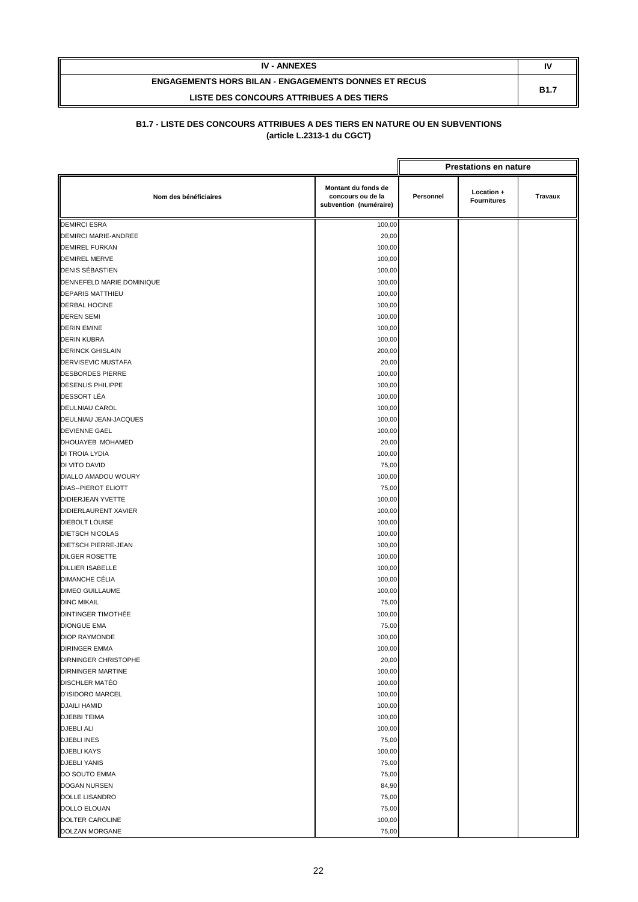| <b>IV - ANNEXES</b>                                         | I١          |
|-------------------------------------------------------------|-------------|
| <b>ENGAGEMENTS HORS BILAN - ENGAGEMENTS DONNES ET RECUS</b> | <b>B1.7</b> |
| LISTE DES CONCOURS ATTRIBUES A DES TIERS                    |             |

|                             | <b>Prestations en nature</b>                                       |           |                                  |         |
|-----------------------------|--------------------------------------------------------------------|-----------|----------------------------------|---------|
| Nom des bénéficiaires       | Montant du fonds de<br>concours ou de la<br>subvention (numéraire) | Personnel | Location +<br><b>Fournitures</b> | Travaux |
| <b>DEMIRCI ESRA</b>         | 100,00                                                             |           |                                  |         |
| <b>DEMIRCI MARIE-ANDREE</b> | 20,00                                                              |           |                                  |         |
| <b>DEMIREL FURKAN</b>       | 100,00                                                             |           |                                  |         |
| <b>DEMIREL MERVE</b>        | 100,00                                                             |           |                                  |         |
| DENIS SÉBASTIEN             | 100,00                                                             |           |                                  |         |
| DENNEFELD MARIE DOMINIQUE   | 100,00                                                             |           |                                  |         |
| <b>DEPARIS MATTHIEU</b>     | 100,00                                                             |           |                                  |         |
| <b>DERBAL HOCINE</b>        | 100,00                                                             |           |                                  |         |
| <b>DEREN SEMI</b>           | 100,00                                                             |           |                                  |         |
| <b>DERIN EMINE</b>          | 100,00                                                             |           |                                  |         |
| <b>DERIN KUBRA</b>          | 100,00                                                             |           |                                  |         |
| <b>DERINCK GHISLAIN</b>     | 200,00                                                             |           |                                  |         |
| DERVISEVIC MUSTAFA          | 20,00                                                              |           |                                  |         |
| <b>DESBORDES PIERRE</b>     | 100,00                                                             |           |                                  |         |
| <b>DESENLIS PHILIPPE</b>    | 100,00                                                             |           |                                  |         |
| DESSORT LÉA                 | 100,00                                                             |           |                                  |         |
| DEULNIAU CAROL              | 100,00                                                             |           |                                  |         |
| DEULNIAU JEAN-JACQUES       | 100,00                                                             |           |                                  |         |
| <b>DEVIENNE GAEL</b>        | 100,00                                                             |           |                                  |         |
| DHOUAYEB MOHAMED            | 20,00                                                              |           |                                  |         |
| DI TROIA LYDIA              | 100,00                                                             |           |                                  |         |
| DI VITO DAVID               | 75,00                                                              |           |                                  |         |
| DIALLO AMADOU WOURY         | 100,00                                                             |           |                                  |         |
| <b>DIAS--PIEROT ELIOTT</b>  | 75,00                                                              |           |                                  |         |
| DIDIERJEAN YVETTE           | 100,00                                                             |           |                                  |         |
| DIDIERLAURENT XAVIER        | 100,00                                                             |           |                                  |         |
| <b>DIEBOLT LOUISE</b>       | 100,00                                                             |           |                                  |         |
| <b>DIETSCH NICOLAS</b>      | 100,00                                                             |           |                                  |         |
| <b>DIETSCH PIERRE-JEAN</b>  | 100,00                                                             |           |                                  |         |
| <b>DILGER ROSETTE</b>       | 100,00                                                             |           |                                  |         |
| <b>DILLIER ISABELLE</b>     | 100,00                                                             |           |                                  |         |
| <b>DIMANCHE CÉLIA</b>       | 100,00                                                             |           |                                  |         |
| <b>DIMEO GUILLAUME</b>      | 100,00                                                             |           |                                  |         |
| <b>DINC MIKAIL</b>          | 75,00                                                              |           |                                  |         |
| <b>DINTINGER TIMOTHÉE</b>   | 100,00                                                             |           |                                  |         |
| <b>DIONGUE EMA</b>          | 75,00                                                              |           |                                  |         |
| <b>DIOP RAYMONDE</b>        | 100,00                                                             |           |                                  |         |
| <b>DIRINGER EMMA</b>        | 100,00                                                             |           |                                  |         |
| DIRNINGER CHRISTOPHE        | 20,00                                                              |           |                                  |         |
| <b>DIRNINGER MARTINE</b>    | 100,00                                                             |           |                                  |         |
| DISCHLER MATÉO              | 100,00                                                             |           |                                  |         |
| <b>D'ISIDORO MARCEL</b>     | 100,00                                                             |           |                                  |         |
| <b>DJAILI HAMID</b>         | 100,00                                                             |           |                                  |         |
| <b>DJEBBI TEIMA</b>         | 100,00                                                             |           |                                  |         |
| <b>DJEBLI ALI</b>           | 100,00                                                             |           |                                  |         |
| <b>DJEBLI INES</b>          | 75,00                                                              |           |                                  |         |
| <b>DJEBLI KAYS</b>          | 100,00                                                             |           |                                  |         |
| <b>DJEBLI YANIS</b>         | 75,00                                                              |           |                                  |         |
| DO SOUTO EMMA               | 75,00                                                              |           |                                  |         |
| DOGAN NURSEN                | 84,90                                                              |           |                                  |         |
| DOLLE LISANDRO              | 75,00                                                              |           |                                  |         |
| DOLLO ELOUAN                | 75,00                                                              |           |                                  |         |
| DOLTER CAROLINE             | 100,00                                                             |           |                                  |         |
| DOLZAN MORGANE              | 75,00                                                              |           |                                  |         |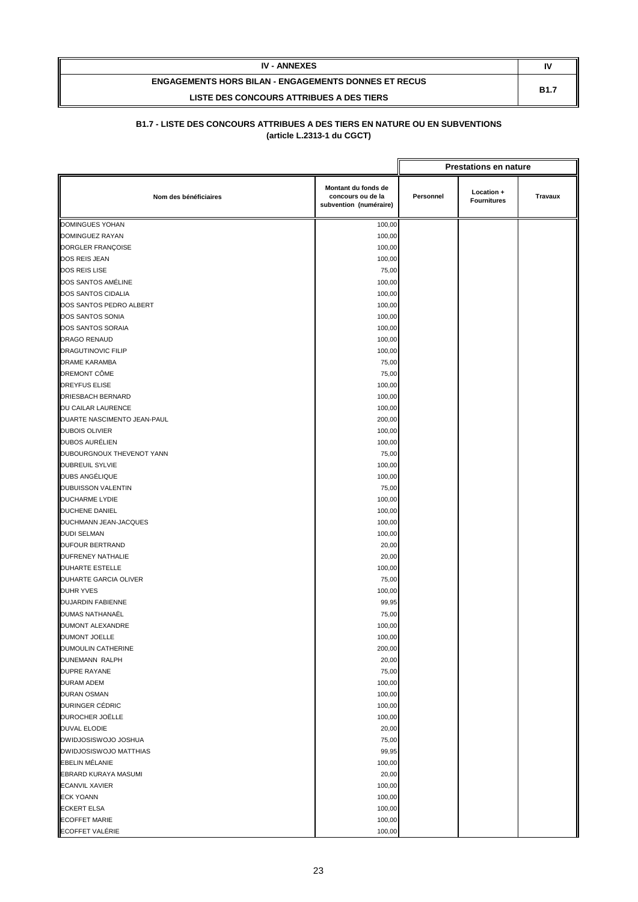| <b>IV - ANNEXES</b>                                         | N           |
|-------------------------------------------------------------|-------------|
| <b>ENGAGEMENTS HORS BILAN - ENGAGEMENTS DONNES ET RECUS</b> | <b>B1.7</b> |
| LISTE DES CONCOURS ATTRIBUES A DES TIERS                    |             |

|                             |                                                                    |           | <b>Prestations en nature</b>     |         |
|-----------------------------|--------------------------------------------------------------------|-----------|----------------------------------|---------|
| Nom des bénéficiaires       | Montant du fonds de<br>concours ou de la<br>subvention (numéraire) | Personnel | Location +<br><b>Fournitures</b> | Travaux |
| <b>DOMINGUES YOHAN</b>      | 100,00                                                             |           |                                  |         |
| DOMINGUEZ RAYAN             | 100,00                                                             |           |                                  |         |
| DORGLER FRANÇOISE           | 100,00                                                             |           |                                  |         |
| DOS REIS JEAN               | 100,00                                                             |           |                                  |         |
| <b>DOS REIS LISE</b>        | 75,00                                                              |           |                                  |         |
| DOS SANTOS AMÉLINE          | 100,00                                                             |           |                                  |         |
| DOS SANTOS CIDALIA          | 100,00                                                             |           |                                  |         |
| DOS SANTOS PEDRO ALBERT     | 100,00                                                             |           |                                  |         |
| DOS SANTOS SONIA            | 100,00                                                             |           |                                  |         |
| DOS SANTOS SORAIA           | 100,00                                                             |           |                                  |         |
| <b>DRAGO RENAUD</b>         | 100,00                                                             |           |                                  |         |
| DRAGUTINOVIC FILIP          | 100,00                                                             |           |                                  |         |
| DRAME KARAMBA               | 75,00                                                              |           |                                  |         |
| DREMONT CÔME                | 75,00                                                              |           |                                  |         |
| <b>DREYFUS ELISE</b>        | 100,00                                                             |           |                                  |         |
| DRIESBACH BERNARD           | 100,00                                                             |           |                                  |         |
| DU CAILAR LAURENCE          | 100,00                                                             |           |                                  |         |
| DUARTE NASCIMENTO JEAN-PAUL | 200,00                                                             |           |                                  |         |
| <b>DUBOIS OLIVIER</b>       | 100,00                                                             |           |                                  |         |
| <b>DUBOS AURÉLIEN</b>       | 100,00                                                             |           |                                  |         |
| DUBOURGNOUX THEVENOT YANN   | 75,00                                                              |           |                                  |         |
| DUBREUIL SYLVIE             | 100,00                                                             |           |                                  |         |
| DUBS ANGÉLIQUE              | 100,00                                                             |           |                                  |         |
| <b>DUBUISSON VALENTIN</b>   | 75,00                                                              |           |                                  |         |
| DUCHARME LYDIE              | 100,00                                                             |           |                                  |         |
| DUCHENE DANIEL              | 100,00                                                             |           |                                  |         |
| DUCHMANN JEAN-JACQUES       | 100,00                                                             |           |                                  |         |
| <b>DUDI SELMAN</b>          | 100,00                                                             |           |                                  |         |
| <b>DUFOUR BERTRAND</b>      | 20,00                                                              |           |                                  |         |
| DUFRENEY NATHALIE           | 20,00                                                              |           |                                  |         |
| DUHARTE ESTELLE             | 100,00                                                             |           |                                  |         |
| DUHARTE GARCIA OLIVER       | 75,00                                                              |           |                                  |         |
| <b>DUHR YVES</b>            | 100,00                                                             |           |                                  |         |
| DUJARDIN FABIENNE           | 99,95                                                              |           |                                  |         |
| DUMAS NATHANAËL             | 75,00                                                              |           |                                  |         |
| <b>DUMONT ALEXANDRE</b>     | 100,00                                                             |           |                                  |         |
| <b>DUMONT JOELLE</b>        | 100,00                                                             |           |                                  |         |
| DUMOULIN CATHERINE          | 200,00                                                             |           |                                  |         |
| DUNEMANN RALPH              | 20,00                                                              |           |                                  |         |
| DUPRE RAYANE                | 75,00                                                              |           |                                  |         |
| <b>DURAM ADEM</b>           | 100,00                                                             |           |                                  |         |
| <b>DURAN OSMAN</b>          | 100,00                                                             |           |                                  |         |
| DURINGER CÉDRIC             | 100,00                                                             |           |                                  |         |
| DUROCHER JOËLLE             | 100,00                                                             |           |                                  |         |
| DUVAL ELODIE                | 20,00                                                              |           |                                  |         |
| DWIDJOSISWOJO JOSHUA        | 75,00                                                              |           |                                  |         |
| DWIDJOSISWOJO MATTHIAS      | 99,95                                                              |           |                                  |         |
| <b>EBELIN MÉLANIE</b>       | 100,00                                                             |           |                                  |         |
| EBRARD KURAYA MASUMI        | 20,00                                                              |           |                                  |         |
| <b>ECANVIL XAVIER</b>       | 100,00                                                             |           |                                  |         |
| <b>ECK YOANN</b>            | 100,00                                                             |           |                                  |         |
| <b>ECKERT ELSA</b>          | 100,00                                                             |           |                                  |         |
| <b>ECOFFET MARIE</b>        | 100,00                                                             |           |                                  |         |
| ECOFFET VALÉRIE             | 100,00                                                             |           |                                  |         |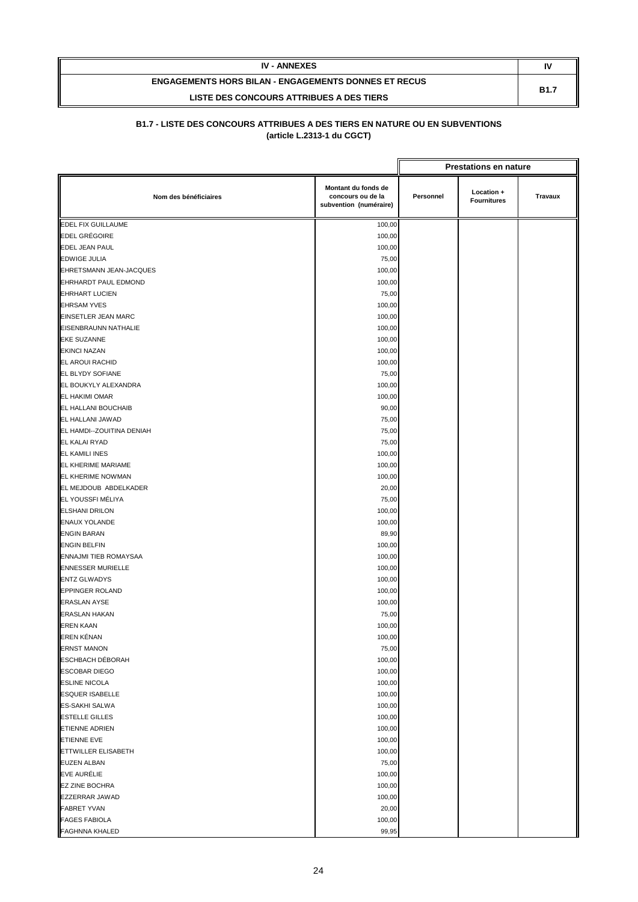| <b>IV - ANNEXES</b>                                         | N           |
|-------------------------------------------------------------|-------------|
| <b>ENGAGEMENTS HORS BILAN - ENGAGEMENTS DONNES ET RECUS</b> | <b>B1.7</b> |
| LISTE DES CONCOURS ATTRIBUES A DES TIERS                    |             |

|                             |                                                                    | <b>Prestations en nature</b> |                                  |         |
|-----------------------------|--------------------------------------------------------------------|------------------------------|----------------------------------|---------|
| Nom des bénéficiaires       | Montant du fonds de<br>concours ou de la<br>subvention (numéraire) | Personnel                    | Location +<br><b>Fournitures</b> | Travaux |
| <b>EDEL FIX GUILLAUME</b>   | 100,00                                                             |                              |                                  |         |
| <b>EDEL GRÉGOIRE</b>        | 100,00                                                             |                              |                                  |         |
| <b>EDEL JEAN PAUL</b>       | 100,00                                                             |                              |                                  |         |
| <b>EDWIGE JULIA</b>         | 75,00                                                              |                              |                                  |         |
| EHRETSMANN JEAN-JACQUES     | 100,00                                                             |                              |                                  |         |
| <b>EHRHARDT PAUL EDMOND</b> | 100,00                                                             |                              |                                  |         |
| <b>EHRHART LUCIEN</b>       | 75,00                                                              |                              |                                  |         |
| <b>EHRSAM YVES</b>          | 100,00                                                             |                              |                                  |         |
| <b>EINSETLER JEAN MARC</b>  | 100,00                                                             |                              |                                  |         |
| EISENBRAUNN NATHALIE        | 100,00                                                             |                              |                                  |         |
| <b>EKE SUZANNE</b>          | 100,00                                                             |                              |                                  |         |
| <b>EKINCI NAZAN</b>         | 100,00                                                             |                              |                                  |         |
| EL AROUI RACHID             | 100,00                                                             |                              |                                  |         |
| <b>EL BLYDY SOFIANE</b>     | 75,00                                                              |                              |                                  |         |
| EL BOUKYLY ALEXANDRA        | 100,00                                                             |                              |                                  |         |
| EL HAKIMI OMAR              | 100,00                                                             |                              |                                  |         |
| EL HALLANI BOUCHAIB         | 90,00                                                              |                              |                                  |         |
| EL HALLANI JAWAD            | 75,00                                                              |                              |                                  |         |
| EL HAMDI--ZOUITINA DENIAH   | 75,00                                                              |                              |                                  |         |
| EL KALAI RYAD               | 75,00                                                              |                              |                                  |         |
| <b>EL KAMILI INES</b>       | 100,00                                                             |                              |                                  |         |
| EL KHERIME MARIAME          | 100,00                                                             |                              |                                  |         |
| EL KHERIME NOWMAN           | 100,00                                                             |                              |                                  |         |
| EL MEJDOUB ABDELKADER       | 20,00                                                              |                              |                                  |         |
| EL YOUSSFI MÉLIYA           | 75,00                                                              |                              |                                  |         |
| <b>ELSHANI DRILON</b>       | 100,00                                                             |                              |                                  |         |
| <b>ENAUX YOLANDE</b>        | 100,00                                                             |                              |                                  |         |
| <b>ENGIN BARAN</b>          | 89,90                                                              |                              |                                  |         |
| <b>ENGIN BELFIN</b>         | 100,00                                                             |                              |                                  |         |
| ENNAJMI TIEB ROMAYSAA       | 100,00                                                             |                              |                                  |         |
| <b>ENNESSER MURIELLE</b>    | 100,00                                                             |                              |                                  |         |
| <b>ENTZ GLWADYS</b>         | 100,00                                                             |                              |                                  |         |
| <b>EPPINGER ROLAND</b>      | 100,00                                                             |                              |                                  |         |
| <b>ERASLAN AYSE</b>         | 100,00                                                             |                              |                                  |         |
| <b>ERASLAN HAKAN</b>        | 75,00                                                              |                              |                                  |         |
| <b>EREN KAAN</b>            | 100,00                                                             |                              |                                  |         |
| EREN KÉNAN                  | 100,00                                                             |                              |                                  |         |
| <b>ERNST MANON</b>          | 75,00                                                              |                              |                                  |         |
| <b>ESCHBACH DÉBORAH</b>     | 100,00                                                             |                              |                                  |         |
| <b>ESCOBAR DIEGO</b>        | 100,00                                                             |                              |                                  |         |
| <b>ESLINE NICOLA</b>        | 100,00                                                             |                              |                                  |         |
| <b>ESQUER ISABELLE</b>      | 100,00                                                             |                              |                                  |         |
| <b>ES-SAKHI SALWA</b>       | 100,00                                                             |                              |                                  |         |
| <b>ESTELLE GILLES</b>       | 100,00                                                             |                              |                                  |         |
| <b>ETIENNE ADRIEN</b>       | 100,00                                                             |                              |                                  |         |
| <b>ETIENNE EVE</b>          | 100,00                                                             |                              |                                  |         |
| <b>ETTWILLER ELISABETH</b>  | 100,00                                                             |                              |                                  |         |
| <b>EUZEN ALBAN</b>          | 75,00                                                              |                              |                                  |         |
| EVE AURÉLIE                 | 100,00                                                             |                              |                                  |         |
| <b>EZ ZINE BOCHRA</b>       | 100,00                                                             |                              |                                  |         |
| <b>EZZERRAR JAWAD</b>       | 100,00                                                             |                              |                                  |         |
| <b>FABRET YVAN</b>          | 20,00                                                              |                              |                                  |         |
| <b>FAGES FABIOLA</b>        | 100,00                                                             |                              |                                  |         |
| <b>FAGHNNA KHALED</b>       | 99,95                                                              |                              |                                  |         |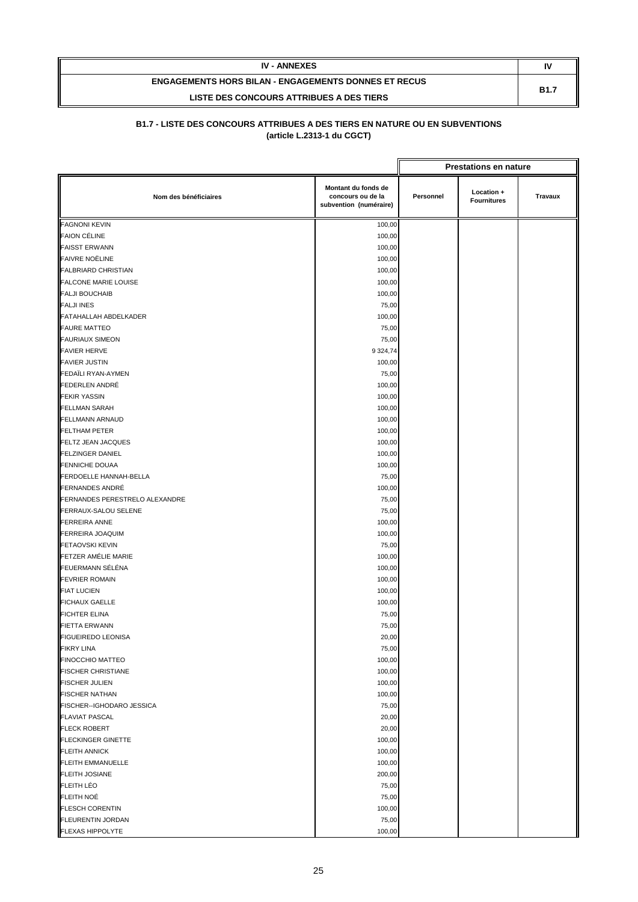| <b>IV - ANNEXES</b>                                         | N           |
|-------------------------------------------------------------|-------------|
| <b>ENGAGEMENTS HORS BILAN - ENGAGEMENTS DONNES ET RECUS</b> | <b>B1.7</b> |
| LISTE DES CONCOURS ATTRIBUES A DES TIERS                    |             |

|                                                  |                                                                    | <b>Prestations en nature</b> |                                  |         |
|--------------------------------------------------|--------------------------------------------------------------------|------------------------------|----------------------------------|---------|
| Nom des bénéficiaires                            | Montant du fonds de<br>concours ou de la<br>subvention (numéraire) | Personnel                    | Location +<br><b>Fournitures</b> | Travaux |
| <b>FAGNONI KEVIN</b>                             | 100,00                                                             |                              |                                  |         |
| <b>FAION CÉLINE</b>                              | 100,00                                                             |                              |                                  |         |
| <b>FAISST ERWANN</b>                             | 100,00                                                             |                              |                                  |         |
| <b>FAIVRE NOËLINE</b>                            | 100,00                                                             |                              |                                  |         |
| <b>FALBRIARD CHRISTIAN</b>                       | 100,00                                                             |                              |                                  |         |
| <b>FALCONE MARIE LOUISE</b>                      | 100,00                                                             |                              |                                  |         |
| <b>FALJI BOUCHAIB</b>                            | 100,00                                                             |                              |                                  |         |
| <b>FALJI INES</b>                                | 75,00                                                              |                              |                                  |         |
| FATAHALLAH ABDELKADER                            | 100,00                                                             |                              |                                  |         |
| <b>FAURE MATTEO</b>                              | 75,00                                                              |                              |                                  |         |
| <b>FAURIAUX SIMEON</b>                           | 75,00                                                              |                              |                                  |         |
| <b>FAVIER HERVE</b>                              | 9 3 24, 74                                                         |                              |                                  |         |
| <b>FAVIER JUSTIN</b>                             | 100,00                                                             |                              |                                  |         |
| FEDAÏLI RYAN-AYMEN                               | 75,00                                                              |                              |                                  |         |
| <b>FEDERLEN ANDRÉ</b>                            | 100,00                                                             |                              |                                  |         |
| <b>FEKIR YASSIN</b>                              | 100,00                                                             |                              |                                  |         |
| <b>FELLMAN SARAH</b>                             | 100,00                                                             |                              |                                  |         |
| <b>FELLMANN ARNAUD</b>                           | 100,00                                                             |                              |                                  |         |
| <b>FELTHAM PETER</b>                             | 100,00                                                             |                              |                                  |         |
| <b>FELTZ JEAN JACQUES</b>                        | 100,00                                                             |                              |                                  |         |
| <b>FELZINGER DANIEL</b>                          | 100,00                                                             |                              |                                  |         |
| <b>FENNICHE DOUAA</b>                            | 100,00                                                             |                              |                                  |         |
| <b>FERDOELLE HANNAH-BELLA</b>                    | 75,00                                                              |                              |                                  |         |
| <b>FERNANDES ANDRÉ</b>                           | 100,00                                                             |                              |                                  |         |
| FERNANDES PERESTRELO ALEXANDRE                   | 75,00                                                              |                              |                                  |         |
| FERRAUX-SALOU SELENE                             | 75,00                                                              |                              |                                  |         |
| <b>FERREIRA ANNE</b>                             | 100,00                                                             |                              |                                  |         |
| <b>FERREIRA JOAQUIM</b>                          | 100,00                                                             |                              |                                  |         |
| <b>FETAOVSKI KEVIN</b>                           | 75,00                                                              |                              |                                  |         |
| FETZER AMÉLIE MARIE                              | 100,00                                                             |                              |                                  |         |
| FEUERMANN SÉLÉNA                                 | 100,00                                                             |                              |                                  |         |
| <b>FEVRIER ROMAIN</b>                            | 100,00                                                             |                              |                                  |         |
| <b>FIAT LUCIEN</b>                               | 100,00                                                             |                              |                                  |         |
| <b>FICHAUX GAELLE</b>                            | 100,00                                                             |                              |                                  |         |
| <b>FICHTER ELINA</b>                             | 75,00                                                              |                              |                                  |         |
| <b>FIETTA ERWANN</b>                             | 75,00                                                              |                              |                                  |         |
| <b>FIGUEIREDO LEONISA</b>                        | 20,00                                                              |                              |                                  |         |
| <b>FIKRY LINA</b>                                |                                                                    |                              |                                  |         |
| FINOCCHIO MATTEO                                 | 75,00                                                              |                              |                                  |         |
| <b>FISCHER CHRISTIANE</b>                        | 100,00                                                             |                              |                                  |         |
| <b>FISCHER JULIEN</b>                            | 100,00<br>100,00                                                   |                              |                                  |         |
| <b>FISCHER NATHAN</b>                            |                                                                    |                              |                                  |         |
| FISCHER--IGHODARO JESSICA                        | 100,00                                                             |                              |                                  |         |
|                                                  | 75,00                                                              |                              |                                  |         |
| <b>FLAVIAT PASCAL</b>                            | 20,00                                                              |                              |                                  |         |
| <b>FLECK ROBERT</b><br><b>FLECKINGER GINETTE</b> | 20,00<br>100,00                                                    |                              |                                  |         |
| <b>FLEITH ANNICK</b>                             |                                                                    |                              |                                  |         |
|                                                  | 100,00                                                             |                              |                                  |         |
| <b>FLEITH EMMANUELLE</b>                         | 100,00                                                             |                              |                                  |         |
| <b>FLEITH JOSIANE</b>                            | 200,00                                                             |                              |                                  |         |
| <b>FLEITH LÉO</b>                                | 75,00                                                              |                              |                                  |         |
| FLEITH NOÉ                                       | 75,00                                                              |                              |                                  |         |
| <b>FLESCH CORENTIN</b>                           | 100,00                                                             |                              |                                  |         |
| <b>FLEURENTIN JORDAN</b>                         | 75,00                                                              |                              |                                  |         |
| FLEXAS HIPPOLYTE                                 | 100,00                                                             |                              |                                  |         |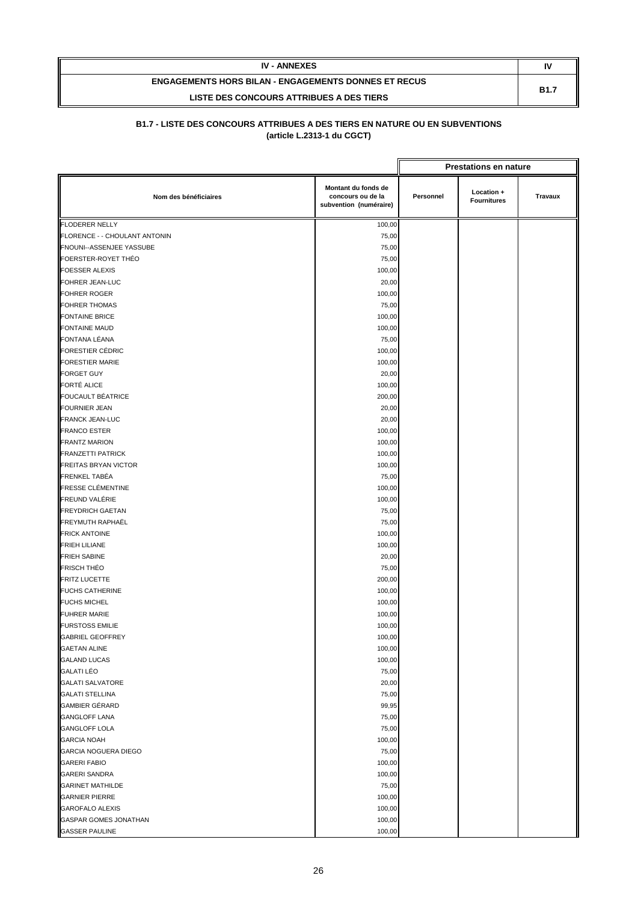| <b>IV - ANNEXES</b>                                         | IV          |
|-------------------------------------------------------------|-------------|
| <b>ENGAGEMENTS HORS BILAN - ENGAGEMENTS DONNES ET RECUS</b> | <b>B1.7</b> |
| LISTE DES CONCOURS ATTRIBUES A DES TIERS                    |             |

|                               |                                                                    |           | <b>Prestations en nature</b>     |         |
|-------------------------------|--------------------------------------------------------------------|-----------|----------------------------------|---------|
| Nom des bénéficiaires         | Montant du fonds de<br>concours ou de la<br>subvention (numéraire) | Personnel | Location +<br><b>Fournitures</b> | Travaux |
| <b>FLODERER NELLY</b>         | 100,00                                                             |           |                                  |         |
| FLORENCE - - CHOULANT ANTONIN | 75,00                                                              |           |                                  |         |
| FNOUNI--ASSENJEE YASSUBE      | 75,00                                                              |           |                                  |         |
| FOERSTER-ROYET THÉO           | 75,00                                                              |           |                                  |         |
| <b>FOESSER ALEXIS</b>         | 100,00                                                             |           |                                  |         |
| <b>FOHRER JEAN-LUC</b>        | 20,00                                                              |           |                                  |         |
| <b>FOHRER ROGER</b>           | 100,00                                                             |           |                                  |         |
| <b>FOHRER THOMAS</b>          | 75,00                                                              |           |                                  |         |
| <b>FONTAINE BRICE</b>         | 100,00                                                             |           |                                  |         |
| <b>FONTAINE MAUD</b>          | 100,00                                                             |           |                                  |         |
| FONTANA LÉANA                 | 75,00                                                              |           |                                  |         |
| <b>FORESTIER CÉDRIC</b>       | 100,00                                                             |           |                                  |         |
| <b>FORESTIER MARIE</b>        | 100,00                                                             |           |                                  |         |
| <b>FORGET GUY</b>             | 20,00                                                              |           |                                  |         |
| <b>FORTÉ ALICE</b>            | 100,00                                                             |           |                                  |         |
| <b>FOUCAULT BÉATRICE</b>      | 200,00                                                             |           |                                  |         |
| <b>FOURNIER JEAN</b>          | 20,00                                                              |           |                                  |         |
| <b>FRANCK JEAN-LUC</b>        | 20,00                                                              |           |                                  |         |
| <b>FRANCO ESTER</b>           | 100,00                                                             |           |                                  |         |
| <b>FRANTZ MARION</b>          | 100,00                                                             |           |                                  |         |
| <b>FRANZETTI PATRICK</b>      | 100,00                                                             |           |                                  |         |
| <b>FREITAS BRYAN VICTOR</b>   | 100,00                                                             |           |                                  |         |
| <b>FRENKEL TABÉA</b>          | 75,00                                                              |           |                                  |         |
| <b>FRESSE CLÉMENTINE</b>      | 100,00                                                             |           |                                  |         |
| FREUND VALÉRIE                | 100,00                                                             |           |                                  |         |
| <b>FREYDRICH GAETAN</b>       | 75,00                                                              |           |                                  |         |
| FREYMUTH RAPHAËL              | 75,00                                                              |           |                                  |         |
| <b>FRICK ANTOINE</b>          | 100,00                                                             |           |                                  |         |
| <b>FRIEH LILIANE</b>          | 100,00                                                             |           |                                  |         |
| <b>FRIEH SABINE</b>           | 20,00                                                              |           |                                  |         |
| <b>FRISCH THEO</b>            | 75,00                                                              |           |                                  |         |
| <b>FRITZ LUCETTE</b>          | 200,00                                                             |           |                                  |         |
| <b>FUCHS CATHERINE</b>        | 100,00                                                             |           |                                  |         |
| <b>FUCHS MICHEL</b>           | 100,00                                                             |           |                                  |         |
| <b>FUHRER MARIE</b>           | 100,00                                                             |           |                                  |         |
| <b>FURSTOSS EMILIE</b>        | 100,00                                                             |           |                                  |         |
| <b>GABRIEL GEOFFREY</b>       | 100,00                                                             |           |                                  |         |
| <b>GAETAN ALINE</b>           | 100,00                                                             |           |                                  |         |
| <b>GALAND LUCAS</b>           | 100,00                                                             |           |                                  |         |
| <b>GALATI LÉO</b>             | 75,00                                                              |           |                                  |         |
| <b>GALATI SALVATORE</b>       | 20,00                                                              |           |                                  |         |
| <b>GALATI STELLINA</b>        | 75,00                                                              |           |                                  |         |
| <b>GAMBIER GÉRARD</b>         | 99,95                                                              |           |                                  |         |
| <b>GANGLOFF LANA</b>          | 75,00                                                              |           |                                  |         |
| <b>GANGLOFF LOLA</b>          | 75,00                                                              |           |                                  |         |
| <b>GARCIA NOAH</b>            | 100,00                                                             |           |                                  |         |
| <b>GARCIA NOGUERA DIEGO</b>   | 75,00                                                              |           |                                  |         |
| <b>GARERI FABIO</b>           | 100,00                                                             |           |                                  |         |
| <b>GARERI SANDRA</b>          | 100,00                                                             |           |                                  |         |
| <b>GARINET MATHILDE</b>       | 75,00                                                              |           |                                  |         |
| <b>GARNIER PIERRE</b>         | 100,00                                                             |           |                                  |         |
| <b>GAROFALO ALEXIS</b>        | 100,00                                                             |           |                                  |         |
| GASPAR GOMES JONATHAN         | 100,00                                                             |           |                                  |         |
| <b>GASSER PAULINE</b>         | 100,00                                                             |           |                                  |         |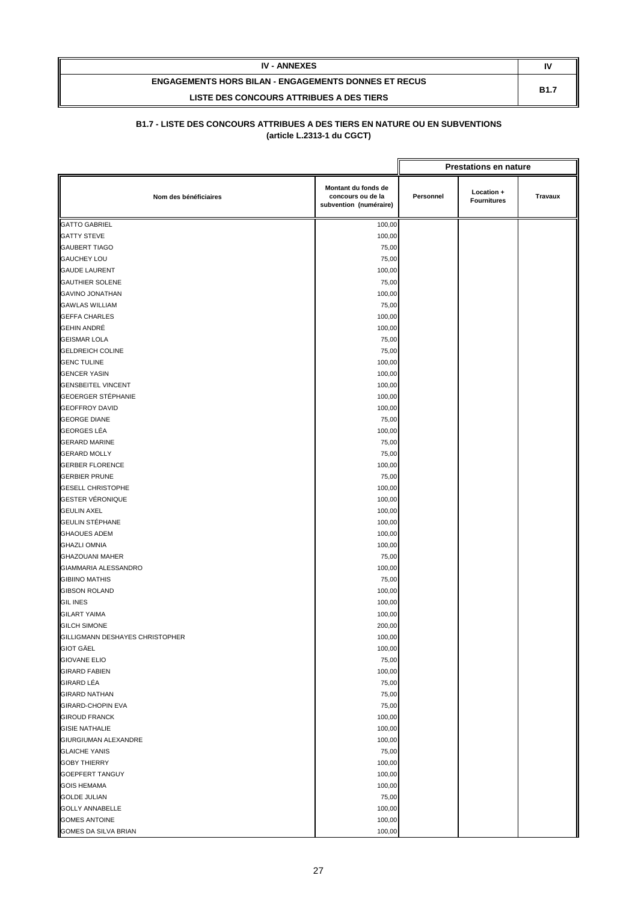| <b>IV - ANNEXES</b>                                         | IV          |
|-------------------------------------------------------------|-------------|
| <b>ENGAGEMENTS HORS BILAN - ENGAGEMENTS DONNES ET RECUS</b> | <b>B1.7</b> |
| LISTE DES CONCOURS ATTRIBUES A DES TIERS                    |             |

|                                 |                                                                    |           | <b>Prestations en nature</b>     |         |
|---------------------------------|--------------------------------------------------------------------|-----------|----------------------------------|---------|
| Nom des bénéficiaires           | Montant du fonds de<br>concours ou de la<br>subvention (numéraire) | Personnel | Location +<br><b>Fournitures</b> | Travaux |
| <b>GATTO GABRIEL</b>            | 100,00                                                             |           |                                  |         |
| <b>GATTY STEVE</b>              | 100,00                                                             |           |                                  |         |
| <b>GAUBERT TIAGO</b>            | 75,00                                                              |           |                                  |         |
| <b>GAUCHEY LOU</b>              | 75,00                                                              |           |                                  |         |
| <b>GAUDE LAURENT</b>            | 100,00                                                             |           |                                  |         |
| <b>GAUTHIER SOLENE</b>          | 75,00                                                              |           |                                  |         |
| <b>GAVINO JONATHAN</b>          | 100,00                                                             |           |                                  |         |
| <b>GAWLAS WILLIAM</b>           | 75,00                                                              |           |                                  |         |
| <b>GEFFA CHARLES</b>            | 100,00                                                             |           |                                  |         |
| <b>GEHIN ANDRÉ</b>              | 100,00                                                             |           |                                  |         |
| <b>GEISMAR LOLA</b>             | 75,00                                                              |           |                                  |         |
| <b>GELDREICH COLINE</b>         | 75,00                                                              |           |                                  |         |
| <b>GENC TULINE</b>              | 100,00                                                             |           |                                  |         |
| <b>GENCER YASIN</b>             | 100,00                                                             |           |                                  |         |
| <b>GENSBEITEL VINCENT</b>       | 100,00                                                             |           |                                  |         |
| <b>GEOERGER STÉPHANIE</b>       | 100,00                                                             |           |                                  |         |
| <b>GEOFFROY DAVID</b>           | 100,00                                                             |           |                                  |         |
| <b>GEORGE DIANE</b>             | 75,00                                                              |           |                                  |         |
| <b>GEORGES LÉA</b>              | 100,00                                                             |           |                                  |         |
| <b>GERARD MARINE</b>            | 75,00                                                              |           |                                  |         |
| <b>GERARD MOLLY</b>             | 75,00                                                              |           |                                  |         |
| <b>GERBER FLORENCE</b>          | 100,00                                                             |           |                                  |         |
| <b>GERBIER PRUNE</b>            | 75,00                                                              |           |                                  |         |
| <b>GESELL CHRISTOPHE</b>        | 100,00                                                             |           |                                  |         |
| <b>GESTER VÉRONIQUE</b>         | 100,00                                                             |           |                                  |         |
| <b>GEULIN AXEL</b>              | 100,00                                                             |           |                                  |         |
| <b>GEULIN STÉPHANE</b>          | 100,00                                                             |           |                                  |         |
| <b>GHAOUES ADEM</b>             | 100,00                                                             |           |                                  |         |
| <b>GHAZLI OMNIA</b>             | 100,00                                                             |           |                                  |         |
| <b>GHAZOUANI MAHER</b>          | 75,00                                                              |           |                                  |         |
| GIAMMARIA ALESSANDRO            | 100,00                                                             |           |                                  |         |
| <b>GIBIINO MATHIS</b>           | 75,00                                                              |           |                                  |         |
| <b>GIBSON ROLAND</b>            | 100,00                                                             |           |                                  |         |
| <b>GIL INES</b>                 | 100,00                                                             |           |                                  |         |
| <b>GILART YAIMA</b>             | 100,00                                                             |           |                                  |         |
| <b>GILCH SIMONE</b>             | 200,00                                                             |           |                                  |         |
| GILLIGMANN DESHAYES CHRISTOPHER | 100,00                                                             |           |                                  |         |
| <b>GIOT GÄEL</b>                | 100,00                                                             |           |                                  |         |
| <b>GIOVANE ELIO</b>             | 75,00                                                              |           |                                  |         |
| <b>GIRARD FABIEN</b>            | 100,00                                                             |           |                                  |         |
| GIRARD LÉA                      | 75,00                                                              |           |                                  |         |
| <b>GIRARD NATHAN</b>            | 75,00                                                              |           |                                  |         |
| GIRARD-CHOPIN EVA               | 75,00                                                              |           |                                  |         |
| <b>GIROUD FRANCK</b>            | 100,00                                                             |           |                                  |         |
| <b>GISIE NATHALIE</b>           | 100,00                                                             |           |                                  |         |
| GIURGIUMAN ALEXANDRE            | 100,00                                                             |           |                                  |         |
| <b>GLAICHE YANIS</b>            | 75,00                                                              |           |                                  |         |
| <b>GOBY THIERRY</b>             | 100,00                                                             |           |                                  |         |
| <b>GOEPFERT TANGUY</b>          | 100,00                                                             |           |                                  |         |
| <b>GOIS HEMAMA</b>              | 100,00                                                             |           |                                  |         |
| <b>GOLDE JULIAN</b>             | 75,00                                                              |           |                                  |         |
| <b>GOLLY ANNABELLE</b>          | 100,00                                                             |           |                                  |         |
| <b>GOMES ANTOINE</b>            | 100,00                                                             |           |                                  |         |
| GOMES DA SILVA BRIAN            | 100,00                                                             |           |                                  |         |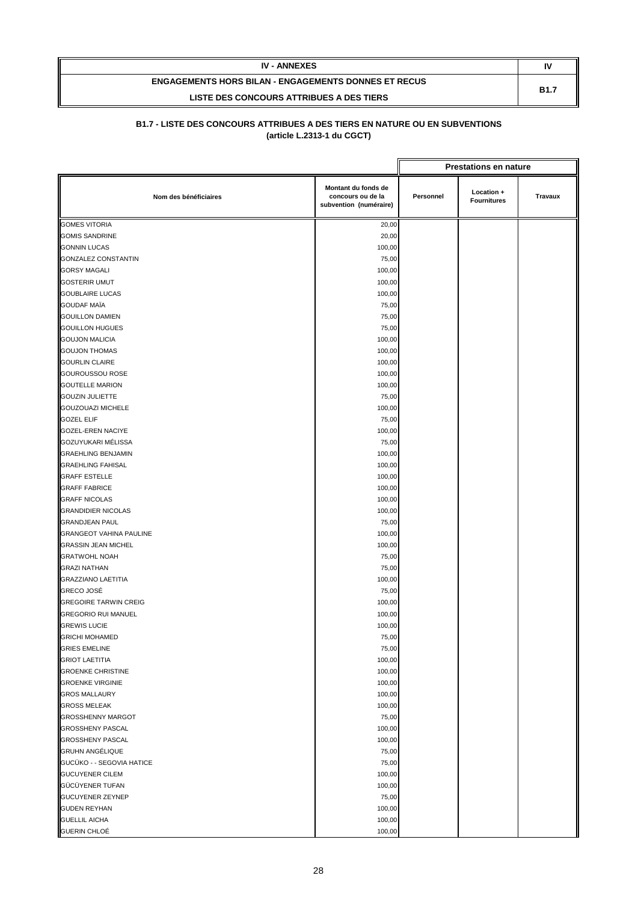| <b>IV - ANNEXES</b>                                         | IV          |
|-------------------------------------------------------------|-------------|
| <b>ENGAGEMENTS HORS BILAN - ENGAGEMENTS DONNES ET RECUS</b> | <b>B1.7</b> |
| LISTE DES CONCOURS ATTRIBUES A DES TIERS                    |             |

|                                |                                                                    |           | <b>Prestations en nature</b>     |         |
|--------------------------------|--------------------------------------------------------------------|-----------|----------------------------------|---------|
| Nom des bénéficiaires          | Montant du fonds de<br>concours ou de la<br>subvention (numéraire) | Personnel | Location +<br><b>Fournitures</b> | Travaux |
| <b>GOMES VITORIA</b>           | 20,00                                                              |           |                                  |         |
| <b>GOMIS SANDRINE</b>          | 20,00                                                              |           |                                  |         |
| <b>GONNIN LUCAS</b>            | 100,00                                                             |           |                                  |         |
| <b>GONZALEZ CONSTANTIN</b>     | 75,00                                                              |           |                                  |         |
| <b>GORSY MAGALI</b>            | 100,00                                                             |           |                                  |         |
| <b>GOSTERIR UMUT</b>           | 100,00                                                             |           |                                  |         |
| <b>GOUBLAIRE LUCAS</b>         | 100,00                                                             |           |                                  |         |
| <b>GOUDAF MAÏA</b>             | 75,00                                                              |           |                                  |         |
| <b>GOUILLON DAMIEN</b>         | 75,00                                                              |           |                                  |         |
| <b>GOUILLON HUGUES</b>         | 75,00                                                              |           |                                  |         |
| <b>GOUJON MALICIA</b>          | 100,00                                                             |           |                                  |         |
| <b>GOUJON THOMAS</b>           | 100,00                                                             |           |                                  |         |
| <b>GOURLIN CLAIRE</b>          | 100,00                                                             |           |                                  |         |
| <b>GOUROUSSOU ROSE</b>         | 100,00                                                             |           |                                  |         |
| <b>GOUTELLE MARION</b>         | 100,00                                                             |           |                                  |         |
| <b>GOUZIN JULIETTE</b>         | 75,00                                                              |           |                                  |         |
| <b>GOUZOUAZI MICHELE</b>       | 100,00                                                             |           |                                  |         |
| <b>GOZEL ELIF</b>              | 75,00                                                              |           |                                  |         |
| <b>GOZEL-EREN NACIYE</b>       | 100,00                                                             |           |                                  |         |
| GOZUYUKARI MÉLISSA             | 75,00                                                              |           |                                  |         |
| <b>GRAEHLING BENJAMIN</b>      | 100,00                                                             |           |                                  |         |
| <b>GRAEHLING FAHISAL</b>       | 100,00                                                             |           |                                  |         |
| <b>GRAFF ESTELLE</b>           | 100,00                                                             |           |                                  |         |
| <b>GRAFF FABRICE</b>           | 100,00                                                             |           |                                  |         |
| <b>GRAFF NICOLAS</b>           | 100,00                                                             |           |                                  |         |
| <b>GRANDIDIER NICOLAS</b>      | 100,00                                                             |           |                                  |         |
| <b>GRANDJEAN PAUL</b>          | 75,00                                                              |           |                                  |         |
| <b>GRANGEOT VAHINA PAULINE</b> | 100,00                                                             |           |                                  |         |
| <b>GRASSIN JEAN MICHEL</b>     | 100,00                                                             |           |                                  |         |
| <b>GRATWOHL NOAH</b>           | 75,00                                                              |           |                                  |         |
| <b>GRAZI NATHAN</b>            | 75,00                                                              |           |                                  |         |
| <b>GRAZZIANO LAETITIA</b>      | 100,00                                                             |           |                                  |         |
| <b>GRECO JOSÉ</b>              | 75,00                                                              |           |                                  |         |
| <b>GREGOIRE TARWIN CREIG</b>   | 100,00                                                             |           |                                  |         |
| <b>GREGORIO RUI MANUEL</b>     | 100,00                                                             |           |                                  |         |
| <b>GREWIS LUCIE</b>            | 100,00                                                             |           |                                  |         |
| <b>GRICHI MOHAMED</b>          | 75,00                                                              |           |                                  |         |
| <b>GRIES EMELINE</b>           | 75,00                                                              |           |                                  |         |
| <b>GRIOT LAETITIA</b>          | 100,00                                                             |           |                                  |         |
| <b>GROENKE CHRISTINE</b>       | 100,00                                                             |           |                                  |         |
| <b>GROENKE VIRGINIE</b>        | 100,00                                                             |           |                                  |         |
| <b>GROS MALLAURY</b>           | 100,00                                                             |           |                                  |         |
| <b>GROSS MELEAK</b>            | 100,00                                                             |           |                                  |         |
| <b>GROSSHENNY MARGOT</b>       | 75,00                                                              |           |                                  |         |
| <b>GROSSHENY PASCAL</b>        | 100,00                                                             |           |                                  |         |
| <b>GROSSHENY PASCAL</b>        | 100,00                                                             |           |                                  |         |
| <b>GRUHN ANGÉLIQUE</b>         | 75,00                                                              |           |                                  |         |
| GUCÜKO - - SEGOVIA HATICE      | 75,00                                                              |           |                                  |         |
| <b>GUCUYENER CILEM</b>         | 100,00                                                             |           |                                  |         |
| GÜCÜYENER TUFAN                | 100,00                                                             |           |                                  |         |
| GUCUYENER ZEYNEP               | 75,00                                                              |           |                                  |         |
| <b>GUDEN REYHAN</b>            | 100,00                                                             |           |                                  |         |
| <b>GUELLIL AICHA</b>           | 100,00                                                             |           |                                  |         |
| GUERIN CHLOÉ                   | 100,00                                                             |           |                                  |         |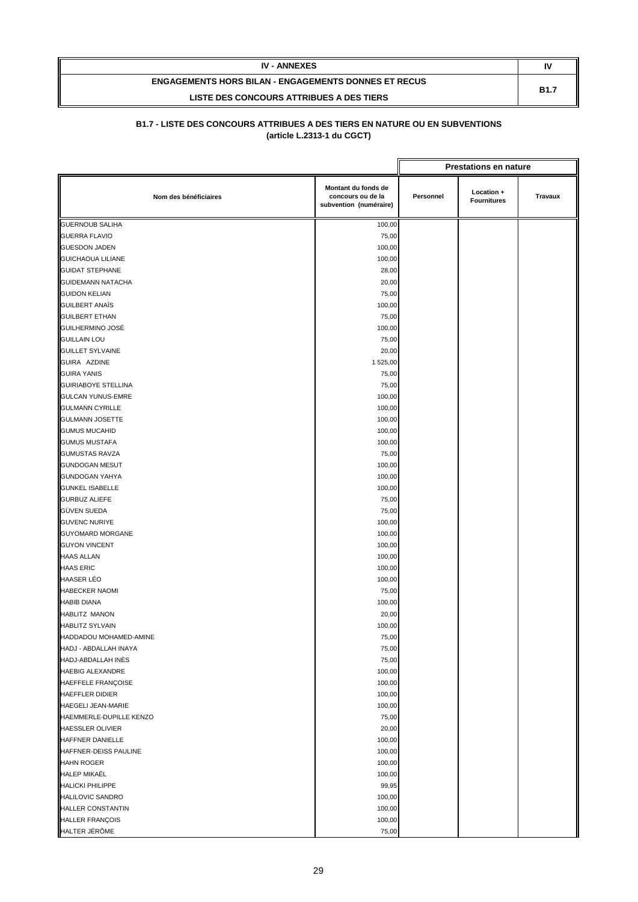| <b>IV - ANNEXES</b>                                         | IV          |
|-------------------------------------------------------------|-------------|
| <b>ENGAGEMENTS HORS BILAN - ENGAGEMENTS DONNES ET RECUS</b> | <b>B1.7</b> |
| LISTE DES CONCOURS ATTRIBUES A DES TIERS                    |             |

|                            |                                                                    |                                                                 | <b>Prestations en nature</b> |  |
|----------------------------|--------------------------------------------------------------------|-----------------------------------------------------------------|------------------------------|--|
| Nom des bénéficiaires      | Montant du fonds de<br>concours ou de la<br>subvention (numéraire) | Location +<br>Personnel<br><b>Travaux</b><br><b>Fournitures</b> |                              |  |
| <b>GUERNOUB SALIHA</b>     | 100,00                                                             |                                                                 |                              |  |
| <b>GUERRA FLAVIO</b>       | 75,00                                                              |                                                                 |                              |  |
| <b>GUESDON JADEN</b>       | 100,00                                                             |                                                                 |                              |  |
| <b>GUICHAOUA LILIANE</b>   | 100,00                                                             |                                                                 |                              |  |
| <b>GUIDAT STEPHANE</b>     | 28,00                                                              |                                                                 |                              |  |
| <b>GUIDEMANN NATACHA</b>   | 20,00                                                              |                                                                 |                              |  |
| <b>GUIDON KELIAN</b>       | 75,00                                                              |                                                                 |                              |  |
| <b>GUILBERT ANAÏS</b>      | 100,00                                                             |                                                                 |                              |  |
| <b>GUILBERT ETHAN</b>      | 75,00                                                              |                                                                 |                              |  |
| GUILHERMINO JOSÉ           | 100,00                                                             |                                                                 |                              |  |
| <b>GUILLAIN LOU</b>        | 75,00                                                              |                                                                 |                              |  |
| <b>GUILLET SYLVAINE</b>    | 20,00                                                              |                                                                 |                              |  |
| GUIRA AZDINE               | 1 525,00                                                           |                                                                 |                              |  |
| <b>GUIRA YANIS</b>         | 75,00                                                              |                                                                 |                              |  |
| <b>GUIRIABOYE STELLINA</b> | 75,00                                                              |                                                                 |                              |  |
| <b>GULCAN YUNUS-EMRE</b>   | 100,00                                                             |                                                                 |                              |  |
| <b>GULMANN CYRILLE</b>     | 100,00                                                             |                                                                 |                              |  |
| <b>GULMANN JOSETTE</b>     | 100,00                                                             |                                                                 |                              |  |
| <b>GUMUS MUCAHID</b>       | 100,00                                                             |                                                                 |                              |  |
| <b>GUMUS MUSTAFA</b>       | 100,00                                                             |                                                                 |                              |  |
| <b>GUMUSTAS RAVZA</b>      | 75,00                                                              |                                                                 |                              |  |
| <b>GUNDOGAN MESUT</b>      | 100,00                                                             |                                                                 |                              |  |
| <b>GUNDOGAN YAHYA</b>      | 100,00                                                             |                                                                 |                              |  |
| <b>GUNKEL ISABELLE</b>     | 100,00                                                             |                                                                 |                              |  |
| <b>GURBUZ ALIEFE</b>       | 75,00                                                              |                                                                 |                              |  |
| GÜVEN SUEDA                | 75,00                                                              |                                                                 |                              |  |
| <b>GUVENC NURIYE</b>       | 100,00                                                             |                                                                 |                              |  |
| <b>GUYOMARD MORGANE</b>    | 100,00                                                             |                                                                 |                              |  |
| <b>GUYON VINCENT</b>       | 100,00                                                             |                                                                 |                              |  |
| <b>HAAS ALLAN</b>          | 100,00                                                             |                                                                 |                              |  |
| <b>HAAS ERIC</b>           | 100,00                                                             |                                                                 |                              |  |
| <b>HAASER LÉO</b>          | 100,00                                                             |                                                                 |                              |  |
| <b>HABECKER NAOMI</b>      | 75,00                                                              |                                                                 |                              |  |
| <b>HABIB DIANA</b>         | 100,00                                                             |                                                                 |                              |  |
| <b>HABLITZ MANON</b>       | 20,00                                                              |                                                                 |                              |  |
| <b>HABLITZ SYLVAIN</b>     | 100,00                                                             |                                                                 |                              |  |
| HADDADOU MOHAMED-AMINE     | 75,00                                                              |                                                                 |                              |  |
| HADJ - ABDALLAH INAYA      | 75,00                                                              |                                                                 |                              |  |
| HADJ-ABDALLAH INÈS         | 75,00                                                              |                                                                 |                              |  |
| <b>HAEBIG ALEXANDRE</b>    | 100,00                                                             |                                                                 |                              |  |
| HAEFFELE FRANÇOISE         | 100,00                                                             |                                                                 |                              |  |
| HAEFFLER DIDIER            | 100,00                                                             |                                                                 |                              |  |
| <b>HAEGELI JEAN-MARIE</b>  | 100,00                                                             |                                                                 |                              |  |
| HAEMMERLE-DUPILLE KENZO    | 75,00                                                              |                                                                 |                              |  |
| HAESSLER OLIVIER           | 20,00                                                              |                                                                 |                              |  |
| HAFFNER DANIELLE           | 100,00                                                             |                                                                 |                              |  |
| HAFFNER-DEISS PAULINE      | 100,00                                                             |                                                                 |                              |  |
| <b>HAHN ROGER</b>          | 100,00                                                             |                                                                 |                              |  |
| HALEP MIKAËL               | 100,00                                                             |                                                                 |                              |  |
| <b>HALICKI PHILIPPE</b>    | 99,95                                                              |                                                                 |                              |  |
| <b>HALILOVIC SANDRO</b>    | 100,00                                                             |                                                                 |                              |  |
| <b>HALLER CONSTANTIN</b>   | 100,00                                                             |                                                                 |                              |  |
| <b>HALLER FRANÇOIS</b>     | 100,00                                                             |                                                                 |                              |  |
| HALTER JÉRÔME              | 75,00                                                              |                                                                 |                              |  |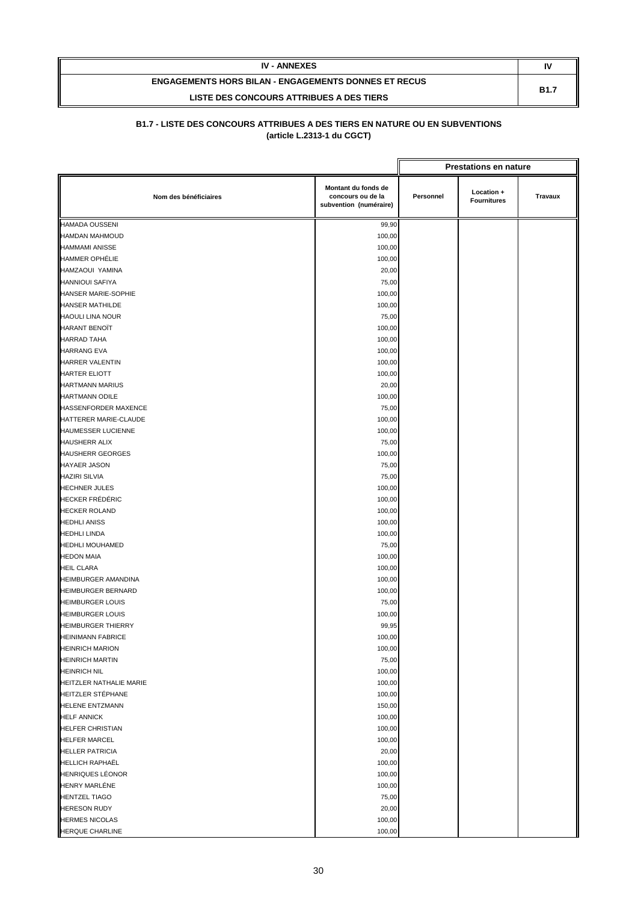| <b>IV - ANNEXES</b>                                         | N           |
|-------------------------------------------------------------|-------------|
| <b>ENGAGEMENTS HORS BILAN - ENGAGEMENTS DONNES ET RECUS</b> | <b>B1.7</b> |
| LISTE DES CONCOURS ATTRIBUES A DES TIERS                    |             |

|                           |                                                                    |           | <b>Prestations en nature</b>     |                |
|---------------------------|--------------------------------------------------------------------|-----------|----------------------------------|----------------|
| Nom des bénéficiaires     | Montant du fonds de<br>concours ou de la<br>subvention (numéraire) | Personnel | Location +<br><b>Fournitures</b> | <b>Travaux</b> |
| <b>HAMADA OUSSENI</b>     | 99,90                                                              |           |                                  |                |
| <b>HAMDAN MAHMOUD</b>     | 100,00                                                             |           |                                  |                |
| <b>HAMMAMI ANISSE</b>     | 100,00                                                             |           |                                  |                |
| <b>HAMMER OPHÉLIE</b>     | 100,00                                                             |           |                                  |                |
| HAMZAOUI YAMINA           | 20,00                                                              |           |                                  |                |
| <b>HANNIOUI SAFIYA</b>    | 75,00                                                              |           |                                  |                |
| HANSER MARIE-SOPHIE       | 100,00                                                             |           |                                  |                |
| <b>HANSER MATHILDE</b>    | 100,00                                                             |           |                                  |                |
| <b>HAOULI LINA NOUR</b>   | 75,00                                                              |           |                                  |                |
| <b>HARANT BENOÏT</b>      | 100,00                                                             |           |                                  |                |
| <b>HARRAD TAHA</b>        | 100,00                                                             |           |                                  |                |
| <b>HARRANG EVA</b>        | 100,00                                                             |           |                                  |                |
| HARRER VALENTIN           | 100,00                                                             |           |                                  |                |
| <b>HARTER ELIOTT</b>      | 100,00                                                             |           |                                  |                |
| <b>HARTMANN MARIUS</b>    | 20,00                                                              |           |                                  |                |
| <b>HARTMANN ODILE</b>     | 100,00                                                             |           |                                  |                |
| HASSENFORDER MAXENCE      | 75,00                                                              |           |                                  |                |
| HATTERER MARIE-CLAUDE     | 100,00                                                             |           |                                  |                |
| <b>HAUMESSER LUCIENNE</b> | 100,00                                                             |           |                                  |                |
| <b>HAUSHERR ALIX</b>      | 75,00                                                              |           |                                  |                |
| <b>HAUSHERR GEORGES</b>   | 100,00                                                             |           |                                  |                |
| <b>HAYAER JASON</b>       | 75,00                                                              |           |                                  |                |
| <b>HAZIRI SILVIA</b>      | 75,00                                                              |           |                                  |                |
| <b>HECHNER JULES</b>      | 100,00                                                             |           |                                  |                |
| <b>HECKER FRÉDÉRIC</b>    | 100,00                                                             |           |                                  |                |
| <b>HECKER ROLAND</b>      | 100,00                                                             |           |                                  |                |
| <b>HEDHLI ANISS</b>       | 100,00                                                             |           |                                  |                |
| <b>HEDHLI LINDA</b>       | 100,00                                                             |           |                                  |                |
| <b>HEDHLI MOUHAMED</b>    | 75,00                                                              |           |                                  |                |
| <b>HEDON MAIA</b>         | 100,00                                                             |           |                                  |                |
| <b>HEIL CLARA</b>         | 100,00                                                             |           |                                  |                |
| HEIMBURGER AMANDINA       | 100,00                                                             |           |                                  |                |
| <b>HEIMBURGER BERNARD</b> | 100,00                                                             |           |                                  |                |
| <b>HEIMBURGER LOUIS</b>   | 75,00                                                              |           |                                  |                |
| <b>HEIMBURGER LOUIS</b>   | 100,00                                                             |           |                                  |                |
| <b>HEIMBURGER THIERRY</b> | 99,95                                                              |           |                                  |                |
| <b>HEINIMANN FABRICE</b>  | 100,00                                                             |           |                                  |                |
| <b>HEINRICH MARION</b>    | 100,00                                                             |           |                                  |                |
| <b>HEINRICH MARTIN</b>    | 75,00                                                              |           |                                  |                |
| <b>HEINRICH NIL</b>       | 100,00                                                             |           |                                  |                |
| HEITZLER NATHALIE MARIE   | 100,00                                                             |           |                                  |                |
| HEITZLER STÉPHANE         | 100,00                                                             |           |                                  |                |
| <b>HELENE ENTZMANN</b>    | 150,00                                                             |           |                                  |                |
| <b>HELF ANNICK</b>        | 100,00                                                             |           |                                  |                |
| <b>HELFER CHRISTIAN</b>   | 100,00                                                             |           |                                  |                |
| <b>HELFER MARCEL</b>      | 100,00                                                             |           |                                  |                |
| <b>HELLER PATRICIA</b>    | 20,00                                                              |           |                                  |                |
| <b>HELLICH RAPHAËL</b>    | 100,00                                                             |           |                                  |                |
| <b>HENRIQUES LÉONOR</b>   | 100,00                                                             |           |                                  |                |
| <b>HENRY MARLÉNE</b>      | 100,00                                                             |           |                                  |                |
| <b>HENTZEL TIAGO</b>      | 75,00                                                              |           |                                  |                |
| <b>HERESON RUDY</b>       | 20,00                                                              |           |                                  |                |
| <b>HERMES NICOLAS</b>     | 100,00                                                             |           |                                  |                |
| <b>HERQUE CHARLINE</b>    | 100,00                                                             |           |                                  |                |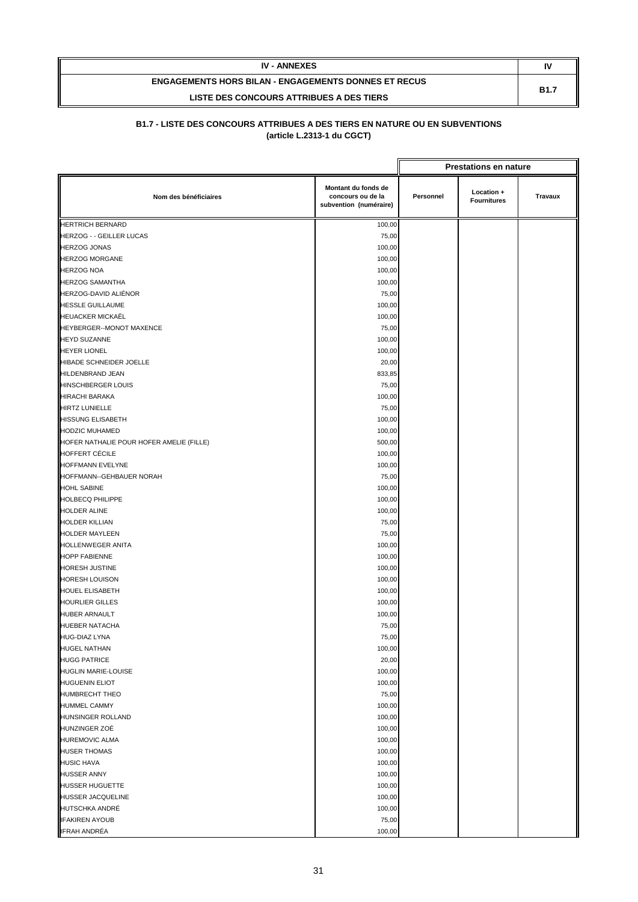| <b>IV - ANNEXES</b>                                         | I١          |
|-------------------------------------------------------------|-------------|
| <b>ENGAGEMENTS HORS BILAN - ENGAGEMENTS DONNES ET RECUS</b> | <b>B1.7</b> |
| LISTE DES CONCOURS ATTRIBUES A DES TIERS                    |             |

|                                          |                                                                    |           | <b>Prestations en nature</b>     |                |
|------------------------------------------|--------------------------------------------------------------------|-----------|----------------------------------|----------------|
| Nom des bénéficiaires                    | Montant du fonds de<br>concours ou de la<br>subvention (numéraire) | Personnel | Location +<br><b>Fournitures</b> | <b>Travaux</b> |
| <b>HERTRICH BERNARD</b>                  | 100,00                                                             |           |                                  |                |
| <b>HERZOG - - GEILLER LUCAS</b>          | 75,00                                                              |           |                                  |                |
| <b>HERZOG JONAS</b>                      | 100,00                                                             |           |                                  |                |
| <b>HERZOG MORGANE</b>                    | 100,00                                                             |           |                                  |                |
| <b>HERZOG NOA</b>                        | 100,00                                                             |           |                                  |                |
| <b>HERZOG SAMANTHA</b>                   | 100,00                                                             |           |                                  |                |
| HERZOG-DAVID ALIÉNOR                     | 75,00                                                              |           |                                  |                |
| <b>HESSLE GUILLAUME</b>                  | 100,00                                                             |           |                                  |                |
| <b>HEUACKER MICKAËL</b>                  | 100,00                                                             |           |                                  |                |
| HEYBERGER--MONOT MAXENCE                 | 75,00                                                              |           |                                  |                |
| <b>HEYD SUZANNE</b>                      | 100,00                                                             |           |                                  |                |
| <b>HEYER LIONEL</b>                      | 100,00                                                             |           |                                  |                |
| HIBADE SCHNEIDER JOELLE                  | 20,00                                                              |           |                                  |                |
| HILDENBRAND JEAN                         | 833,85                                                             |           |                                  |                |
| <b>HINSCHBERGER LOUIS</b>                | 75,00                                                              |           |                                  |                |
| <b>HIRACHI BARAKA</b>                    | 100,00                                                             |           |                                  |                |
| <b>HIRTZ LUNIELLE</b>                    | 75,00                                                              |           |                                  |                |
| <b>HISSUNG ELISABETH</b>                 | 100,00                                                             |           |                                  |                |
| <b>HODZIC MUHAMED</b>                    | 100,00                                                             |           |                                  |                |
| HOFER NATHALIE POUR HOFER AMELIE (FILLE) | 500,00                                                             |           |                                  |                |
| HOFFERT CÉCILE                           | 100,00                                                             |           |                                  |                |
| HOFFMANN EVELYNE                         | 100,00                                                             |           |                                  |                |
| HOFFMANN--GEHBAUER NORAH                 | 75,00                                                              |           |                                  |                |
| <b>HOHL SABINE</b>                       | 100,00                                                             |           |                                  |                |
| <b>HOLBECQ PHILIPPE</b>                  | 100,00                                                             |           |                                  |                |
| HOLDER ALINE                             | 100,00                                                             |           |                                  |                |
| <b>HOLDER KILLIAN</b>                    | 75,00                                                              |           |                                  |                |
| <b>HOLDER MAYLEEN</b>                    | 75,00                                                              |           |                                  |                |
| HOLLENWEGER ANITA                        | 100,00                                                             |           |                                  |                |
| <b>HOPP FABIENNE</b>                     | 100,00                                                             |           |                                  |                |
| <b>HORESH JUSTINE</b>                    | 100,00                                                             |           |                                  |                |
| <b>HORESH LOUISON</b>                    | 100,00                                                             |           |                                  |                |
| <b>HOUEL ELISABETH</b>                   | 100,00                                                             |           |                                  |                |
| <b>HOURLIER GILLES</b>                   | 100,00                                                             |           |                                  |                |
| <b>HUBER ARNAULT</b>                     | 100,00                                                             |           |                                  |                |
| HUEBER NATACHA                           | 75,00                                                              |           |                                  |                |
| HUG-DIAZ LYNA                            | 75,00                                                              |           |                                  |                |
| <b>HUGEL NATHAN</b>                      | 100,00                                                             |           |                                  |                |
| <b>HUGG PATRICE</b>                      | 20,00                                                              |           |                                  |                |
| <b>HUGLIN MARIE-LOUISE</b>               | 100,00                                                             |           |                                  |                |
| <b>HUGUENIN ELIOT</b>                    | 100,00                                                             |           |                                  |                |
| <b>HUMBRECHT THEO</b>                    | 75,00                                                              |           |                                  |                |
| <b>HUMMEL CAMMY</b>                      | 100,00                                                             |           |                                  |                |
| HUNSINGER ROLLAND                        | 100,00                                                             |           |                                  |                |
| HUNZINGER ZOÉ                            | 100,00                                                             |           |                                  |                |
| <b>HUREMOVIC ALMA</b>                    | 100,00                                                             |           |                                  |                |
| <b>HUSER THOMAS</b>                      | 100,00                                                             |           |                                  |                |
| <b>HUSIC HAVA</b>                        | 100,00                                                             |           |                                  |                |
| <b>HUSSER ANNY</b>                       | 100,00                                                             |           |                                  |                |
| <b>HUSSER HUGUETTE</b>                   | 100,00                                                             |           |                                  |                |
| <b>HUSSER JACQUELINE</b>                 | 100,00                                                             |           |                                  |                |
| HUTSCHKA ANDRÉ                           | 100,00                                                             |           |                                  |                |
| <b>IFAKIREN AYOUB</b>                    | 75,00                                                              |           |                                  |                |
| IFRAH ANDRÉA                             | 100,00                                                             |           |                                  |                |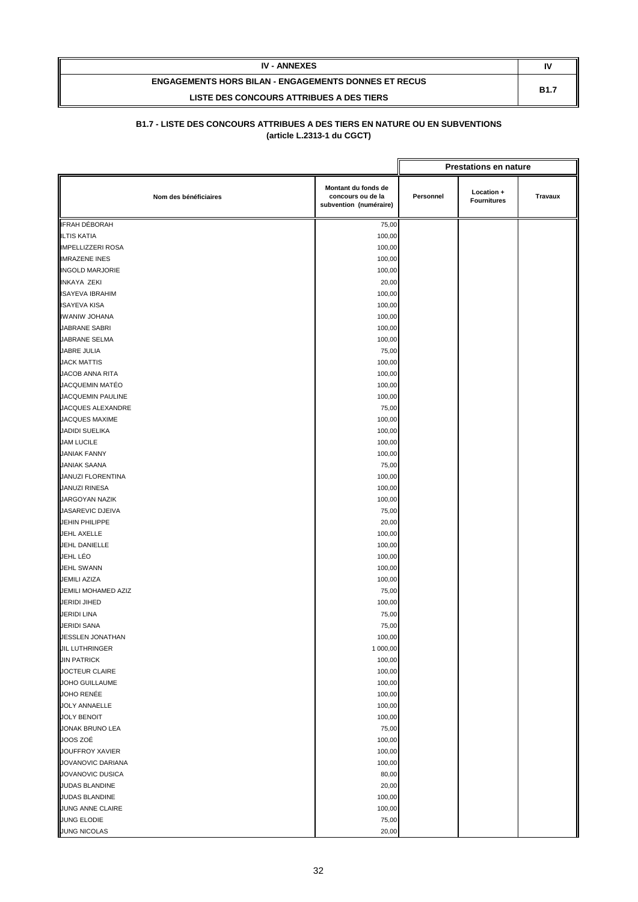| <b>IV - ANNEXES</b>                                         | IV          |
|-------------------------------------------------------------|-------------|
| <b>ENGAGEMENTS HORS BILAN - ENGAGEMENTS DONNES ET RECUS</b> | <b>B1.7</b> |
| LISTE DES CONCOURS ATTRIBUES A DES TIERS                    |             |

|                          |                                                                    |           | <b>Prestations en nature</b>     |         |
|--------------------------|--------------------------------------------------------------------|-----------|----------------------------------|---------|
| Nom des bénéficiaires    | Montant du fonds de<br>concours ou de la<br>subvention (numéraire) | Personnel | Location +<br><b>Fournitures</b> | Travaux |
| IFRAH DÉBORAH            | 75,00                                                              |           |                                  |         |
| <b>ILTIS KATIA</b>       | 100,00                                                             |           |                                  |         |
| <b>IMPELLIZZERI ROSA</b> | 100,00                                                             |           |                                  |         |
| <b>IMRAZENE INES</b>     | 100,00                                                             |           |                                  |         |
| <b>INGOLD MARJORIE</b>   | 100,00                                                             |           |                                  |         |
| <b>INKAYA ZEKI</b>       | 20,00                                                              |           |                                  |         |
| <b>ISAYEVA IBRAHIM</b>   | 100,00                                                             |           |                                  |         |
| <b>ISAYEVA KISA</b>      | 100,00                                                             |           |                                  |         |
| <b>IWANIW JOHANA</b>     | 100,00                                                             |           |                                  |         |
| JABRANE SABRI            | 100,00                                                             |           |                                  |         |
| JABRANE SELMA            | 100,00                                                             |           |                                  |         |
| JABRE JULIA              | 75,00                                                              |           |                                  |         |
| <b>JACK MATTIS</b>       | 100,00                                                             |           |                                  |         |
| JACOB ANNA RITA          | 100,00                                                             |           |                                  |         |
| JACQUEMIN MATÉO          | 100,00                                                             |           |                                  |         |
| JACQUEMIN PAULINE        | 100,00                                                             |           |                                  |         |
| JACQUES ALEXANDRE        | 75,00                                                              |           |                                  |         |
| <b>JACQUES MAXIME</b>    | 100,00                                                             |           |                                  |         |
| <b>JADIDI SUELIKA</b>    | 100,00                                                             |           |                                  |         |
| <b>JAM LUCILE</b>        | 100,00                                                             |           |                                  |         |
| <b>JANIAK FANNY</b>      | 100,00                                                             |           |                                  |         |
| <b>JANIAK SAANA</b>      | 75,00                                                              |           |                                  |         |
| JANUZI FLORENTINA        | 100,00                                                             |           |                                  |         |
| JANUZI RINESA            | 100,00                                                             |           |                                  |         |
| JARGOYAN NAZIK           | 100,00                                                             |           |                                  |         |
| JASAREVIC DJEIVA         | 75,00                                                              |           |                                  |         |
| <b>JEHIN PHILIPPE</b>    | 20,00                                                              |           |                                  |         |
| JEHL AXELLE              | 100,00                                                             |           |                                  |         |
| JEHL DANIELLE            | 100,00                                                             |           |                                  |         |
| JEHL LÉO                 | 100,00                                                             |           |                                  |         |
| <b>JEHL SWANN</b>        | 100,00                                                             |           |                                  |         |
| JEMILI AZIZA             | 100,00                                                             |           |                                  |         |
| JEMILI MOHAMED AZIZ      | 75,00                                                              |           |                                  |         |
| <b>JERIDI JIHED</b>      | 100,00                                                             |           |                                  |         |
| JERIDI LINA              | 75,00                                                              |           |                                  |         |
| <b>JERIDI SANA</b>       | 75,00                                                              |           |                                  |         |
| JESSLEN JONATHAN         | 100,00                                                             |           |                                  |         |
| <b>JIL LUTHRINGER</b>    | 1 000,00                                                           |           |                                  |         |
| <b>JIN PATRICK</b>       | 100,00                                                             |           |                                  |         |
| JOCTEUR CLAIRE           | 100,00                                                             |           |                                  |         |
| JOHO GUILLAUME           | 100,00                                                             |           |                                  |         |
| JOHO RENÉE               | 100,00                                                             |           |                                  |         |
| <b>JOLY ANNAELLE</b>     | 100,00                                                             |           |                                  |         |
| <b>JOLY BENOIT</b>       | 100,00                                                             |           |                                  |         |
| JONAK BRUNO LEA          | 75,00                                                              |           |                                  |         |
| JOOS ZOÉ                 | 100,00                                                             |           |                                  |         |
| JOUFFROY XAVIER          | 100,00                                                             |           |                                  |         |
| JOVANOVIC DARIANA        | 100,00                                                             |           |                                  |         |
| JOVANOVIC DUSICA         | 80,00                                                              |           |                                  |         |
| JUDAS BLANDINE           | 20,00                                                              |           |                                  |         |
| JUDAS BLANDINE           | 100,00                                                             |           |                                  |         |
| JUNG ANNE CLAIRE         | 100,00                                                             |           |                                  |         |
| JUNG ELODIE              | 75,00                                                              |           |                                  |         |
| JUNG NICOLAS             | 20,00                                                              |           |                                  |         |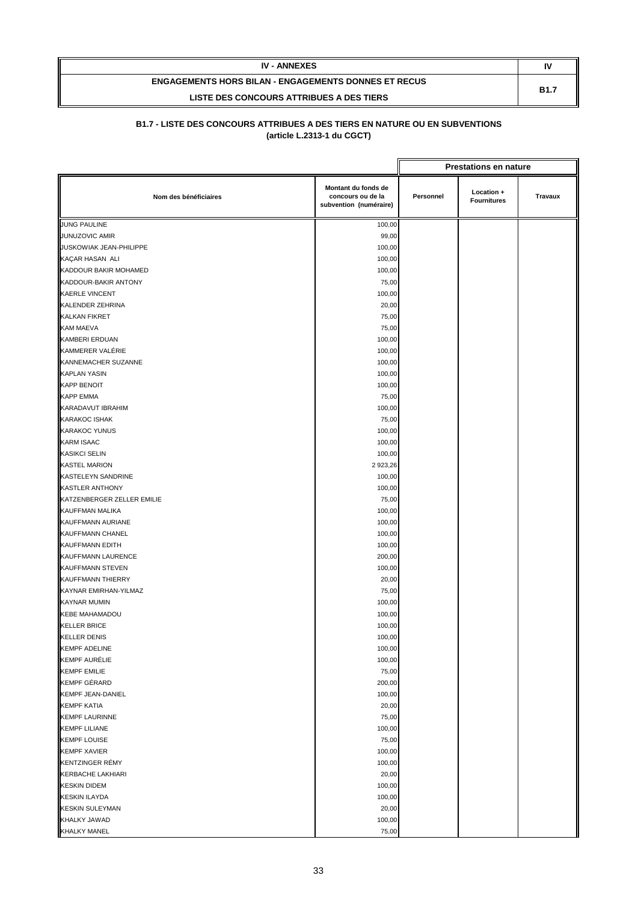| <b>IV - ANNEXES</b>                                         | IV          |
|-------------------------------------------------------------|-------------|
| <b>ENGAGEMENTS HORS BILAN - ENGAGEMENTS DONNES ET RECUS</b> | <b>B1.7</b> |
| LISTE DES CONCOURS ATTRIBUES A DES TIERS                    |             |

|                            |                                                                    |           | <b>Prestations en nature</b>     |         |
|----------------------------|--------------------------------------------------------------------|-----------|----------------------------------|---------|
| Nom des bénéficiaires      | Montant du fonds de<br>concours ou de la<br>subvention (numéraire) | Personnel | Location +<br><b>Fournitures</b> | Travaux |
| <b>JUNG PAULINE</b>        | 100,00                                                             |           |                                  |         |
| JUNUZOVIC AMIR             | 99,00                                                              |           |                                  |         |
| JUSKOWIAK JEAN-PHILIPPE    | 100,00                                                             |           |                                  |         |
| KAÇAR HASAN ALI            | 100,00                                                             |           |                                  |         |
| KADDOUR BAKIR MOHAMED      | 100,00                                                             |           |                                  |         |
| KADDOUR-BAKIR ANTONY       | 75,00                                                              |           |                                  |         |
| <b>KAERLE VINCENT</b>      | 100,00                                                             |           |                                  |         |
| KALENDER ZEHRINA           | 20,00                                                              |           |                                  |         |
| <b>KALKAN FIKRET</b>       | 75,00                                                              |           |                                  |         |
| KAM MAEVA                  | 75,00                                                              |           |                                  |         |
| <b>KAMBERI ERDUAN</b>      | 100,00                                                             |           |                                  |         |
| KAMMERER VALÉRIE           | 100,00                                                             |           |                                  |         |
| KANNEMACHER SUZANNE        | 100,00                                                             |           |                                  |         |
| <b>KAPLAN YASIN</b>        | 100,00                                                             |           |                                  |         |
| <b>KAPP BENOIT</b>         | 100,00                                                             |           |                                  |         |
| <b>KAPP EMMA</b>           | 75,00                                                              |           |                                  |         |
| KARADAVUT IBRAHIM          | 100,00                                                             |           |                                  |         |
| <b>KARAKOC ISHAK</b>       | 75,00                                                              |           |                                  |         |
| <b>KARAKOC YUNUS</b>       | 100,00                                                             |           |                                  |         |
| <b>KARM ISAAC</b>          | 100,00                                                             |           |                                  |         |
| <b>KASIKCI SELIN</b>       | 100,00                                                             |           |                                  |         |
| <b>KASTEL MARION</b>       | 2 923,26                                                           |           |                                  |         |
| <b>KASTELEYN SANDRINE</b>  | 100,00                                                             |           |                                  |         |
| <b>KASTLER ANTHONY</b>     | 100,00                                                             |           |                                  |         |
| KATZENBERGER ZELLER EMILIE | 75,00                                                              |           |                                  |         |
| KAUFFMAN MALIKA            | 100,00                                                             |           |                                  |         |
| KAUFFMANN AURIANE          | 100,00                                                             |           |                                  |         |
| KAUFFMANN CHANEL           | 100,00                                                             |           |                                  |         |
| KAUFFMANN EDITH            | 100,00                                                             |           |                                  |         |
| KAUFFMANN LAURENCE         | 200,00                                                             |           |                                  |         |
| KAUFFMANN STEVEN           | 100,00                                                             |           |                                  |         |
| <b>KAUFFMANN THIERRY</b>   | 20,00                                                              |           |                                  |         |
| KAYNAR EMIRHAN-YILMAZ      | 75,00                                                              |           |                                  |         |
| <b>KAYNAR MUMIN</b>        | 100,00                                                             |           |                                  |         |
| KEBE MAHAMADOU             | 100,00                                                             |           |                                  |         |
| <b>KELLER BRICE</b>        | 100,00                                                             |           |                                  |         |
| <b>KELLER DENIS</b>        | 100,00                                                             |           |                                  |         |
| <b>KEMPF ADELINE</b>       | 100,00                                                             |           |                                  |         |
| <b>KEMPF AURÉLIE</b>       | 100,00                                                             |           |                                  |         |
| <b>KEMPF EMILIE</b>        | 75,00                                                              |           |                                  |         |
| <b>KEMPF GÉRARD</b>        | 200,00                                                             |           |                                  |         |
| <b>KEMPF JEAN-DANIEL</b>   | 100,00                                                             |           |                                  |         |
| <b>KEMPF KATIA</b>         | 20,00                                                              |           |                                  |         |
| <b>KEMPF LAURINNE</b>      | 75,00                                                              |           |                                  |         |
| <b>KEMPF LILIANE</b>       | 100,00                                                             |           |                                  |         |
| <b>KEMPF LOUISE</b>        | 75,00                                                              |           |                                  |         |
| <b>KEMPF XAVIER</b>        | 100,00                                                             |           |                                  |         |
| <b>KENTZINGER RÉMY</b>     | 100,00                                                             |           |                                  |         |
| KERBACHE LAKHIARI          | 20,00                                                              |           |                                  |         |
| <b>KESKIN DIDEM</b>        | 100,00                                                             |           |                                  |         |
| <b>KESKIN ILAYDA</b>       | 100,00                                                             |           |                                  |         |
| <b>KESKIN SULEYMAN</b>     | 20,00                                                              |           |                                  |         |
| <b>KHALKY JAWAD</b>        | 100,00                                                             |           |                                  |         |
| <b>KHALKY MANEL</b>        | 75,00                                                              |           |                                  |         |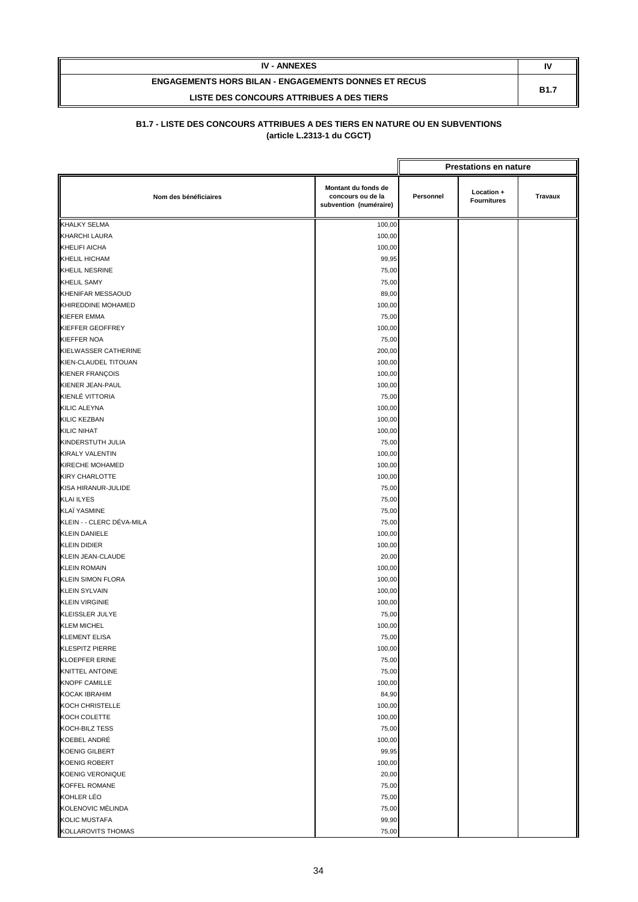| <b>IV - ANNEXES</b>                                         | N           |
|-------------------------------------------------------------|-------------|
| <b>ENGAGEMENTS HORS BILAN - ENGAGEMENTS DONNES ET RECUS</b> | <b>B1.7</b> |
| LISTE DES CONCOURS ATTRIBUES A DES TIERS                    |             |

|                           |                                                                    |           | <b>Prestations en nature</b>     |         |
|---------------------------|--------------------------------------------------------------------|-----------|----------------------------------|---------|
| Nom des bénéficiaires     | Montant du fonds de<br>concours ou de la<br>subvention (numéraire) | Personnel | Location +<br><b>Fournitures</b> | Travaux |
| <b>KHALKY SELMA</b>       | 100,00                                                             |           |                                  |         |
| <b>KHARCHI LAURA</b>      | 100,00                                                             |           |                                  |         |
| KHELIFI AICHA             | 100,00                                                             |           |                                  |         |
| KHELIL HICHAM             | 99,95                                                              |           |                                  |         |
| <b>KHELIL NESRINE</b>     | 75,00                                                              |           |                                  |         |
| <b>KHELIL SAMY</b>        | 75,00                                                              |           |                                  |         |
| <b>KHENIFAR MESSAOUD</b>  | 89,00                                                              |           |                                  |         |
| KHIREDDINE MOHAMED        | 100,00                                                             |           |                                  |         |
| <b>KIEFER EMMA</b>        | 75,00                                                              |           |                                  |         |
| KIEFFER GEOFFREY          | 100,00                                                             |           |                                  |         |
| <b>KIEFFER NOA</b>        | 75,00                                                              |           |                                  |         |
| KIELWASSER CATHERINE      | 200,00                                                             |           |                                  |         |
| KIEN-CLAUDEL TITOUAN      | 100,00                                                             |           |                                  |         |
| KIENER FRANÇOIS           | 100,00                                                             |           |                                  |         |
| KIENER JEAN-PAUL          | 100,00                                                             |           |                                  |         |
| KIENLÉ VITTORIA           | 75,00                                                              |           |                                  |         |
| KILIC ALEYNA              | 100,00                                                             |           |                                  |         |
| KILIC KEZBAN              | 100,00                                                             |           |                                  |         |
| <b>KILIC NIHAT</b>        | 100,00                                                             |           |                                  |         |
| KINDERSTUTH JULIA         | 75,00                                                              |           |                                  |         |
| KIRALY VALENTIN           | 100,00                                                             |           |                                  |         |
| KIRECHE MOHAMED           | 100,00                                                             |           |                                  |         |
| <b>KIRY CHARLOTTE</b>     | 100,00                                                             |           |                                  |         |
| KISA HIRANUR-JULIDE       | 75,00                                                              |           |                                  |         |
| <b>KLAI ILYES</b>         | 75,00                                                              |           |                                  |         |
| KLAÏ YASMINE              | 75,00                                                              |           |                                  |         |
| KLEIN - - CLERC DÉVA-MILA | 75,00                                                              |           |                                  |         |
| <b>KLEIN DANIELE</b>      | 100,00                                                             |           |                                  |         |
| <b>KLEIN DIDIER</b>       | 100,00                                                             |           |                                  |         |
| KLEIN JEAN-CLAUDE         | 20,00                                                              |           |                                  |         |
| <b>KLEIN ROMAIN</b>       | 100,00                                                             |           |                                  |         |
| <b>KLEIN SIMON FLORA</b>  | 100,00                                                             |           |                                  |         |
| <b>KLEIN SYLVAIN</b>      | 100,00                                                             |           |                                  |         |
| <b>KLEIN VIRGINIE</b>     | 100,00                                                             |           |                                  |         |
| KLEISSLER JULYE           | 75,00                                                              |           |                                  |         |
| <b>KLEM MICHEL</b>        | 100,00                                                             |           |                                  |         |
| <b>KLEMENT ELISA</b>      | 75,00                                                              |           |                                  |         |
| KLESPITZ PIERRE           | 100,00                                                             |           |                                  |         |
| <b>KLOEPFER ERINE</b>     | 75,00                                                              |           |                                  |         |
| KNITTEL ANTOINE           | 75,00                                                              |           |                                  |         |
| <b>KNOPF CAMILLE</b>      | 100,00                                                             |           |                                  |         |
| <b>KOCAK IBRAHIM</b>      | 84,90                                                              |           |                                  |         |
| KOCH CHRISTELLE           | 100,00                                                             |           |                                  |         |
| KOCH COLETTE              | 100,00                                                             |           |                                  |         |
| KOCH-BILZ TESS            | 75,00                                                              |           |                                  |         |
| KOEBEL ANDRÉ              | 100,00                                                             |           |                                  |         |
| <b>KOENIG GILBERT</b>     | 99,95                                                              |           |                                  |         |
| <b>KOENIG ROBERT</b>      | 100,00                                                             |           |                                  |         |
| KOENIG VERONIQUE          | 20,00                                                              |           |                                  |         |
| KOFFEL ROMANE             | 75,00                                                              |           |                                  |         |
| KOHLER LÉO                | 75,00                                                              |           |                                  |         |
| KOLENOVIC MÉLINDA         | 75,00                                                              |           |                                  |         |
| <b>KOLIC MUSTAFA</b>      | 99,90                                                              |           |                                  |         |
| KOLLAROVITS THOMAS        | 75,00                                                              |           |                                  |         |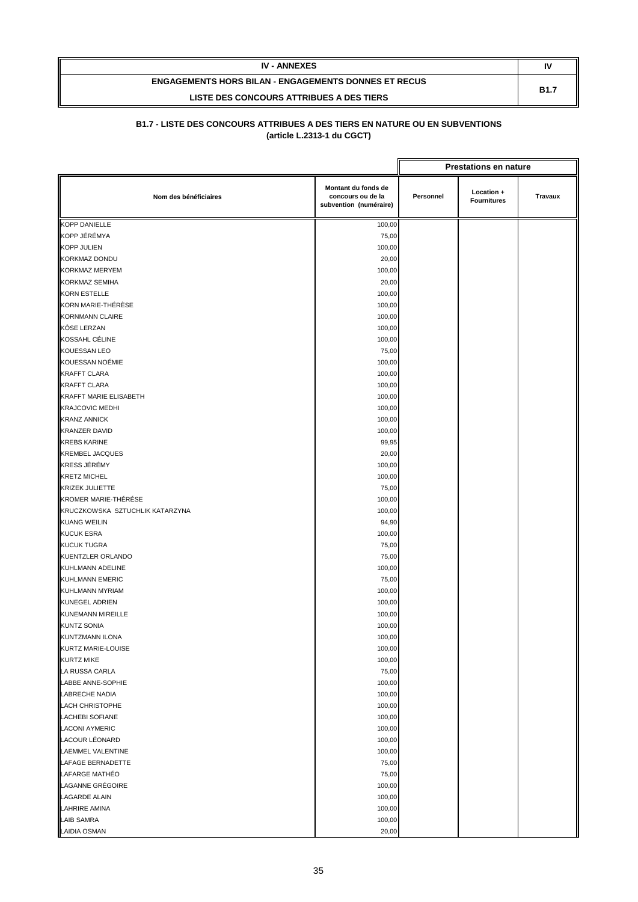| <b>IV - ANNEXES</b>                                         | IV          |
|-------------------------------------------------------------|-------------|
| <b>ENGAGEMENTS HORS BILAN - ENGAGEMENTS DONNES ET RECUS</b> | <b>B1.7</b> |
| LISTE DES CONCOURS ATTRIBUES A DES TIERS                    |             |

|                                 |                                                                    |           | <b>Prestations en nature</b>     |                |
|---------------------------------|--------------------------------------------------------------------|-----------|----------------------------------|----------------|
| Nom des bénéficiaires           | Montant du fonds de<br>concours ou de la<br>subvention (numéraire) | Personnel | Location +<br><b>Fournitures</b> | <b>Travaux</b> |
| <b>KOPP DANIELLE</b>            | 100,00                                                             |           |                                  |                |
| KOPP JÉRÉMYA                    | 75,00                                                              |           |                                  |                |
| <b>KOPP JULIEN</b>              | 100,00                                                             |           |                                  |                |
| <b>KORKMAZ DONDU</b>            | 20,00                                                              |           |                                  |                |
| <b>KORKMAZ MERYEM</b>           | 100,00                                                             |           |                                  |                |
| <b>KORKMAZ SEMIHA</b>           | 20,00                                                              |           |                                  |                |
| <b>KORN ESTELLE</b>             | 100,00                                                             |           |                                  |                |
| KORN MARIE-THÉRÈSE              | 100,00                                                             |           |                                  |                |
| <b>KORNMANN CLAIRE</b>          | 100,00                                                             |           |                                  |                |
| KÔSE LERZAN                     | 100,00                                                             |           |                                  |                |
| KOSSAHL CÉLINE                  | 100,00                                                             |           |                                  |                |
| <b>KOUESSAN LEO</b>             | 75,00                                                              |           |                                  |                |
| KOUESSAN NOÉMIE                 | 100,00                                                             |           |                                  |                |
| <b>KRAFFT CLARA</b>             | 100,00                                                             |           |                                  |                |
| <b>KRAFFT CLARA</b>             | 100,00                                                             |           |                                  |                |
| <b>KRAFFT MARIE ELISABETH</b>   | 100,00                                                             |           |                                  |                |
| <b>KRAJCOVIC MEDHI</b>          | 100,00                                                             |           |                                  |                |
| <b>KRANZ ANNICK</b>             | 100,00                                                             |           |                                  |                |
| <b>KRANZER DAVID</b>            | 100,00                                                             |           |                                  |                |
| <b>KREBS KARINE</b>             | 99,95                                                              |           |                                  |                |
| <b>KREMBEL JACQUES</b>          | 20,00                                                              |           |                                  |                |
| KRESS JÉRÉMY                    | 100,00                                                             |           |                                  |                |
| <b>KRETZ MICHEL</b>             | 100,00                                                             |           |                                  |                |
| <b>KRIZEK JULIETTE</b>          | 75,00                                                              |           |                                  |                |
| KROMER MARIE-THÉRÉSE            | 100,00                                                             |           |                                  |                |
| KRUCZKOWSKA SZTUCHLIK KATARZYNA | 100,00                                                             |           |                                  |                |
| <b>KUANG WEILIN</b>             | 94,90                                                              |           |                                  |                |
| <b>KUCUK ESRA</b>               | 100,00                                                             |           |                                  |                |
| <b>KUCUK TUGRA</b>              | 75,00                                                              |           |                                  |                |
| <b>KUENTZLER ORLANDO</b>        | 75,00                                                              |           |                                  |                |
| <b>KUHLMANN ADELINE</b>         | 100,00                                                             |           |                                  |                |
| <b>KUHLMANN EMERIC</b>          | 75,00                                                              |           |                                  |                |
| KUHLMANN MYRIAM                 | 100,00                                                             |           |                                  |                |
| <b>KUNEGEL ADRIEN</b>           | 100,00                                                             |           |                                  |                |
| <b>KUNEMANN MIREILLE</b>        | 100,00                                                             |           |                                  |                |
| <b>KUNTZ SONIA</b>              | 100,00                                                             |           |                                  |                |
| KUNTZMANN ILONA                 | 100,00                                                             |           |                                  |                |
| KURTZ MARIE-LOUISE              | 100,00                                                             |           |                                  |                |
| <b>KURTZ MIKE</b>               | 100,00                                                             |           |                                  |                |
| LA RUSSA CARLA                  | 75,00                                                              |           |                                  |                |
| LABBE ANNE-SOPHIE               | 100,00                                                             |           |                                  |                |
| <b>LABRECHE NADIA</b>           | 100,00                                                             |           |                                  |                |
| <b>LACH CHRISTOPHE</b>          | 100,00                                                             |           |                                  |                |
| <b>LACHEBI SOFIANE</b>          | 100,00                                                             |           |                                  |                |
| <b>LACONI AYMERIC</b>           | 100,00                                                             |           |                                  |                |
| LACOUR LÉONARD                  | 100,00                                                             |           |                                  |                |
| LAEMMEL VALENTINE               | 100,00                                                             |           |                                  |                |
| LAFAGE BERNADETTE               | 75,00                                                              |           |                                  |                |
| LAFARGE MATHÉO                  | 75,00                                                              |           |                                  |                |
| LAGANNE GRÉGOIRE                | 100,00                                                             |           |                                  |                |
| <b>LAGARDE ALAIN</b>            | 100,00                                                             |           |                                  |                |
| <b>LAHRIRE AMINA</b>            | 100,00                                                             |           |                                  |                |
| <b>LAIB SAMRA</b>               | 100,00                                                             |           |                                  |                |
| <b>LAIDIA OSMAN</b>             | 20,00                                                              |           |                                  |                |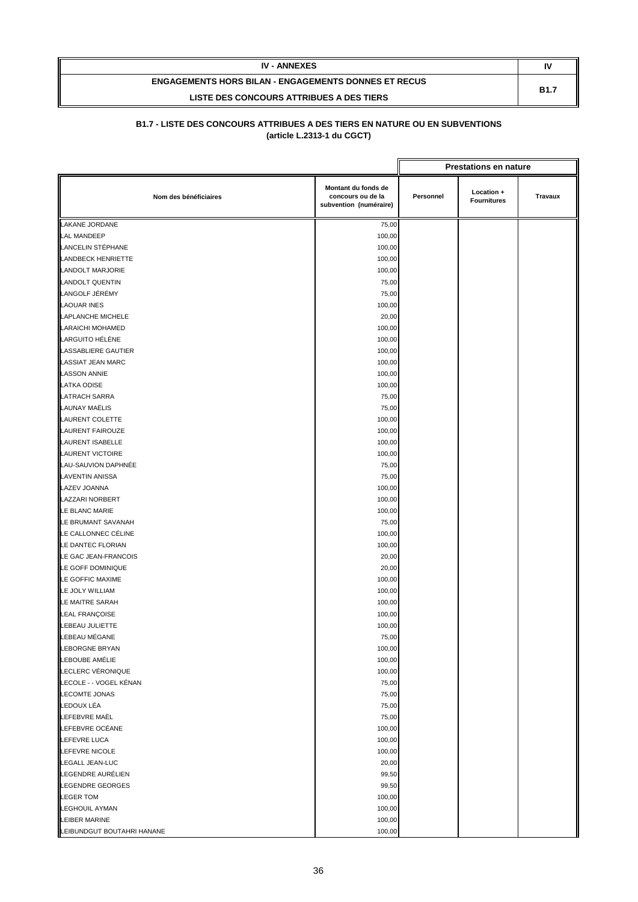| <b>IV - ANNEXES</b>                                         | N           |
|-------------------------------------------------------------|-------------|
| <b>ENGAGEMENTS HORS BILAN - ENGAGEMENTS DONNES ET RECUS</b> | <b>B1.7</b> |
| LISTE DES CONCOURS ATTRIBUES A DES TIERS                    |             |

|                                 |                                                                    |           | <b>Prestations en nature</b>     |                |
|---------------------------------|--------------------------------------------------------------------|-----------|----------------------------------|----------------|
| Nom des bénéficiaires           | Montant du fonds de<br>concours ou de la<br>subvention (numéraire) | Personnel | Location +<br><b>Fournitures</b> | <b>Travaux</b> |
| <b>LAKANE JORDANE</b>           | 75,00                                                              |           |                                  |                |
| <b>LAL MANDEEP</b>              | 100,00                                                             |           |                                  |                |
| LANCELIN STÉPHANE               | 100,00                                                             |           |                                  |                |
| <b>LANDBECK HENRIETTE</b>       | 100,00                                                             |           |                                  |                |
| <b>LANDOLT MARJORIE</b>         | 100,00                                                             |           |                                  |                |
| <b>LANDOLT QUENTIN</b>          | 75,00                                                              |           |                                  |                |
| LANGOLF JÉRÉMY                  | 75,00                                                              |           |                                  |                |
| <b>LAOUAR INES</b>              | 100,00                                                             |           |                                  |                |
| <b>LAPLANCHE MICHELE</b>        | 20,00                                                              |           |                                  |                |
| LARAICHI MOHAMED                | 100,00                                                             |           |                                  |                |
| LARGUITO HÉLÈNE                 | 100,00                                                             |           |                                  |                |
| LASSABLIERE GAUTIER             | 100,00                                                             |           |                                  |                |
| <b>LASSIAT JEAN MARC</b>        | 100,00                                                             |           |                                  |                |
| <b>LASSON ANNIE</b>             | 100,00                                                             |           |                                  |                |
| <b>LATKA ODISE</b>              | 100,00                                                             |           |                                  |                |
| <b>LATRACH SARRA</b>            | 75,00                                                              |           |                                  |                |
| <b>LAUNAY MAËLIS</b>            | 75,00                                                              |           |                                  |                |
| <b>LAURENT COLETTE</b>          | 100,00                                                             |           |                                  |                |
| <b>LAURENT FAIROUZE</b>         | 100,00                                                             |           |                                  |                |
| <b>LAURENT ISABELLE</b>         | 100,00                                                             |           |                                  |                |
| <b>LAURENT VICTOIRE</b>         | 100,00                                                             |           |                                  |                |
| LAU-SAUVION DAPHNÉE             | 75,00                                                              |           |                                  |                |
| <b>LAVENTIN ANISSA</b>          | 75,00                                                              |           |                                  |                |
| <b>LAZEV JOANNA</b>             | 100,00                                                             |           |                                  |                |
| LAZZARI NORBERT                 | 100,00                                                             |           |                                  |                |
| LE BLANC MARIE                  | 100,00                                                             |           |                                  |                |
| LE BRUMANT SAVANAH              | 75,00                                                              |           |                                  |                |
| LE CALLONNEC CÉLINE             | 100,00                                                             |           |                                  |                |
| LE DANTEC FLORIAN               | 100,00                                                             |           |                                  |                |
| LE GAC JEAN-FRANCOIS            | 20,00                                                              |           |                                  |                |
| LE GOFF DOMINIQUE               | 20,00                                                              |           |                                  |                |
| LE GOFFIC MAXIME                | 100,00                                                             |           |                                  |                |
| LE JOLY WILLIAM                 | 100,00                                                             |           |                                  |                |
| LE MAITRE SARAH                 | 100,00                                                             |           |                                  |                |
| <b>LEAL FRANÇOISE</b>           | 100,00                                                             |           |                                  |                |
| LEBEAU JULIETTE                 | 100,00                                                             |           |                                  |                |
| LEBEAU MÉGANE                   | 75,00                                                              |           |                                  |                |
| LEBORGNE BRYAN                  |                                                                    |           |                                  |                |
| LEBOUBE AMÉLIE                  | 100,00                                                             |           |                                  |                |
| LECLERC VÉRONIQUE               | 100,00                                                             |           |                                  |                |
| LECOLE - - VOGEL KÉNAN          | 100,00                                                             |           |                                  |                |
| <b>LECOMTE JONAS</b>            | 75,00                                                              |           |                                  |                |
| LEDOUX LÉA                      | 75,00                                                              |           |                                  |                |
| <b>LEFEBVRE MAËL</b>            | 75,00                                                              |           |                                  |                |
|                                 | 75,00                                                              |           |                                  |                |
| LEFEBVRE OCÉANE<br>LEFEVRE LUCA | 100,00<br>100,00                                                   |           |                                  |                |
| LEFEVRE NICOLE                  |                                                                    |           |                                  |                |
|                                 | 100,00                                                             |           |                                  |                |
| <b>LEGALL JEAN-LUC</b>          | 20,00                                                              |           |                                  |                |
| LEGENDRE AURÉLIEN               | 99,50                                                              |           |                                  |                |
| <b>LEGENDRE GEORGES</b>         | 99,50                                                              |           |                                  |                |
| <b>LEGER TOM</b>                | 100,00                                                             |           |                                  |                |
| <b>LEGHOUIL AYMAN</b>           | 100,00                                                             |           |                                  |                |
| LEIBER MARINE                   | 100,00                                                             |           |                                  |                |
| LEIBUNDGUT BOUTAHRI HANANE      | 100,00                                                             |           |                                  |                |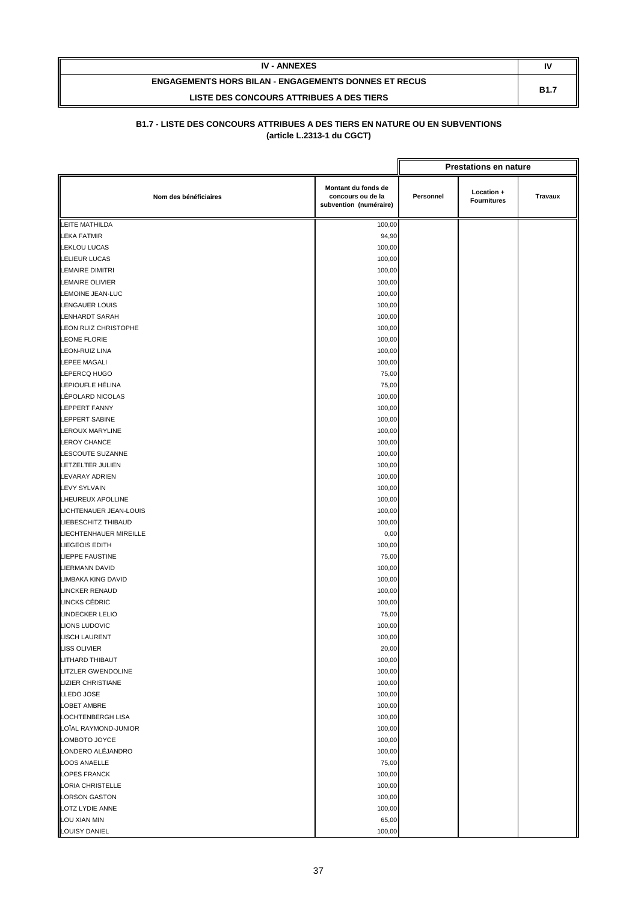| <b>IV - ANNEXES</b>                                         | N           |
|-------------------------------------------------------------|-------------|
| <b>ENGAGEMENTS HORS BILAN - ENGAGEMENTS DONNES ET RECUS</b> | <b>B1.7</b> |
| LISTE DES CONCOURS ATTRIBUES A DES TIERS                    |             |

|                           |                                                                    |           | <b>Prestations en nature</b>     |         |
|---------------------------|--------------------------------------------------------------------|-----------|----------------------------------|---------|
| Nom des bénéficiaires     | Montant du fonds de<br>concours ou de la<br>subvention (numéraire) | Personnel | Location +<br><b>Fournitures</b> | Travaux |
| LEITE MATHILDA            | 100,00                                                             |           |                                  |         |
| <b>LEKA FATMIR</b>        | 94,90                                                              |           |                                  |         |
| <b>LEKLOU LUCAS</b>       | 100,00                                                             |           |                                  |         |
| <b>LELIEUR LUCAS</b>      | 100,00                                                             |           |                                  |         |
| <b>LEMAIRE DIMITRI</b>    | 100,00                                                             |           |                                  |         |
| <b>LEMAIRE OLIVIER</b>    | 100,00                                                             |           |                                  |         |
| <b>LEMOINE JEAN-LUC</b>   | 100,00                                                             |           |                                  |         |
| <b>LENGAUER LOUIS</b>     | 100,00                                                             |           |                                  |         |
| <b>LENHARDT SARAH</b>     | 100,00                                                             |           |                                  |         |
| LEON RUIZ CHRISTOPHE      | 100,00                                                             |           |                                  |         |
| <b>LEONE FLORIE</b>       | 100,00                                                             |           |                                  |         |
| <b>LEON-RUIZ LINA</b>     | 100,00                                                             |           |                                  |         |
| <b>LEPEE MAGALI</b>       | 100,00                                                             |           |                                  |         |
| LEPERCQ HUGO              | 75,00                                                              |           |                                  |         |
| LEPIOUFLE HÉLINA          | 75,00                                                              |           |                                  |         |
| LÉPOLARD NICOLAS          | 100,00                                                             |           |                                  |         |
| <b>LEPPERT FANNY</b>      | 100,00                                                             |           |                                  |         |
| <b>LEPPERT SABINE</b>     | 100,00                                                             |           |                                  |         |
| LEROUX MARYLINE           | 100,00                                                             |           |                                  |         |
| <b>LEROY CHANCE</b>       | 100,00                                                             |           |                                  |         |
| LESCOUTE SUZANNE          | 100,00                                                             |           |                                  |         |
| LETZELTER JULIEN          | 100,00                                                             |           |                                  |         |
| <b>LEVARAY ADRIEN</b>     | 100,00                                                             |           |                                  |         |
| <b>LEVY SYLVAIN</b>       | 100,00                                                             |           |                                  |         |
| LHEUREUX APOLLINE         | 100,00                                                             |           |                                  |         |
| LICHTENAUER JEAN-LOUIS    | 100,00                                                             |           |                                  |         |
| LIEBESCHITZ THIBAUD       | 100,00                                                             |           |                                  |         |
| LIECHTENHAUER MIREILLE    | 0,00                                                               |           |                                  |         |
| LIEGEOIS EDITH            | 100,00                                                             |           |                                  |         |
| <b>LIEPPE FAUSTINE</b>    | 75,00                                                              |           |                                  |         |
| <b>LIERMANN DAVID</b>     | 100,00                                                             |           |                                  |         |
| <b>LIMBAKA KING DAVID</b> | 100,00                                                             |           |                                  |         |
| <b>LINCKER RENAUD</b>     | 100,00                                                             |           |                                  |         |
| LINCKS CÉDRIC             | 100,00                                                             |           |                                  |         |
| <b>LINDECKER LELIO</b>    | 75,00                                                              |           |                                  |         |
| <b>LIONS LUDOVIC</b>      | 100,00                                                             |           |                                  |         |
| <b>LISCH LAURENT</b>      | 100,00                                                             |           |                                  |         |
| LISS OLIVIER              | 20,00                                                              |           |                                  |         |
| LITHARD THIBAUT           | 100,00                                                             |           |                                  |         |
| LITZLER GWENDOLINE        | 100,00                                                             |           |                                  |         |
| <b>LIZIER CHRISTIANE</b>  | 100,00                                                             |           |                                  |         |
| <b>LLEDO JOSE</b>         | 100,00                                                             |           |                                  |         |
| LOBET AMBRE               | 100,00                                                             |           |                                  |         |
| <b>LOCHTENBERGH LISA</b>  | 100,00                                                             |           |                                  |         |
| LOÏAL RAYMOND-JUNIOR      | 100,00                                                             |           |                                  |         |
| LOMBOTO JOYCE             | 100,00                                                             |           |                                  |         |
| LONDERO ALÉJANDRO         | 100,00                                                             |           |                                  |         |
| <b>LOOS ANAELLE</b>       | 75,00                                                              |           |                                  |         |
| <b>LOPES FRANCK</b>       | 100,00                                                             |           |                                  |         |
| LORIA CHRISTELLE          | 100,00                                                             |           |                                  |         |
| <b>LORSON GASTON</b>      | 100,00                                                             |           |                                  |         |
| LOTZ LYDIE ANNE           | 100,00                                                             |           |                                  |         |
| LOU XIAN MIN              | 65,00                                                              |           |                                  |         |
| LOUISY DANIEL             | 100,00                                                             |           |                                  |         |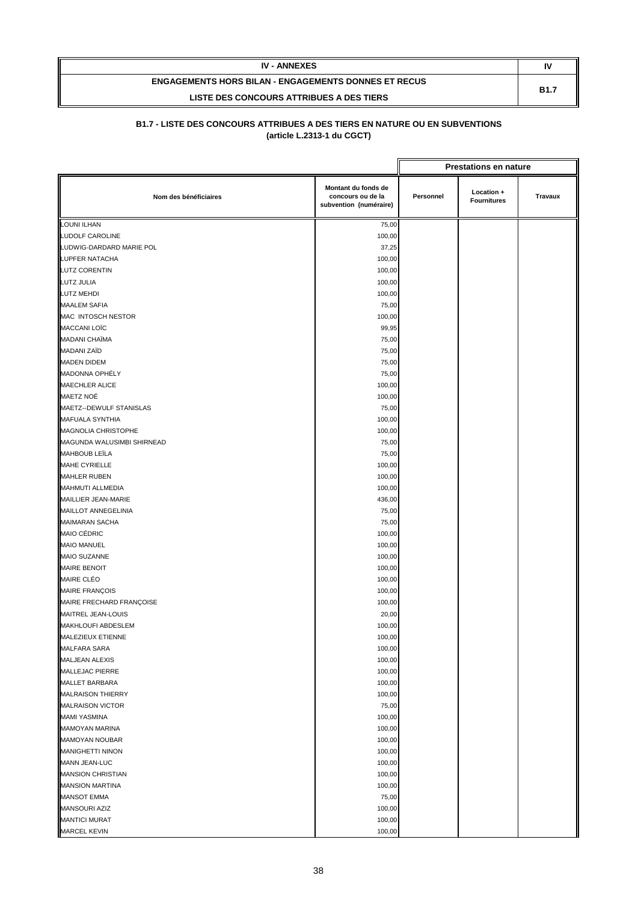| <b>IV - ANNEXES</b>                                         | N           |
|-------------------------------------------------------------|-------------|
| <b>ENGAGEMENTS HORS BILAN - ENGAGEMENTS DONNES ET RECUS</b> | <b>B1.7</b> |
| LISTE DES CONCOURS ATTRIBUES A DES TIERS                    |             |

|                            |                                                                    | <b>Prestations en nature</b> |                                  |                |
|----------------------------|--------------------------------------------------------------------|------------------------------|----------------------------------|----------------|
| Nom des bénéficiaires      | Montant du fonds de<br>concours ou de la<br>subvention (numéraire) | Personnel                    | Location +<br><b>Fournitures</b> | <b>Travaux</b> |
| <b>LOUNI ILHAN</b>         | 75,00                                                              |                              |                                  |                |
| <b>LUDOLF CAROLINE</b>     | 100,00                                                             |                              |                                  |                |
| LUDWIG-DARDARD MARIE POL   | 37,25                                                              |                              |                                  |                |
| LUPFER NATACHA             | 100,00                                                             |                              |                                  |                |
| <b>LUTZ CORENTIN</b>       | 100,00                                                             |                              |                                  |                |
| LUTZ JULIA                 | 100,00                                                             |                              |                                  |                |
| <b>LUTZ MEHDI</b>          | 100,00                                                             |                              |                                  |                |
| <b>MAALEM SAFIA</b>        | 75,00                                                              |                              |                                  |                |
| MAC INTOSCH NESTOR         | 100,00                                                             |                              |                                  |                |
| <b>MACCANI LOÏC</b>        | 99,95                                                              |                              |                                  |                |
| MADANI CHAÏMA              | 75,00                                                              |                              |                                  |                |
| <b>MADANI ZAÏD</b>         | 75,00                                                              |                              |                                  |                |
| <b>MADEN DIDEM</b>         | 75,00                                                              |                              |                                  |                |
| MADONNA OPHÉLY             | 75,00                                                              |                              |                                  |                |
| <b>MAECHLER ALICE</b>      | 100,00                                                             |                              |                                  |                |
| MAETZ NOÉ                  | 100,00                                                             |                              |                                  |                |
| MAETZ--DEWULF STANISLAS    | 75,00                                                              |                              |                                  |                |
| MAFUALA SYNTHIA            | 100,00                                                             |                              |                                  |                |
| MAGNOLIA CHRISTOPHE        | 100,00                                                             |                              |                                  |                |
| MAGUNDA WALUSIMBI SHIRNEAD | 75,00                                                              |                              |                                  |                |
| <b>MAHBOUB LEÏLA</b>       | 75,00                                                              |                              |                                  |                |
| MAHE CYRIELLE              | 100,00                                                             |                              |                                  |                |
| <b>MAHLER RUBEN</b>        | 100,00                                                             |                              |                                  |                |
| MAHMUTI ALLMEDIA           | 100,00                                                             |                              |                                  |                |
| MAILLIER JEAN-MARIE        | 436,00                                                             |                              |                                  |                |
| MAILLOT ANNEGELINIA        | 75,00                                                              |                              |                                  |                |
| <b>MAIMARAN SACHA</b>      | 75,00                                                              |                              |                                  |                |
| MAIO CÉDRIC                | 100,00                                                             |                              |                                  |                |
| <b>MAIO MANUEL</b>         | 100,00                                                             |                              |                                  |                |
| <b>MAIO SUZANNE</b>        | 100,00                                                             |                              |                                  |                |
| <b>MAIRE BENOIT</b>        | 100,00                                                             |                              |                                  |                |
| <b>MAIRE CLÉO</b>          | 100,00                                                             |                              |                                  |                |
| <b>MAIRE FRANÇOIS</b>      | 100,00                                                             |                              |                                  |                |
| MAIRE FRECHARD FRANÇOISE   | 100,00                                                             |                              |                                  |                |
| MAITREL JEAN-LOUIS         | 20,00                                                              |                              |                                  |                |
| MAKHLOUFI ABDESLEM         | 100,00                                                             |                              |                                  |                |
| MALEZIEUX ETIENNE          | 100,00                                                             |                              |                                  |                |
| MALFARA SARA               | 100,00                                                             |                              |                                  |                |
| <b>MALJEAN ALEXIS</b>      | 100,00                                                             |                              |                                  |                |
| MALLEJAC PIERRE            | 100,00                                                             |                              |                                  |                |
| <b>MALLET BARBARA</b>      | 100,00                                                             |                              |                                  |                |
| <b>MALRAISON THIERRY</b>   | 100,00                                                             |                              |                                  |                |
| <b>MALRAISON VICTOR</b>    | 75,00                                                              |                              |                                  |                |
| <b>MAMI YASMINA</b>        | 100,00                                                             |                              |                                  |                |
| <b>MAMOYAN MARINA</b>      | 100,00                                                             |                              |                                  |                |
| MAMOYAN NOUBAR             | 100,00                                                             |                              |                                  |                |
| <b>MANIGHETTI NINON</b>    | 100,00                                                             |                              |                                  |                |
| <b>MANN JEAN-LUC</b>       | 100,00                                                             |                              |                                  |                |
| <b>MANSION CHRISTIAN</b>   | 100,00                                                             |                              |                                  |                |
| <b>MANSION MARTINA</b>     | 100,00                                                             |                              |                                  |                |
| <b>MANSOT EMMA</b>         | 75,00                                                              |                              |                                  |                |
| MANSOURI AZIZ              | 100,00                                                             |                              |                                  |                |
| <b>MANTICI MURAT</b>       | 100,00                                                             |                              |                                  |                |
| MARCEL KEVIN               | 100,00                                                             |                              |                                  |                |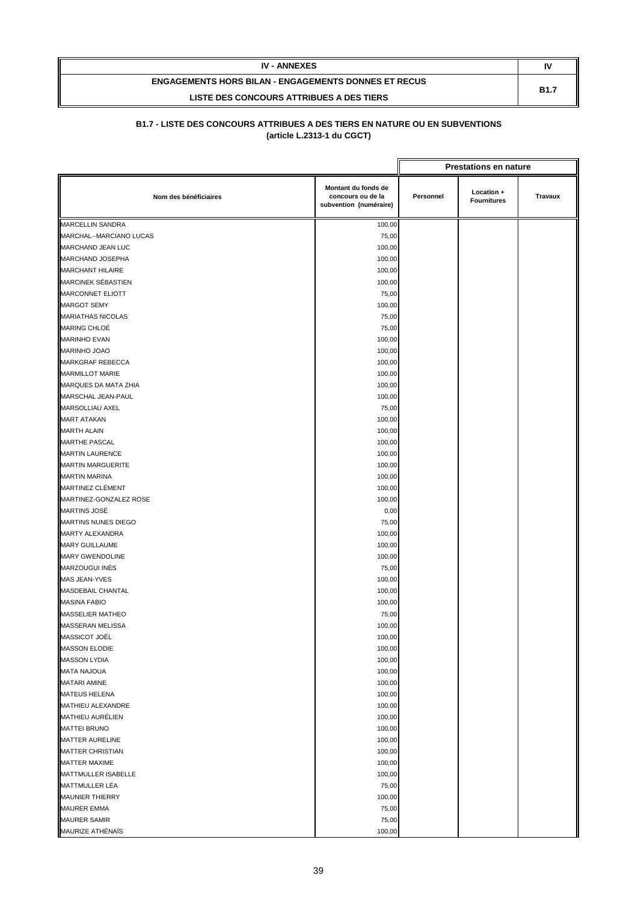| <b>IV - ANNEXES</b>                                         | IV          |
|-------------------------------------------------------------|-------------|
| <b>ENGAGEMENTS HORS BILAN - ENGAGEMENTS DONNES ET RECUS</b> | <b>B1.7</b> |
| LISTE DES CONCOURS ATTRIBUES A DES TIERS                    |             |

|                             |                                                                    |           | <b>Prestations en nature</b>     |                |
|-----------------------------|--------------------------------------------------------------------|-----------|----------------------------------|----------------|
| Nom des bénéficiaires       | Montant du fonds de<br>concours ou de la<br>subvention (numéraire) | Personnel | Location +<br><b>Fournitures</b> | <b>Travaux</b> |
| MARCELLIN SANDRA            | 100,00                                                             |           |                                  |                |
| MARCHAL--MARCIANO LUCAS     | 75,00                                                              |           |                                  |                |
| MARCHAND JEAN LUC           | 100,00                                                             |           |                                  |                |
| MARCHAND JOSEPHA            | 100,00                                                             |           |                                  |                |
| <b>MARCHANT HILAIRE</b>     | 100,00                                                             |           |                                  |                |
| <b>MARCINEK SÉBASTIEN</b>   | 100,00                                                             |           |                                  |                |
| <b>MARCONNET ELIOTT</b>     | 75,00                                                              |           |                                  |                |
| MARGOT SEMY                 | 100,00                                                             |           |                                  |                |
| <b>MARIATHAS NICOLAS</b>    | 75,00                                                              |           |                                  |                |
| <b>MARING CHLOÉ</b>         | 75,00                                                              |           |                                  |                |
| <b>MARINHO EVAN</b>         | 100,00                                                             |           |                                  |                |
| MARINHO JOAO                | 100,00                                                             |           |                                  |                |
| MARKGRAF REBECCA            | 100,00                                                             |           |                                  |                |
| <b>MARMILLOT MARIE</b>      | 100,00                                                             |           |                                  |                |
| <b>MARQUES DA MATA ZHIA</b> | 100,00                                                             |           |                                  |                |
| MARSCHAL JEAN-PAUL          | 100,00                                                             |           |                                  |                |
| MARSOLLIAU AXEL             | 75,00                                                              |           |                                  |                |
| <b>MART ATAKAN</b>          | 100,00                                                             |           |                                  |                |
| <b>MARTH ALAIN</b>          | 100,00                                                             |           |                                  |                |
| <b>MARTHE PASCAL</b>        | 100,00                                                             |           |                                  |                |
| <b>MARTIN LAURENCE</b>      | 100,00                                                             |           |                                  |                |
| <b>MARTIN MARGUERITE</b>    | 100,00                                                             |           |                                  |                |
| <b>MARTIN MARINA</b>        | 100,00                                                             |           |                                  |                |
| MARTINEZ CLÉMENT            | 100,00                                                             |           |                                  |                |
| MARTINEZ-GONZALEZ ROSE      | 100,00                                                             |           |                                  |                |
| <b>MARTINS JOSÉ</b>         | 0,00                                                               |           |                                  |                |
| MARTINS NUNES DIEGO         | 75,00                                                              |           |                                  |                |
| MARTY ALEXANDRA             | 100,00                                                             |           |                                  |                |
| <b>MARY GUILLAUME</b>       | 100,00                                                             |           |                                  |                |
| MARY GWENDOLINE             | 100,00                                                             |           |                                  |                |
| MARZOUGUI INĖS              | 75,00                                                              |           |                                  |                |
| MAS JEAN-YVES               | 100,00                                                             |           |                                  |                |
| MASDEBAIL CHANTAL           | 100,00                                                             |           |                                  |                |
| <b>MASINA FABIO</b>         | 100,00                                                             |           |                                  |                |
| MASSELIER MATHEO            | 75,00                                                              |           |                                  |                |
| MASSERAN MELISSA            | 100,00                                                             |           |                                  |                |
| MASSICOT JOËL               | 100,00                                                             |           |                                  |                |
| MASSON ELODIE               | 100,00                                                             |           |                                  |                |
| <b>MASSON LYDIA</b>         | 100,00                                                             |           |                                  |                |
| <b>MATA NAJOUA</b>          | 100,00                                                             |           |                                  |                |
| MATARI AMINE                | 100,00                                                             |           |                                  |                |
| <b>MATEUS HELENA</b>        | 100,00                                                             |           |                                  |                |
| MATHIEU ALEXANDRE           | 100,00                                                             |           |                                  |                |
| MATHIEU AURÉLIEN            | 100,00                                                             |           |                                  |                |
| <b>MATTEI BRUNO</b>         | 100,00                                                             |           |                                  |                |
| MATTER AURELINE             | 100,00                                                             |           |                                  |                |
| <b>MATTER CHRISTIAN</b>     | 100,00                                                             |           |                                  |                |
| <b>MATTER MAXIME</b>        | 100,00                                                             |           |                                  |                |
| MATTMULLER ISABELLE         | 100,00                                                             |           |                                  |                |
| MATTMULLER LÉA              | 75,00                                                              |           |                                  |                |
| <b>MAUNIER THIERRY</b>      | 100,00                                                             |           |                                  |                |
| <b>MAURER EMMA</b>          | 75,00                                                              |           |                                  |                |
| <b>MAURER SAMIR</b>         | 75,00                                                              |           |                                  |                |
| MAURIZE ATHÉNAÏS            | 100,00                                                             |           |                                  |                |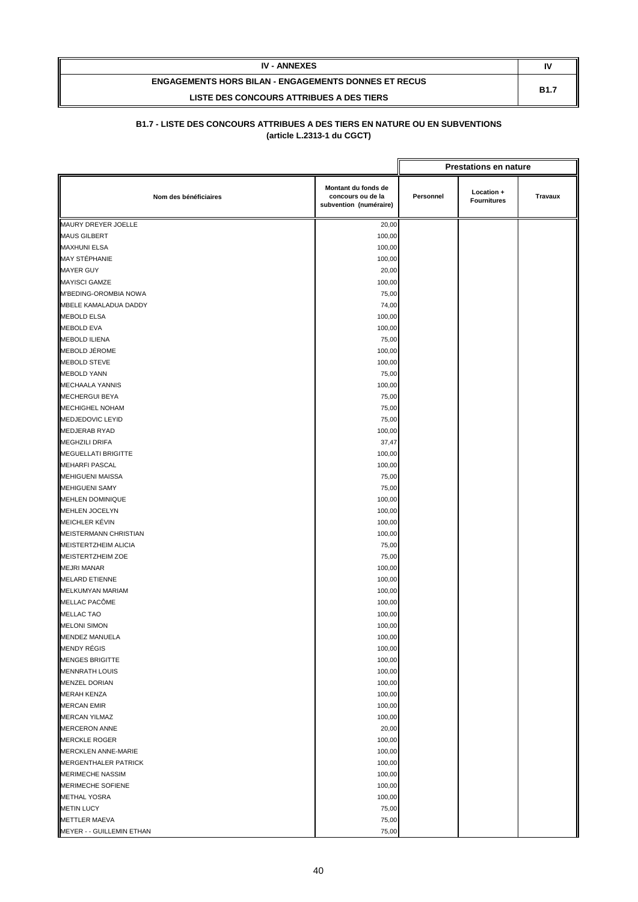| <b>IV - ANNEXES</b>                                         | N           |
|-------------------------------------------------------------|-------------|
| <b>ENGAGEMENTS HORS BILAN - ENGAGEMENTS DONNES ET RECUS</b> | <b>B1.7</b> |
| LISTE DES CONCOURS ATTRIBUES A DES TIERS                    |             |

|                            |                                                                    |           | <b>Prestations en nature</b>     |         |
|----------------------------|--------------------------------------------------------------------|-----------|----------------------------------|---------|
| Nom des bénéficiaires      | Montant du fonds de<br>concours ou de la<br>subvention (numéraire) | Personnel | Location +<br><b>Fournitures</b> | Travaux |
| MAURY DREYER JOELLE        | 20,00                                                              |           |                                  |         |
| <b>MAUS GILBERT</b>        | 100,00                                                             |           |                                  |         |
| <b>MAXHUNI ELSA</b>        | 100,00                                                             |           |                                  |         |
| MAY STÉPHANIE              | 100,00                                                             |           |                                  |         |
| <b>MAYER GUY</b>           | 20,00                                                              |           |                                  |         |
| <b>MAYISCI GAMZE</b>       | 100,00                                                             |           |                                  |         |
| M'BEDING-OROMBIA NOWA      | 75,00                                                              |           |                                  |         |
| MBELE KAMALADUA DADDY      | 74,00                                                              |           |                                  |         |
| <b>MEBOLD ELSA</b>         | 100,00                                                             |           |                                  |         |
| <b>MEBOLD EVA</b>          | 100,00                                                             |           |                                  |         |
| <b>MEBOLD ILIENA</b>       | 75,00                                                              |           |                                  |         |
| MEBOLD JÉROME              | 100,00                                                             |           |                                  |         |
| MEBOLD STEVE               | 100,00                                                             |           |                                  |         |
| <b>MEBOLD YANN</b>         | 75,00                                                              |           |                                  |         |
| <b>MECHAALA YANNIS</b>     | 100,00                                                             |           |                                  |         |
| <b>MECHERGUI BEYA</b>      | 75,00                                                              |           |                                  |         |
| MECHIGHEL NOHAM            | 75,00                                                              |           |                                  |         |
| MEDJEDOVIC LEYID           | 75,00                                                              |           |                                  |         |
| <b>MEDJERAB RYAD</b>       | 100,00                                                             |           |                                  |         |
| <b>MEGHZILI DRIFA</b>      | 37,47                                                              |           |                                  |         |
| MEGUELLATI BRIGITTE        | 100,00                                                             |           |                                  |         |
| <b>MEHARFI PASCAL</b>      | 100,00                                                             |           |                                  |         |
| <b>MEHIGUENI MAISSA</b>    | 75,00                                                              |           |                                  |         |
| <b>MEHIGUENI SAMY</b>      | 75,00                                                              |           |                                  |         |
| <b>MEHLEN DOMINIQUE</b>    | 100,00                                                             |           |                                  |         |
| MEHLEN JOCELYN             | 100,00                                                             |           |                                  |         |
| MEICHLER KÉVIN             | 100,00                                                             |           |                                  |         |
| MEISTERMANN CHRISTIAN      | 100,00                                                             |           |                                  |         |
| MEISTERTZHEIM ALICIA       | 75,00                                                              |           |                                  |         |
| MEISTERTZHEIM ZOE          | 75,00                                                              |           |                                  |         |
| <b>MEJRI MANAR</b>         | 100,00                                                             |           |                                  |         |
| <b>MELARD ETIENNE</b>      | 100,00                                                             |           |                                  |         |
| MELKUMYAN MARIAM           | 100,00                                                             |           |                                  |         |
| MELLAC PACÔME              | 100,00                                                             |           |                                  |         |
| MELLAC TAO                 | 100,00                                                             |           |                                  |         |
| <b>MELONI SIMON</b>        | 100,00                                                             |           |                                  |         |
| MENDEZ MANUELA             | 100,00                                                             |           |                                  |         |
| MENDY RÉGIS                | 100,00                                                             |           |                                  |         |
| <b>MENGES BRIGITTE</b>     | 100,00                                                             |           |                                  |         |
| <b>MENNRATH LOUIS</b>      | 100,00                                                             |           |                                  |         |
| <b>MENZEL DORIAN</b>       | 100,00                                                             |           |                                  |         |
| <b>MERAH KENZA</b>         | 100,00                                                             |           |                                  |         |
| <b>MERCAN EMIR</b>         | 100,00                                                             |           |                                  |         |
| <b>MERCAN YILMAZ</b>       | 100,00                                                             |           |                                  |         |
| <b>MERCERON ANNE</b>       | 20,00                                                              |           |                                  |         |
| <b>MERCKLE ROGER</b>       | 100,00                                                             |           |                                  |         |
| <b>MERCKLEN ANNE-MARIE</b> | 100,00                                                             |           |                                  |         |
| MERGENTHALER PATRICK       | 100,00                                                             |           |                                  |         |
| <b>MERIMECHE NASSIM</b>    | 100,00                                                             |           |                                  |         |
| MERIMECHE SOFIENE          | 100,00                                                             |           |                                  |         |
| <b>METHAL YOSRA</b>        | 100,00                                                             |           |                                  |         |
| <b>METIN LUCY</b>          | 75,00                                                              |           |                                  |         |
| <b>METTLER MAEVA</b>       | 75,00                                                              |           |                                  |         |
| MEYER - - GUILLEMIN ETHAN  | 75,00                                                              |           |                                  |         |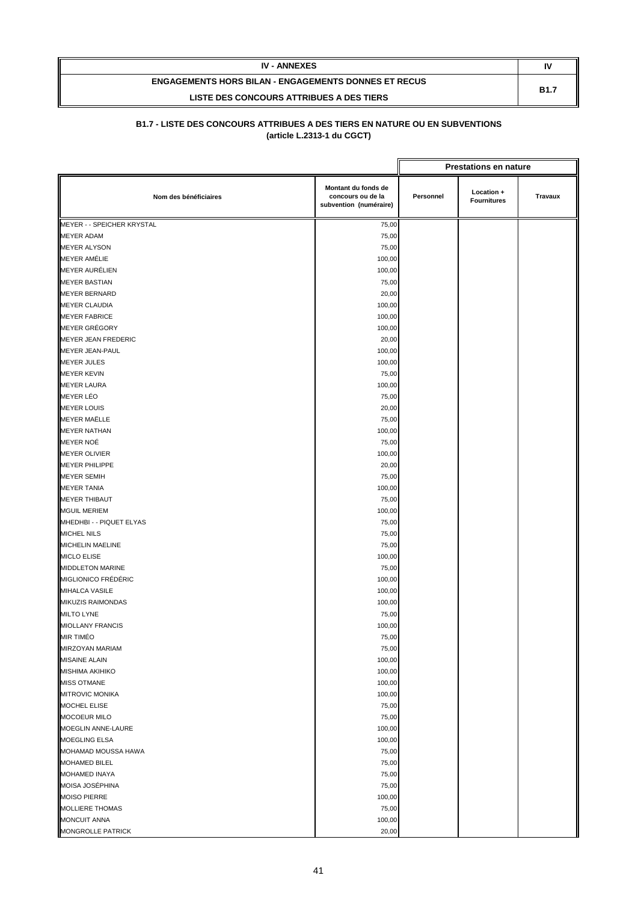| <b>IV - ANNEXES</b>                                         | IV          |
|-------------------------------------------------------------|-------------|
| <b>ENGAGEMENTS HORS BILAN - ENGAGEMENTS DONNES ET RECUS</b> | <b>B1.7</b> |
| LISTE DES CONCOURS ATTRIBUES A DES TIERS                    |             |

|                            | <b>Prestations en nature</b>                                       |           |                                  |         |
|----------------------------|--------------------------------------------------------------------|-----------|----------------------------------|---------|
| Nom des bénéficiaires      | Montant du fonds de<br>concours ou de la<br>subvention (numéraire) | Personnel | Location +<br><b>Fournitures</b> | Travaux |
| MEYER - - SPEICHER KRYSTAL | 75,00                                                              |           |                                  |         |
| <b>MEYER ADAM</b>          | 75,00                                                              |           |                                  |         |
| <b>MEYER ALYSON</b>        | 75,00                                                              |           |                                  |         |
| <b>MEYER AMÉLIE</b>        | 100,00                                                             |           |                                  |         |
| MEYER AURÉLIEN             | 100,00                                                             |           |                                  |         |
| <b>MEYER BASTIAN</b>       | 75,00                                                              |           |                                  |         |
| <b>MEYER BERNARD</b>       | 20,00                                                              |           |                                  |         |
| <b>MEYER CLAUDIA</b>       | 100,00                                                             |           |                                  |         |
| <b>MEYER FABRICE</b>       | 100,00                                                             |           |                                  |         |
| <b>MEYER GRÉGORY</b>       | 100,00                                                             |           |                                  |         |
| MEYER JEAN FREDERIC        | 20,00                                                              |           |                                  |         |
| MEYER JEAN-PAUL            | 100,00                                                             |           |                                  |         |
| <b>MEYER JULES</b>         | 100,00                                                             |           |                                  |         |
| <b>MEYER KEVIN</b>         | 75,00                                                              |           |                                  |         |
| <b>MEYER LAURA</b>         | 100,00                                                             |           |                                  |         |
| <b>MEYER LÉO</b>           | 75,00                                                              |           |                                  |         |
| <b>MEYER LOUIS</b>         | 20,00                                                              |           |                                  |         |
| <b>MEYER MAËLLE</b>        | 75,00                                                              |           |                                  |         |
| <b>MEYER NATHAN</b>        | 100,00                                                             |           |                                  |         |
| MEYER NOÉ                  | 75,00                                                              |           |                                  |         |
| <b>MEYER OLIVIER</b>       | 100,00                                                             |           |                                  |         |
| <b>MEYER PHILIPPE</b>      | 20,00                                                              |           |                                  |         |
| <b>MEYER SEMIH</b>         | 75,00                                                              |           |                                  |         |
| <b>MEYER TANIA</b>         | 100,00                                                             |           |                                  |         |
| <b>MEYER THIBAUT</b>       | 75,00                                                              |           |                                  |         |
| <b>MGUIL MERIEM</b>        | 100,00                                                             |           |                                  |         |
| MHEDHBI - - PIQUET ELYAS   | 75,00                                                              |           |                                  |         |
| <b>MICHEL NILS</b>         | 75,00                                                              |           |                                  |         |
| MICHELIN MAELINE           | 75,00                                                              |           |                                  |         |
| MICLO ELISE                | 100,00                                                             |           |                                  |         |
| MIDDLETON MARINE           | 75,00                                                              |           |                                  |         |
| MIGLIONICO FRÉDÉRIC        | 100,00                                                             |           |                                  |         |
| <b>MIHALCA VASILE</b>      | 100,00                                                             |           |                                  |         |
| MIKUZIS RAIMONDAS          | 100,00                                                             |           |                                  |         |
| MILTO LYNE                 | 75,00                                                              |           |                                  |         |
| <b>MIOLLANY FRANCIS</b>    | 100,00                                                             |           |                                  |         |
| <b>MIR TIMÉO</b>           | 75,00                                                              |           |                                  |         |
| MIRZOYAN MARIAM            | 75,00                                                              |           |                                  |         |
| <b>MISAINE ALAIN</b>       | 100,00                                                             |           |                                  |         |
| <b>MISHIMA AKIHIKO</b>     | 100,00                                                             |           |                                  |         |
| <b>MISS OTMANE</b>         | 100,00                                                             |           |                                  |         |
| <b>MITROVIC MONIKA</b>     | 100,00                                                             |           |                                  |         |
| MOCHEL ELISE               | 75,00                                                              |           |                                  |         |
| <b>MOCOEUR MILO</b>        | 75,00                                                              |           |                                  |         |
| MOEGLIN ANNE-LAURE         | 100,00                                                             |           |                                  |         |
| MOEGLING ELSA              | 100,00                                                             |           |                                  |         |
| MOHAMAD MOUSSA HAWA        | 75,00                                                              |           |                                  |         |
| MOHAMED BILEL              | 75,00                                                              |           |                                  |         |
| MOHAMED INAYA              | 75,00                                                              |           |                                  |         |
| MOISA JOSÉPHINA            | 75,00                                                              |           |                                  |         |
| <b>MOISO PIERRE</b>        | 100,00                                                             |           |                                  |         |
| <b>MOLLIERE THOMAS</b>     | 75,00                                                              |           |                                  |         |
| <b>MONCUIT ANNA</b>        | 100,00                                                             |           |                                  |         |
| MONGROLLE PATRICK          | 20,00                                                              |           |                                  |         |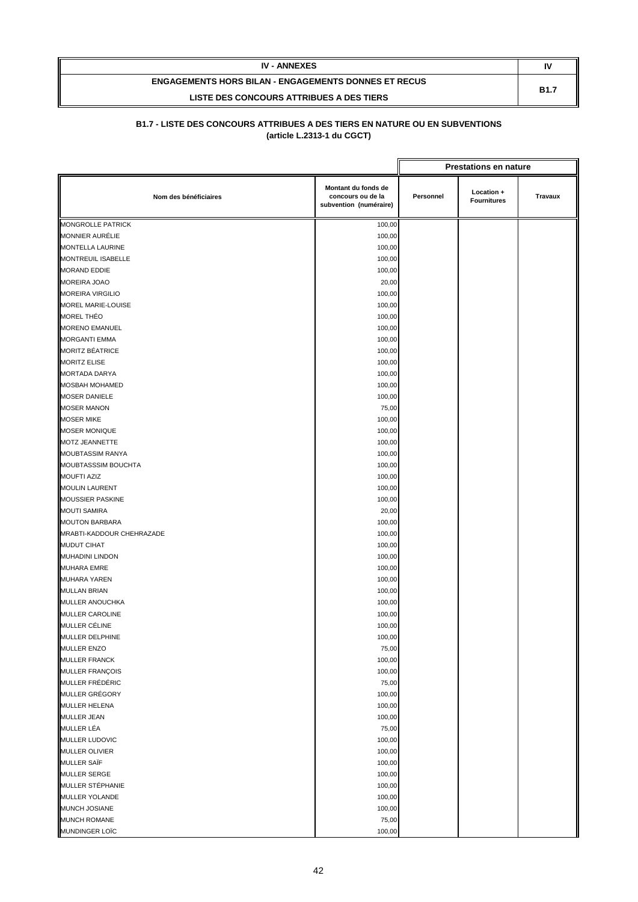| <b>IV - ANNEXES</b>                                         | I١          |
|-------------------------------------------------------------|-------------|
| <b>ENGAGEMENTS HORS BILAN - ENGAGEMENTS DONNES ET RECUS</b> | <b>B1.7</b> |
| LISTE DES CONCOURS ATTRIBUES A DES TIERS                    |             |

|                                                  |                                                                    |           | <b>Prestations en nature</b>     |         |
|--------------------------------------------------|--------------------------------------------------------------------|-----------|----------------------------------|---------|
| Nom des bénéficiaires                            | Montant du fonds de<br>concours ou de la<br>subvention (numéraire) | Personnel | Location +<br><b>Fournitures</b> | Travaux |
| <b>MONGROLLE PATRICK</b>                         | 100,00                                                             |           |                                  |         |
| <b>MONNIER AURÉLIE</b>                           | 100,00                                                             |           |                                  |         |
| MONTELLA LAURINE                                 | 100,00                                                             |           |                                  |         |
| MONTREUIL ISABELLE                               | 100,00                                                             |           |                                  |         |
| <b>MORAND EDDIE</b>                              | 100,00                                                             |           |                                  |         |
| <b>MOREIRA JOAO</b>                              | 20,00                                                              |           |                                  |         |
| <b>MOREIRA VIRGILIO</b>                          | 100,00                                                             |           |                                  |         |
| MOREL MARIE-LOUISE                               | 100,00                                                             |           |                                  |         |
| <b>MOREL THÉO</b>                                | 100,00                                                             |           |                                  |         |
| <b>MORENO EMANUEL</b>                            | 100,00                                                             |           |                                  |         |
| <b>MORGANTI EMMA</b>                             | 100,00                                                             |           |                                  |         |
| <b>MORITZ BÉATRICE</b>                           | 100,00                                                             |           |                                  |         |
| <b>MORITZ ELISE</b>                              | 100,00                                                             |           |                                  |         |
| <b>MORTADA DARYA</b>                             | 100,00                                                             |           |                                  |         |
| MOSBAH MOHAMED                                   | 100,00                                                             |           |                                  |         |
| <b>MOSER DANIELE</b>                             | 100,00                                                             |           |                                  |         |
| <b>MOSER MANON</b>                               | 75,00                                                              |           |                                  |         |
| <b>MOSER MIKE</b>                                | 100,00                                                             |           |                                  |         |
| <b>MOSER MONIQUE</b>                             | 100,00                                                             |           |                                  |         |
| MOTZ JEANNETTE                                   | 100,00                                                             |           |                                  |         |
| MOUBTASSIM RANYA                                 | 100,00                                                             |           |                                  |         |
| MOUBTASSSIM BOUCHTA                              | 100,00                                                             |           |                                  |         |
| <b>MOUFTI AZIZ</b>                               | 100,00                                                             |           |                                  |         |
|                                                  |                                                                    |           |                                  |         |
| <b>MOULIN LAURENT</b><br><b>MOUSSIER PASKINE</b> | 100,00                                                             |           |                                  |         |
|                                                  | 100,00                                                             |           |                                  |         |
| <b>MOUTI SAMIRA</b>                              | 20,00                                                              |           |                                  |         |
| <b>MOUTON BARBARA</b>                            | 100,00                                                             |           |                                  |         |
| MRABTI-KADDOUR CHEHRAZADE                        | 100,00                                                             |           |                                  |         |
| <b>MUDUT CIHAT</b>                               | 100,00                                                             |           |                                  |         |
| <b>MUHADINI LINDON</b>                           | 100,00                                                             |           |                                  |         |
| <b>MUHARA EMRE</b>                               | 100,00                                                             |           |                                  |         |
| <b>MUHARA YAREN</b>                              | 100,00                                                             |           |                                  |         |
| <b>MULLAN BRIAN</b>                              | 100,00                                                             |           |                                  |         |
| MULLER ANOUCHKA                                  | 100,00                                                             |           |                                  |         |
| <b>MULLER CAROLINE</b>                           | 100,00                                                             |           |                                  |         |
| MULLER CÉLINE                                    | 100,00                                                             |           |                                  |         |
| MULLER DELPHINE                                  | 100,00                                                             |           |                                  |         |
| MULLER ENZO                                      | 75,00                                                              |           |                                  |         |
| <b>MULLER FRANCK</b>                             | 100,00                                                             |           |                                  |         |
| MULLER FRANÇOIS                                  | 100,00                                                             |           |                                  |         |
| MULLER FRÉDÉRIC                                  | 75,00                                                              |           |                                  |         |
| MULLER GRÉGORY                                   | 100,00                                                             |           |                                  |         |
| MULLER HELENA                                    | 100,00                                                             |           |                                  |         |
| <b>MULLER JEAN</b>                               | 100,00                                                             |           |                                  |         |
| <b>MULLER LÉA</b>                                | 75,00                                                              |           |                                  |         |
| MULLER LUDOVIC                                   | 100,00                                                             |           |                                  |         |
| <b>MULLER OLIVIER</b>                            | 100,00                                                             |           |                                  |         |
| <b>MULLER SAÏF</b>                               | 100,00                                                             |           |                                  |         |
| <b>MULLER SERGE</b>                              | 100,00                                                             |           |                                  |         |
| MULLER STÉPHANIE                                 | 100,00                                                             |           |                                  |         |
| MULLER YOLANDE                                   | 100,00                                                             |           |                                  |         |
| MUNCH JOSIANE                                    | 100,00                                                             |           |                                  |         |
| <b>MUNCH ROMANE</b>                              | 75,00                                                              |           |                                  |         |
| MUNDINGER LOÏC                                   | 100,00                                                             |           |                                  |         |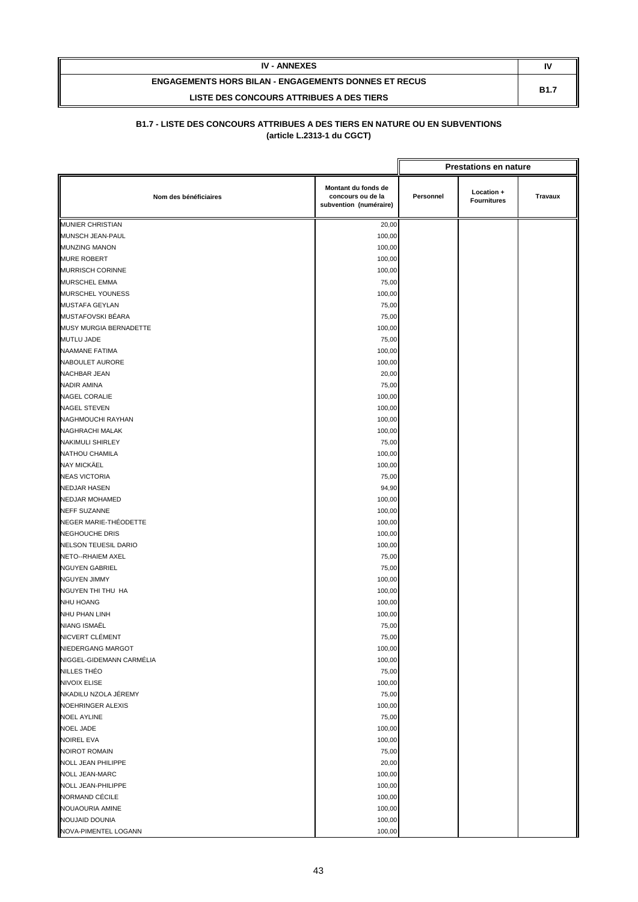| <b>IV - ANNEXES</b>                                         | N           |
|-------------------------------------------------------------|-------------|
| <b>ENGAGEMENTS HORS BILAN - ENGAGEMENTS DONNES ET RECUS</b> | <b>B1.7</b> |
| LISTE DES CONCOURS ATTRIBUES A DES TIERS                    |             |

|                             |                                                                    | <b>Prestations en nature</b> |                                  |         |
|-----------------------------|--------------------------------------------------------------------|------------------------------|----------------------------------|---------|
| Nom des bénéficiaires       | Montant du fonds de<br>concours ou de la<br>subvention (numéraire) | Personnel                    | Location +<br><b>Fournitures</b> | Travaux |
| <b>MUNIER CHRISTIAN</b>     | 20,00                                                              |                              |                                  |         |
| MUNSCH JEAN-PAUL            | 100,00                                                             |                              |                                  |         |
| <b>MUNZING MANON</b>        | 100,00                                                             |                              |                                  |         |
| <b>MURE ROBERT</b>          | 100,00                                                             |                              |                                  |         |
| <b>MURRISCH CORINNE</b>     | 100,00                                                             |                              |                                  |         |
| MURSCHEL EMMA               | 75,00                                                              |                              |                                  |         |
| MURSCHEL YOUNESS            | 100,00                                                             |                              |                                  |         |
| MUSTAFA GEYLAN              | 75,00                                                              |                              |                                  |         |
| MUSTAFOVSKI BÉARA           | 75,00                                                              |                              |                                  |         |
| MUSY MURGIA BERNADETTE      | 100,00                                                             |                              |                                  |         |
| <b>MUTLU JADE</b>           | 75,00                                                              |                              |                                  |         |
| <b>NAAMANE FATIMA</b>       | 100,00                                                             |                              |                                  |         |
| NABOULET AURORE             | 100,00                                                             |                              |                                  |         |
| <b>NACHBAR JEAN</b>         | 20,00                                                              |                              |                                  |         |
| <b>NADIR AMINA</b>          | 75,00                                                              |                              |                                  |         |
| <b>NAGEL CORALIE</b>        | 100,00                                                             |                              |                                  |         |
| <b>NAGEL STEVEN</b>         | 100,00                                                             |                              |                                  |         |
| NAGHMOUCHI RAYHAN           | 100,00                                                             |                              |                                  |         |
| NAGHRACHI MALAK             | 100,00                                                             |                              |                                  |         |
| <b>NAKIMULI SHIRLEY</b>     | 75,00                                                              |                              |                                  |         |
| NATHOU CHAMILA              | 100,00                                                             |                              |                                  |         |
| <b>NAY MICKÄEL</b>          | 100,00                                                             |                              |                                  |         |
| <b>NEAS VICTORIA</b>        | 75,00                                                              |                              |                                  |         |
| <b>NEDJAR HASEN</b>         | 94,90                                                              |                              |                                  |         |
| <b>NEDJAR MOHAMED</b>       | 100,00                                                             |                              |                                  |         |
| <b>NEFF SUZANNE</b>         | 100,00                                                             |                              |                                  |         |
| NEGER MARIE-THÉODETTE       | 100,00                                                             |                              |                                  |         |
| <b>NEGHOUCHE DRIS</b>       | 100,00                                                             |                              |                                  |         |
| <b>NELSON TEUESIL DARIO</b> | 100,00                                                             |                              |                                  |         |
| <b>NETO--RHAIEM AXEL</b>    | 75,00                                                              |                              |                                  |         |
| <b>NGUYEN GABRIEL</b>       | 75,00                                                              |                              |                                  |         |
| <b>NGUYEN JIMMY</b>         | 100,00                                                             |                              |                                  |         |
| NGUYEN THI THU HA           | 100,00                                                             |                              |                                  |         |
| <b>NHU HOANG</b>            | 100,00                                                             |                              |                                  |         |
| NHU PHAN LINH               | 100,00                                                             |                              |                                  |         |
| NIANG ISMAËL                | 75,00                                                              |                              |                                  |         |
| NICVERT CLÉMENT             | 75,00                                                              |                              |                                  |         |
| NIEDERGANG MARGOT           | 100,00                                                             |                              |                                  |         |
| NIGGEL-GIDEMANN CARMÉLIA    | 100,00                                                             |                              |                                  |         |
| NILLES THÉO                 | 75,00                                                              |                              |                                  |         |
| <b>NIVOIX ELISE</b>         | 100,00                                                             |                              |                                  |         |
| NKADILU NZOLA JÉREMY        | 75,00                                                              |                              |                                  |         |
| NOEHRINGER ALEXIS           | 100,00                                                             |                              |                                  |         |
| <b>NOEL AYLINE</b>          | 75,00                                                              |                              |                                  |         |
| <b>NOEL JADE</b>            | 100,00                                                             |                              |                                  |         |
| <b>NOIREL EVA</b>           | 100,00                                                             |                              |                                  |         |
| <b>NOIROT ROMAIN</b>        | 75,00                                                              |                              |                                  |         |
| <b>NOLL JEAN PHILIPPE</b>   | 20,00                                                              |                              |                                  |         |
| <b>NOLL JEAN-MARC</b>       | 100,00                                                             |                              |                                  |         |
| NOLL JEAN-PHILIPPE          | 100,00                                                             |                              |                                  |         |
| NORMAND CÉCILE              | 100,00                                                             |                              |                                  |         |
| NOUAOURIA AMINE             | 100,00                                                             |                              |                                  |         |
| NOUJAID DOUNIA              | 100,00                                                             |                              |                                  |         |
| NOVA-PIMENTEL LOGANN        | 100,00                                                             |                              |                                  |         |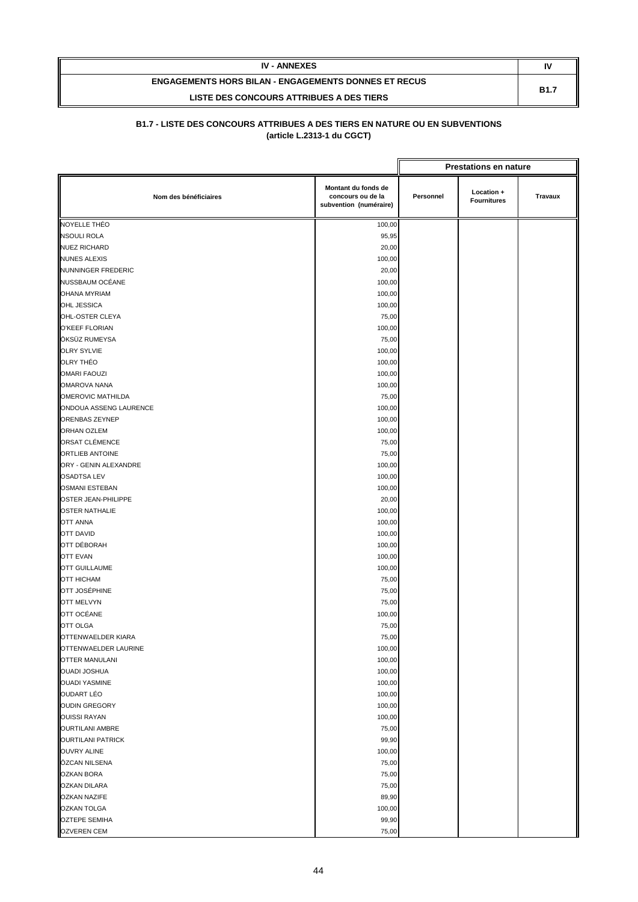| <b>IV - ANNEXES</b>                                         |             |
|-------------------------------------------------------------|-------------|
| <b>ENGAGEMENTS HORS BILAN - ENGAGEMENTS DONNES ET RECUS</b> | <b>B1.7</b> |
| LISTE DES CONCOURS ATTRIBUES A DES TIERS                    |             |

|                           |                                                                    |           | <b>Prestations en nature</b>     |         |
|---------------------------|--------------------------------------------------------------------|-----------|----------------------------------|---------|
| Nom des bénéficiaires     | Montant du fonds de<br>concours ou de la<br>subvention (numéraire) | Personnel | Location +<br><b>Fournitures</b> | Travaux |
| NOYELLE THÉO              | 100,00                                                             |           |                                  |         |
| <b>NSOULI ROLA</b>        | 95,95                                                              |           |                                  |         |
| <b>NUEZ RICHARD</b>       | 20,00                                                              |           |                                  |         |
| <b>NUNES ALEXIS</b>       | 100,00                                                             |           |                                  |         |
| <b>NUNNINGER FREDERIC</b> | 20,00                                                              |           |                                  |         |
| NUSSBAUM OCÉANE           | 100,00                                                             |           |                                  |         |
| <b>OHANA MYRIAM</b>       | 100,00                                                             |           |                                  |         |
| OHL JESSICA               | 100,00                                                             |           |                                  |         |
| OHL-OSTER CLEYA           | 75,00                                                              |           |                                  |         |
| O'KEEF FLORIAN            | 100,00                                                             |           |                                  |         |
| ÖKSÜZ RUMEYSA             | 75,00                                                              |           |                                  |         |
| <b>OLRY SYLVIE</b>        | 100,00                                                             |           |                                  |         |
| OLRY THÉO                 | 100,00                                                             |           |                                  |         |
| <b>OMARI FAOUZI</b>       | 100,00                                                             |           |                                  |         |
| <b>OMAROVA NANA</b>       | 100,00                                                             |           |                                  |         |
| <b>OMEROVIC MATHILDA</b>  | 75,00                                                              |           |                                  |         |
| ONDOUA ASSENG LAURENCE    | 100,00                                                             |           |                                  |         |
| ORENBAS ZEYNEP            | 100,00                                                             |           |                                  |         |
| <b>ORHAN OZLEM</b>        | 100,00                                                             |           |                                  |         |
| ORSAT CLÉMENCE            | 75,00                                                              |           |                                  |         |
| ORTLIEB ANTOINE           | 75,00                                                              |           |                                  |         |
| ORY - GENIN ALEXANDRE     | 100,00                                                             |           |                                  |         |
| <b>OSADTSA LEV</b>        | 100,00                                                             |           |                                  |         |
| <b>OSMANI ESTEBAN</b>     | 100,00                                                             |           |                                  |         |
| OSTER JEAN-PHILIPPE       | 20,00                                                              |           |                                  |         |
| <b>OSTER NATHALIE</b>     | 100,00                                                             |           |                                  |         |
| <b>OTT ANNA</b>           | 100,00                                                             |           |                                  |         |
| <b>OTT DAVID</b>          | 100,00                                                             |           |                                  |         |
| OTT DÉBORAH               | 100,00                                                             |           |                                  |         |
| <b>OTT EVAN</b>           | 100,00                                                             |           |                                  |         |
| <b>OTT GUILLAUME</b>      | 100,00                                                             |           |                                  |         |
| <b>OTT HICHAM</b>         | 75,00                                                              |           |                                  |         |
| OTT JOSÉPHINE             | 75,00                                                              |           |                                  |         |
| <b>OTT MELVYN</b>         | 75,00                                                              |           |                                  |         |
| OTT OCÉANE                | 100,00                                                             |           |                                  |         |
| <b>OTT OLGA</b>           | 75,00                                                              |           |                                  |         |
| OTTENWAELDER KIARA        | 75,00                                                              |           |                                  |         |
| OTTENWAELDER LAURINE      | 100,00                                                             |           |                                  |         |
| <b>OTTER MANULANI</b>     | 100,00                                                             |           |                                  |         |
| <b>OUADI JOSHUA</b>       | 100,00                                                             |           |                                  |         |
| <b>OUADI YASMINE</b>      | 100,00                                                             |           |                                  |         |
| <b>OUDART LÉO</b>         | 100,00                                                             |           |                                  |         |
| <b>OUDIN GREGORY</b>      | 100,00                                                             |           |                                  |         |
| <b>OUISSI RAYAN</b>       | 100,00                                                             |           |                                  |         |
| <b>OURTILANI AMBRE</b>    | 75,00                                                              |           |                                  |         |
| <b>OURTILANI PATRICK</b>  | 99,90                                                              |           |                                  |         |
| <b>OUVRY ALINE</b>        | 100,00                                                             |           |                                  |         |
| ÖZCAN NILSENA             | 75,00                                                              |           |                                  |         |
| <b>OZKAN BORA</b>         | 75,00                                                              |           |                                  |         |
| <b>OZKAN DILARA</b>       | 75,00                                                              |           |                                  |         |
| <b>OZKAN NAZIFE</b>       | 89,90                                                              |           |                                  |         |
| <b>OZKAN TOLGA</b>        | 100,00                                                             |           |                                  |         |
| <b>OZTEPE SEMIHA</b>      | 99,90                                                              |           |                                  |         |
| <b>OZVEREN CEM</b>        | 75,00                                                              |           |                                  |         |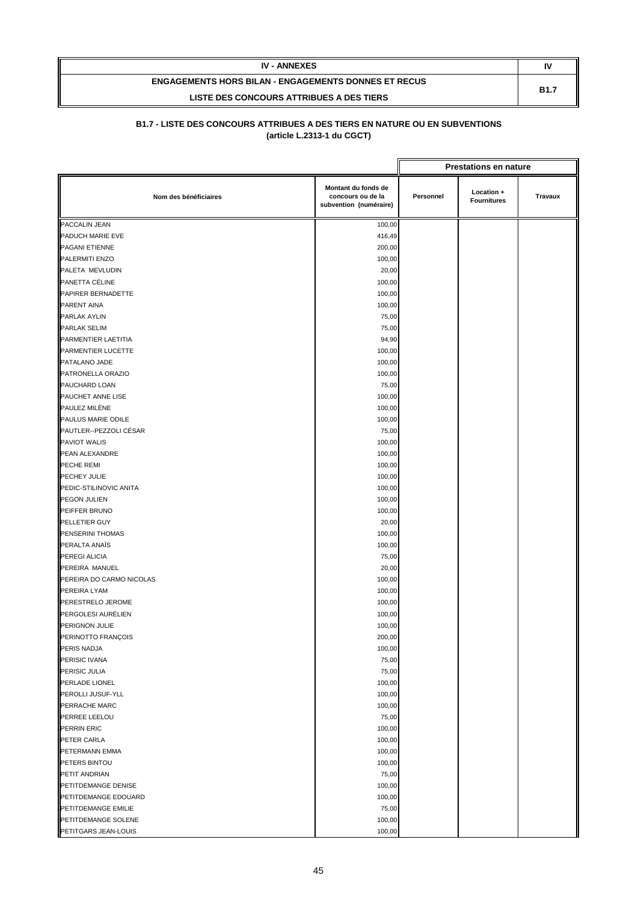| <b>IV - ANNEXES</b>                                         | N           |
|-------------------------------------------------------------|-------------|
| <b>ENGAGEMENTS HORS BILAN - ENGAGEMENTS DONNES ET RECUS</b> | <b>B1.7</b> |
| LISTE DES CONCOURS ATTRIBUES A DES TIERS                    |             |

|                          |                                                                    |                                                                 | <b>Prestations en nature</b> |  |
|--------------------------|--------------------------------------------------------------------|-----------------------------------------------------------------|------------------------------|--|
| Nom des bénéficiaires    | Montant du fonds de<br>concours ou de la<br>subvention (numéraire) | Location +<br>Personnel<br><b>Travaux</b><br><b>Fournitures</b> |                              |  |
| PACCALIN JEAN            | 100,00                                                             |                                                                 |                              |  |
| PADUCH MARIE EVE         | 416,49                                                             |                                                                 |                              |  |
| PAGANI ETIENNE           | 200,00                                                             |                                                                 |                              |  |
| PALERMITI ENZO           | 100,00                                                             |                                                                 |                              |  |
| PALETA MEVLUDIN          | 20,00                                                              |                                                                 |                              |  |
| PANETTA CÉLINE           | 100,00                                                             |                                                                 |                              |  |
| PAPIRER BERNADETTE       | 100,00                                                             |                                                                 |                              |  |
| PARENT AINA              | 100,00                                                             |                                                                 |                              |  |
| PARLAK AYLIN             | 75,00                                                              |                                                                 |                              |  |
| <b>PARLAK SELIM</b>      | 75,00                                                              |                                                                 |                              |  |
| PARMENTIER LAETITIA      | 94,90                                                              |                                                                 |                              |  |
| PARMENTIER LUCETTE       | 100,00                                                             |                                                                 |                              |  |
| PATALANO JADE            | 100,00                                                             |                                                                 |                              |  |
| PATRONELLA ORAZIO        | 100,00                                                             |                                                                 |                              |  |
| PAUCHARD LOAN            | 75,00                                                              |                                                                 |                              |  |
| PAUCHET ANNE LISE        | 100,00                                                             |                                                                 |                              |  |
| PAULEZ MILÈNE            | 100,00                                                             |                                                                 |                              |  |
| PAULUS MARIE ODILE       | 100,00                                                             |                                                                 |                              |  |
| PAUTLER--PEZZOLI CÉSAR   | 75,00                                                              |                                                                 |                              |  |
| <b>PAVIOT WALIS</b>      | 100,00                                                             |                                                                 |                              |  |
| PEAN ALEXANDRE           | 100,00                                                             |                                                                 |                              |  |
| PECHE REMI               | 100,00                                                             |                                                                 |                              |  |
| PECHEY JULIE             | 100,00                                                             |                                                                 |                              |  |
| PEDIC-STILINOVIC ANITA   | 100,00                                                             |                                                                 |                              |  |
| PEGON JULIEN             | 100,00                                                             |                                                                 |                              |  |
| PEIFFER BRUNO            | 100,00                                                             |                                                                 |                              |  |
| PELLETIER GUY            | 20,00                                                              |                                                                 |                              |  |
| PENSERINI THOMAS         | 100,00                                                             |                                                                 |                              |  |
| PERALTA ANAÏS            | 100,00                                                             |                                                                 |                              |  |
| <b>PEREGI ALICIA</b>     | 75,00                                                              |                                                                 |                              |  |
| PEREIRA MANUEL           | 20,00                                                              |                                                                 |                              |  |
| PEREIRA DO CARMO NICOLAS | 100,00                                                             |                                                                 |                              |  |
| PEREIRA LYAM             | 100,00                                                             |                                                                 |                              |  |
| PERESTRELO JEROME        | 100,00                                                             |                                                                 |                              |  |
| PERGOLESI AURÉLIEN       | 100,00                                                             |                                                                 |                              |  |
| PERIGNON JULIE           | 100,00                                                             |                                                                 |                              |  |
| PERINOTTO FRANÇOIS       | 200,00                                                             |                                                                 |                              |  |
| PERIS NADJA              | 100,00                                                             |                                                                 |                              |  |
| PERISIC IVANA            | 75,00                                                              |                                                                 |                              |  |
| PERISIC JULIA            | 75,00                                                              |                                                                 |                              |  |
| PERLADE LIONEL           | 100,00                                                             |                                                                 |                              |  |
| PEROLLI JUSUF-YLL        | 100,00                                                             |                                                                 |                              |  |
| PERRACHE MARC            | 100,00                                                             |                                                                 |                              |  |
| PERREE LEELOU            | 75,00                                                              |                                                                 |                              |  |
| PERRIN ERIC              | 100,00                                                             |                                                                 |                              |  |
| PETER CARLA              | 100,00                                                             |                                                                 |                              |  |
| PETERMANN EMMA           | 100,00                                                             |                                                                 |                              |  |
| PETERS BINTOU            | 100,00                                                             |                                                                 |                              |  |
| PETIT ANDRIAN            | 75,00                                                              |                                                                 |                              |  |
| PETITDEMANGE DENISE      | 100,00                                                             |                                                                 |                              |  |
| PETITDEMANGE EDOUARD     | 100,00                                                             |                                                                 |                              |  |
| PETITDEMANGE EMILIE      | 75,00                                                              |                                                                 |                              |  |
| PETITDEMANGE SOLENE      | 100,00                                                             |                                                                 |                              |  |
| PETITGARS JEAN-LOUIS     | 100,00                                                             |                                                                 |                              |  |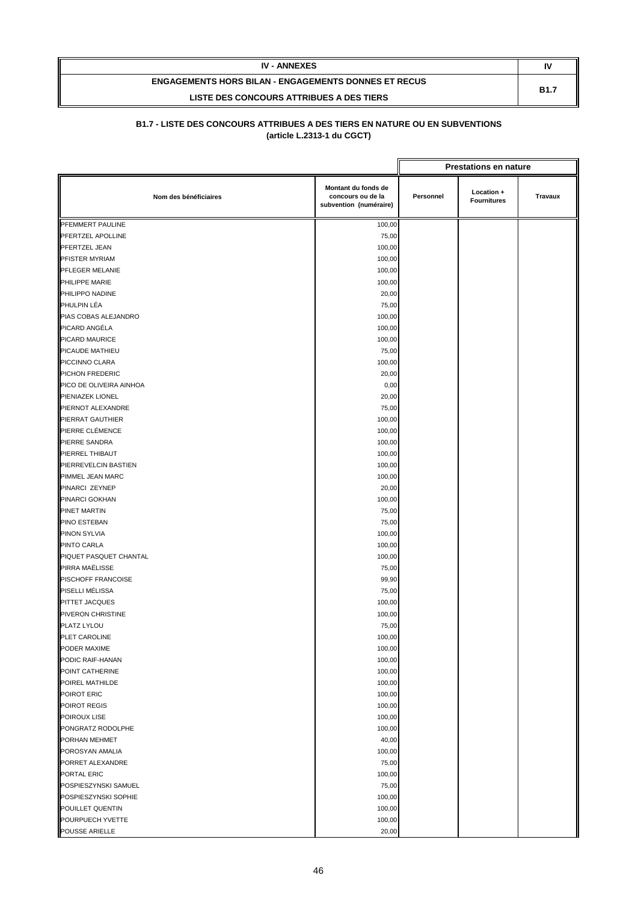| <b>IV - ANNEXES</b>                                         | IV          |
|-------------------------------------------------------------|-------------|
| <b>ENGAGEMENTS HORS BILAN - ENGAGEMENTS DONNES ET RECUS</b> | <b>B1.7</b> |
| LISTE DES CONCOURS ATTRIBUES A DES TIERS                    |             |

|                                    |                                                                    |           | <b>Prestations en nature</b>     |                |
|------------------------------------|--------------------------------------------------------------------|-----------|----------------------------------|----------------|
| Nom des bénéficiaires              | Montant du fonds de<br>concours ou de la<br>subvention (numéraire) | Personnel | Location +<br><b>Fournitures</b> | <b>Travaux</b> |
| PFEMMERT PAULINE                   | 100,00                                                             |           |                                  |                |
| PFERTZEL APOLLINE                  | 75,00                                                              |           |                                  |                |
| PFERTZEL JEAN                      | 100,00                                                             |           |                                  |                |
| PFISTER MYRIAM                     | 100,00                                                             |           |                                  |                |
| PFLEGER MELANIE                    | 100,00                                                             |           |                                  |                |
| PHILIPPE MARIE                     | 100,00                                                             |           |                                  |                |
| PHILIPPO NADINE                    | 20,00                                                              |           |                                  |                |
| PHULPIN LÉA                        | 75,00                                                              |           |                                  |                |
| PIAS COBAS ALEJANDRO               | 100,00                                                             |           |                                  |                |
| PICARD ANGÉLA                      | 100,00                                                             |           |                                  |                |
| PICARD MAURICE                     | 100,00                                                             |           |                                  |                |
| PICAUDE MATHIEU                    | 75,00                                                              |           |                                  |                |
| PICCINNO CLARA                     | 100,00                                                             |           |                                  |                |
| PICHON FREDERIC                    | 20,00                                                              |           |                                  |                |
| PICO DE OLIVEIRA AINHOA            | 0,00                                                               |           |                                  |                |
| PIENIAZEK LIONEL                   | 20,00                                                              |           |                                  |                |
| PIERNOT ALEXANDRE                  | 75,00                                                              |           |                                  |                |
| PIERRAT GAUTHIER                   | 100,00                                                             |           |                                  |                |
| PIERRE CLÉMENCE                    | 100,00                                                             |           |                                  |                |
| PIERRE SANDRA                      | 100,00                                                             |           |                                  |                |
| PIERREL THIBAUT                    | 100,00                                                             |           |                                  |                |
| PIERREVELCIN BASTIEN               | 100,00                                                             |           |                                  |                |
| PIMMEL JEAN MARC                   | 100,00                                                             |           |                                  |                |
| PINARCI ZEYNEP                     | 20,00                                                              |           |                                  |                |
| <b>PINARCI GOKHAN</b>              | 100,00                                                             |           |                                  |                |
| PINET MARTIN                       | 75,00                                                              |           |                                  |                |
| PINO ESTEBAN                       | 75,00                                                              |           |                                  |                |
| <b>PINON SYLVIA</b>                | 100,00                                                             |           |                                  |                |
| PINTO CARLA                        | 100,00                                                             |           |                                  |                |
| PIQUET PASQUET CHANTAL             | 100,00                                                             |           |                                  |                |
| PIRRA MAËLISSE                     | 75,00                                                              |           |                                  |                |
| PISCHOFF FRANCOISE                 | 99,90                                                              |           |                                  |                |
| PISELLI MÉLISSA                    | 75,00                                                              |           |                                  |                |
| PITTET JACQUES                     | 100,00                                                             |           |                                  |                |
| PIVERON CHRISTINE                  | 100,00                                                             |           |                                  |                |
| PLATZ LYLOU                        | 75,00                                                              |           |                                  |                |
| PLET CAROLINE                      | 100,00                                                             |           |                                  |                |
| PODER MAXIME                       | 100,00                                                             |           |                                  |                |
| PODIC RAIF-HANAN                   | 100,00                                                             |           |                                  |                |
| POINT CATHERINE                    | 100,00                                                             |           |                                  |                |
| POIREL MATHILDE                    | 100,00                                                             |           |                                  |                |
| POIROT ERIC                        | 100,00                                                             |           |                                  |                |
| POIROT REGIS                       | 100,00                                                             |           |                                  |                |
| POIROUX LISE                       | 100,00                                                             |           |                                  |                |
| PONGRATZ RODOLPHE<br>PORHAN MEHMET | 100,00                                                             |           |                                  |                |
| POROSYAN AMALIA                    | 40,00                                                              |           |                                  |                |
| PORRET ALEXANDRE                   | 100,00<br>75,00                                                    |           |                                  |                |
| PORTAL ERIC                        | 100,00                                                             |           |                                  |                |
| POSPIESZYNSKI SAMUEL               | 75,00                                                              |           |                                  |                |
| POSPIESZYNSKI SOPHIE               | 100,00                                                             |           |                                  |                |
| POUILLET QUENTIN                   | 100,00                                                             |           |                                  |                |
| POURPUECH YVETTE                   | 100,00                                                             |           |                                  |                |
| POUSSE ARIELLE                     | 20,00                                                              |           |                                  |                |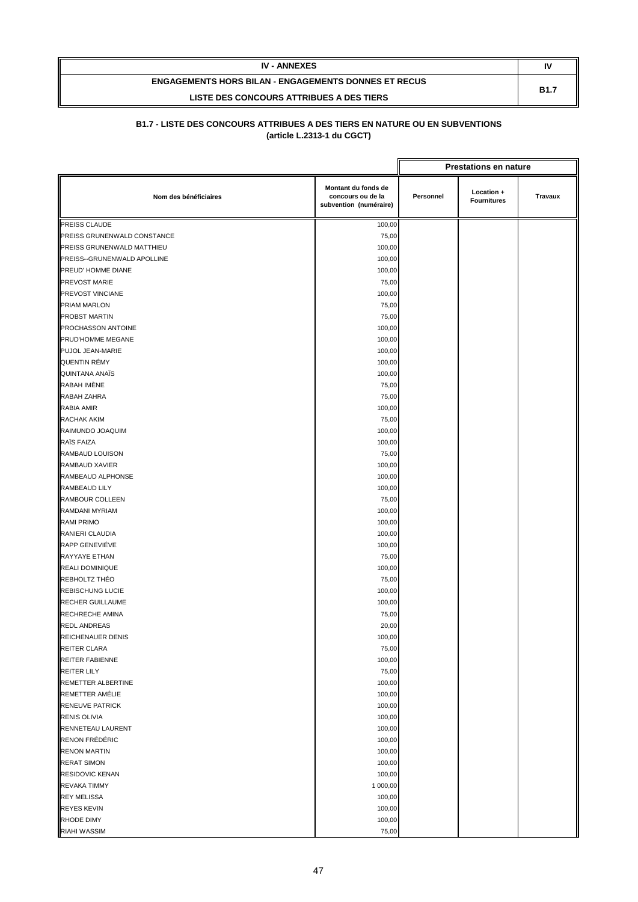| <b>IV - ANNEXES</b>                                         | IV          |
|-------------------------------------------------------------|-------------|
| <b>ENGAGEMENTS HORS BILAN - ENGAGEMENTS DONNES ET RECUS</b> | <b>B1.7</b> |
| LISTE DES CONCOURS ATTRIBUES A DES TIERS                    |             |

|                             |                                                                    | <b>Prestations en nature</b> |                                  |         |
|-----------------------------|--------------------------------------------------------------------|------------------------------|----------------------------------|---------|
| Nom des bénéficiaires       | Montant du fonds de<br>concours ou de la<br>subvention (numéraire) | Personnel                    | Location +<br><b>Fournitures</b> | Travaux |
| PREISS CLAUDE               | 100,00                                                             |                              |                                  |         |
| PREISS GRUNENWALD CONSTANCE | 75,00                                                              |                              |                                  |         |
| PREISS GRUNENWALD MATTHIEU  | 100,00                                                             |                              |                                  |         |
| PREISS--GRUNENWALD APOLLINE | 100,00                                                             |                              |                                  |         |
| PREUD' HOMME DIANE          | 100,00                                                             |                              |                                  |         |
| PREVOST MARIE               | 75,00                                                              |                              |                                  |         |
| PREVOST VINCIANE            | 100,00                                                             |                              |                                  |         |
| PRIAM MARLON                | 75,00                                                              |                              |                                  |         |
| PROBST MARTIN               | 75,00                                                              |                              |                                  |         |
| PROCHASSON ANTOINE          | 100,00                                                             |                              |                                  |         |
| PRUD'HOMME MEGANE           | 100,00                                                             |                              |                                  |         |
| PUJOL JEAN-MARIE            | 100,00                                                             |                              |                                  |         |
| QUENTIN RÉMY                | 100,00                                                             |                              |                                  |         |
| <b>QUINTANA ANAÏS</b>       | 100,00                                                             |                              |                                  |         |
| RABAH IMÈNE                 | 75,00                                                              |                              |                                  |         |
| RABAH ZAHRA                 | 75,00                                                              |                              |                                  |         |
| RABIA AMIR                  | 100,00                                                             |                              |                                  |         |
| RACHAK AKIM                 | 75,00                                                              |                              |                                  |         |
| RAIMUNDO JOAQUIM            | 100,00                                                             |                              |                                  |         |
| RAÏS FAIZA                  | 100,00                                                             |                              |                                  |         |
| RAMBAUD LOUISON             | 75,00                                                              |                              |                                  |         |
| RAMBAUD XAVIER              | 100,00                                                             |                              |                                  |         |
| RAMBEAUD ALPHONSE           | 100,00                                                             |                              |                                  |         |
| RAMBEAUD LILY               | 100,00                                                             |                              |                                  |         |
| RAMBOUR COLLEEN             | 75,00                                                              |                              |                                  |         |
| RAMDANI MYRIAM              | 100,00                                                             |                              |                                  |         |
| <b>RAMI PRIMO</b>           | 100,00                                                             |                              |                                  |         |
| RANIERI CLAUDIA             | 100,00                                                             |                              |                                  |         |
| RAPP GENEVIÉVE              | 100,00                                                             |                              |                                  |         |
| RAYYAYE ETHAN               | 75,00                                                              |                              |                                  |         |
| REALI DOMINIQUE             | 100,00                                                             |                              |                                  |         |
| REBHOLTZ THÉO               | 75,00                                                              |                              |                                  |         |
| <b>REBISCHUNG LUCIE</b>     | 100,00                                                             |                              |                                  |         |
| <b>RECHER GUILLAUME</b>     | 100,00                                                             |                              |                                  |         |
| RECHRECHE AMINA             | 75,00                                                              |                              |                                  |         |
| <b>REDL ANDREAS</b>         | 20,00                                                              |                              |                                  |         |
| <b>REICHENAUER DENIS</b>    | 100,00                                                             |                              |                                  |         |
| REITER CLARA                | 75,00                                                              |                              |                                  |         |
| <b>REITER FABIENNE</b>      | 100,00                                                             |                              |                                  |         |
| REITER LILY                 | 75,00                                                              |                              |                                  |         |
| REMETTER ALBERTINE          | 100,00                                                             |                              |                                  |         |
| REMETTER AMÉLIE             | 100,00                                                             |                              |                                  |         |
| <b>RENEUVE PATRICK</b>      | 100,00                                                             |                              |                                  |         |
| <b>RENIS OLIVIA</b>         | 100,00                                                             |                              |                                  |         |
| RENNETEAU LAURENT           | 100,00                                                             |                              |                                  |         |
| RENON FRÉDÉRIC              | 100,00                                                             |                              |                                  |         |
| <b>RENON MARTIN</b>         | 100,00                                                             |                              |                                  |         |
| <b>RERAT SIMON</b>          | 100,00                                                             |                              |                                  |         |
| RESIDOVIC KENAN             | 100,00                                                             |                              |                                  |         |
| <b>REVAKA TIMMY</b>         | 1 000,00                                                           |                              |                                  |         |
| <b>REY MELISSA</b>          | 100,00                                                             |                              |                                  |         |
| <b>REYES KEVIN</b>          | 100,00                                                             |                              |                                  |         |
| <b>RHODE DIMY</b>           | 100,00                                                             |                              |                                  |         |
| RIAHI WASSIM                | 75,00                                                              |                              |                                  |         |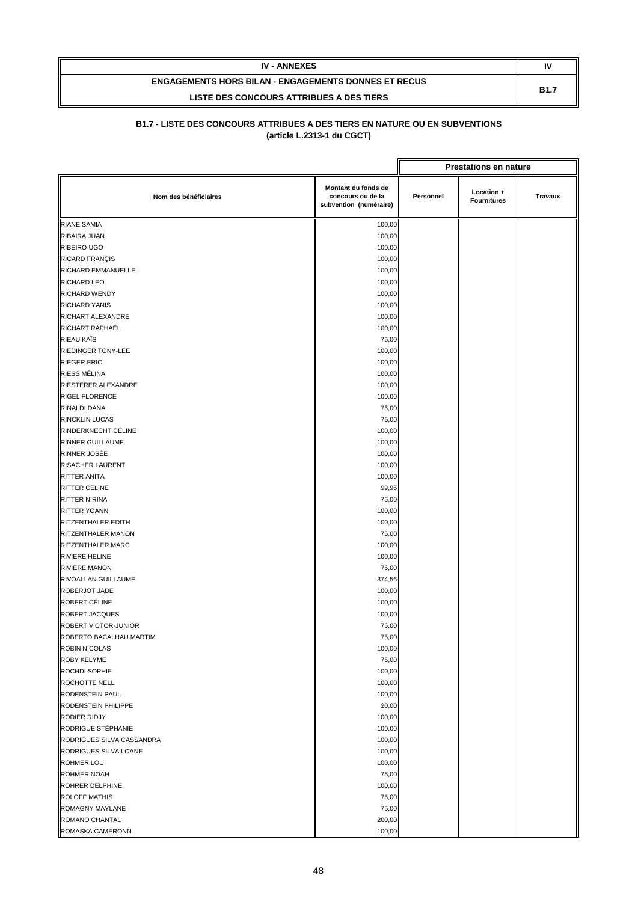| <b>IV - ANNEXES</b>                                         | IV          |
|-------------------------------------------------------------|-------------|
| <b>ENGAGEMENTS HORS BILAN - ENGAGEMENTS DONNES ET RECUS</b> | <b>B1.7</b> |
| LISTE DES CONCOURS ATTRIBUES A DES TIERS                    |             |

|                           |                                                                    |           | <b>Prestations en nature</b>     |                |
|---------------------------|--------------------------------------------------------------------|-----------|----------------------------------|----------------|
| Nom des bénéficiaires     | Montant du fonds de<br>concours ou de la<br>subvention (numéraire) | Personnel | Location +<br><b>Fournitures</b> | <b>Travaux</b> |
| <b>RIANE SAMIA</b>        | 100,00                                                             |           |                                  |                |
| RIBAIRA JUAN              | 100,00                                                             |           |                                  |                |
| <b>RIBEIRO UGO</b>        | 100,00                                                             |           |                                  |                |
| RICARD FRANÇIS            | 100,00                                                             |           |                                  |                |
| RICHARD EMMANUELLE        | 100,00                                                             |           |                                  |                |
| <b>RICHARD LEO</b>        | 100,00                                                             |           |                                  |                |
| <b>RICHARD WENDY</b>      | 100,00                                                             |           |                                  |                |
| <b>RICHARD YANIS</b>      | 100,00                                                             |           |                                  |                |
| RICHART ALEXANDRE         | 100,00                                                             |           |                                  |                |
| RICHART RAPHAËL           | 100,00                                                             |           |                                  |                |
| RIEAU KAÏS                | 75,00                                                              |           |                                  |                |
| <b>RIEDINGER TONY-LEE</b> | 100,00                                                             |           |                                  |                |
| <b>RIEGER ERIC</b>        | 100,00                                                             |           |                                  |                |
| RIESS MÉLINA              | 100,00                                                             |           |                                  |                |
| RIESTERER ALEXANDRE       | 100,00                                                             |           |                                  |                |
| <b>RIGEL FLORENCE</b>     | 100,00                                                             |           |                                  |                |
| RINALDI DANA              | 75,00                                                              |           |                                  |                |
| <b>RINCKLIN LUCAS</b>     | 75,00                                                              |           |                                  |                |
| RINDERKNECHT CÉLINE       | 100,00                                                             |           |                                  |                |
| <b>RINNER GUILLAUME</b>   | 100,00                                                             |           |                                  |                |
| RINNER JOSÉE              | 100,00                                                             |           |                                  |                |
| RISACHER LAURENT          | 100,00                                                             |           |                                  |                |
| RITTER ANITA              | 100,00                                                             |           |                                  |                |
| <b>RITTER CELINE</b>      | 99,95                                                              |           |                                  |                |
| RITTER NIRINA             | 75,00                                                              |           |                                  |                |
| RITTER YOANN              | 100,00                                                             |           |                                  |                |
| RITZENTHALER EDITH        | 100,00                                                             |           |                                  |                |
| RITZENTHALER MANON        | 75,00                                                              |           |                                  |                |
| RITZENTHALER MARC         | 100,00                                                             |           |                                  |                |
| <b>RIVIERE HELINE</b>     | 100,00                                                             |           |                                  |                |
| <b>RIVIERE MANON</b>      | 75,00                                                              |           |                                  |                |
| RIVOALLAN GUILLAUME       | 374,56                                                             |           |                                  |                |
| ROBERJOT JADE             | 100,00                                                             |           |                                  |                |
| ROBERT CÉLINE             | 100,00                                                             |           |                                  |                |
| <b>ROBERT JACQUES</b>     | 100,00                                                             |           |                                  |                |
| ROBERT VICTOR-JUNIOR      | 75,00                                                              |           |                                  |                |
| ROBERTO BACALHAU MARTIM   | 75,00                                                              |           |                                  |                |
| ROBIN NICOLAS             | 100,00                                                             |           |                                  |                |
| <b>ROBY KELYME</b>        | 75,00                                                              |           |                                  |                |
| ROCHDI SOPHIE             | 100,00                                                             |           |                                  |                |
| ROCHOTTE NELL             | 100,00                                                             |           |                                  |                |
| RODENSTEIN PAUL           | 100,00                                                             |           |                                  |                |
| RODENSTEIN PHILIPPE       | 20,00                                                              |           |                                  |                |
| RODIER RIDJY              | 100,00                                                             |           |                                  |                |
| RODRIGUE STÉPHANIE        | 100,00                                                             |           |                                  |                |
| RODRIGUES SILVA CASSANDRA | 100,00                                                             |           |                                  |                |
| RODRIGUES SILVA LOANE     | 100,00                                                             |           |                                  |                |
| <b>ROHMER LOU</b>         | 100,00                                                             |           |                                  |                |
| ROHMER NOAH               | 75,00                                                              |           |                                  |                |
| ROHRER DELPHINE           | 100,00                                                             |           |                                  |                |
| <b>ROLOFF MATHIS</b>      | 75,00                                                              |           |                                  |                |
| ROMAGNY MAYLANE           | 75,00                                                              |           |                                  |                |
| ROMANO CHANTAL            | 200,00                                                             |           |                                  |                |
| ROMASKA CAMERONN          | 100,00                                                             |           |                                  |                |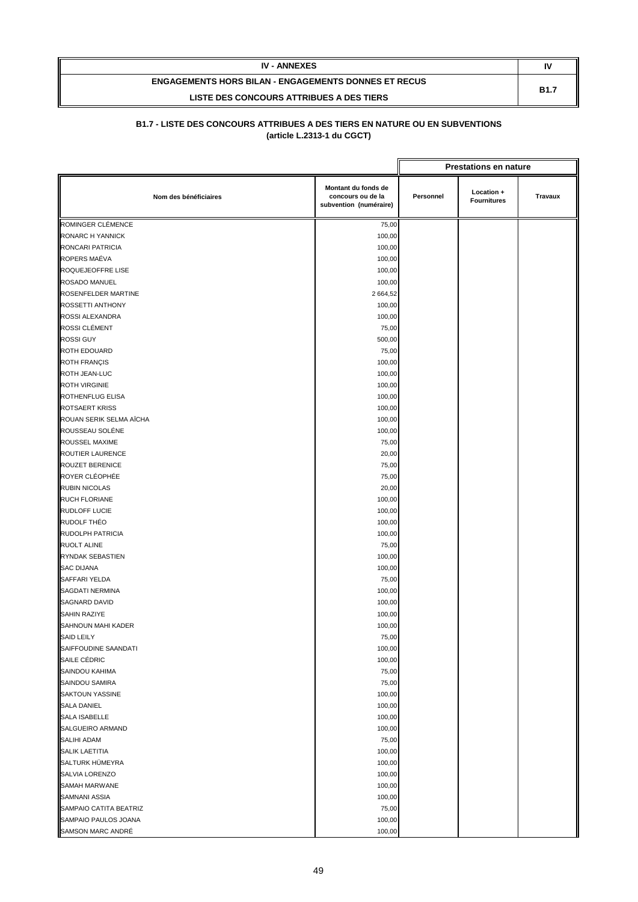| <b>IV - ANNEXES</b>                                         | IV          |
|-------------------------------------------------------------|-------------|
| <b>ENGAGEMENTS HORS BILAN - ENGAGEMENTS DONNES ET RECUS</b> | <b>B1.7</b> |
| LISTE DES CONCOURS ATTRIBUES A DES TIERS                    |             |

|                         |                                                                    |           | <b>Prestations en nature</b>     |                |
|-------------------------|--------------------------------------------------------------------|-----------|----------------------------------|----------------|
| Nom des bénéficiaires   | Montant du fonds de<br>concours ou de la<br>subvention (numéraire) | Personnel | Location +<br><b>Fournitures</b> | <b>Travaux</b> |
| ROMINGER CLÉMENCE       | 75,00                                                              |           |                                  |                |
| RONARC H YANNICK        | 100,00                                                             |           |                                  |                |
| RONCARI PATRICIA        | 100,00                                                             |           |                                  |                |
| ROPERS MAÉVA            | 100,00                                                             |           |                                  |                |
| ROQUEJEOFFRE LISE       | 100,00                                                             |           |                                  |                |
| <b>ROSADO MANUEL</b>    | 100,00                                                             |           |                                  |                |
| ROSENFELDER MARTINE     | 2 664,52                                                           |           |                                  |                |
| <b>ROSSETTI ANTHONY</b> | 100,00                                                             |           |                                  |                |
| ROSSI ALEXANDRA         | 100,00                                                             |           |                                  |                |
| ROSSI CLÉMENT           | 75,00                                                              |           |                                  |                |
| <b>ROSSI GUY</b>        | 500,00                                                             |           |                                  |                |
| ROTH EDOUARD            | 75,00                                                              |           |                                  |                |
| <b>ROTH FRANÇIS</b>     | 100,00                                                             |           |                                  |                |
| ROTH JEAN-LUC           | 100,00                                                             |           |                                  |                |
| <b>ROTH VIRGINIE</b>    | 100,00                                                             |           |                                  |                |
| ROTHENFLUG ELISA        | 100,00                                                             |           |                                  |                |
| <b>ROTSAERT KRISS</b>   | 100,00                                                             |           |                                  |                |
| ROUAN SERIK SELMA AÏCHA | 100,00                                                             |           |                                  |                |
| ROUSSEAU SOLÉNE         | 100,00                                                             |           |                                  |                |
| ROUSSEL MAXIME          | 75,00                                                              |           |                                  |                |
| ROUTIER LAURENCE        | 20,00                                                              |           |                                  |                |
| <b>ROUZET BERENICE</b>  | 75,00                                                              |           |                                  |                |
| ROYER CLÉOPHÉE          | 75,00                                                              |           |                                  |                |
| <b>RUBIN NICOLAS</b>    | 20,00                                                              |           |                                  |                |
| <b>RUCH FLORIANE</b>    | 100,00                                                             |           |                                  |                |
| <b>RUDLOFF LUCIE</b>    | 100,00                                                             |           |                                  |                |
| <b>RUDOLF THÉO</b>      | 100,00                                                             |           |                                  |                |
| RUDOLPH PATRICIA        | 100,00                                                             |           |                                  |                |
| <b>RUOLT ALINE</b>      | 75,00                                                              |           |                                  |                |
| RYNDAK SEBASTIEN        | 100,00                                                             |           |                                  |                |
| <b>SAC DIJANA</b>       | 100,00                                                             |           |                                  |                |
| SAFFARI YELDA           | 75,00                                                              |           |                                  |                |
| SAGDATI NERMINA         | 100,00                                                             |           |                                  |                |
| <b>SAGNARD DAVID</b>    | 100,00                                                             |           |                                  |                |
| <b>SAHIN RAZIYE</b>     | 100,00                                                             |           |                                  |                |
| SAHNOUN MAHI KADER      | 100,00                                                             |           |                                  |                |
| SAID LEILY              | 75,00                                                              |           |                                  |                |
| SAIFFOUDINE SAANDATI    | 100,00                                                             |           |                                  |                |
| SAILE CÉDRIC            | 100,00                                                             |           |                                  |                |
| SAINDOU KAHIMA          | 75,00                                                              |           |                                  |                |
| SAINDOU SAMIRA          | 75,00                                                              |           |                                  |                |
| <b>SAKTOUN YASSINE</b>  | 100,00                                                             |           |                                  |                |
| <b>SALA DANIEL</b>      | 100,00                                                             |           |                                  |                |
| <b>SALA ISABELLE</b>    | 100,00                                                             |           |                                  |                |
| SALGUEIRO ARMAND        | 100,00                                                             |           |                                  |                |
| SALIHI ADAM             | 75,00                                                              |           |                                  |                |
| <b>SALIK LAETITIA</b>   | 100,00                                                             |           |                                  |                |
| SALTURK HÜMEYRA         | 100,00                                                             |           |                                  |                |
| SALVIA LORENZO          | 100,00                                                             |           |                                  |                |
| <b>SAMAH MARWANE</b>    | 100,00                                                             |           |                                  |                |
| SAMNANI ASSIA           | 100,00                                                             |           |                                  |                |
| SAMPAIO CATITA BEATRIZ  | 75,00                                                              |           |                                  |                |
| SAMPAIO PAULOS JOANA    | 100,00                                                             |           |                                  |                |
| SAMSON MARC ANDRÉ       | 100,00                                                             |           |                                  |                |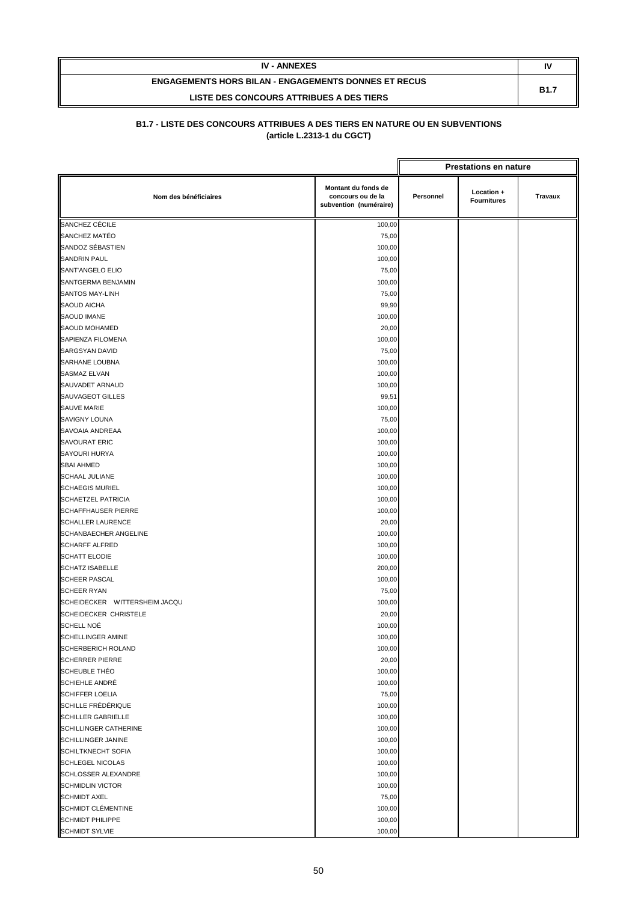| <b>IV - ANNEXES</b>                                         | IV          |
|-------------------------------------------------------------|-------------|
| <b>ENGAGEMENTS HORS BILAN - ENGAGEMENTS DONNES ET RECUS</b> | <b>B1.7</b> |
| LISTE DES CONCOURS ATTRIBUES A DES TIERS                    |             |

|                                                      |                                                                    |           | <b>Prestations en nature</b>     |         |
|------------------------------------------------------|--------------------------------------------------------------------|-----------|----------------------------------|---------|
| Nom des bénéficiaires                                | Montant du fonds de<br>concours ou de la<br>subvention (numéraire) | Personnel | Location +<br><b>Fournitures</b> | Travaux |
| <b>SANCHEZ CÉCILE</b>                                | 100,00                                                             |           |                                  |         |
| SANCHEZ MATÉO                                        | 75,00                                                              |           |                                  |         |
| SANDOZ SÉBASTIEN                                     | 100,00                                                             |           |                                  |         |
| SANDRIN PAUL                                         | 100,00                                                             |           |                                  |         |
| SANT'ANGELO ELIO                                     | 75,00                                                              |           |                                  |         |
| SANTGERMA BENJAMIN                                   | 100,00                                                             |           |                                  |         |
| SANTOS MAY-LINH                                      | 75,00                                                              |           |                                  |         |
| SAOUD AICHA                                          | 99,90                                                              |           |                                  |         |
| SAOUD IMANE                                          | 100,00                                                             |           |                                  |         |
| <b>SAOUD MOHAMED</b>                                 | 20,00                                                              |           |                                  |         |
| SAPIENZA FILOMENA                                    | 100,00                                                             |           |                                  |         |
| SARGSYAN DAVID                                       | 75,00                                                              |           |                                  |         |
| SARHANE LOUBNA                                       | 100,00                                                             |           |                                  |         |
| <b>SASMAZ ELVAN</b>                                  | 100,00                                                             |           |                                  |         |
| SAUVADET ARNAUD                                      | 100,00                                                             |           |                                  |         |
| SAUVAGEOT GILLES                                     | 99,51                                                              |           |                                  |         |
| SAUVE MARIE                                          | 100,00                                                             |           |                                  |         |
| <b>SAVIGNY LOUNA</b>                                 | 75,00                                                              |           |                                  |         |
| SAVOAIA ANDREAA                                      | 100,00                                                             |           |                                  |         |
| <b>SAVOURAT ERIC</b>                                 | 100,00                                                             |           |                                  |         |
| SAYOURI HURYA                                        | 100,00                                                             |           |                                  |         |
| <b>SBAI AHMED</b>                                    | 100,00                                                             |           |                                  |         |
| <b>SCHAAL JULIANE</b>                                | 100,00                                                             |           |                                  |         |
| <b>SCHAEGIS MURIEL</b>                               | 100,00                                                             |           |                                  |         |
| SCHAETZEL PATRICIA                                   | 100,00                                                             |           |                                  |         |
| SCHAFFHAUSER PIERRE                                  | 100,00                                                             |           |                                  |         |
| <b>SCHALLER LAURENCE</b>                             | 20,00                                                              |           |                                  |         |
| SCHANBAECHER ANGELINE                                | 100,00                                                             |           |                                  |         |
| <b>SCHARFF ALFRED</b>                                | 100,00                                                             |           |                                  |         |
| <b>SCHATT ELODIE</b>                                 | 100,00                                                             |           |                                  |         |
| <b>SCHATZ ISABELLE</b>                               | 200,00                                                             |           |                                  |         |
| <b>SCHEER PASCAL</b>                                 | 100,00                                                             |           |                                  |         |
| <b>SCHEER RYAN</b>                                   | 75,00                                                              |           |                                  |         |
| SCHEIDECKER WITTERSHEIM JACQU                        | 100,00                                                             |           |                                  |         |
| SCHEIDECKER CHRISTELE                                | 20,00                                                              |           |                                  |         |
| <b>SCHELL NOĖ</b>                                    | 100,00                                                             |           |                                  |         |
| <b>SCHELLINGER AMINE</b>                             | 100,00                                                             |           |                                  |         |
| SCHERBERICH ROLAND                                   | 100,00                                                             |           |                                  |         |
| <b>SCHERRER PIERRE</b>                               | 20,00                                                              |           |                                  |         |
| <b>SCHEUBLE THÉO</b>                                 | 100,00                                                             |           |                                  |         |
| SCHIEHLE ANDRÉ                                       | 100,00                                                             |           |                                  |         |
| <b>SCHIFFER LOELIA</b>                               | 75,00                                                              |           |                                  |         |
| SCHILLE FRÉDÉRIQUE                                   | 100,00                                                             |           |                                  |         |
| SCHILLER GABRIELLE                                   | 100,00                                                             |           |                                  |         |
| SCHILLINGER CATHERINE                                | 100,00                                                             |           |                                  |         |
| SCHILLINGER JANINE                                   | 100,00                                                             |           |                                  |         |
| <b>SCHILTKNECHT SOFIA</b>                            | 100,00                                                             |           |                                  |         |
| SCHLEGEL NICOLAS<br>SCHLOSSER ALEXANDRE              | 100,00                                                             |           |                                  |         |
| <b>SCHMIDLIN VICTOR</b>                              | 100,00                                                             |           |                                  |         |
|                                                      | 100,00                                                             |           |                                  |         |
| <b>SCHMIDT AXEL</b>                                  | 75,00                                                              |           |                                  |         |
| <b>SCHMIDT CLÉMENTINE</b><br><b>SCHMIDT PHILIPPE</b> | 100,00                                                             |           |                                  |         |
| <b>SCHMIDT SYLVIE</b>                                | 100,00<br>100,00                                                   |           |                                  |         |
|                                                      |                                                                    |           |                                  |         |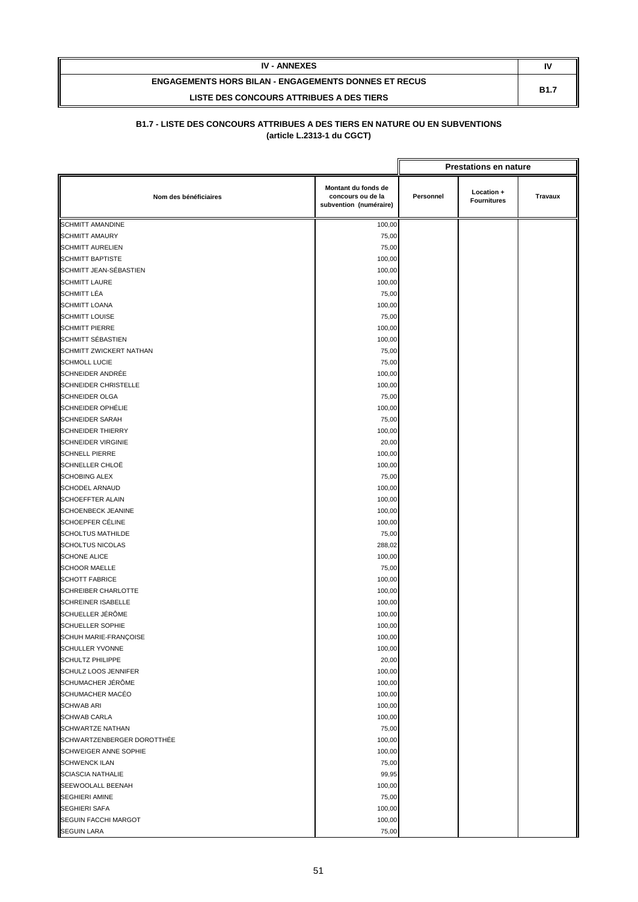| <b>IV - ANNEXES</b>                                         | N           |
|-------------------------------------------------------------|-------------|
| <b>ENGAGEMENTS HORS BILAN - ENGAGEMENTS DONNES ET RECUS</b> | <b>B1.7</b> |
| LISTE DES CONCOURS ATTRIBUES A DES TIERS                    |             |

|                             |                                                                    |           | <b>Prestations en nature</b>     |         |
|-----------------------------|--------------------------------------------------------------------|-----------|----------------------------------|---------|
| Nom des bénéficiaires       | Montant du fonds de<br>concours ou de la<br>subvention (numéraire) | Personnel | Location +<br><b>Fournitures</b> | Travaux |
| <b>SCHMITT AMANDINE</b>     | 100,00                                                             |           |                                  |         |
| <b>SCHMITT AMAURY</b>       | 75,00                                                              |           |                                  |         |
| <b>SCHMITT AURELIEN</b>     | 75,00                                                              |           |                                  |         |
| <b>SCHMITT BAPTISTE</b>     | 100,00                                                             |           |                                  |         |
| SCHMITT JEAN-SÉBASTIEN      | 100,00                                                             |           |                                  |         |
| <b>SCHMITT LAURE</b>        | 100,00                                                             |           |                                  |         |
| SCHMITT LÉA                 | 75,00                                                              |           |                                  |         |
| <b>SCHMITT LOANA</b>        | 100,00                                                             |           |                                  |         |
| <b>SCHMITT LOUISE</b>       | 75,00                                                              |           |                                  |         |
| <b>SCHMITT PIERRE</b>       | 100,00                                                             |           |                                  |         |
| SCHMITT SÉBASTIEN           | 100,00                                                             |           |                                  |         |
| SCHMITT ZWICKERT NATHAN     | 75,00                                                              |           |                                  |         |
| <b>SCHMOLL LUCIE</b>        | 75,00                                                              |           |                                  |         |
| SCHNEIDER ANDRÉE            | 100,00                                                             |           |                                  |         |
| <b>SCHNEIDER CHRISTELLE</b> | 100,00                                                             |           |                                  |         |
| <b>SCHNEIDER OLGA</b>       | 75,00                                                              |           |                                  |         |
| <b>SCHNEIDER OPHÉLIE</b>    | 100,00                                                             |           |                                  |         |
| <b>SCHNEIDER SARAH</b>      | 75,00                                                              |           |                                  |         |
| <b>SCHNEIDER THIERRY</b>    | 100,00                                                             |           |                                  |         |
| <b>SCHNEIDER VIRGINIE</b>   | 20,00                                                              |           |                                  |         |
| <b>SCHNELL PIERRE</b>       | 100,00                                                             |           |                                  |         |
| SCHNELLER CHLOË             | 100,00                                                             |           |                                  |         |
| <b>SCHOBING ALEX</b>        | 75,00                                                              |           |                                  |         |
| <b>SCHODEL ARNAUD</b>       | 100,00                                                             |           |                                  |         |
| <b>SCHOEFFTER ALAIN</b>     | 100,00                                                             |           |                                  |         |
| SCHOENBECK JEANINE          | 100,00                                                             |           |                                  |         |
| SCHOEPFER CÉLINE            | 100,00                                                             |           |                                  |         |
| <b>SCHOLTUS MATHILDE</b>    | 75,00                                                              |           |                                  |         |
| <b>SCHOLTUS NICOLAS</b>     | 288,02                                                             |           |                                  |         |
| <b>SCHONE ALICE</b>         | 100,00                                                             |           |                                  |         |
| <b>SCHOOR MAELLE</b>        | 75,00                                                              |           |                                  |         |
| <b>SCHOTT FABRICE</b>       | 100,00                                                             |           |                                  |         |
| <b>SCHREIBER CHARLOTTE</b>  | 100,00                                                             |           |                                  |         |
| <b>SCHREINER ISABELLE</b>   | 100,00                                                             |           |                                  |         |
| SCHUELLER JÉRÖME            | 100,00                                                             |           |                                  |         |
| <b>SCHUELLER SOPHIE</b>     | 100,00                                                             |           |                                  |         |
| SCHUH MARIE-FRANÇOISE       | 100,00                                                             |           |                                  |         |
| SCHULLER YVONNE             | 100,00                                                             |           |                                  |         |
| <b>SCHULTZ PHILIPPE</b>     | 20,00                                                              |           |                                  |         |
| SCHULZ LOOS JENNIFER        | 100,00                                                             |           |                                  |         |
| SCHUMACHER JÉRÔME           | 100,00                                                             |           |                                  |         |
| <b>SCHUMACHER MACÉO</b>     | 100,00                                                             |           |                                  |         |
| <b>SCHWAB ARI</b>           | 100,00                                                             |           |                                  |         |
| <b>SCHWAB CARLA</b>         | 100,00                                                             |           |                                  |         |
| <b>SCHWARTZE NATHAN</b>     | 75,00                                                              |           |                                  |         |
| SCHWARTZENBERGER DOROTTHÉE  | 100,00                                                             |           |                                  |         |
| SCHWEIGER ANNE SOPHIE       | 100,00                                                             |           |                                  |         |
| <b>SCHWENCK ILAN</b>        | 75,00                                                              |           |                                  |         |
| <b>SCIASCIA NATHALIE</b>    | 99,95                                                              |           |                                  |         |
| SEEWOOLALL BEENAH           | 100,00                                                             |           |                                  |         |
| <b>SEGHIERI AMINE</b>       | 75,00                                                              |           |                                  |         |
| <b>SEGHIERI SAFA</b>        | 100,00                                                             |           |                                  |         |
| <b>SEGUIN FACCHI MARGOT</b> | 100,00                                                             |           |                                  |         |
| <b>SEGUIN LARA</b>          | 75,00                                                              |           |                                  |         |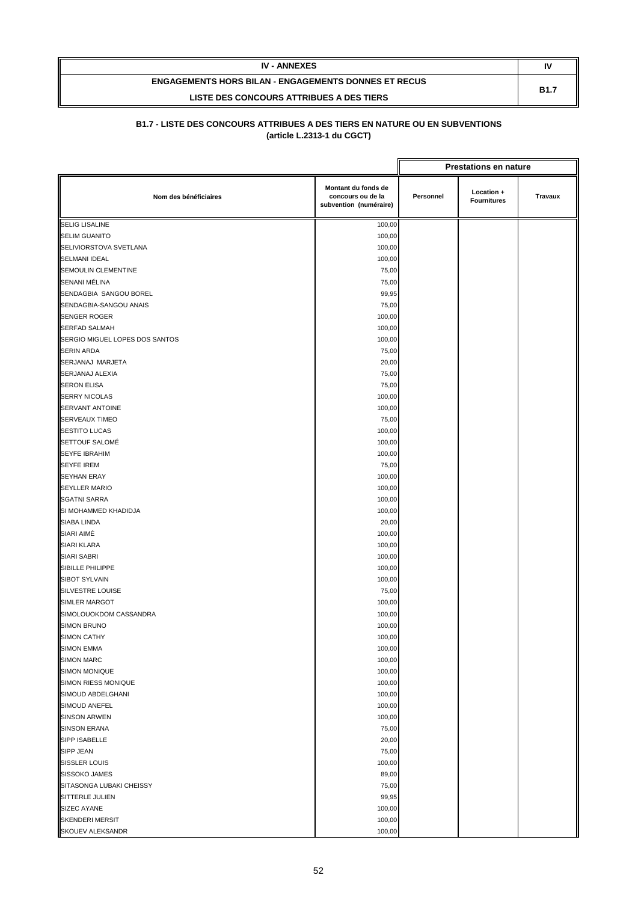| <b>IV - ANNEXES</b>                                         | IV          |
|-------------------------------------------------------------|-------------|
| <b>ENGAGEMENTS HORS BILAN - ENGAGEMENTS DONNES ET RECUS</b> | <b>B1.7</b> |
| LISTE DES CONCOURS ATTRIBUES A DES TIERS                    |             |

|                                |                                                                    | <b>Prestations en nature</b> |                                  |                |
|--------------------------------|--------------------------------------------------------------------|------------------------------|----------------------------------|----------------|
| Nom des bénéficiaires          | Montant du fonds de<br>concours ou de la<br>subvention (numéraire) | Personnel                    | Location +<br><b>Fournitures</b> | <b>Travaux</b> |
| <b>SELIG LISALINE</b>          | 100,00                                                             |                              |                                  |                |
| <b>SELIM GUANITO</b>           | 100,00                                                             |                              |                                  |                |
| SELIVIORSTOVA SVETLANA         | 100,00                                                             |                              |                                  |                |
| SELMANI IDEAL                  | 100,00                                                             |                              |                                  |                |
| SEMOULIN CLEMENTINE            | 75,00                                                              |                              |                                  |                |
| SENANI MÉLINA                  | 75,00                                                              |                              |                                  |                |
| SENDAGBIA SANGOU BOREL         | 99,95                                                              |                              |                                  |                |
| SENDAGBIA-SANGOU ANAIS         | 75,00                                                              |                              |                                  |                |
| <b>SENGER ROGER</b>            | 100,00                                                             |                              |                                  |                |
| <b>SERFAD SALMAH</b>           | 100,00                                                             |                              |                                  |                |
| SERGIO MIGUEL LOPES DOS SANTOS | 100,00                                                             |                              |                                  |                |
| SERIN ARDA                     | 75,00                                                              |                              |                                  |                |
| SERJANAJ MARJETA               | 20,00                                                              |                              |                                  |                |
| SERJANAJ ALEXIA                | 75,00                                                              |                              |                                  |                |
| <b>SERON ELISA</b>             | 75,00                                                              |                              |                                  |                |
| <b>SERRY NICOLAS</b>           | 100,00                                                             |                              |                                  |                |
| SERVANT ANTOINE                | 100,00                                                             |                              |                                  |                |
| SERVEAUX TIMEO                 | 75,00                                                              |                              |                                  |                |
| <b>SESTITO LUCAS</b>           | 100,00                                                             |                              |                                  |                |
| <b>SETTOUF SALOMÉ</b>          | 100,00                                                             |                              |                                  |                |
| <b>SEYFE IBRAHIM</b>           | 100,00                                                             |                              |                                  |                |
| <b>SEYFE IREM</b>              | 75,00                                                              |                              |                                  |                |
| <b>SEYHAN ERAY</b>             | 100,00                                                             |                              |                                  |                |
| <b>SEYLLER MARIO</b>           | 100,00                                                             |                              |                                  |                |
| <b>SGATNI SARRA</b>            | 100,00                                                             |                              |                                  |                |
| SI MOHAMMED KHADIDJA           | 100,00                                                             |                              |                                  |                |
| SIABA LINDA                    | 20,00                                                              |                              |                                  |                |
| SIARI AIMÉ                     | 100,00                                                             |                              |                                  |                |
| <b>SIARI KLARA</b>             | 100,00                                                             |                              |                                  |                |
| SIARI SABRI                    | 100,00                                                             |                              |                                  |                |
| SIBILLE PHILIPPE               | 100,00                                                             |                              |                                  |                |
| <b>SIBOT SYLVAIN</b>           | 100,00                                                             |                              |                                  |                |
| SILVESTRE LOUISE               | 75,00                                                              |                              |                                  |                |
| <b>SIMLER MARGOT</b>           | 100,00                                                             |                              |                                  |                |
| SIMOLOUOKDOM CASSANDRA         | 100,00                                                             |                              |                                  |                |
| <b>SIMON BRUNO</b>             | 100,00                                                             |                              |                                  |                |
| SIMON CATHY                    | 100,00                                                             |                              |                                  |                |
| SIMON EMMA                     | 100,00                                                             |                              |                                  |                |
| <b>SIMON MARC</b>              | 100,00                                                             |                              |                                  |                |
| SIMON MONIQUE                  | 100,00                                                             |                              |                                  |                |
| SIMON RIESS MONIQUE            | 100,00                                                             |                              |                                  |                |
| SIMOUD ABDELGHANI              | 100,00                                                             |                              |                                  |                |
| SIMOUD ANEFEL                  | 100,00                                                             |                              |                                  |                |
| <b>SINSON ARWEN</b>            | 100,00                                                             |                              |                                  |                |
| <b>SINSON ERANA</b>            | 75,00                                                              |                              |                                  |                |
| SIPP ISABELLE                  | 20,00                                                              |                              |                                  |                |
| SIPP JEAN                      | 75,00                                                              |                              |                                  |                |
| SISSLER LOUIS                  | 100,00                                                             |                              |                                  |                |
| SISSOKO JAMES                  | 89,00                                                              |                              |                                  |                |
| SITASONGA LUBAKI CHEISSY       | 75,00                                                              |                              |                                  |                |
| SITTERLE JULIEN                | 99,95                                                              |                              |                                  |                |
| SIZEC AYANE                    | 100,00                                                             |                              |                                  |                |
| <b>SKENDERI MERSIT</b>         | 100,00                                                             |                              |                                  |                |
| SKOUEV ALEKSANDR               | 100,00                                                             |                              |                                  |                |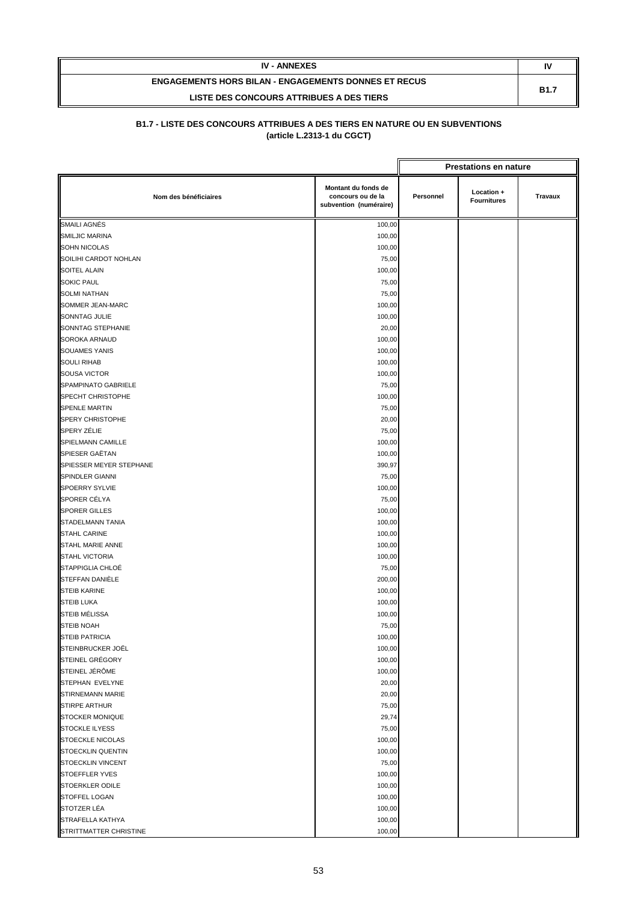| <b>IV - ANNEXES</b>                                         | N           |
|-------------------------------------------------------------|-------------|
| <b>ENGAGEMENTS HORS BILAN - ENGAGEMENTS DONNES ET RECUS</b> | <b>B1.7</b> |
| LISTE DES CONCOURS ATTRIBUES A DES TIERS                    |             |

|                          |                                                                    |           | <b>Prestations en nature</b>     |         |
|--------------------------|--------------------------------------------------------------------|-----------|----------------------------------|---------|
| Nom des bénéficiaires    | Montant du fonds de<br>concours ou de la<br>subvention (numéraire) | Personnel | Location +<br><b>Fournitures</b> | Travaux |
| SMAILI AGNÉS             | 100,00                                                             |           |                                  |         |
| SMILJIC MARINA           | 100,00                                                             |           |                                  |         |
| <b>SOHN NICOLAS</b>      | 100,00                                                             |           |                                  |         |
| SOILIHI CARDOT NOHLAN    | 75,00                                                              |           |                                  |         |
| SOITEL ALAIN             | 100,00                                                             |           |                                  |         |
| <b>SOKIC PAUL</b>        | 75,00                                                              |           |                                  |         |
| <b>SOLMI NATHAN</b>      | 75,00                                                              |           |                                  |         |
| SOMMER JEAN-MARC         | 100,00                                                             |           |                                  |         |
| SONNTAG JULIE            | 100,00                                                             |           |                                  |         |
| SONNTAG STEPHANIE        | 20,00                                                              |           |                                  |         |
| <b>SOROKA ARNAUD</b>     | 100,00                                                             |           |                                  |         |
| <b>SOUAMES YANIS</b>     | 100,00                                                             |           |                                  |         |
| <b>SOULI RIHAB</b>       | 100,00                                                             |           |                                  |         |
| <b>SOUSA VICTOR</b>      | 100,00                                                             |           |                                  |         |
| SPAMPINATO GABRIELE      | 75,00                                                              |           |                                  |         |
| SPECHT CHRISTOPHE        | 100,00                                                             |           |                                  |         |
| SPENLE MARTIN            | 75,00                                                              |           |                                  |         |
| SPERY CHRISTOPHE         | 20,00                                                              |           |                                  |         |
| SPERY ZÉLIE              | 75,00                                                              |           |                                  |         |
| SPIELMANN CAMILLE        | 100,00                                                             |           |                                  |         |
| SPIESER GAËTAN           | 100,00                                                             |           |                                  |         |
| SPIESSER MEYER STEPHANE  | 390,97                                                             |           |                                  |         |
| SPINDLER GIANNI          | 75,00                                                              |           |                                  |         |
| <b>SPOERRY SYLVIE</b>    | 100,00                                                             |           |                                  |         |
| SPORER CÉLYA             | 75,00                                                              |           |                                  |         |
| SPORER GILLES            | 100,00                                                             |           |                                  |         |
| STADELMANN TANIA         | 100,00                                                             |           |                                  |         |
| <b>STAHL CARINE</b>      | 100,00                                                             |           |                                  |         |
| STAHL MARIE ANNE         | 100,00                                                             |           |                                  |         |
| STAHL VICTORIA           | 100,00                                                             |           |                                  |         |
| STAPPIGLIA CHLOÉ         | 75,00                                                              |           |                                  |         |
| STEFFAN DANIÈLE          | 200,00                                                             |           |                                  |         |
| <b>STEIB KARINE</b>      | 100,00                                                             |           |                                  |         |
| <b>STEIB LUKA</b>        | 100,00                                                             |           |                                  |         |
| STEIB MÉLISSA            | 100,00                                                             |           |                                  |         |
| <b>STEIB NOAH</b>        | 75,00                                                              |           |                                  |         |
| STEIB PATRICIA           | 100,00                                                             |           |                                  |         |
| STEINBRUCKER JOËL        | 100,00                                                             |           |                                  |         |
| STEINEL GRÉGORY          | 100,00                                                             |           |                                  |         |
| STEINEL JÉRÔME           | 100,00                                                             |           |                                  |         |
| STEPHAN EVELYNE          | 20,00                                                              |           |                                  |         |
| STIRNEMANN MARIE         | 20,00                                                              |           |                                  |         |
| STIRPE ARTHUR            | 75,00                                                              |           |                                  |         |
| STOCKER MONIQUE          | 29,74                                                              |           |                                  |         |
| <b>STOCKLE ILYESS</b>    | 75,00                                                              |           |                                  |         |
| <b>STOECKLE NICOLAS</b>  | 100,00                                                             |           |                                  |         |
| <b>STOECKLIN QUENTIN</b> | 100,00                                                             |           |                                  |         |
| STOECKLIN VINCENT        | 75,00                                                              |           |                                  |         |
| <b>STOEFFLER YVES</b>    | 100,00                                                             |           |                                  |         |
| STOERKLER ODILE          | 100,00                                                             |           |                                  |         |
| STOFFEL LOGAN            | 100,00                                                             |           |                                  |         |
| STOTZER LÉA              | 100,00                                                             |           |                                  |         |
| STRAFELLA KATHYA         | 100,00                                                             |           |                                  |         |
| STRITTMATTER CHRISTINE   | 100,00                                                             |           |                                  |         |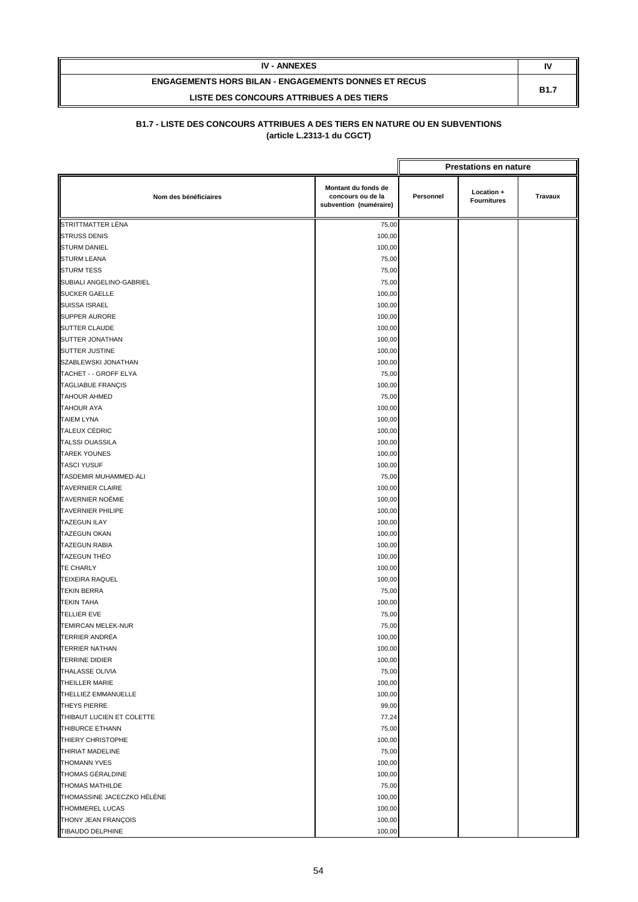| <b>IV - ANNEXES</b>                                         | N           |
|-------------------------------------------------------------|-------------|
| <b>ENGAGEMENTS HORS BILAN - ENGAGEMENTS DONNES ET RECUS</b> | <b>B1.7</b> |
| LISTE DES CONCOURS ATTRIBUES A DES TIERS                    |             |

|                            |                                                                    |           | <b>Prestations en nature</b>     |                |
|----------------------------|--------------------------------------------------------------------|-----------|----------------------------------|----------------|
| Nom des bénéficiaires      | Montant du fonds de<br>concours ou de la<br>subvention (numéraire) | Personnel | Location +<br><b>Fournitures</b> | <b>Travaux</b> |
| STRITTMATTER LÉNA          | 75,00                                                              |           |                                  |                |
| <b>STRUSS DENIS</b>        | 100,00                                                             |           |                                  |                |
| <b>STURM DANIEL</b>        | 100,00                                                             |           |                                  |                |
| <b>STURM LEANA</b>         | 75,00                                                              |           |                                  |                |
| <b>STURM TESS</b>          | 75,00                                                              |           |                                  |                |
| SUBIALI ANGELINO-GABRIEL   | 75,00                                                              |           |                                  |                |
| <b>SUCKER GAELLE</b>       | 100,00                                                             |           |                                  |                |
| <b>SUISSA ISRAEL</b>       | 100,00                                                             |           |                                  |                |
| <b>SUPPER AURORE</b>       | 100,00                                                             |           |                                  |                |
| SUTTER CLAUDE              | 100,00                                                             |           |                                  |                |
| SUTTER JONATHAN            | 100,00                                                             |           |                                  |                |
| SUTTER JUSTINE             | 100,00                                                             |           |                                  |                |
| SZABLEWSKI JONATHAN        | 100,00                                                             |           |                                  |                |
| TACHET - - GROFF ELYA      | 75,00                                                              |           |                                  |                |
| <b>TAGLIABUE FRANÇIS</b>   | 100,00                                                             |           |                                  |                |
| <b>TAHOUR AHMED</b>        | 75,00                                                              |           |                                  |                |
| <b>TAHOUR AYA</b>          | 100,00                                                             |           |                                  |                |
| <b>TAIEM LYNA</b>          | 100,00                                                             |           |                                  |                |
| <b>TALEUX CÉDRIC</b>       | 100,00                                                             |           |                                  |                |
| <b>TALSSI OUASSILA</b>     | 100,00                                                             |           |                                  |                |
| <b>TAREK YOUNES</b>        | 100,00                                                             |           |                                  |                |
| <b>TASCI YUSUF</b>         | 100,00                                                             |           |                                  |                |
| TASDEMIR MUHAMMED-ALI      | 75,00                                                              |           |                                  |                |
| <b>TAVERNIER CLAIRE</b>    | 100,00                                                             |           |                                  |                |
| <b>TAVERNIER NOÉMIE</b>    | 100,00                                                             |           |                                  |                |
| <b>TAVERNIER PHILIPE</b>   | 100,00                                                             |           |                                  |                |
| <b>TAZEGUN ILAY</b>        | 100,00                                                             |           |                                  |                |
| <b>TAZEGUN OKAN</b>        | 100,00                                                             |           |                                  |                |
| <b>TAZEGUN RABIA</b>       | 100,00                                                             |           |                                  |                |
| <b>TAZEGUN THÉO</b>        | 100,00                                                             |           |                                  |                |
| <b>TE CHARLY</b>           | 100,00                                                             |           |                                  |                |
| <b>TEIXEIRA RAQUEL</b>     | 100,00                                                             |           |                                  |                |
| <b>TEKIN BERRA</b>         | 75,00                                                              |           |                                  |                |
| <b>TEKIN TAHA</b>          | 100,00                                                             |           |                                  |                |
| <b>TELLIER EVE</b>         | 75,00                                                              |           |                                  |                |
| <b>TEMIRCAN MELEK-NUR</b>  | 75,00                                                              |           |                                  |                |
| <b>TERRIER ANDRÉA</b>      | 100,00                                                             |           |                                  |                |
| <b>TERRIER NATHAN</b>      | 100,00                                                             |           |                                  |                |
| <b>TERRINE DIDIER</b>      | 100,00                                                             |           |                                  |                |
| THALASSE OLIVIA            | 75,00                                                              |           |                                  |                |
| THEILLER MARIE             | 100,00                                                             |           |                                  |                |
| THELLIEZ EMMANUELLE        | 100,00                                                             |           |                                  |                |
| <b>THEYS PIERRE</b>        | 99,00                                                              |           |                                  |                |
| THIBAUT LUCIEN ET COLETTE  | 77,24                                                              |           |                                  |                |
| THIBURCE ETHANN            | 75,00                                                              |           |                                  |                |
| THIERY CHRISTOPHE          | 100,00                                                             |           |                                  |                |
| THIRIAT MADELINE           | 75,00                                                              |           |                                  |                |
| <b>THOMANN YVES</b>        | 100,00                                                             |           |                                  |                |
| THOMAS GÉRALDINE           | 100,00                                                             |           |                                  |                |
| THOMAS MATHILDE            | 75,00                                                              |           |                                  |                |
| THOMASSINE JACECZKO HÉLÈNE | 100,00                                                             |           |                                  |                |
| THOMMEREL LUCAS            | 100,00                                                             |           |                                  |                |
| THONY JEAN FRANÇOIS        | 100,00                                                             |           |                                  |                |
| TIBAUDO DELPHINE           | 100,00                                                             |           |                                  |                |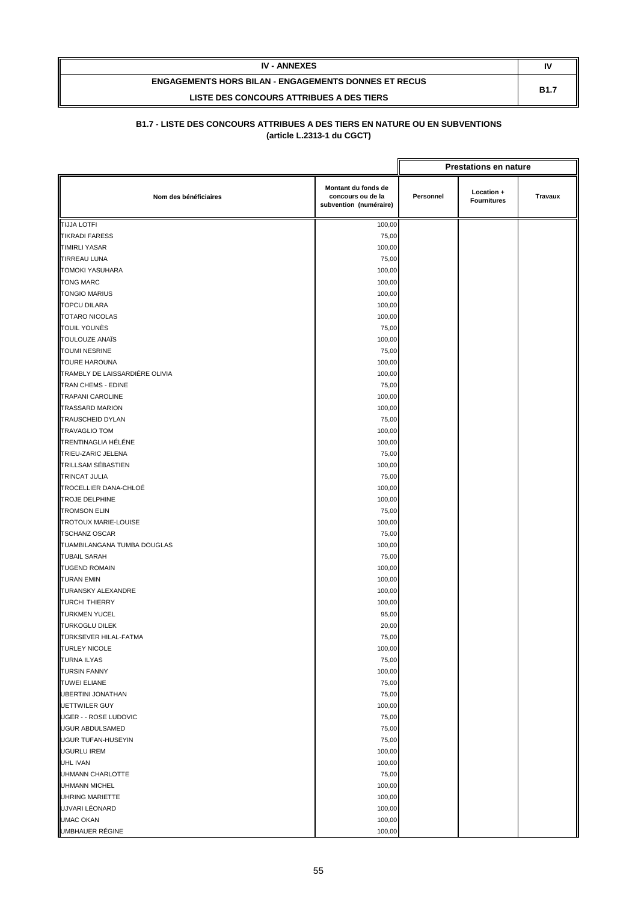| <b>IV - ANNEXES</b>                                         | N           |
|-------------------------------------------------------------|-------------|
| <b>ENGAGEMENTS HORS BILAN - ENGAGEMENTS DONNES ET RECUS</b> | <b>B1.7</b> |
| LISTE DES CONCOURS ATTRIBUES A DES TIERS                    |             |

|                                |                                                                    |           | <b>Prestations en nature</b>     |         |
|--------------------------------|--------------------------------------------------------------------|-----------|----------------------------------|---------|
| Nom des bénéficiaires          | Montant du fonds de<br>concours ou de la<br>subvention (numéraire) | Personnel | Location +<br><b>Fournitures</b> | Travaux |
| <b>TIJJA LOTFI</b>             | 100,00                                                             |           |                                  |         |
| <b>TIKRADI FARESS</b>          | 75,00                                                              |           |                                  |         |
| <b>TIMIRLI YASAR</b>           | 100,00                                                             |           |                                  |         |
| <b>TIRREAU LUNA</b>            | 75,00                                                              |           |                                  |         |
| <b>TOMOKI YASUHARA</b>         | 100,00                                                             |           |                                  |         |
| <b>TONG MARC</b>               | 100,00                                                             |           |                                  |         |
| <b>TONGIO MARIUS</b>           | 100,00                                                             |           |                                  |         |
| <b>TOPCU DILARA</b>            | 100,00                                                             |           |                                  |         |
| <b>TOTARO NICOLAS</b>          | 100,00                                                             |           |                                  |         |
| TOUIL YOUNÈS                   | 75,00                                                              |           |                                  |         |
| <b>TOULOUZE ANAIS</b>          | 100,00                                                             |           |                                  |         |
| <b>TOUMI NESRINE</b>           | 75,00                                                              |           |                                  |         |
| <b>TOURE HAROUNA</b>           | 100,00                                                             |           |                                  |         |
| TRAMBLY DE LAISSARDIÉRE OLIVIA | 100,00                                                             |           |                                  |         |
| TRAN CHEMS - EDINE             | 75,00                                                              |           |                                  |         |
| <b>TRAPANI CAROLINE</b>        | 100,00                                                             |           |                                  |         |
| <b>TRASSARD MARION</b>         | 100,00                                                             |           |                                  |         |
| TRAUSCHEID DYLAN               | 75,00                                                              |           |                                  |         |
| <b>TRAVAGLIO TOM</b>           | 100,00                                                             |           |                                  |         |
| <b>TRENTINAGLIA HÉLÉNE</b>     | 100,00                                                             |           |                                  |         |
| TRIEU-ZARIC JELENA             | 75,00                                                              |           |                                  |         |
| <b>TRILLSAM SÉBASTIEN</b>      | 100,00                                                             |           |                                  |         |
| <b>TRINCAT JULIA</b>           | 75,00                                                              |           |                                  |         |
| TROCELLIER DANA-CHLOÉ          | 100,00                                                             |           |                                  |         |
| <b>TROJE DELPHINE</b>          | 100,00                                                             |           |                                  |         |
| <b>TROMSON ELIN</b>            | 75,00                                                              |           |                                  |         |
| <b>TROTOUX MARIE-LOUISE</b>    | 100,00                                                             |           |                                  |         |
| <b>TSCHANZ OSCAR</b>           | 75,00                                                              |           |                                  |         |
| TUAMBILANGANA TUMBA DOUGLAS    | 100,00                                                             |           |                                  |         |
| <b>TUBAIL SARAH</b>            | 75,00                                                              |           |                                  |         |
| <b>TUGEND ROMAIN</b>           | 100,00                                                             |           |                                  |         |
| <b>TURAN EMIN</b>              | 100,00                                                             |           |                                  |         |
| <b>TURANSKY ALEXANDRE</b>      | 100,00                                                             |           |                                  |         |
| <b>TURCHI THIERRY</b>          | 100,00                                                             |           |                                  |         |
| <b>TURKMEN YUCEL</b>           | 95,00                                                              |           |                                  |         |
| <b>TURKOGLU DILEK</b>          | 20,00                                                              |           |                                  |         |
| TÜRKSEVER HILAL-FATMA          | 75,00                                                              |           |                                  |         |
| <b>TURLEY NICOLE</b>           | 100,00                                                             |           |                                  |         |
| <b>TURNA ILYAS</b>             | 75,00                                                              |           |                                  |         |
| <b>TURSIN FANNY</b>            | 100,00                                                             |           |                                  |         |
| <b>TUWEI ELIANE</b>            | 75,00                                                              |           |                                  |         |
| <b>UBERTINI JONATHAN</b>       | 75,00                                                              |           |                                  |         |
| <b>UETTWILER GUY</b>           | 100,00                                                             |           |                                  |         |
| <b>UGER - - ROSE LUDOVIC</b>   | 75,00                                                              |           |                                  |         |
| <b>UGUR ABDULSAMED</b>         | 75,00                                                              |           |                                  |         |
| <b>UGUR TUFAN-HUSEYIN</b>      | 75,00                                                              |           |                                  |         |
| <b>UGURLU IREM</b>             | 100,00                                                             |           |                                  |         |
| UHL IVAN                       | 100,00                                                             |           |                                  |         |
| UHMANN CHARLOTTE               | 75,00                                                              |           |                                  |         |
| <b>UHMANN MICHEL</b>           | 100,00                                                             |           |                                  |         |
| UHRING MARIETTE                | 100,00                                                             |           |                                  |         |
| UJVARI LÉONARD                 | 100,00                                                             |           |                                  |         |
| <b>UMAC OKAN</b>               | 100,00                                                             |           |                                  |         |
| UMBHAUER RÉGINE                | 100,00                                                             |           |                                  |         |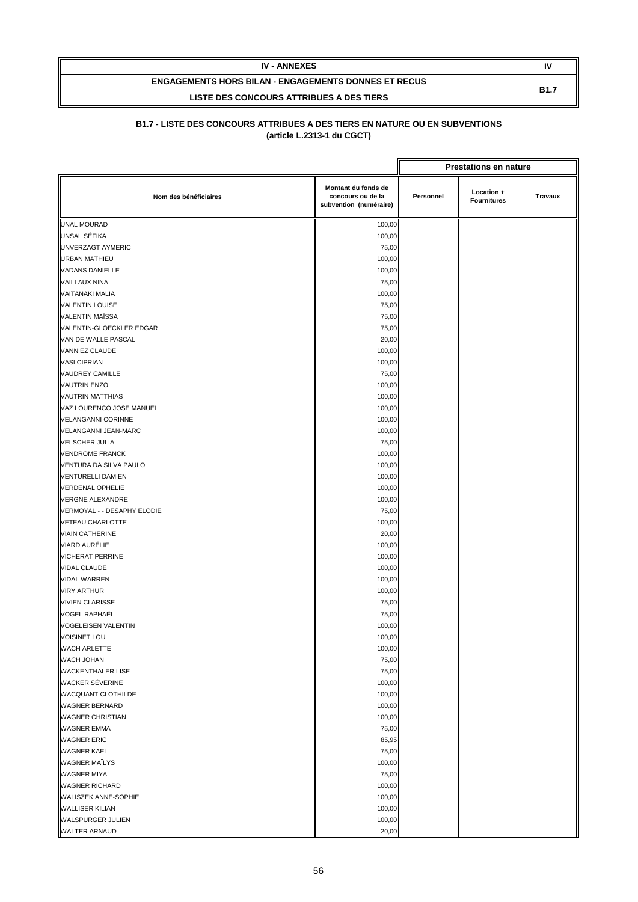| <b>IV - ANNEXES</b>                                         | N           |
|-------------------------------------------------------------|-------------|
| <b>ENGAGEMENTS HORS BILAN - ENGAGEMENTS DONNES ET RECUS</b> | <b>B1.7</b> |
| LISTE DES CONCOURS ATTRIBUES A DES TIERS                    |             |

|                             |                                                                    |           | <b>Prestations en nature</b>     |                |
|-----------------------------|--------------------------------------------------------------------|-----------|----------------------------------|----------------|
| Nom des bénéficiaires       | Montant du fonds de<br>concours ou de la<br>subvention (numéraire) | Personnel | Location +<br><b>Fournitures</b> | <b>Travaux</b> |
| UNAL MOURAD                 | 100,00                                                             |           |                                  |                |
| UNSAL SÉFIKA                | 100,00                                                             |           |                                  |                |
| UNVERZAGT AYMERIC           | 75,00                                                              |           |                                  |                |
| <b>URBAN MATHIEU</b>        | 100,00                                                             |           |                                  |                |
| <b>VADANS DANIELLE</b>      | 100,00                                                             |           |                                  |                |
| <b>VAILLAUX NINA</b>        | 75,00                                                              |           |                                  |                |
| <b>VAITANAKI MALIA</b>      | 100,00                                                             |           |                                  |                |
| <b>VALENTIN LOUISE</b>      | 75,00                                                              |           |                                  |                |
| VALENTIN MAÏSSA             | 75,00                                                              |           |                                  |                |
| VALENTIN-GLOECKLER EDGAR    | 75,00                                                              |           |                                  |                |
| VAN DE WALLE PASCAL         | 20,00                                                              |           |                                  |                |
| VANNIEZ CLAUDE              | 100,00                                                             |           |                                  |                |
| <b>VASI CIPRIAN</b>         | 100,00                                                             |           |                                  |                |
| VAUDREY CAMILLE             | 75,00                                                              |           |                                  |                |
| <b>VAUTRIN ENZO</b>         | 100,00                                                             |           |                                  |                |
| <b>VAUTRIN MATTHIAS</b>     | 100,00                                                             |           |                                  |                |
| VAZ LOURENCO JOSE MANUEL    | 100,00                                                             |           |                                  |                |
| <b>VELANGANNI CORINNE</b>   | 100,00                                                             |           |                                  |                |
| <b>VELANGANNI JEAN-MARC</b> | 100,00                                                             |           |                                  |                |
| <b>VELSCHER JULIA</b>       | 75,00                                                              |           |                                  |                |
| <b>VENDROME FRANCK</b>      | 100,00                                                             |           |                                  |                |
| VENTURA DA SILVA PAULO      | 100,00                                                             |           |                                  |                |
| <b>VENTURELLI DAMIEN</b>    | 100,00                                                             |           |                                  |                |
| <b>VERDENAL OPHELIE</b>     | 100,00                                                             |           |                                  |                |
| <b>VERGNE ALEXANDRE</b>     | 100,00                                                             |           |                                  |                |
| VERMOYAL - - DESAPHY ELODIE | 75,00                                                              |           |                                  |                |
| VETEAU CHARLOTTE            | 100,00                                                             |           |                                  |                |
| <b>VIAIN CATHERINE</b>      | 20,00                                                              |           |                                  |                |
| VIARD AURÉLIE               | 100,00                                                             |           |                                  |                |
| <b>VICHERAT PERRINE</b>     | 100,00                                                             |           |                                  |                |
| <b>VIDAL CLAUDE</b>         | 100,00                                                             |           |                                  |                |
| <b>VIDAL WARREN</b>         | 100,00                                                             |           |                                  |                |
| <b>VIRY ARTHUR</b>          | 100,00                                                             |           |                                  |                |
| <b>VIVIEN CLARISSE</b>      | 75,00                                                              |           |                                  |                |
| <b>VOGEL RAPHAËL</b>        | 75,00                                                              |           |                                  |                |
| <b>VOGELEISEN VALENTIN</b>  | 100,00                                                             |           |                                  |                |
| <b>VOISINET LOU</b>         | 100,00                                                             |           |                                  |                |
| WACH ARLETTE                | 100,00                                                             |           |                                  |                |
| WACH JOHAN                  | 75,00                                                              |           |                                  |                |
| <b>WACKENTHALER LISE</b>    | 75,00                                                              |           |                                  |                |
| <b>WACKER SÉVERINE</b>      | 100,00                                                             |           |                                  |                |
| WACQUANT CLOTHILDE          | 100,00                                                             |           |                                  |                |
| <b>WAGNER BERNARD</b>       | 100,00                                                             |           |                                  |                |
| <b>WAGNER CHRISTIAN</b>     | 100,00                                                             |           |                                  |                |
| WAGNER EMMA                 | 75,00                                                              |           |                                  |                |
| <b>WAGNER ERIC</b>          | 85,95                                                              |           |                                  |                |
| <b>WAGNER KAEL</b>          | 75,00                                                              |           |                                  |                |
| <b>WAGNER MAÏLYS</b>        | 100,00                                                             |           |                                  |                |
| <b>WAGNER MIYA</b>          | 75,00                                                              |           |                                  |                |
| <b>WAGNER RICHARD</b>       | 100,00                                                             |           |                                  |                |
| WALISZEK ANNE-SOPHIE        | 100,00                                                             |           |                                  |                |
| <b>WALLISER KILIAN</b>      | 100,00                                                             |           |                                  |                |
| WALSPURGER JULIEN           | 100,00                                                             |           |                                  |                |
| WALTER ARNAUD               | 20,00                                                              |           |                                  |                |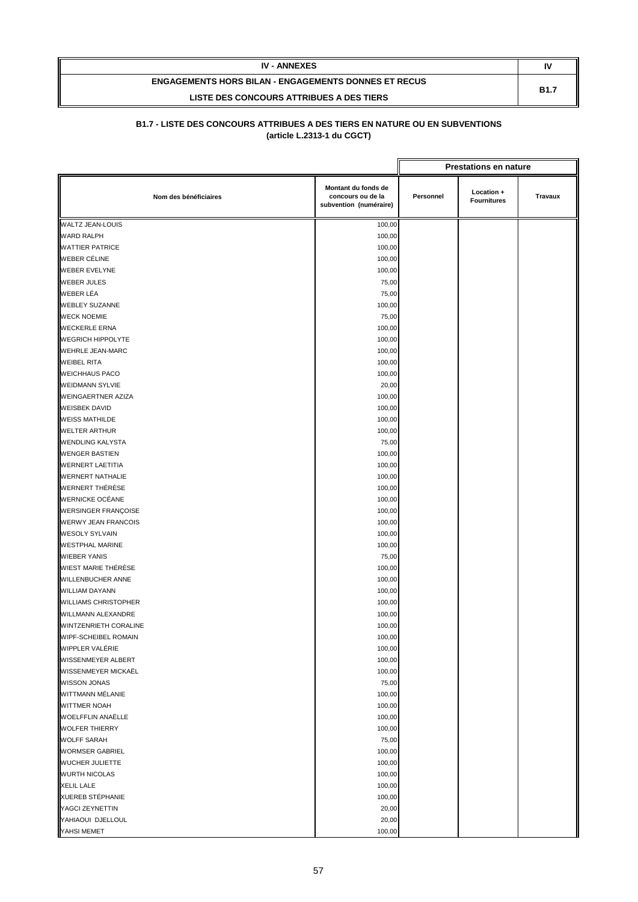| <b>IV - ANNEXES</b>                                         | IV          |
|-------------------------------------------------------------|-------------|
| <b>ENGAGEMENTS HORS BILAN - ENGAGEMENTS DONNES ET RECUS</b> | <b>B1.7</b> |
| LISTE DES CONCOURS ATTRIBUES A DES TIERS                    |             |

|                             |                                                                    |           | <b>Prestations en nature</b>     |         |
|-----------------------------|--------------------------------------------------------------------|-----------|----------------------------------|---------|
| Nom des bénéficiaires       | Montant du fonds de<br>concours ou de la<br>subvention (numéraire) | Personnel | Location +<br><b>Fournitures</b> | Travaux |
| <b>WALTZ JEAN-LOUIS</b>     | 100,00                                                             |           |                                  |         |
| <b>WARD RALPH</b>           | 100,00                                                             |           |                                  |         |
| <b>WATTIER PATRICE</b>      | 100,00                                                             |           |                                  |         |
| WEBER CÉLINE                | 100,00                                                             |           |                                  |         |
| <b>WEBER EVELYNE</b>        | 100,00                                                             |           |                                  |         |
| <b>WEBER JULES</b>          | 75,00                                                              |           |                                  |         |
| WEBER LÉA                   | 75,00                                                              |           |                                  |         |
| <b>WEBLEY SUZANNE</b>       | 100,00                                                             |           |                                  |         |
| <b>WECK NOEMIE</b>          | 75,00                                                              |           |                                  |         |
| <b>WECKERLE ERNA</b>        | 100,00                                                             |           |                                  |         |
| <b>WEGRICH HIPPOLYTE</b>    | 100,00                                                             |           |                                  |         |
| <b>WEHRLE JEAN-MARC</b>     | 100,00                                                             |           |                                  |         |
| <b>WEIBEL RITA</b>          | 100,00                                                             |           |                                  |         |
| <b>WEICHHAUS PACO</b>       | 100,00                                                             |           |                                  |         |
| <b>WEIDMANN SYLVIE</b>      | 20,00                                                              |           |                                  |         |
| <b>WEINGAERTNER AZIZA</b>   | 100,00                                                             |           |                                  |         |
| <b>WEISBEK DAVID</b>        | 100,00                                                             |           |                                  |         |
| <b>WEISS MATHILDE</b>       | 100,00                                                             |           |                                  |         |
| <b>WELTER ARTHUR</b>        | 100,00                                                             |           |                                  |         |
| <b>WENDLING KALYSTA</b>     | 75,00                                                              |           |                                  |         |
| <b>WENGER BASTIEN</b>       | 100,00                                                             |           |                                  |         |
| <b>WERNERT LAETITIA</b>     | 100,00                                                             |           |                                  |         |
| <b>WERNERT NATHALIE</b>     | 100,00                                                             |           |                                  |         |
| WERNERT THÉRÈSE             | 100,00                                                             |           |                                  |         |
| <b>WERNICKE OCÉANE</b>      | 100,00                                                             |           |                                  |         |
| <b>WERSINGER FRANÇOISE</b>  | 100,00                                                             |           |                                  |         |
| <b>WERWY JEAN FRANCOIS</b>  | 100,00                                                             |           |                                  |         |
| <b>WESOLY SYLVAIN</b>       | 100,00                                                             |           |                                  |         |
| <b>WESTPHAL MARINE</b>      | 100,00                                                             |           |                                  |         |
| <b>WIEBER YANIS</b>         | 75,00                                                              |           |                                  |         |
| WIEST MARIE THÉRÈSE         | 100,00                                                             |           |                                  |         |
| WILLENBUCHER ANNE           | 100,00                                                             |           |                                  |         |
| <b>WILLIAM DAYANN</b>       | 100,00                                                             |           |                                  |         |
| <b>WILLIAMS CHRISTOPHER</b> | 100,00                                                             |           |                                  |         |
| <b>WILLMANN ALEXANDRE</b>   | 100,00                                                             |           |                                  |         |
| WINTZENRIETH CORALINE       | 100,00                                                             |           |                                  |         |
| WIPF-SCHEIBEL ROMAIN        | 100,00                                                             |           |                                  |         |
| WIPPLER VALÉRIE             | 100,00                                                             |           |                                  |         |
| WISSENMEYER ALBERT          | 100,00                                                             |           |                                  |         |
| WISSENMEYER MICKAËL         | 100,00                                                             |           |                                  |         |
| <b>WISSON JONAS</b>         | 75,00                                                              |           |                                  |         |
| WITTMANN MÉLANIE            | 100,00                                                             |           |                                  |         |
| <b>WITTMER NOAH</b>         | 100,00                                                             |           |                                  |         |
| WOELFFLIN ANAËLLE           | 100,00                                                             |           |                                  |         |
| <b>WOLFER THIERRY</b>       | 100,00                                                             |           |                                  |         |
| <b>WOLFF SARAH</b>          | 75,00                                                              |           |                                  |         |
| <b>WORMSER GABRIEL</b>      | 100,00                                                             |           |                                  |         |
| WUCHER JULIETTE             | 100,00                                                             |           |                                  |         |
| <b>WURTH NICOLAS</b>        | 100,00                                                             |           |                                  |         |
| <b>XELIL LALE</b>           | 100,00                                                             |           |                                  |         |
| XUEREB STÉPHANIE            | 100,00                                                             |           |                                  |         |
| YAGCI ZEYNETTIN             | 20,00                                                              |           |                                  |         |
| YAHIAOUI DJELLOUL           | 20,00                                                              |           |                                  |         |
| YAHSI MEMET                 | 100,00                                                             |           |                                  |         |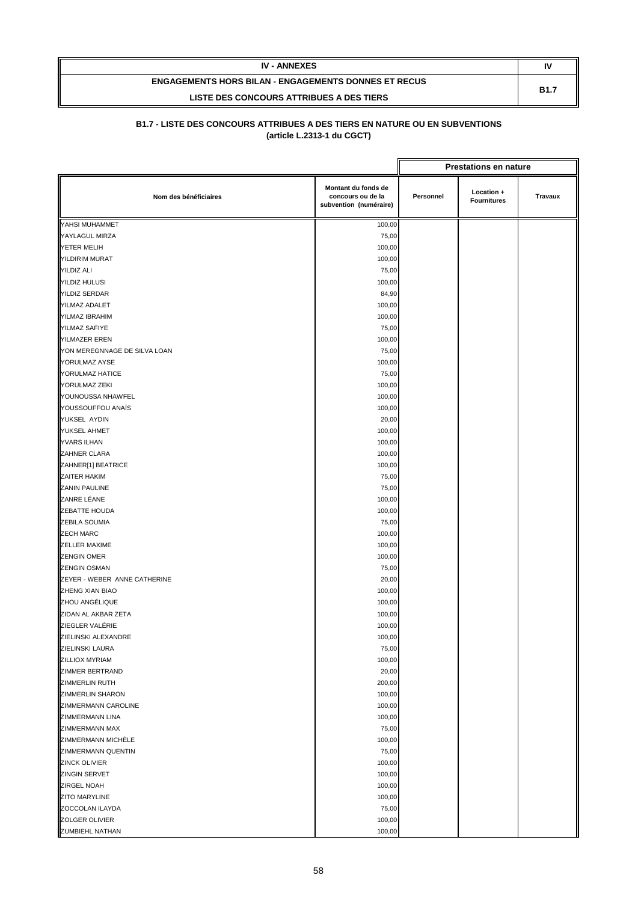| <b>IV - ANNEXES</b>                                         | N           |
|-------------------------------------------------------------|-------------|
| <b>ENGAGEMENTS HORS BILAN - ENGAGEMENTS DONNES ET RECUS</b> | <b>B1.7</b> |
| LISTE DES CONCOURS ATTRIBUES A DES TIERS                    |             |

|                                           |                                                                    |           | <b>Prestations en nature</b>     |                |  |  |
|-------------------------------------------|--------------------------------------------------------------------|-----------|----------------------------------|----------------|--|--|
| Nom des bénéficiaires                     | Montant du fonds de<br>concours ou de la<br>subvention (numéraire) | Personnel | Location +<br><b>Fournitures</b> | <b>Travaux</b> |  |  |
| YAHSI MUHAMMET                            | 100,00                                                             |           |                                  |                |  |  |
| YAYLAGUL MIRZA                            | 75,00                                                              |           |                                  |                |  |  |
| YETER MELIH                               | 100,00                                                             |           |                                  |                |  |  |
| YILDIRIM MURAT                            | 100,00                                                             |           |                                  |                |  |  |
| <b>YILDIZ ALI</b>                         | 75,00                                                              |           |                                  |                |  |  |
| <b>YILDIZ HULUSI</b>                      | 100,00                                                             |           |                                  |                |  |  |
| <b>YILDIZ SERDAR</b>                      | 84,90                                                              |           |                                  |                |  |  |
| YILMAZ ADALET                             | 100,00                                                             |           |                                  |                |  |  |
| YILMAZ IBRAHIM                            | 100,00                                                             |           |                                  |                |  |  |
| YILMAZ SAFIYE                             | 75,00                                                              |           |                                  |                |  |  |
| <b>YILMAZER EREN</b>                      | 100,00                                                             |           |                                  |                |  |  |
| YON MEREGNNAGE DE SILVA LOAN              | 75,00                                                              |           |                                  |                |  |  |
| YORULMAZ AYSE                             | 100,00                                                             |           |                                  |                |  |  |
| YORULMAZ HATICE                           | 75,00                                                              |           |                                  |                |  |  |
| YORULMAZ ZEKI                             | 100,00                                                             |           |                                  |                |  |  |
| YOUNOUSSA NHAWFEL                         | 100,00                                                             |           |                                  |                |  |  |
| YOUSSOUFFOU ANAÏS                         | 100,00                                                             |           |                                  |                |  |  |
| YUKSEL AYDIN                              | 20,00                                                              |           |                                  |                |  |  |
| <b>YUKSEL AHMET</b>                       | 100,00                                                             |           |                                  |                |  |  |
| <b>YVARS ILHAN</b>                        | 100,00                                                             |           |                                  |                |  |  |
| ZAHNER CLARA                              | 100,00                                                             |           |                                  |                |  |  |
| ZAHNER[1] BEATRICE                        | 100,00                                                             |           |                                  |                |  |  |
| ZAITER HAKIM                              | 75,00                                                              |           |                                  |                |  |  |
| <b>ZANIN PAULINE</b>                      | 75,00                                                              |           |                                  |                |  |  |
| ZANRE LÉANE                               | 100,00                                                             |           |                                  |                |  |  |
| ZEBATTE HOUDA                             | 100,00                                                             |           |                                  |                |  |  |
| ZEBILA SOUMIA                             | 75,00                                                              |           |                                  |                |  |  |
| <b>ZECH MARC</b>                          | 100,00                                                             |           |                                  |                |  |  |
| ZELLER MAXIME                             | 100,00                                                             |           |                                  |                |  |  |
| <b>ZENGIN OMER</b><br><b>ZENGIN OSMAN</b> | 100,00                                                             |           |                                  |                |  |  |
| ZEYER - WEBER ANNE CATHERINE              | 75,00                                                              |           |                                  |                |  |  |
|                                           | 20,00                                                              |           |                                  |                |  |  |
| ZHENG XIAN BIAO<br>ZHOU ANGÉLIQUE         | 100,00                                                             |           |                                  |                |  |  |
| ZIDAN AL AKBAR ZETA                       | 100,00<br>100,00                                                   |           |                                  |                |  |  |
| ZIEGLER VALÉRIE                           | 100,00                                                             |           |                                  |                |  |  |
| ZIELINSKI ALEXANDRE                       | 100,00                                                             |           |                                  |                |  |  |
| ZIELINSKI LAURA                           | 75,00                                                              |           |                                  |                |  |  |
| <b>ZILLIOX MYRIAM</b>                     | 100,00                                                             |           |                                  |                |  |  |
| <b>ZIMMER BERTRAND</b>                    | 20,00                                                              |           |                                  |                |  |  |
| <b>ZIMMERLIN RUTH</b>                     | 200,00                                                             |           |                                  |                |  |  |
| ZIMMERLIN SHARON                          | 100,00                                                             |           |                                  |                |  |  |
| ZIMMERMANN CAROLINE                       | 100,00                                                             |           |                                  |                |  |  |
| ZIMMERMANN LINA                           | 100,00                                                             |           |                                  |                |  |  |
| ZIMMERMANN MAX                            | 75,00                                                              |           |                                  |                |  |  |
| ZIMMERMANN MICHELE                        | 100,00                                                             |           |                                  |                |  |  |
| ZIMMERMANN QUENTIN                        | 75,00                                                              |           |                                  |                |  |  |
| <b>ZINCK OLIVIER</b>                      | 100,00                                                             |           |                                  |                |  |  |
| <b>ZINGIN SERVET</b>                      | 100,00                                                             |           |                                  |                |  |  |
| <b>ZIRGEL NOAH</b>                        | 100,00                                                             |           |                                  |                |  |  |
| <b>ZITO MARYLINE</b>                      | 100,00                                                             |           |                                  |                |  |  |
| ZOCCOLAN ILAYDA                           | 75,00                                                              |           |                                  |                |  |  |
| ZOLGER OLIVIER                            | 100,00                                                             |           |                                  |                |  |  |
| ZUMBIEHL NATHAN                           | 100,00                                                             |           |                                  |                |  |  |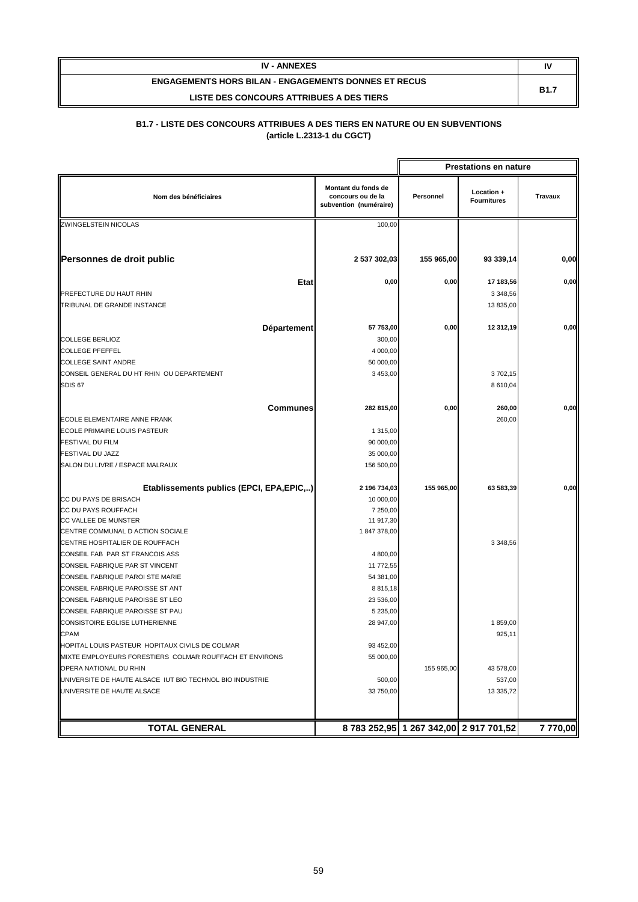| <b>IV - ANNEXES</b>                                         | I٧          |
|-------------------------------------------------------------|-------------|
| <b>ENGAGEMENTS HORS BILAN - ENGAGEMENTS DONNES ET RECUS</b> | <b>B1.7</b> |
| LISTE DES CONCOURS ATTRIBUES A DES TIERS                    |             |

|                                                          |                                                                    |            | <b>Prestations en nature</b>           |                |
|----------------------------------------------------------|--------------------------------------------------------------------|------------|----------------------------------------|----------------|
| Nom des bénéficiaires                                    | Montant du fonds de<br>concours ou de la<br>subvention (numéraire) | Personnel  | Location +<br><b>Fournitures</b>       | <b>Travaux</b> |
| <b>ZWINGELSTEIN NICOLAS</b>                              | 100,00                                                             |            |                                        |                |
|                                                          |                                                                    |            |                                        |                |
| Personnes de droit public                                | 2 537 302,03                                                       | 155 965,00 | 93 339,14                              | 0,00           |
| <b>Etat</b>                                              | 0,00                                                               | 0,00       | 17 183,56                              | 0,00           |
| PREFECTURE DU HAUT RHIN                                  |                                                                    |            | 3 3 48, 56                             |                |
| TRIBUNAL DE GRANDE INSTANCE                              |                                                                    |            | 13 835,00                              |                |
|                                                          |                                                                    |            |                                        |                |
| Département                                              | 57 753,00                                                          | 0,00       | 12 312,19                              | 0,00           |
| <b>COLLEGE BERLIOZ</b>                                   | 300,00                                                             |            |                                        |                |
| <b>COLLEGE PFEFFEL</b>                                   | 4 000,00                                                           |            |                                        |                |
| <b>COLLEGE SAINT ANDRE</b>                               | 50 000,00                                                          |            |                                        |                |
| CONSEIL GENERAL DU HT RHIN OU DEPARTEMENT                | 3 453,00                                                           |            | 3702,15                                |                |
| <b>SDIS 67</b>                                           |                                                                    |            | 8 610,04                               |                |
| <b>Communes</b>                                          | 282 815,00                                                         | 0,00       | 260,00                                 | 0,00           |
| ECOLE ELEMENTAIRE ANNE FRANK                             |                                                                    |            | 260,00                                 |                |
| <b>ECOLE PRIMAIRE LOUIS PASTEUR</b>                      | 1 315,00                                                           |            |                                        |                |
| <b>FESTIVAL DU FILM</b>                                  | 90 000,00                                                          |            |                                        |                |
| FESTIVAL DU JAZZ                                         | 35 000,00                                                          |            |                                        |                |
| SALON DU LIVRE / ESPACE MALRAUX                          | 156 500,00                                                         |            |                                        |                |
| Etablissements publics (EPCI, EPA, EPIC,)                | 2 196 734,03                                                       | 155 965,00 | 63 583,39                              | 0,00           |
| CC DU PAYS DE BRISACH                                    | 10 000,00                                                          |            |                                        |                |
| CC DU PAYS ROUFFACH                                      | 7 250,00                                                           |            |                                        |                |
| CC VALLEE DE MUNSTER                                     | 11 917,30                                                          |            |                                        |                |
| CENTRE COMMUNAL D ACTION SOCIALE                         | 1847378,00                                                         |            |                                        |                |
| CENTRE HOSPITALIER DE ROUFFACH                           |                                                                    |            | 3 3 48, 56                             |                |
| CONSEIL FAB PAR ST FRANCOIS ASS                          | 4 800,00                                                           |            |                                        |                |
| CONSEIL FABRIQUE PAR ST VINCENT                          | 11 772,55                                                          |            |                                        |                |
| CONSEIL FABRIQUE PAROI STE MARIE                         | 54 381,00                                                          |            |                                        |                |
| CONSEIL FABRIQUE PAROISSE ST ANT                         | 8815,18                                                            |            |                                        |                |
| CONSEIL FABRIQUE PAROISSE ST LEO                         | 23 536,00                                                          |            |                                        |                |
| CONSEIL FABRIQUE PAROISSE ST PAU                         | 5 235,00                                                           |            |                                        |                |
| CONSISTOIRE EGLISE LUTHERIENNE                           | 28 947,00                                                          |            | 1859,00                                |                |
| CPAM                                                     |                                                                    |            | 925,11                                 |                |
| HOPITAL LOUIS PASTEUR HOPITAUX CIVILS DE COLMAR          | 93 452,00                                                          |            |                                        |                |
| MIXTE EMPLOYEURS FORESTIERS COLMAR ROUFFACH ET ENVIRONS  | 55 000,00                                                          |            |                                        |                |
| OPERA NATIONAL DU RHIN                                   |                                                                    | 155 965,00 | 43 578,00                              |                |
| UNIVERSITE DE HAUTE ALSACE IUT BIO TECHNOL BIO INDUSTRIE | 500,00                                                             |            | 537,00                                 |                |
| UNIVERSITE DE HAUTE ALSACE                               | 33 750,00                                                          |            | 13 335,72                              |                |
|                                                          |                                                                    |            |                                        |                |
| <b>TOTAL GENERAL</b>                                     |                                                                    |            | 8 783 252,95 1 267 342,00 2 917 701,52 | 7 770,00       |